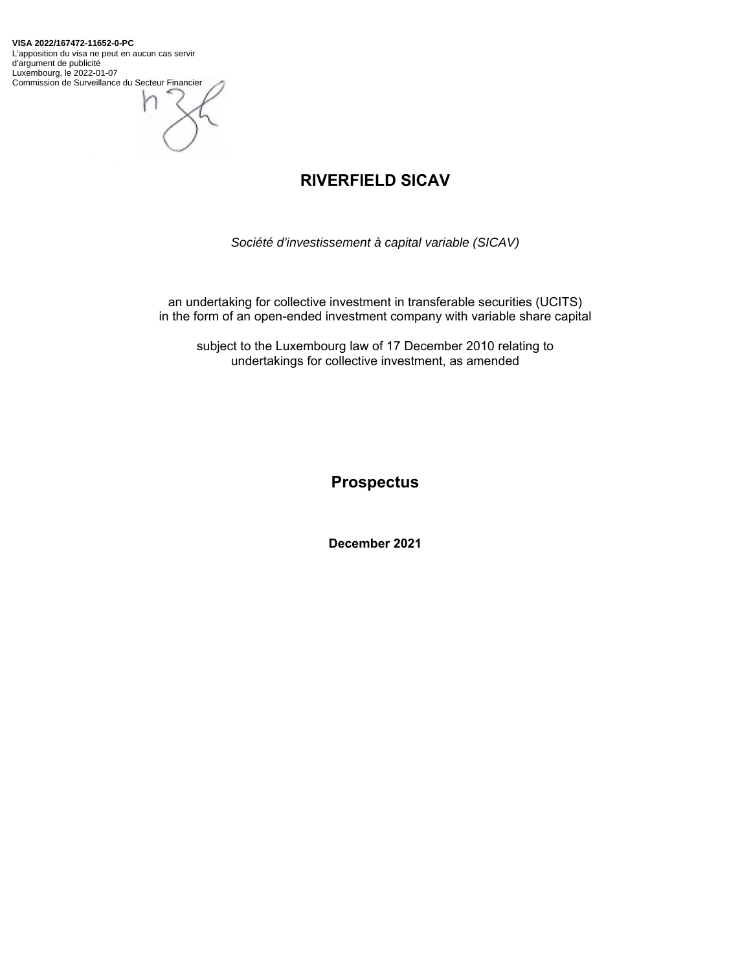**VISA 2022/167472-11652-0-PC** L'apposition du visa ne peut en aucun cas servir d'argument de publicité Luxembourg, le 2022-01-07 Commission de Surveillance du Secteur Financier



# **RIVERFIELD SICAV**

*Société d'investissement à capital variable (SICAV)* 

an undertaking for collective investment in transferable securities (UCITS) in the form of an open-ended investment company with variable share capital

subject to the Luxembourg law of 17 December 2010 relating to undertakings for collective investment, as amended

**Prospectus** 

**December 2021**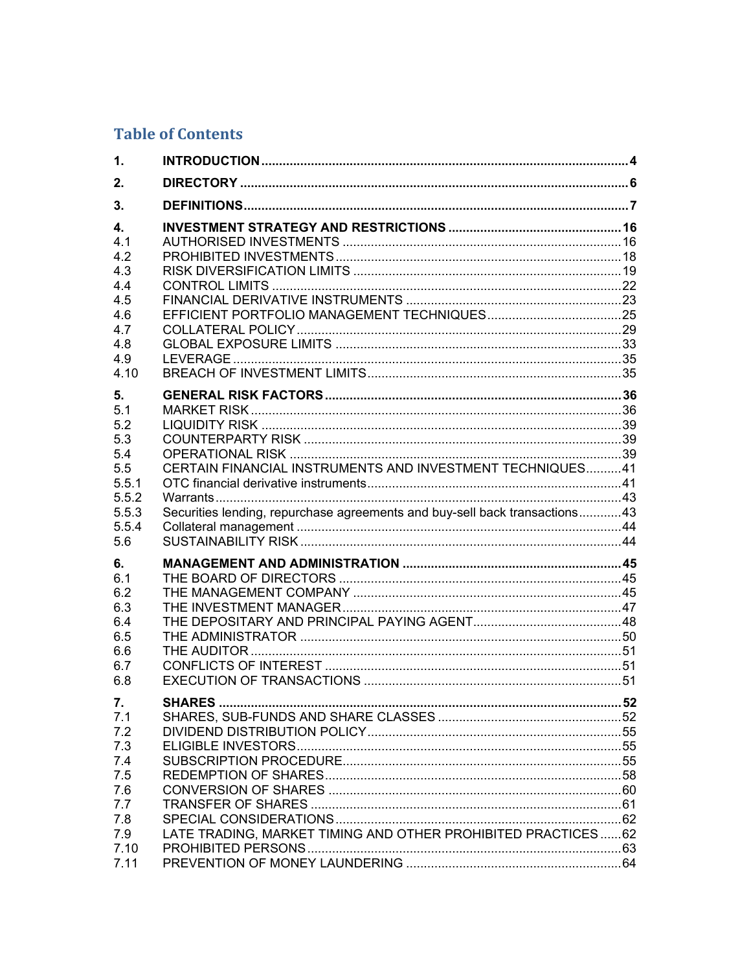# **Table of Contents**

| 1.                                                                                |                                                                                                                                         |     |
|-----------------------------------------------------------------------------------|-----------------------------------------------------------------------------------------------------------------------------------------|-----|
| 2.                                                                                |                                                                                                                                         |     |
| 3.                                                                                |                                                                                                                                         |     |
| 4.<br>4.1<br>4.2<br>4.3<br>4.4<br>4.5<br>4.6<br>4.7<br>4.8<br>4.9<br>4.10         |                                                                                                                                         |     |
| 5.<br>5.1<br>5.2<br>5.3<br>5.4<br>5.5<br>5.5.1<br>5.5.2<br>5.5.3<br>5.5.4<br>5.6  | CERTAIN FINANCIAL INSTRUMENTS AND INVESTMENT TECHNIQUES41<br>Securities lending, repurchase agreements and buy-sell back transactions43 |     |
| 6.<br>6.1<br>6.2<br>6.3<br>6.4<br>6.5<br>6.6<br>6.7<br>6.8                        |                                                                                                                                         |     |
| 7.<br>7.1<br>7.2<br>7.3<br>7.4<br>7.5<br>7.6<br>7.7<br>7.8<br>7.9<br>7.10<br>7.11 | <b>SHARES</b> .<br>LATE TRADING, MARKET TIMING AND OTHER PROHIBITED PRACTICES  62                                                       | .52 |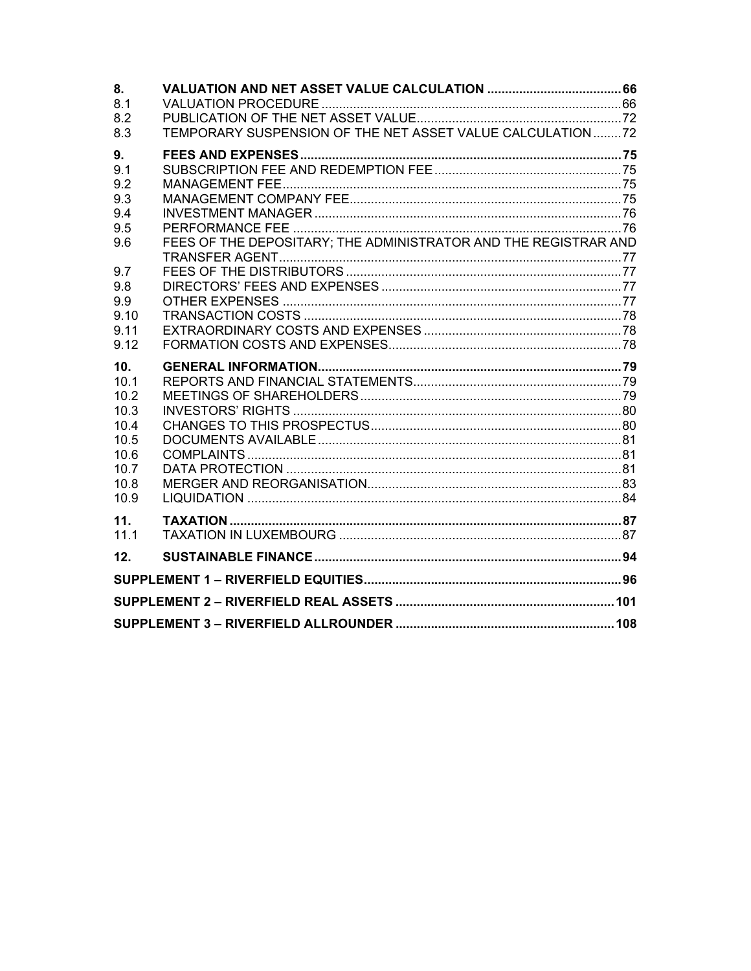| 8.          |                                                                 |  |
|-------------|-----------------------------------------------------------------|--|
| 8.1         |                                                                 |  |
| 8.2         |                                                                 |  |
| 8.3         | TEMPORARY SUSPENSION OF THE NET ASSET VALUE CALCULATION72       |  |
| 9.          |                                                                 |  |
| 9.1         |                                                                 |  |
| 9.2         |                                                                 |  |
| 9.3         |                                                                 |  |
| 9.4         |                                                                 |  |
| 9.5         |                                                                 |  |
| 9.6         | FEES OF THE DEPOSITARY; THE ADMINISTRATOR AND THE REGISTRAR AND |  |
| 9.7         |                                                                 |  |
| 9.8         |                                                                 |  |
| 9.9         |                                                                 |  |
| 9.10        |                                                                 |  |
| 9.11        |                                                                 |  |
| 9.12        |                                                                 |  |
|             |                                                                 |  |
|             |                                                                 |  |
| 10.<br>10.1 |                                                                 |  |
| 10.2        |                                                                 |  |
| 10.3        |                                                                 |  |
| 10.4        |                                                                 |  |
| 10.5        |                                                                 |  |
| 10.6        |                                                                 |  |
| 10.7        |                                                                 |  |
| 10.8        |                                                                 |  |
| 10.9        |                                                                 |  |
| 11.         |                                                                 |  |
| 11.1        |                                                                 |  |
| 12.         |                                                                 |  |
|             |                                                                 |  |
|             |                                                                 |  |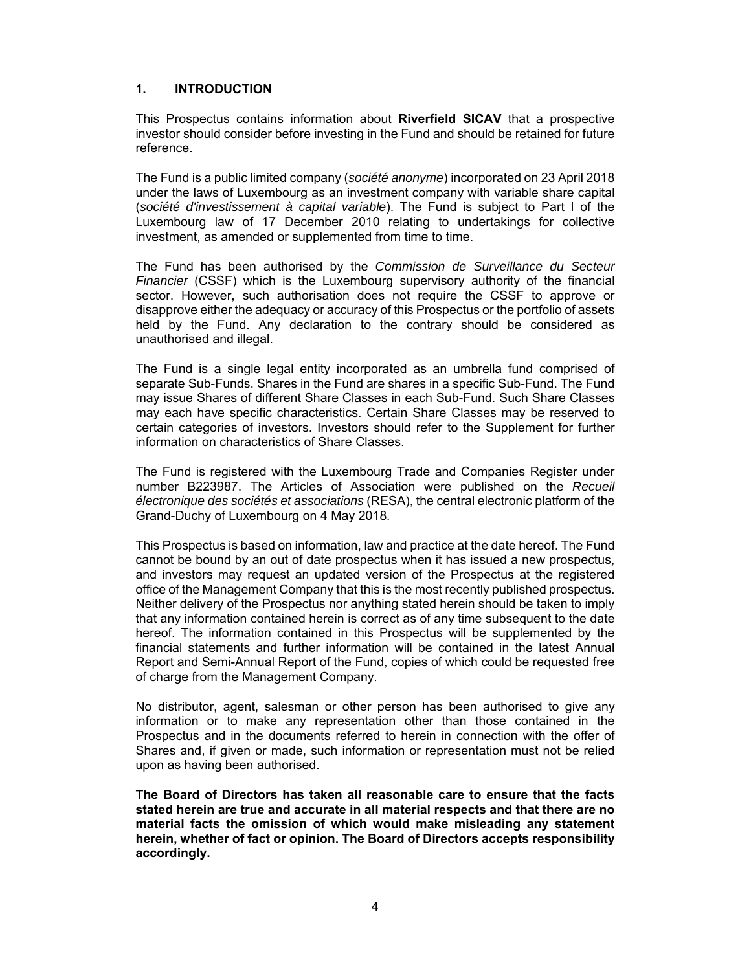### **1. INTRODUCTION**

This Prospectus contains information about **Riverfield SICAV** that a prospective investor should consider before investing in the Fund and should be retained for future reference.

The Fund is a public limited company (*société anonyme*) incorporated on 23 April 2018 under the laws of Luxembourg as an investment company with variable share capital (*société d'investissement à capital variable*). The Fund is subject to Part I of the Luxembourg law of 17 December 2010 relating to undertakings for collective investment, as amended or supplemented from time to time.

The Fund has been authorised by the *Commission de Surveillance du Secteur Financier* (CSSF) which is the Luxembourg supervisory authority of the financial sector. However, such authorisation does not require the CSSF to approve or disapprove either the adequacy or accuracy of this Prospectus or the portfolio of assets held by the Fund. Any declaration to the contrary should be considered as unauthorised and illegal.

The Fund is a single legal entity incorporated as an umbrella fund comprised of separate Sub-Funds. Shares in the Fund are shares in a specific Sub-Fund. The Fund may issue Shares of different Share Classes in each Sub-Fund. Such Share Classes may each have specific characteristics. Certain Share Classes may be reserved to certain categories of investors. Investors should refer to the Supplement for further information on characteristics of Share Classes.

The Fund is registered with the Luxembourg Trade and Companies Register under number B223987. The Articles of Association were published on the *Recueil électronique des sociétés et associations* (RESA), the central electronic platform of the Grand-Duchy of Luxembourg on 4 May 2018.

This Prospectus is based on information, law and practice at the date hereof. The Fund cannot be bound by an out of date prospectus when it has issued a new prospectus, and investors may request an updated version of the Prospectus at the registered office of the Management Company that this is the most recently published prospectus. Neither delivery of the Prospectus nor anything stated herein should be taken to imply that any information contained herein is correct as of any time subsequent to the date hereof. The information contained in this Prospectus will be supplemented by the financial statements and further information will be contained in the latest Annual Report and Semi-Annual Report of the Fund, copies of which could be requested free of charge from the Management Company.

No distributor, agent, salesman or other person has been authorised to give any information or to make any representation other than those contained in the Prospectus and in the documents referred to herein in connection with the offer of Shares and, if given or made, such information or representation must not be relied upon as having been authorised.

**The Board of Directors has taken all reasonable care to ensure that the facts stated herein are true and accurate in all material respects and that there are no material facts the omission of which would make misleading any statement herein, whether of fact or opinion. The Board of Directors accepts responsibility accordingly.**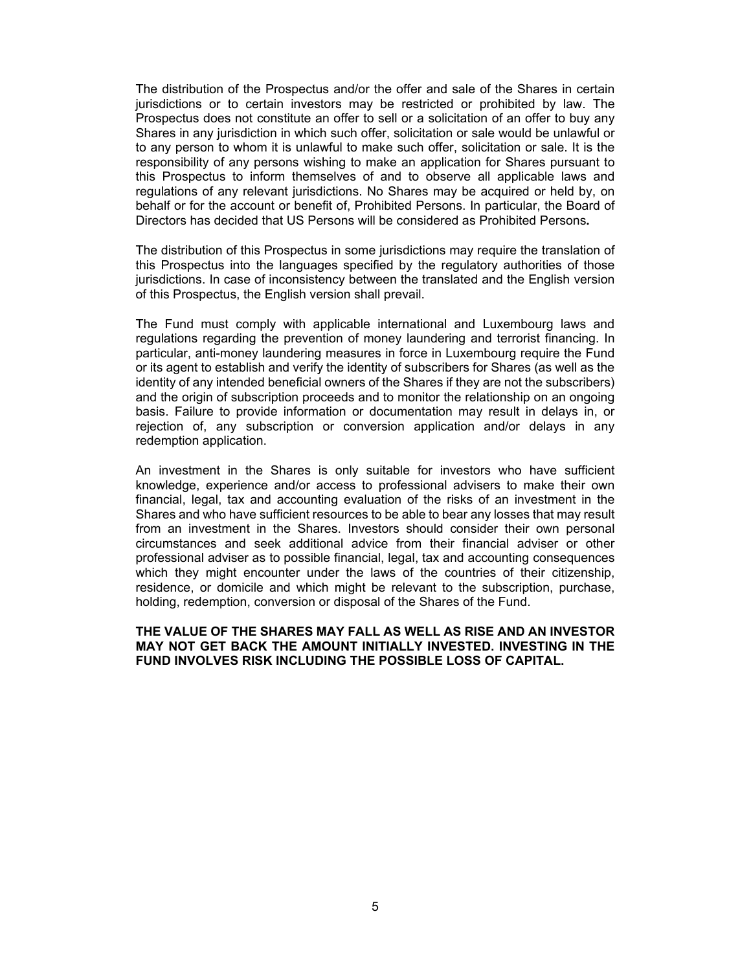The distribution of the Prospectus and/or the offer and sale of the Shares in certain jurisdictions or to certain investors may be restricted or prohibited by law. The Prospectus does not constitute an offer to sell or a solicitation of an offer to buy any Shares in any jurisdiction in which such offer, solicitation or sale would be unlawful or to any person to whom it is unlawful to make such offer, solicitation or sale. It is the responsibility of any persons wishing to make an application for Shares pursuant to this Prospectus to inform themselves of and to observe all applicable laws and regulations of any relevant jurisdictions. No Shares may be acquired or held by, on behalf or for the account or benefit of, Prohibited Persons. In particular, the Board of Directors has decided that US Persons will be considered as Prohibited Persons**.**

The distribution of this Prospectus in some jurisdictions may require the translation of this Prospectus into the languages specified by the regulatory authorities of those jurisdictions. In case of inconsistency between the translated and the English version of this Prospectus, the English version shall prevail.

The Fund must comply with applicable international and Luxembourg laws and regulations regarding the prevention of money laundering and terrorist financing. In particular, anti-money laundering measures in force in Luxembourg require the Fund or its agent to establish and verify the identity of subscribers for Shares (as well as the identity of any intended beneficial owners of the Shares if they are not the subscribers) and the origin of subscription proceeds and to monitor the relationship on an ongoing basis. Failure to provide information or documentation may result in delays in, or rejection of, any subscription or conversion application and/or delays in any redemption application.

An investment in the Shares is only suitable for investors who have sufficient knowledge, experience and/or access to professional advisers to make their own financial, legal, tax and accounting evaluation of the risks of an investment in the Shares and who have sufficient resources to be able to bear any losses that may result from an investment in the Shares. Investors should consider their own personal circumstances and seek additional advice from their financial adviser or other professional adviser as to possible financial, legal, tax and accounting consequences which they might encounter under the laws of the countries of their citizenship, residence, or domicile and which might be relevant to the subscription, purchase, holding, redemption, conversion or disposal of the Shares of the Fund.

#### **THE VALUE OF THE SHARES MAY FALL AS WELL AS RISE AND AN INVESTOR MAY NOT GET BACK THE AMOUNT INITIALLY INVESTED. INVESTING IN THE FUND INVOLVES RISK INCLUDING THE POSSIBLE LOSS OF CAPITAL.**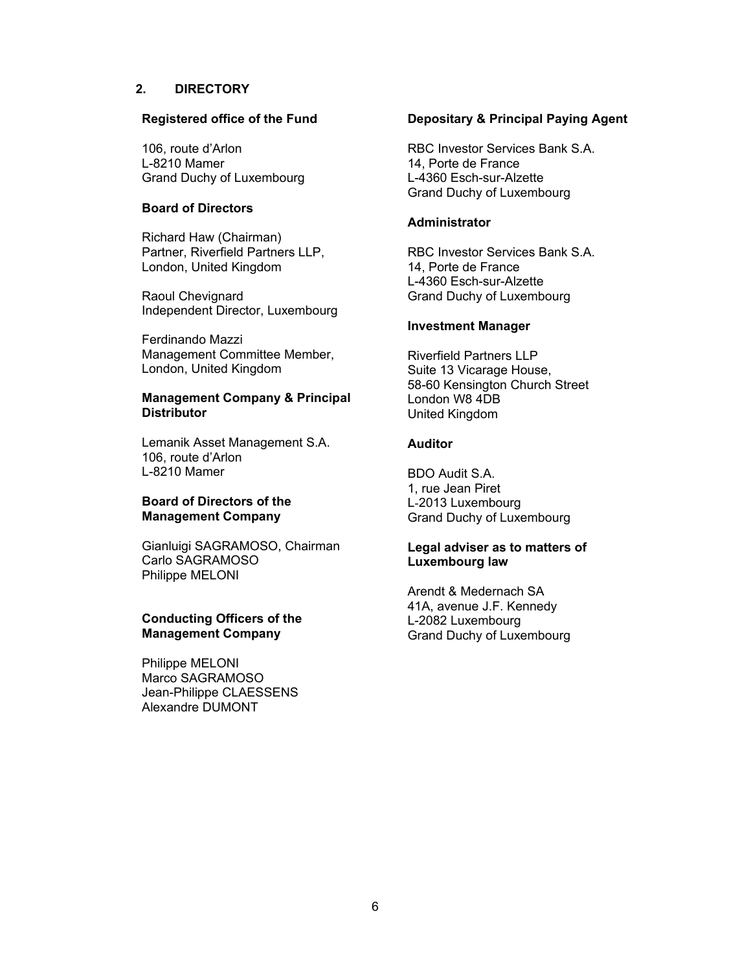### **2. DIRECTORY**

#### **Registered office of the Fund**

106, route d'Arlon L-8210 Mamer Grand Duchy of Luxembourg

#### **Board of Directors**

Richard Haw (Chairman) Partner, Riverfield Partners LLP, London, United Kingdom

Raoul Chevignard Independent Director, Luxembourg

Ferdinando Mazzi Management Committee Member, London, United Kingdom

#### **Management Company & Principal Distributor**

Lemanik Asset Management S.A. 106, route d'Arlon L-8210 Mamer

### **Board of Directors of the Management Company**

Gianluigi SAGRAMOSO, Chairman Carlo SAGRAMOSO Philippe MELONI

### **Conducting Officers of the Management Company**

Philippe MELONI Marco SAGRAMOSO Jean-Philippe CLAESSENS Alexandre DUMONT

#### **Depositary & Principal Paying Agent**

RBC Investor Services Bank S.A. 14, Porte de France L-4360 Esch-sur-Alzette Grand Duchy of Luxembourg

#### **Administrator**

RBC Investor Services Bank S.A. 14, Porte de France L-4360 Esch-sur-Alzette Grand Duchy of Luxembourg

#### **Investment Manager**

Riverfield Partners LLP Suite 13 Vicarage House, 58-60 Kensington Church Street London W8 4DB United Kingdom

### **Auditor**

BDO Audit S.A. 1, rue Jean Piret L-2013 Luxembourg Grand Duchy of Luxembourg

# **Legal adviser as to matters of Luxembourg law**

Arendt & Medernach SA 41A, avenue J.F. Kennedy L-2082 Luxembourg Grand Duchy of Luxembourg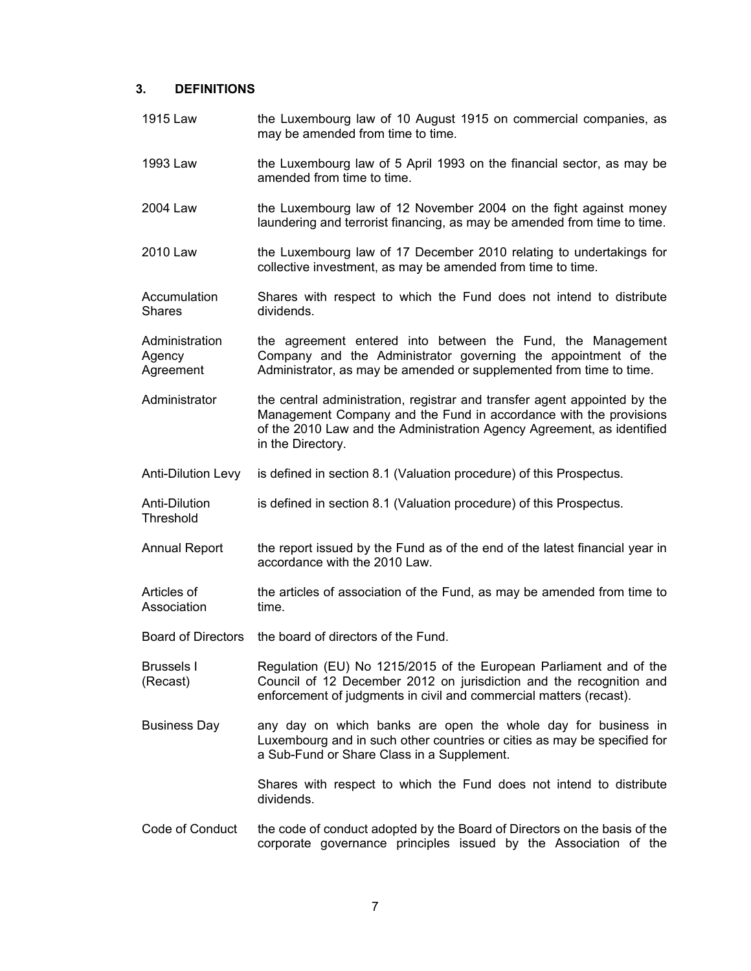### **3. DEFINITIONS**

- 1915 Law the Luxembourg law of 10 August 1915 on commercial companies, as may be amended from time to time.
- 1993 Law the Luxembourg law of 5 April 1993 on the financial sector, as may be amended from time to time.
- 2004 Law the Luxembourg law of 12 November 2004 on the fight against money laundering and terrorist financing, as may be amended from time to time.
- 2010 Law the Luxembourg law of 17 December 2010 relating to undertakings for collective investment, as may be amended from time to time.
- Accumulation **Shares** Shares with respect to which the Fund does not intend to distribute dividends.
- **Administration** Agency Agreement the agreement entered into between the Fund, the Management Company and the Administrator governing the appointment of the Administrator, as may be amended or supplemented from time to time.
- Administrator the central administration, registrar and transfer agent appointed by the Management Company and the Fund in accordance with the provisions of the 2010 Law and the Administration Agency Agreement, as identified in the Directory.
- Anti-Dilution Levy is defined in section 8.1 (Valuation procedure) of this Prospectus.
- Anti-Dilution Threshold is defined in section 8.1 (Valuation procedure) of this Prospectus.
- Annual Report the report issued by the Fund as of the end of the latest financial year in accordance with the 2010 Law.
- Articles of Association the articles of association of the Fund, as may be amended from time to time.
- Board of Directors the board of directors of the Fund.
- Brussels I (Recast) Regulation (EU) No 1215/2015 of the European Parliament and of the Council of 12 December 2012 on jurisdiction and the recognition and enforcement of judgments in civil and commercial matters (recast).
- Business Day any day on which banks are open the whole day for business in Luxembourg and in such other countries or cities as may be specified for a Sub-Fund or Share Class in a Supplement.

 Shares with respect to which the Fund does not intend to distribute dividends.

Code of Conduct the code of conduct adopted by the Board of Directors on the basis of the corporate governance principles issued by the Association of the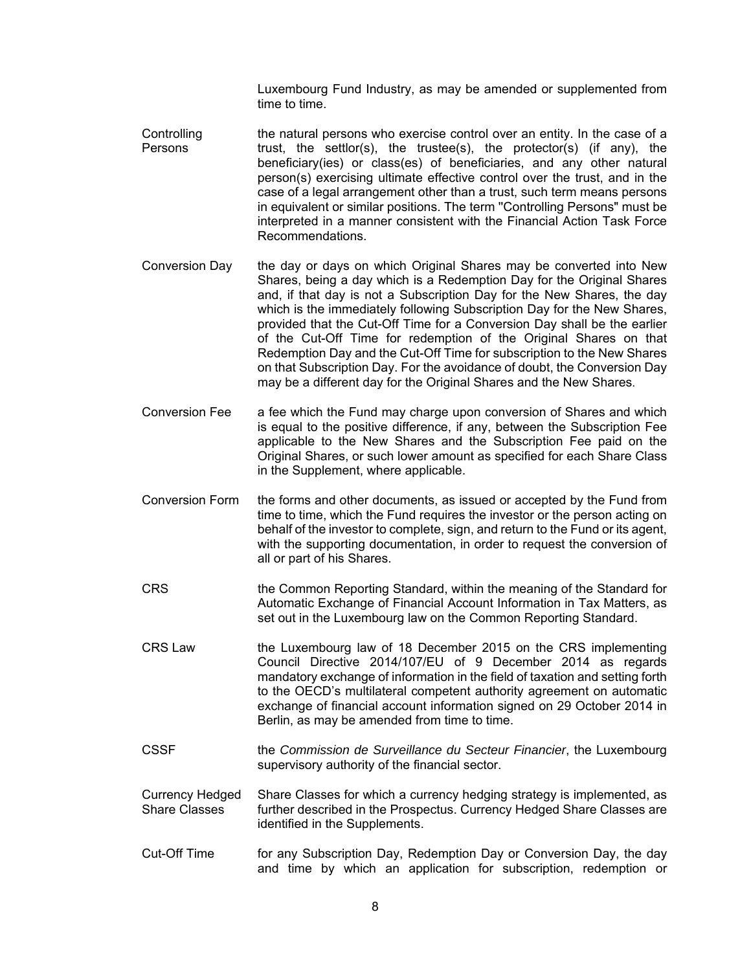Luxembourg Fund Industry, as may be amended or supplemented from time to time.

- **Controlling** Persons the natural persons who exercise control over an entity. In the case of a trust, the settlor(s), the trustee(s), the protector(s) (if any), the beneficiary(ies) or class(es) of beneficiaries, and any other natural person(s) exercising ultimate effective control over the trust, and in the case of a legal arrangement other than a trust, such term means persons in equivalent or similar positions. The term ''Controlling Persons" must be interpreted in a manner consistent with the Financial Action Task Force Recommendations.
- Conversion Day the day or days on which Original Shares may be converted into New Shares, being a day which is a Redemption Day for the Original Shares and, if that day is not a Subscription Day for the New Shares, the day which is the immediately following Subscription Day for the New Shares, provided that the Cut-Off Time for a Conversion Day shall be the earlier of the Cut-Off Time for redemption of the Original Shares on that Redemption Day and the Cut-Off Time for subscription to the New Shares on that Subscription Day. For the avoidance of doubt, the Conversion Day may be a different day for the Original Shares and the New Shares.
- Conversion Fee a fee which the Fund may charge upon conversion of Shares and which is equal to the positive difference, if any, between the Subscription Fee applicable to the New Shares and the Subscription Fee paid on the Original Shares, or such lower amount as specified for each Share Class in the Supplement, where applicable.
- Conversion Form the forms and other documents, as issued or accepted by the Fund from time to time, which the Fund requires the investor or the person acting on behalf of the investor to complete, sign, and return to the Fund or its agent, with the supporting documentation, in order to request the conversion of all or part of his Shares.
- CRS the Common Reporting Standard, within the meaning of the Standard for Automatic Exchange of Financial Account Information in Tax Matters, as set out in the Luxembourg law on the Common Reporting Standard.
- CRS Law the Luxembourg law of 18 December 2015 on the CRS implementing Council Directive 2014/107/EU of 9 December 2014 as regards mandatory exchange of information in the field of taxation and setting forth to the OECD's multilateral competent authority agreement on automatic exchange of financial account information signed on 29 October 2014 in Berlin, as may be amended from time to time.
- CSSF the *Commission de Surveillance du Secteur Financier*, the Luxembourg supervisory authority of the financial sector.
- Currency Hedged Share Classes Share Classes for which a currency hedging strategy is implemented, as further described in the Prospectus. Currency Hedged Share Classes are identified in the Supplements.
- Cut-Off Time for any Subscription Day, Redemption Day or Conversion Day, the day and time by which an application for subscription, redemption or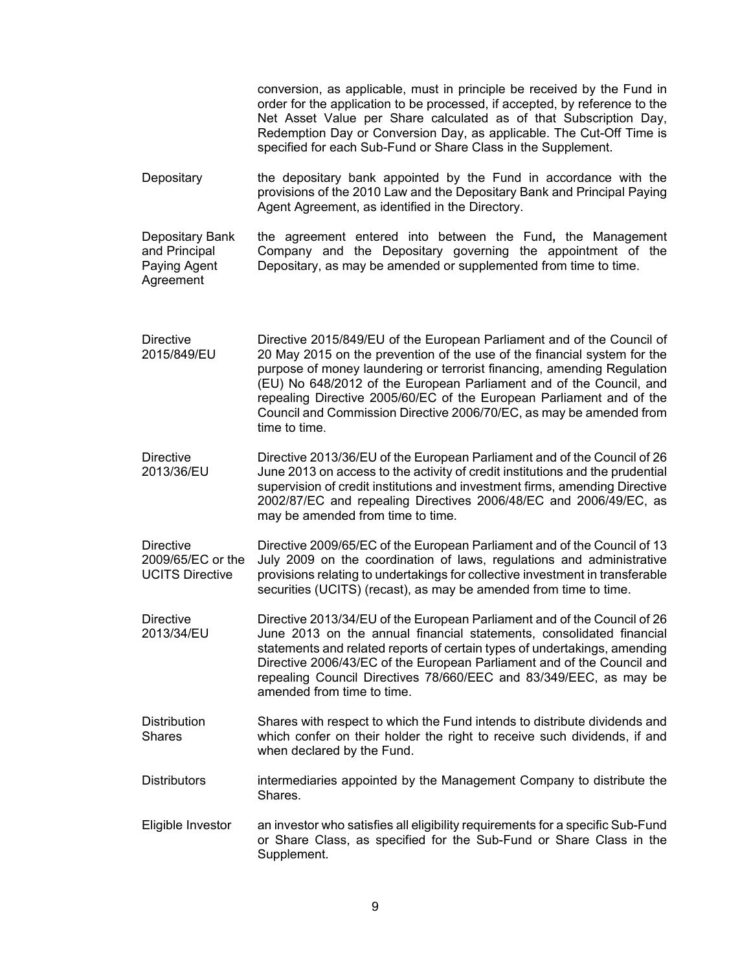|                                                                 | conversion, as applicable, must in principle be received by the Fund in<br>order for the application to be processed, if accepted, by reference to the<br>Net Asset Value per Share calculated as of that Subscription Day,<br>Redemption Day or Conversion Day, as applicable. The Cut-Off Time is<br>specified for each Sub-Fund or Share Class in the Supplement.                                                                                                 |
|-----------------------------------------------------------------|----------------------------------------------------------------------------------------------------------------------------------------------------------------------------------------------------------------------------------------------------------------------------------------------------------------------------------------------------------------------------------------------------------------------------------------------------------------------|
| Depositary                                                      | the depositary bank appointed by the Fund in accordance with the<br>provisions of the 2010 Law and the Depositary Bank and Principal Paying<br>Agent Agreement, as identified in the Directory.                                                                                                                                                                                                                                                                      |
| Depositary Bank<br>and Principal<br>Paying Agent<br>Agreement   | the agreement entered into between the Fund, the Management<br>Company and the Depositary governing the appointment of the<br>Depositary, as may be amended or supplemented from time to time.                                                                                                                                                                                                                                                                       |
| <b>Directive</b><br>2015/849/EU                                 | Directive 2015/849/EU of the European Parliament and of the Council of<br>20 May 2015 on the prevention of the use of the financial system for the<br>purpose of money laundering or terrorist financing, amending Regulation<br>(EU) No 648/2012 of the European Parliament and of the Council, and<br>repealing Directive 2005/60/EC of the European Parliament and of the<br>Council and Commission Directive 2006/70/EC, as may be amended from<br>time to time. |
| <b>Directive</b><br>2013/36/EU                                  | Directive 2013/36/EU of the European Parliament and of the Council of 26<br>June 2013 on access to the activity of credit institutions and the prudential<br>supervision of credit institutions and investment firms, amending Directive<br>2002/87/EC and repealing Directives 2006/48/EC and 2006/49/EC, as<br>may be amended from time to time.                                                                                                                   |
| <b>Directive</b><br>2009/65/EC or the<br><b>UCITS Directive</b> | Directive 2009/65/EC of the European Parliament and of the Council of 13<br>July 2009 on the coordination of laws, regulations and administrative<br>provisions relating to undertakings for collective investment in transferable<br>securities (UCITS) (recast), as may be amended from time to time.                                                                                                                                                              |
| <b>Directive</b><br>2013/34/EU                                  | Directive 2013/34/EU of the European Parliament and of the Council of 26<br>June 2013 on the annual financial statements, consolidated financial<br>statements and related reports of certain types of undertakings, amending<br>Directive 2006/43/EC of the European Parliament and of the Council and<br>repealing Council Directives 78/660/EEC and 83/349/EEC, as may be<br>amended from time to time.                                                           |
| <b>Distribution</b><br><b>Shares</b>                            | Shares with respect to which the Fund intends to distribute dividends and<br>which confer on their holder the right to receive such dividends, if and<br>when declared by the Fund.                                                                                                                                                                                                                                                                                  |
| <b>Distributors</b>                                             | intermediaries appointed by the Management Company to distribute the<br>Shares.                                                                                                                                                                                                                                                                                                                                                                                      |
| Eligible Investor                                               | an investor who satisfies all eligibility requirements for a specific Sub-Fund<br>or Share Class, as specified for the Sub-Fund or Share Class in the<br>Supplement.                                                                                                                                                                                                                                                                                                 |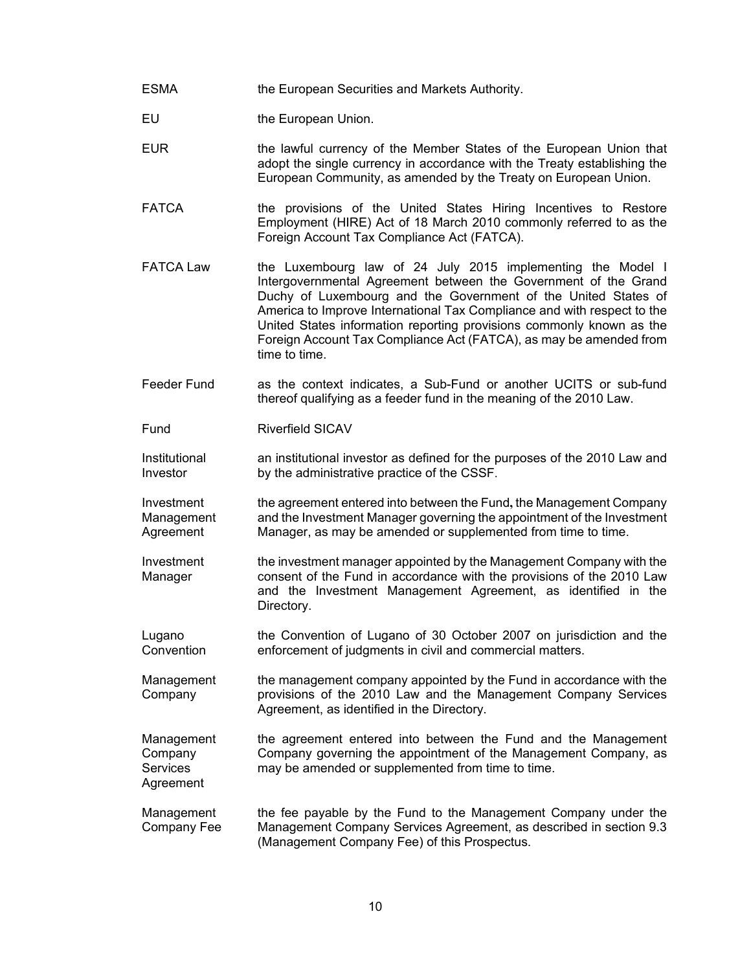- ESMA the European Securities and Markets Authority.
- EU the European Union.
- EUR the lawful currency of the Member States of the European Union that adopt the single currency in accordance with the Treaty establishing the European Community, as amended by the Treaty on European Union.
- FATCA the provisions of the United States Hiring Incentives to Restore Employment (HIRE) Act of 18 March 2010 commonly referred to as the Foreign Account Tax Compliance Act (FATCA).
- FATCA Law the Luxembourg law of 24 July 2015 implementing the Model I Intergovernmental Agreement between the Government of the Grand Duchy of Luxembourg and the Government of the United States of America to Improve International Tax Compliance and with respect to the United States information reporting provisions commonly known as the Foreign Account Tax Compliance Act (FATCA), as may be amended from time to time.
- Feeder Fund as the context indicates, a Sub-Fund or another UCITS or sub-fund thereof qualifying as a feeder fund in the meaning of the 2010 Law.

Fund Riverfield SICAV

Institutional Investor an institutional investor as defined for the purposes of the 2010 Law and by the administrative practice of the CSSF.

Investment Management Agreement the agreement entered into between the Fund**,** the Management Company and the Investment Manager governing the appointment of the Investment Manager, as may be amended or supplemented from time to time.

Investment Manager the investment manager appointed by the Management Company with the consent of the Fund in accordance with the provisions of the 2010 Law and the Investment Management Agreement, as identified in the Directory.

Lugano **Convention** the Convention of Lugano of 30 October 2007 on jurisdiction and the enforcement of judgments in civil and commercial matters.

Management **Company** the management company appointed by the Fund in accordance with the provisions of the 2010 Law and the Management Company Services Agreement, as identified in the Directory.

Management Company **Services** Agreement the agreement entered into between the Fund and the Management Company governing the appointment of the Management Company, as may be amended or supplemented from time to time.

**Management** Company Fee the fee payable by the Fund to the Management Company under the Management Company Services Agreement, as described in section 9.3 (Management Company Fee) of this Prospectus.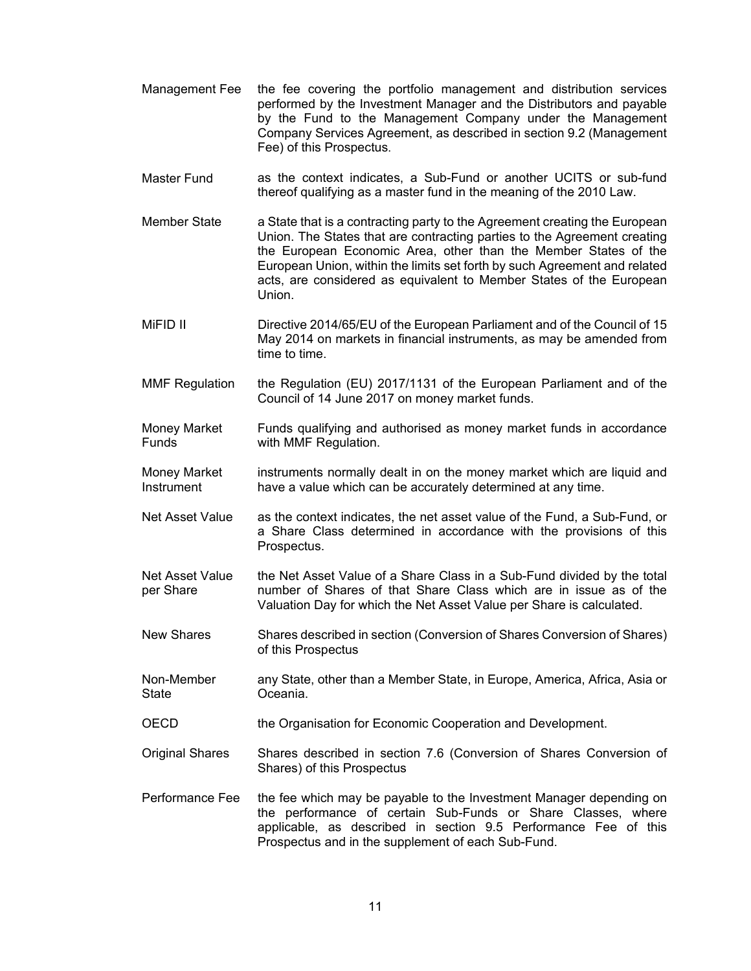- Management Fee the fee covering the portfolio management and distribution services performed by the Investment Manager and the Distributors and payable by the Fund to the Management Company under the Management Company Services Agreement, as described in section 9.2 (Management Fee) of this Prospectus.
- Master Fund as the context indicates, a Sub-Fund or another UCITS or sub-fund thereof qualifying as a master fund in the meaning of the 2010 Law.
- Member State a State that is a contracting party to the Agreement creating the European Union. The States that are contracting parties to the Agreement creating the European Economic Area, other than the Member States of the European Union, within the limits set forth by such Agreement and related acts, are considered as equivalent to Member States of the European Union.
- MiFID II Directive 2014/65/EU of the European Parliament and of the Council of 15 May 2014 on markets in financial instruments, as may be amended from time to time.
- MMF Regulation the Regulation (EU) 2017/1131 of the European Parliament and of the Council of 14 June 2017 on money market funds.
- Money Market **Funds** Funds qualifying and authorised as money market funds in accordance with MMF Regulation.
- Money Market Instrument instruments normally dealt in on the money market which are liquid and have a value which can be accurately determined at any time.
- Net Asset Value as the context indicates, the net asset value of the Fund, a Sub-Fund, or a Share Class determined in accordance with the provisions of this Prospectus.
- Net Asset Value per Share the Net Asset Value of a Share Class in a Sub-Fund divided by the total number of Shares of that Share Class which are in issue as of the Valuation Day for which the Net Asset Value per Share is calculated.
- New Shares Shares described in section (Conversion of Shares Conversion of Shares) of this Prospectus
- Non-Member **State** any State, other than a Member State, in Europe, America, Africa, Asia or Oceania.
- OECD the Organisation for Economic Cooperation and Development.
- Original Shares Shares described in section 7.6 (Conversion of Shares Conversion of Shares) of this Prospectus
- Performance Fee the fee which may be payable to the Investment Manager depending on the performance of certain Sub-Funds or Share Classes, where applicable, as described in section 9.5 Performance Fee of this Prospectus and in the supplement of each Sub-Fund.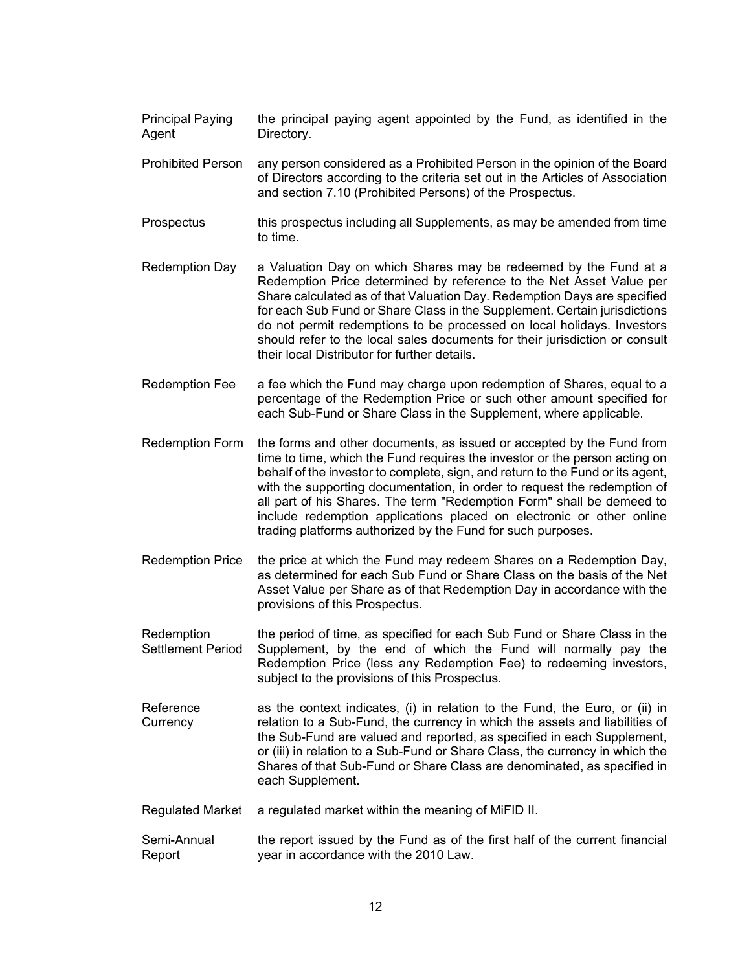- Principal Paying Agent the principal paying agent appointed by the Fund, as identified in the Directory.
- Prohibited Person any person considered as a Prohibited Person in the opinion of the Board of Directors according to the criteria set out in the Articles of Association and section 7.10 (Prohibited Persons) of the Prospectus.
- Prospectus this prospectus including all Supplements, as may be amended from time to time.
- Redemption Day a Valuation Day on which Shares may be redeemed by the Fund at a Redemption Price determined by reference to the Net Asset Value per Share calculated as of that Valuation Day. Redemption Days are specified for each Sub Fund or Share Class in the Supplement. Certain jurisdictions do not permit redemptions to be processed on local holidays. Investors should refer to the local sales documents for their jurisdiction or consult their local Distributor for further details.
- Redemption Fee a fee which the Fund may charge upon redemption of Shares, equal to a percentage of the Redemption Price or such other amount specified for each Sub-Fund or Share Class in the Supplement, where applicable.
- Redemption Form the forms and other documents, as issued or accepted by the Fund from time to time, which the Fund requires the investor or the person acting on behalf of the investor to complete, sign, and return to the Fund or its agent, with the supporting documentation, in order to request the redemption of all part of his Shares. The term "Redemption Form" shall be demeed to include redemption applications placed on electronic or other online trading platforms authorized by the Fund for such purposes.
- Redemption Price the price at which the Fund may redeem Shares on a Redemption Day, as determined for each Sub Fund or Share Class on the basis of the Net Asset Value per Share as of that Redemption Day in accordance with the provisions of this Prospectus.
- Redemption Settlement Period the period of time, as specified for each Sub Fund or Share Class in the Supplement, by the end of which the Fund will normally pay the Redemption Price (less any Redemption Fee) to redeeming investors, subject to the provisions of this Prospectus.
- Reference **Currency** as the context indicates, (i) in relation to the Fund, the Euro, or (ii) in relation to a Sub-Fund, the currency in which the assets and liabilities of the Sub-Fund are valued and reported, as specified in each Supplement, or (iii) in relation to a Sub-Fund or Share Class, the currency in which the Shares of that Sub-Fund or Share Class are denominated, as specified in each Supplement.
- Regulated Market a regulated market within the meaning of MiFID II.
- Semi-Annual Report the report issued by the Fund as of the first half of the current financial year in accordance with the 2010 Law.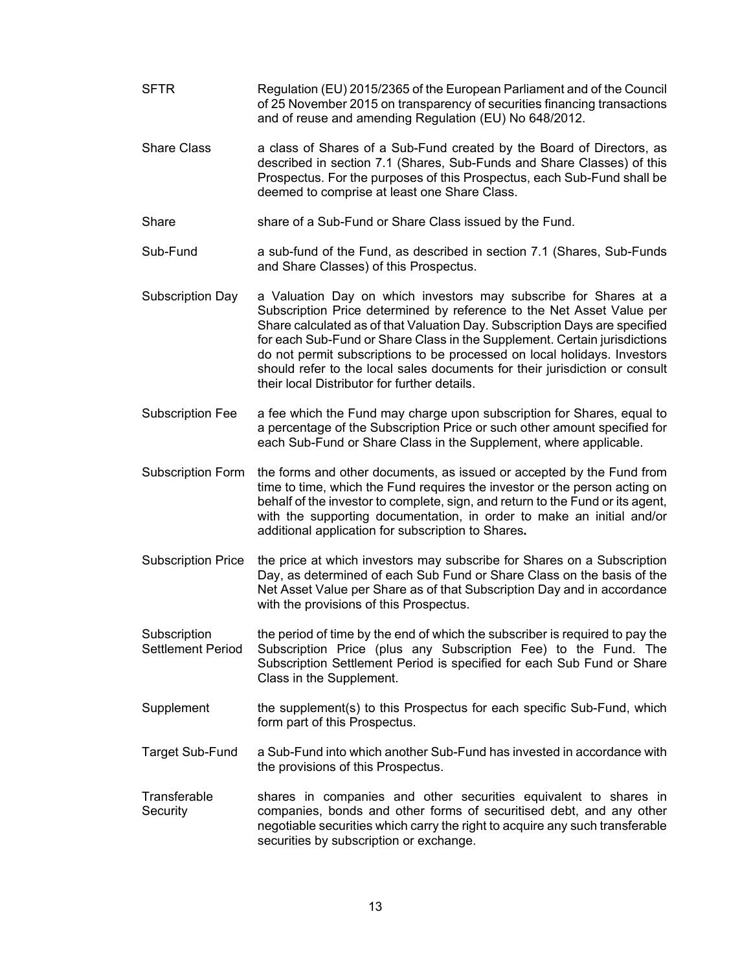- SFTR Regulation (EU) 2015/2365 of the European Parliament and of the Council of 25 November 2015 on transparency of securities financing transactions and of reuse and amending Regulation (EU) No 648/2012.
- Share Class a class of Shares of a Sub-Fund created by the Board of Directors, as described in section 7.1 (Shares, Sub-Funds and Share Classes) of this Prospectus. For the purposes of this Prospectus, each Sub-Fund shall be deemed to comprise at least one Share Class.

Share share of a Sub-Fund or Share Class issued by the Fund.

- Sub-Fund a sub-fund of the Fund, as described in section 7.1 (Shares, Sub-Funds and Share Classes) of this Prospectus.
- Subscription Day a Valuation Day on which investors may subscribe for Shares at a Subscription Price determined by reference to the Net Asset Value per Share calculated as of that Valuation Day. Subscription Days are specified for each Sub-Fund or Share Class in the Supplement. Certain jurisdictions do not permit subscriptions to be processed on local holidays. Investors should refer to the local sales documents for their jurisdiction or consult their local Distributor for further details.
- Subscription Fee a fee which the Fund may charge upon subscription for Shares, equal to a percentage of the Subscription Price or such other amount specified for each Sub-Fund or Share Class in the Supplement, where applicable.
- Subscription Form the forms and other documents, as issued or accepted by the Fund from time to time, which the Fund requires the investor or the person acting on behalf of the investor to complete, sign, and return to the Fund or its agent, with the supporting documentation, in order to make an initial and/or additional application for subscription to Shares**.**
- Subscription Price the price at which investors may subscribe for Shares on a Subscription Day, as determined of each Sub Fund or Share Class on the basis of the Net Asset Value per Share as of that Subscription Day and in accordance with the provisions of this Prospectus.

**Subscription** Settlement Period the period of time by the end of which the subscriber is required to pay the Subscription Price (plus any Subscription Fee) to the Fund. The Subscription Settlement Period is specified for each Sub Fund or Share Class in the Supplement.

- Supplement the supplement(s) to this Prospectus for each specific Sub-Fund, which form part of this Prospectus.
- Target Sub-Fund a Sub-Fund into which another Sub-Fund has invested in accordance with the provisions of this Prospectus.
- **Transferable Security** shares in companies and other securities equivalent to shares in companies, bonds and other forms of securitised debt, and any other negotiable securities which carry the right to acquire any such transferable securities by subscription or exchange.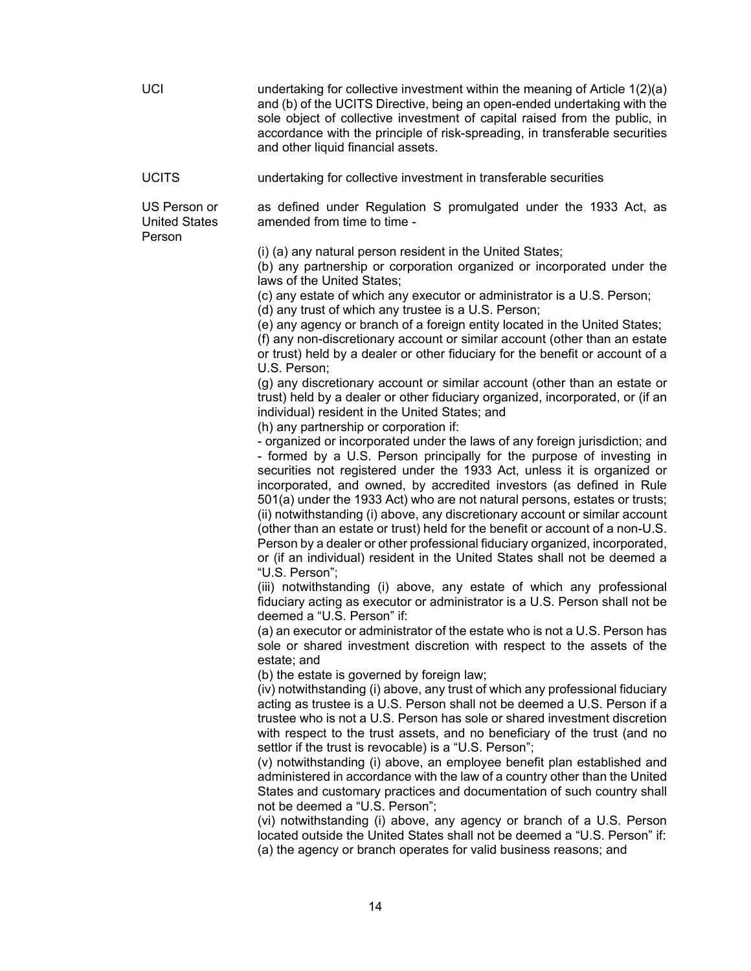| <b>UCI</b>                                     | undertaking for collective investment within the meaning of Article 1(2)(a)<br>and (b) of the UCITS Directive, being an open-ended undertaking with the<br>sole object of collective investment of capital raised from the public, in<br>accordance with the principle of risk-spreading, in transferable securities<br>and other liquid financial assets.                                                                                                                                                                                                                                                                                                                                                                                                                                                                                                                                                                                                                                                                                                                                                                                                                                                                                                                                                                                                                                                                                                                                                                                                                                                                                                                                                                                                                                                                                                                                                                                                                                                                                                                                                                                                                                                                                                                                                                                                                                                                                                                                                                                                                                                                                                                                                                                                                                                                                                        |
|------------------------------------------------|-------------------------------------------------------------------------------------------------------------------------------------------------------------------------------------------------------------------------------------------------------------------------------------------------------------------------------------------------------------------------------------------------------------------------------------------------------------------------------------------------------------------------------------------------------------------------------------------------------------------------------------------------------------------------------------------------------------------------------------------------------------------------------------------------------------------------------------------------------------------------------------------------------------------------------------------------------------------------------------------------------------------------------------------------------------------------------------------------------------------------------------------------------------------------------------------------------------------------------------------------------------------------------------------------------------------------------------------------------------------------------------------------------------------------------------------------------------------------------------------------------------------------------------------------------------------------------------------------------------------------------------------------------------------------------------------------------------------------------------------------------------------------------------------------------------------------------------------------------------------------------------------------------------------------------------------------------------------------------------------------------------------------------------------------------------------------------------------------------------------------------------------------------------------------------------------------------------------------------------------------------------------------------------------------------------------------------------------------------------------------------------------------------------------------------------------------------------------------------------------------------------------------------------------------------------------------------------------------------------------------------------------------------------------------------------------------------------------------------------------------------------------------------------------------------------------------------------------------------------------|
| <b>UCITS</b>                                   | undertaking for collective investment in transferable securities                                                                                                                                                                                                                                                                                                                                                                                                                                                                                                                                                                                                                                                                                                                                                                                                                                                                                                                                                                                                                                                                                                                                                                                                                                                                                                                                                                                                                                                                                                                                                                                                                                                                                                                                                                                                                                                                                                                                                                                                                                                                                                                                                                                                                                                                                                                                                                                                                                                                                                                                                                                                                                                                                                                                                                                                  |
| US Person or<br><b>United States</b><br>Person | as defined under Regulation S promulgated under the 1933 Act, as<br>amended from time to time -                                                                                                                                                                                                                                                                                                                                                                                                                                                                                                                                                                                                                                                                                                                                                                                                                                                                                                                                                                                                                                                                                                                                                                                                                                                                                                                                                                                                                                                                                                                                                                                                                                                                                                                                                                                                                                                                                                                                                                                                                                                                                                                                                                                                                                                                                                                                                                                                                                                                                                                                                                                                                                                                                                                                                                   |
|                                                | (i) (a) any natural person resident in the United States;<br>(b) any partnership or corporation organized or incorporated under the<br>laws of the United States;<br>(c) any estate of which any executor or administrator is a U.S. Person;<br>(d) any trust of which any trustee is a U.S. Person;<br>(e) any agency or branch of a foreign entity located in the United States;<br>(f) any non-discretionary account or similar account (other than an estate<br>or trust) held by a dealer or other fiduciary for the benefit or account of a<br>U.S. Person;<br>(g) any discretionary account or similar account (other than an estate or<br>trust) held by a dealer or other fiduciary organized, incorporated, or (if an<br>individual) resident in the United States; and<br>(h) any partnership or corporation if:<br>- organized or incorporated under the laws of any foreign jurisdiction; and<br>- formed by a U.S. Person principally for the purpose of investing in<br>securities not registered under the 1933 Act, unless it is organized or<br>incorporated, and owned, by accredited investors (as defined in Rule<br>501(a) under the 1933 Act) who are not natural persons, estates or trusts;<br>(ii) notwithstanding (i) above, any discretionary account or similar account<br>(other than an estate or trust) held for the benefit or account of a non-U.S.<br>Person by a dealer or other professional fiduciary organized, incorporated,<br>or (if an individual) resident in the United States shall not be deemed a<br>"U.S. Person";<br>(iii) notwithstanding (i) above, any estate of which any professional<br>fiduciary acting as executor or administrator is a U.S. Person shall not be<br>deemed a "U.S. Person" if:<br>(a) an executor or administrator of the estate who is not a U.S. Person has<br>sole or shared investment discretion with respect to the assets of the<br>estate; and<br>(b) the estate is governed by foreign law;<br>(iv) notwithstanding (i) above, any trust of which any professional fiduciary<br>acting as trustee is a U.S. Person shall not be deemed a U.S. Person if a<br>trustee who is not a U.S. Person has sole or shared investment discretion<br>with respect to the trust assets, and no beneficiary of the trust (and no<br>settlor if the trust is revocable) is a "U.S. Person";<br>(v) notwithstanding (i) above, an employee benefit plan established and<br>administered in accordance with the law of a country other than the United<br>States and customary practices and documentation of such country shall<br>not be deemed a "U.S. Person":<br>(vi) notwithstanding (i) above, any agency or branch of a U.S. Person<br>located outside the United States shall not be deemed a "U.S. Person" if:<br>(a) the agency or branch operates for valid business reasons; and |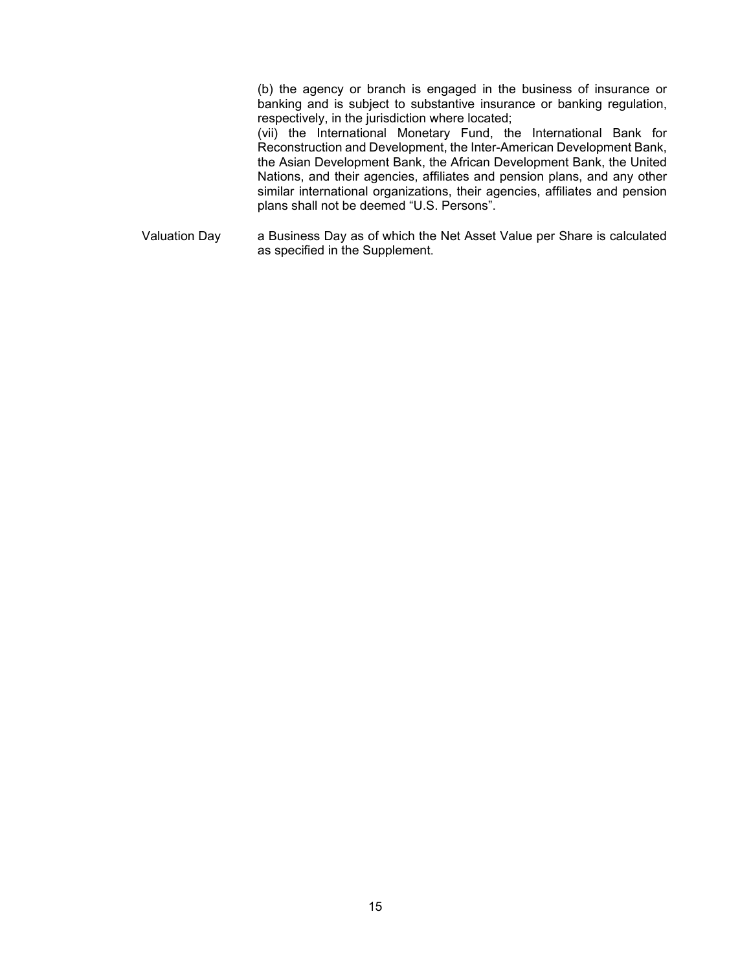(b) the agency or branch is engaged in the business of insurance or banking and is subject to substantive insurance or banking regulation, respectively, in the jurisdiction where located;

(vii) the International Monetary Fund, the International Bank for Reconstruction and Development, the Inter-American Development Bank, the Asian Development Bank, the African Development Bank, the United Nations, and their agencies, affiliates and pension plans, and any other similar international organizations, their agencies, affiliates and pension plans shall not be deemed "U.S. Persons".

Valuation Day a Business Day as of which the Net Asset Value per Share is calculated as specified in the Supplement.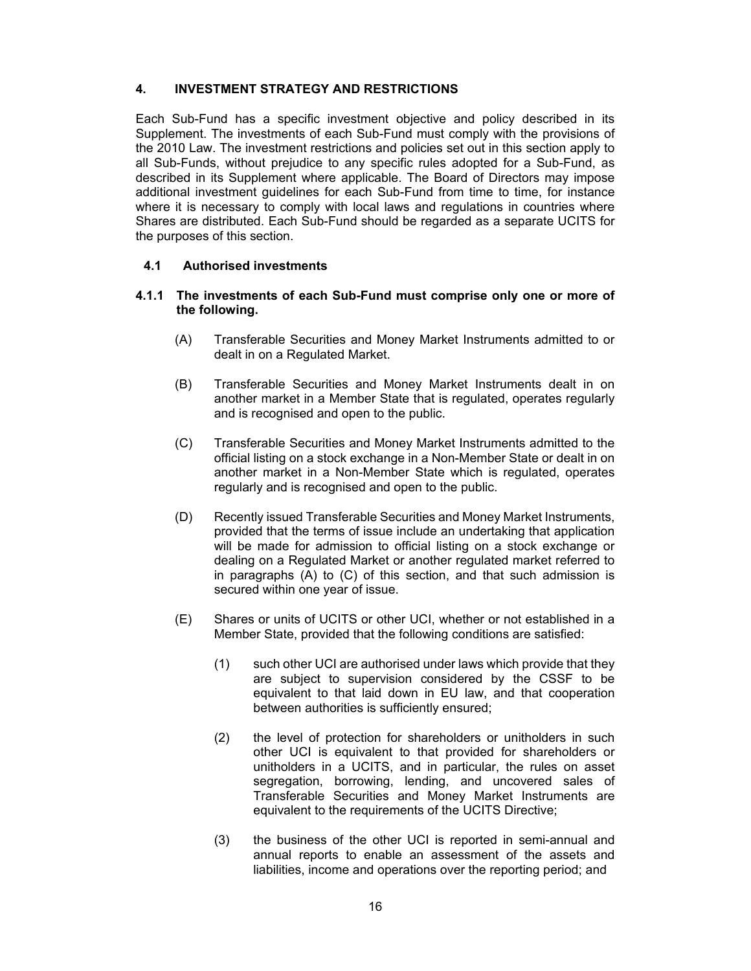### **4. INVESTMENT STRATEGY AND RESTRICTIONS**

Each Sub-Fund has a specific investment objective and policy described in its Supplement. The investments of each Sub-Fund must comply with the provisions of the 2010 Law. The investment restrictions and policies set out in this section apply to all Sub-Funds, without prejudice to any specific rules adopted for a Sub-Fund, as described in its Supplement where applicable. The Board of Directors may impose additional investment guidelines for each Sub-Fund from time to time, for instance where it is necessary to comply with local laws and regulations in countries where Shares are distributed. Each Sub-Fund should be regarded as a separate UCITS for the purposes of this section.

### **4.1 Authorised investments**

### **4.1.1 The investments of each Sub-Fund must comprise only one or more of the following.**

- (A) Transferable Securities and Money Market Instruments admitted to or dealt in on a Regulated Market.
- (B) Transferable Securities and Money Market Instruments dealt in on another market in a Member State that is regulated, operates regularly and is recognised and open to the public.
- (C) Transferable Securities and Money Market Instruments admitted to the official listing on a stock exchange in a Non-Member State or dealt in on another market in a Non-Member State which is regulated, operates regularly and is recognised and open to the public.
- (D) Recently issued Transferable Securities and Money Market Instruments, provided that the terms of issue include an undertaking that application will be made for admission to official listing on a stock exchange or dealing on a Regulated Market or another regulated market referred to in paragraphs (A) to (C) of this section, and that such admission is secured within one year of issue.
- (E) Shares or units of UCITS or other UCI, whether or not established in a Member State, provided that the following conditions are satisfied:
	- (1) such other UCI are authorised under laws which provide that they are subject to supervision considered by the CSSF to be equivalent to that laid down in EU law, and that cooperation between authorities is sufficiently ensured;
	- (2) the level of protection for shareholders or unitholders in such other UCI is equivalent to that provided for shareholders or unitholders in a UCITS, and in particular, the rules on asset segregation, borrowing, lending, and uncovered sales of Transferable Securities and Money Market Instruments are equivalent to the requirements of the UCITS Directive;
	- (3) the business of the other UCI is reported in semi-annual and annual reports to enable an assessment of the assets and liabilities, income and operations over the reporting period; and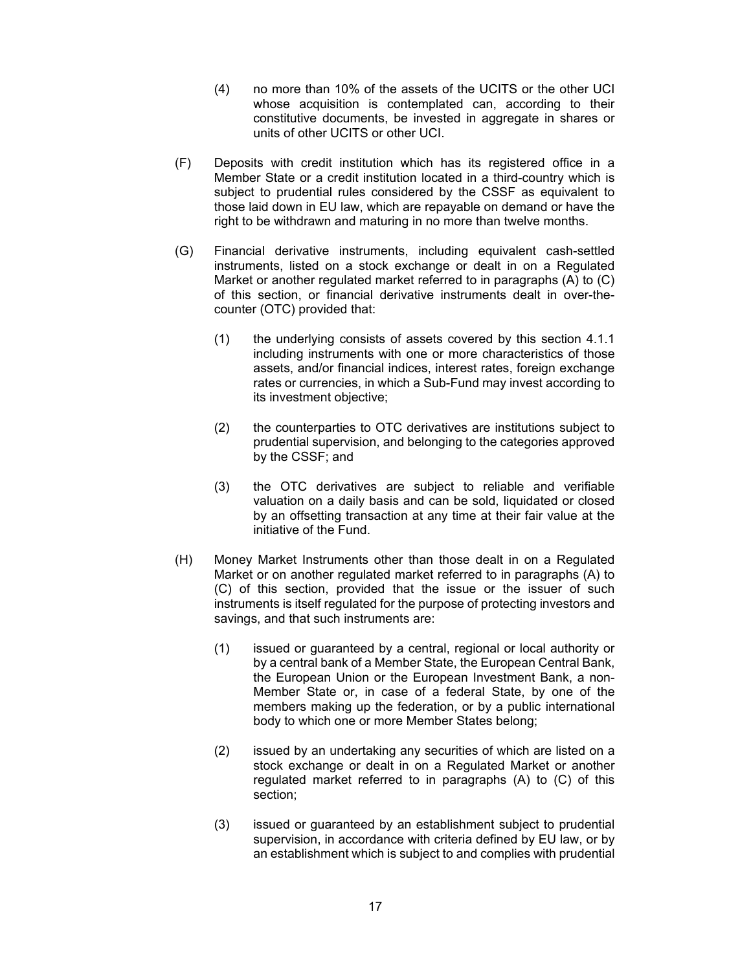- (4) no more than 10% of the assets of the UCITS or the other UCI whose acquisition is contemplated can, according to their constitutive documents, be invested in aggregate in shares or units of other UCITS or other UCI.
- (F) Deposits with credit institution which has its registered office in a Member State or a credit institution located in a third-country which is subject to prudential rules considered by the CSSF as equivalent to those laid down in EU law, which are repayable on demand or have the right to be withdrawn and maturing in no more than twelve months.
- (G) Financial derivative instruments, including equivalent cash-settled instruments, listed on a stock exchange or dealt in on a Regulated Market or another regulated market referred to in paragraphs (A) to (C) of this section, or financial derivative instruments dealt in over-thecounter (OTC) provided that:
	- (1) the underlying consists of assets covered by this section 4.1.1 including instruments with one or more characteristics of those assets, and/or financial indices, interest rates, foreign exchange rates or currencies, in which a Sub-Fund may invest according to its investment objective;
	- (2) the counterparties to OTC derivatives are institutions subject to prudential supervision, and belonging to the categories approved by the CSSF; and
	- (3) the OTC derivatives are subject to reliable and verifiable valuation on a daily basis and can be sold, liquidated or closed by an offsetting transaction at any time at their fair value at the initiative of the Fund.
- (H) Money Market Instruments other than those dealt in on a Regulated Market or on another regulated market referred to in paragraphs (A) to (C) of this section, provided that the issue or the issuer of such instruments is itself regulated for the purpose of protecting investors and savings, and that such instruments are:
	- (1) issued or guaranteed by a central, regional or local authority or by a central bank of a Member State, the European Central Bank, the European Union or the European Investment Bank, a non-Member State or, in case of a federal State, by one of the members making up the federation, or by a public international body to which one or more Member States belong;
	- (2) issued by an undertaking any securities of which are listed on a stock exchange or dealt in on a Regulated Market or another regulated market referred to in paragraphs (A) to (C) of this section;
	- (3) issued or guaranteed by an establishment subject to prudential supervision, in accordance with criteria defined by EU law, or by an establishment which is subject to and complies with prudential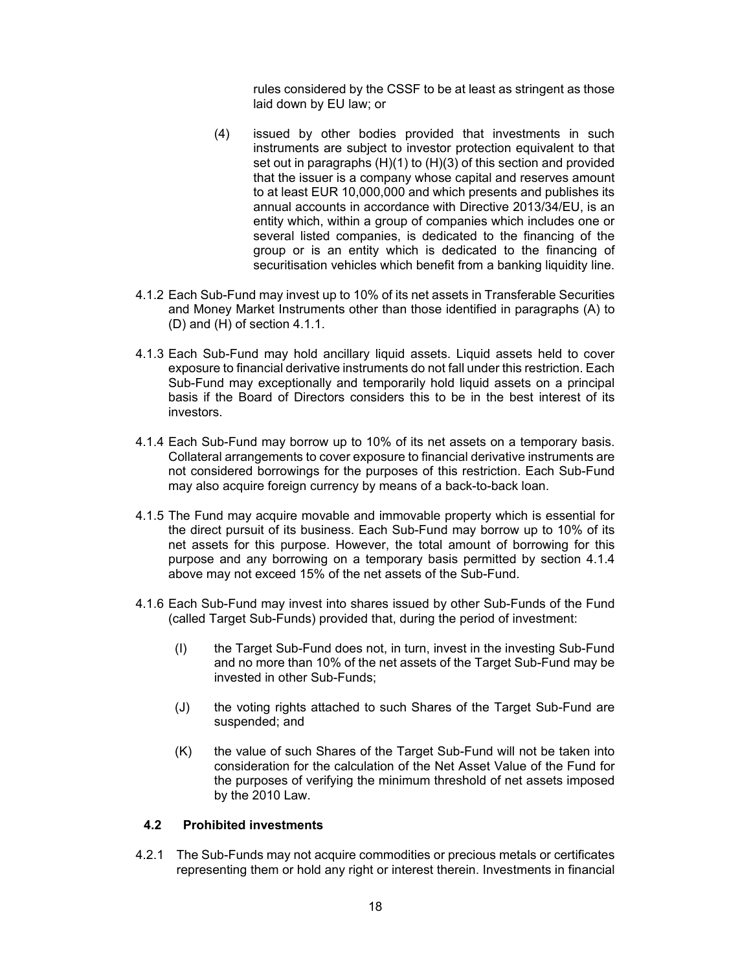rules considered by the CSSF to be at least as stringent as those laid down by EU law; or

- (4) issued by other bodies provided that investments in such instruments are subject to investor protection equivalent to that set out in paragraphs (H)(1) to (H)(3) of this section and provided that the issuer is a company whose capital and reserves amount to at least EUR 10,000,000 and which presents and publishes its annual accounts in accordance with Directive 2013/34/EU, is an entity which, within a group of companies which includes one or several listed companies, is dedicated to the financing of the group or is an entity which is dedicated to the financing of securitisation vehicles which benefit from a banking liquidity line.
- 4.1.2 Each Sub-Fund may invest up to 10% of its net assets in Transferable Securities and Money Market Instruments other than those identified in paragraphs (A) to (D) and (H) of section 4.1.1.
- 4.1.3 Each Sub-Fund may hold ancillary liquid assets. Liquid assets held to cover exposure to financial derivative instruments do not fall under this restriction. Each Sub-Fund may exceptionally and temporarily hold liquid assets on a principal basis if the Board of Directors considers this to be in the best interest of its investors.
- 4.1.4 Each Sub-Fund may borrow up to 10% of its net assets on a temporary basis. Collateral arrangements to cover exposure to financial derivative instruments are not considered borrowings for the purposes of this restriction. Each Sub-Fund may also acquire foreign currency by means of a back-to-back loan.
- 4.1.5 The Fund may acquire movable and immovable property which is essential for the direct pursuit of its business. Each Sub-Fund may borrow up to 10% of its net assets for this purpose. However, the total amount of borrowing for this purpose and any borrowing on a temporary basis permitted by section 4.1.4 above may not exceed 15% of the net assets of the Sub-Fund.
- 4.1.6 Each Sub-Fund may invest into shares issued by other Sub-Funds of the Fund (called Target Sub-Funds) provided that, during the period of investment:
	- (I) the Target Sub-Fund does not, in turn, invest in the investing Sub-Fund and no more than 10% of the net assets of the Target Sub-Fund may be invested in other Sub-Funds;
	- (J) the voting rights attached to such Shares of the Target Sub-Fund are suspended; and
	- (K) the value of such Shares of the Target Sub-Fund will not be taken into consideration for the calculation of the Net Asset Value of the Fund for the purposes of verifying the minimum threshold of net assets imposed by the 2010 Law.

# **4.2 Prohibited investments**

4.2.1 The Sub-Funds may not acquire commodities or precious metals or certificates representing them or hold any right or interest therein. Investments in financial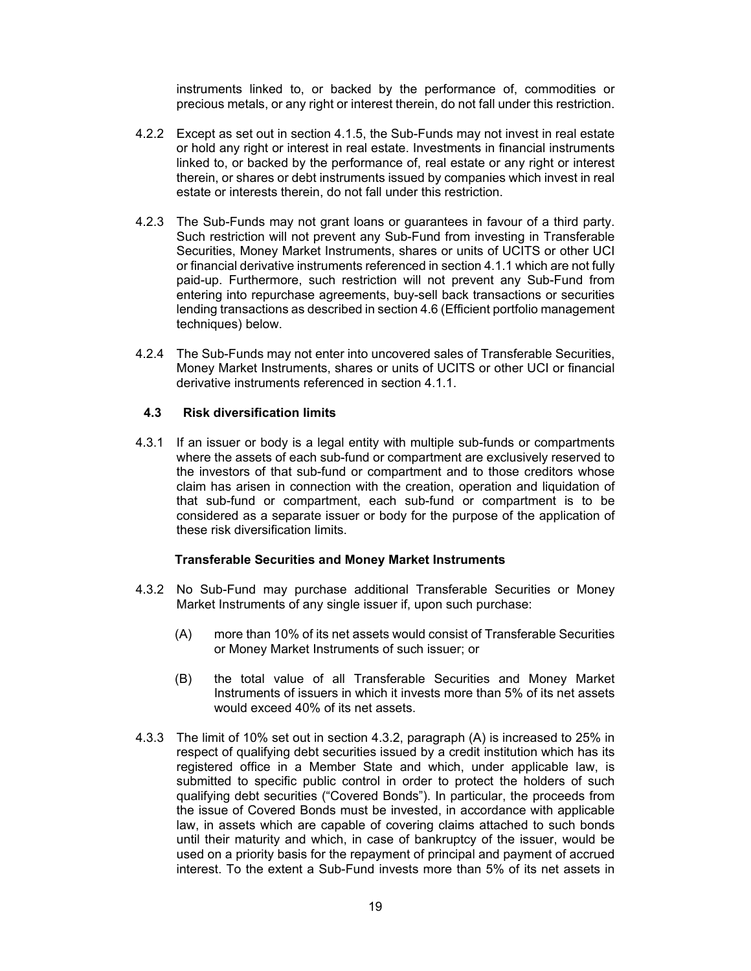instruments linked to, or backed by the performance of, commodities or precious metals, or any right or interest therein, do not fall under this restriction.

- 4.2.2 Except as set out in section 4.1.5, the Sub-Funds may not invest in real estate or hold any right or interest in real estate. Investments in financial instruments linked to, or backed by the performance of, real estate or any right or interest therein, or shares or debt instruments issued by companies which invest in real estate or interests therein, do not fall under this restriction.
- 4.2.3 The Sub-Funds may not grant loans or guarantees in favour of a third party. Such restriction will not prevent any Sub-Fund from investing in Transferable Securities, Money Market Instruments, shares or units of UCITS or other UCI or financial derivative instruments referenced in section 4.1.1 which are not fully paid-up. Furthermore, such restriction will not prevent any Sub-Fund from entering into repurchase agreements, buy-sell back transactions or securities lending transactions as described in section 4.6 (Efficient portfolio management techniques) below.
- 4.2.4 The Sub-Funds may not enter into uncovered sales of Transferable Securities, Money Market Instruments, shares or units of UCITS or other UCI or financial derivative instruments referenced in section 4.1.1.

### **4.3 Risk diversification limits**

4.3.1 If an issuer or body is a legal entity with multiple sub-funds or compartments where the assets of each sub-fund or compartment are exclusively reserved to the investors of that sub-fund or compartment and to those creditors whose claim has arisen in connection with the creation, operation and liquidation of that sub-fund or compartment, each sub-fund or compartment is to be considered as a separate issuer or body for the purpose of the application of these risk diversification limits.

# **Transferable Securities and Money Market Instruments**

- 4.3.2 No Sub-Fund may purchase additional Transferable Securities or Money Market Instruments of any single issuer if, upon such purchase:
	- (A) more than 10% of its net assets would consist of Transferable Securities or Money Market Instruments of such issuer; or
	- (B) the total value of all Transferable Securities and Money Market Instruments of issuers in which it invests more than 5% of its net assets would exceed 40% of its net assets.
- 4.3.3 The limit of 10% set out in section 4.3.2, paragraph (A) is increased to 25% in respect of qualifying debt securities issued by a credit institution which has its registered office in a Member State and which, under applicable law, is submitted to specific public control in order to protect the holders of such qualifying debt securities ("Covered Bonds"). In particular, the proceeds from the issue of Covered Bonds must be invested, in accordance with applicable law, in assets which are capable of covering claims attached to such bonds until their maturity and which, in case of bankruptcy of the issuer, would be used on a priority basis for the repayment of principal and payment of accrued interest. To the extent a Sub-Fund invests more than 5% of its net assets in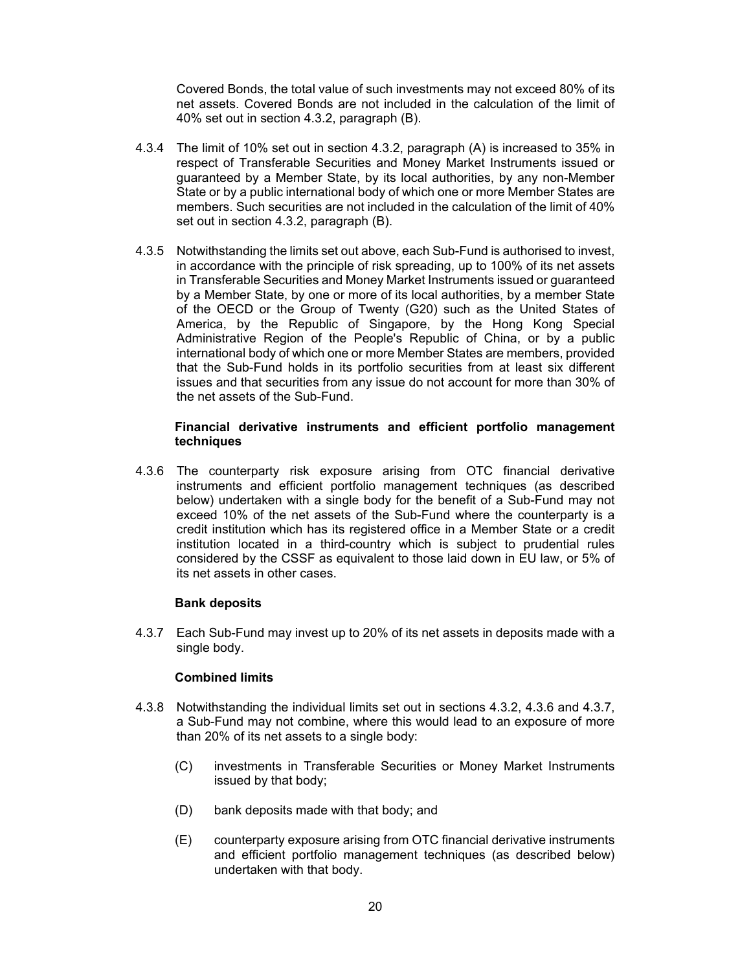Covered Bonds, the total value of such investments may not exceed 80% of its net assets. Covered Bonds are not included in the calculation of the limit of 40% set out in section 4.3.2, paragraph (B).

- 4.3.4 The limit of 10% set out in section 4.3.2, paragraph (A) is increased to 35% in respect of Transferable Securities and Money Market Instruments issued or guaranteed by a Member State, by its local authorities, by any non-Member State or by a public international body of which one or more Member States are members. Such securities are not included in the calculation of the limit of 40% set out in section 4.3.2, paragraph (B).
- 4.3.5 Notwithstanding the limits set out above, each Sub-Fund is authorised to invest, in accordance with the principle of risk spreading, up to 100% of its net assets in Transferable Securities and Money Market Instruments issued or guaranteed by a Member State, by one or more of its local authorities, by a member State of the OECD or the Group of Twenty (G20) such as the United States of America, by the Republic of Singapore, by the Hong Kong Special Administrative Region of the People's Republic of China, or by a public international body of which one or more Member States are members, provided that the Sub-Fund holds in its portfolio securities from at least six different issues and that securities from any issue do not account for more than 30% of the net assets of the Sub-Fund.

### **Financial derivative instruments and efficient portfolio management techniques**

4.3.6 The counterparty risk exposure arising from OTC financial derivative instruments and efficient portfolio management techniques (as described below) undertaken with a single body for the benefit of a Sub-Fund may not exceed 10% of the net assets of the Sub-Fund where the counterparty is a credit institution which has its registered office in a Member State or a credit institution located in a third-country which is subject to prudential rules considered by the CSSF as equivalent to those laid down in EU law, or 5% of its net assets in other cases.

# **Bank deposits**

4.3.7 Each Sub-Fund may invest up to 20% of its net assets in deposits made with a single body.

#### **Combined limits**

- 4.3.8 Notwithstanding the individual limits set out in sections 4.3.2, 4.3.6 and 4.3.7, a Sub-Fund may not combine, where this would lead to an exposure of more than 20% of its net assets to a single body:
	- (C) investments in Transferable Securities or Money Market Instruments issued by that body;
	- (D) bank deposits made with that body; and
	- (E) counterparty exposure arising from OTC financial derivative instruments and efficient portfolio management techniques (as described below) undertaken with that body.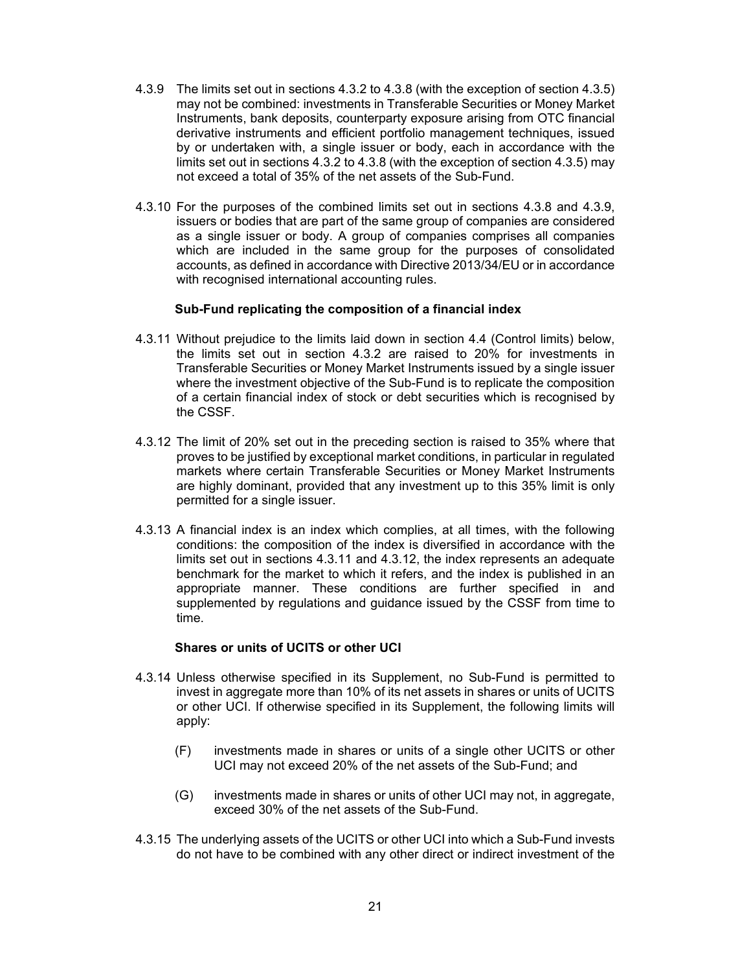- 4.3.9 The limits set out in sections 4.3.2 to 4.3.8 (with the exception of section 4.3.5) may not be combined: investments in Transferable Securities or Money Market Instruments, bank deposits, counterparty exposure arising from OTC financial derivative instruments and efficient portfolio management techniques, issued by or undertaken with, a single issuer or body, each in accordance with the limits set out in sections 4.3.2 to 4.3.8 (with the exception of section 4.3.5) may not exceed a total of 35% of the net assets of the Sub-Fund.
- 4.3.10 For the purposes of the combined limits set out in sections 4.3.8 and 4.3.9, issuers or bodies that are part of the same group of companies are considered as a single issuer or body. A group of companies comprises all companies which are included in the same group for the purposes of consolidated accounts, as defined in accordance with Directive 2013/34/EU or in accordance with recognised international accounting rules.

### **Sub-Fund replicating the composition of a financial index**

- 4.3.11 Without prejudice to the limits laid down in section 4.4 (Control limits) below, the limits set out in section 4.3.2 are raised to 20% for investments in Transferable Securities or Money Market Instruments issued by a single issuer where the investment objective of the Sub-Fund is to replicate the composition of a certain financial index of stock or debt securities which is recognised by the CSSF.
- 4.3.12 The limit of 20% set out in the preceding section is raised to 35% where that proves to be justified by exceptional market conditions, in particular in regulated markets where certain Transferable Securities or Money Market Instruments are highly dominant, provided that any investment up to this 35% limit is only permitted for a single issuer.
- 4.3.13 A financial index is an index which complies, at all times, with the following conditions: the composition of the index is diversified in accordance with the limits set out in sections 4.3.11 and 4.3.12, the index represents an adequate benchmark for the market to which it refers, and the index is published in an appropriate manner. These conditions are further specified in and supplemented by regulations and guidance issued by the CSSF from time to time.

#### **Shares or units of UCITS or other UCI**

- 4.3.14 Unless otherwise specified in its Supplement, no Sub-Fund is permitted to invest in aggregate more than 10% of its net assets in shares or units of UCITS or other UCI. If otherwise specified in its Supplement, the following limits will apply:
	- (F) investments made in shares or units of a single other UCITS or other UCI may not exceed 20% of the net assets of the Sub-Fund; and
	- (G) investments made in shares or units of other UCI may not, in aggregate, exceed 30% of the net assets of the Sub-Fund.
- 4.3.15 The underlying assets of the UCITS or other UCI into which a Sub-Fund invests do not have to be combined with any other direct or indirect investment of the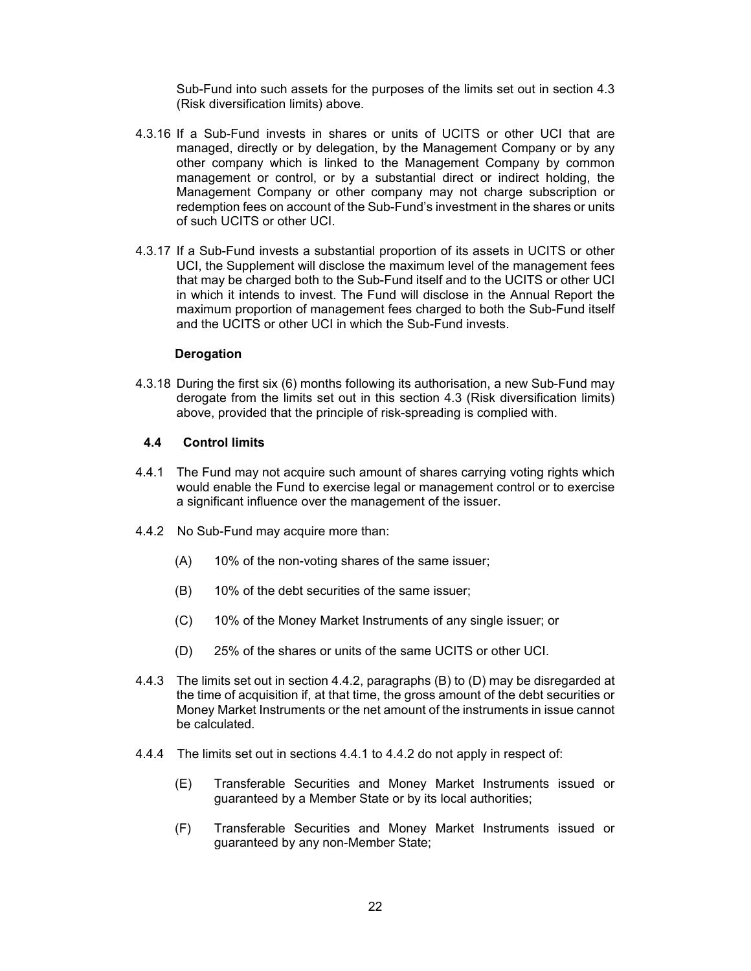Sub-Fund into such assets for the purposes of the limits set out in section 4.3 (Risk diversification limits) above.

- 4.3.16 If a Sub-Fund invests in shares or units of UCITS or other UCI that are managed, directly or by delegation, by the Management Company or by any other company which is linked to the Management Company by common management or control, or by a substantial direct or indirect holding, the Management Company or other company may not charge subscription or redemption fees on account of the Sub-Fund's investment in the shares or units of such UCITS or other UCI.
- 4.3.17 If a Sub-Fund invests a substantial proportion of its assets in UCITS or other UCI, the Supplement will disclose the maximum level of the management fees that may be charged both to the Sub-Fund itself and to the UCITS or other UCI in which it intends to invest. The Fund will disclose in the Annual Report the maximum proportion of management fees charged to both the Sub-Fund itself and the UCITS or other UCI in which the Sub-Fund invests.

#### **Derogation**

4.3.18 During the first six (6) months following its authorisation, a new Sub-Fund may derogate from the limits set out in this section 4.3 (Risk diversification limits) above, provided that the principle of risk-spreading is complied with.

#### **4.4 Control limits**

- 4.4.1 The Fund may not acquire such amount of shares carrying voting rights which would enable the Fund to exercise legal or management control or to exercise a significant influence over the management of the issuer.
- 4.4.2 No Sub-Fund may acquire more than:
	- (A) 10% of the non-voting shares of the same issuer;
	- (B) 10% of the debt securities of the same issuer;
	- (C) 10% of the Money Market Instruments of any single issuer; or
	- (D) 25% of the shares or units of the same UCITS or other UCI.
- 4.4.3 The limits set out in section 4.4.2, paragraphs (B) to (D) may be disregarded at the time of acquisition if, at that time, the gross amount of the debt securities or Money Market Instruments or the net amount of the instruments in issue cannot be calculated.
- 4.4.4 The limits set out in sections 4.4.1 to 4.4.2 do not apply in respect of:
	- (E) Transferable Securities and Money Market Instruments issued or guaranteed by a Member State or by its local authorities;
	- (F) Transferable Securities and Money Market Instruments issued or guaranteed by any non-Member State;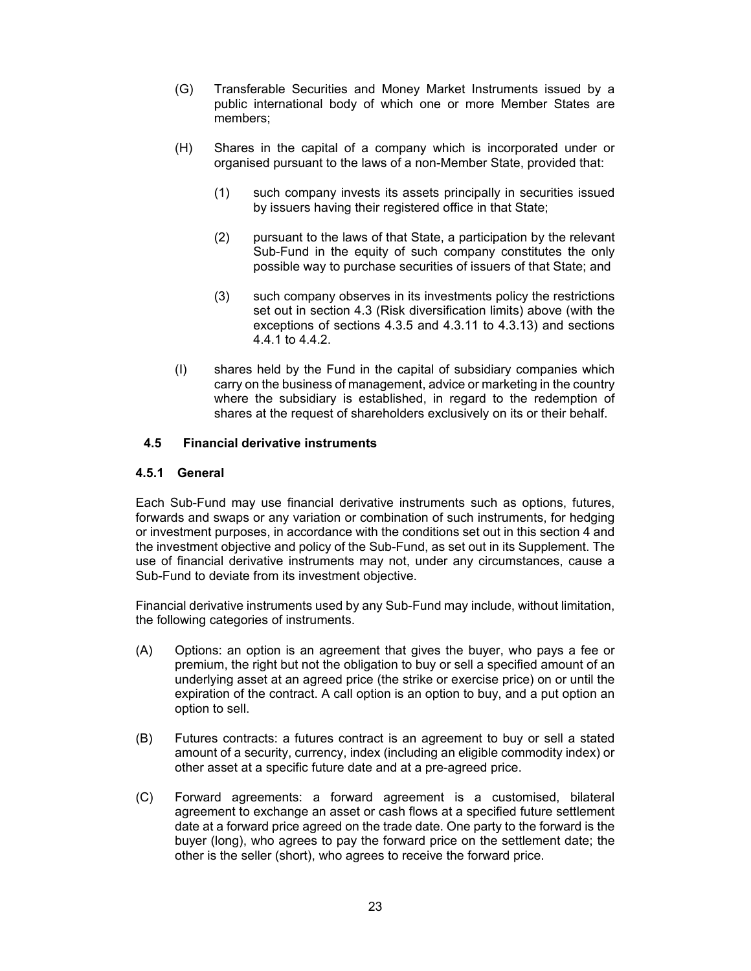- (G) Transferable Securities and Money Market Instruments issued by a public international body of which one or more Member States are members;
- (H) Shares in the capital of a company which is incorporated under or organised pursuant to the laws of a non-Member State, provided that:
	- (1) such company invests its assets principally in securities issued by issuers having their registered office in that State;
	- (2) pursuant to the laws of that State, a participation by the relevant Sub-Fund in the equity of such company constitutes the only possible way to purchase securities of issuers of that State; and
	- (3) such company observes in its investments policy the restrictions set out in section 4.3 (Risk diversification limits) above (with the exceptions of sections 4.3.5 and 4.3.11 to 4.3.13) and sections 4.4.1 to 4.4.2.
- (I) shares held by the Fund in the capital of subsidiary companies which carry on the business of management, advice or marketing in the country where the subsidiary is established, in regard to the redemption of shares at the request of shareholders exclusively on its or their behalf.

# **4.5 Financial derivative instruments**

### **4.5.1 General**

Each Sub-Fund may use financial derivative instruments such as options, futures, forwards and swaps or any variation or combination of such instruments, for hedging or investment purposes, in accordance with the conditions set out in this section 4 and the investment objective and policy of the Sub-Fund, as set out in its Supplement. The use of financial derivative instruments may not, under any circumstances, cause a Sub-Fund to deviate from its investment objective.

Financial derivative instruments used by any Sub-Fund may include, without limitation, the following categories of instruments.

- (A) Options: an option is an agreement that gives the buyer, who pays a fee or premium, the right but not the obligation to buy or sell a specified amount of an underlying asset at an agreed price (the strike or exercise price) on or until the expiration of the contract. A call option is an option to buy, and a put option an option to sell.
- (B) Futures contracts: a futures contract is an agreement to buy or sell a stated amount of a security, currency, index (including an eligible commodity index) or other asset at a specific future date and at a pre-agreed price.
- (C) Forward agreements: a forward agreement is a customised, bilateral agreement to exchange an asset or cash flows at a specified future settlement date at a forward price agreed on the trade date. One party to the forward is the buyer (long), who agrees to pay the forward price on the settlement date; the other is the seller (short), who agrees to receive the forward price.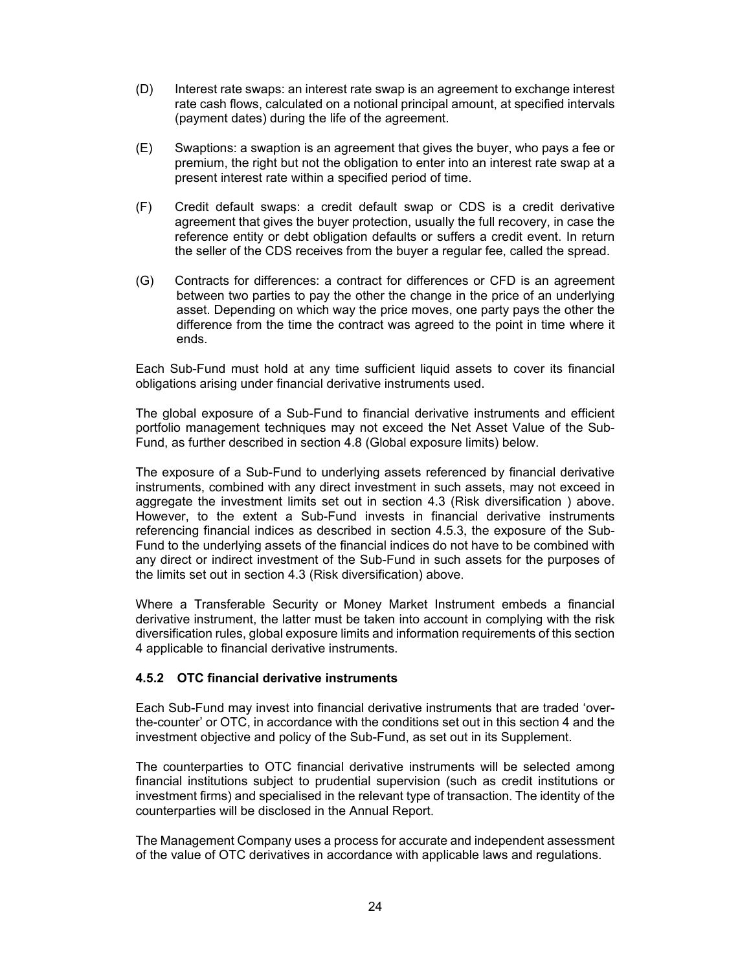- (D) Interest rate swaps: an interest rate swap is an agreement to exchange interest rate cash flows, calculated on a notional principal amount, at specified intervals (payment dates) during the life of the agreement.
- (E) Swaptions: a swaption is an agreement that gives the buyer, who pays a fee or premium, the right but not the obligation to enter into an interest rate swap at a present interest rate within a specified period of time.
- (F) Credit default swaps: a credit default swap or CDS is a credit derivative agreement that gives the buyer protection, usually the full recovery, in case the reference entity or debt obligation defaults or suffers a credit event. In return the seller of the CDS receives from the buyer a regular fee, called the spread.
- (G) Contracts for differences: a contract for differences or CFD is an agreement between two parties to pay the other the change in the price of an underlying asset. Depending on which way the price moves, one party pays the other the difference from the time the contract was agreed to the point in time where it ends.

Each Sub-Fund must hold at any time sufficient liquid assets to cover its financial obligations arising under financial derivative instruments used.

The global exposure of a Sub-Fund to financial derivative instruments and efficient portfolio management techniques may not exceed the Net Asset Value of the Sub-Fund, as further described in section 4.8 (Global exposure limits) below.

The exposure of a Sub-Fund to underlying assets referenced by financial derivative instruments, combined with any direct investment in such assets, may not exceed in aggregate the investment limits set out in section 4.3 (Risk diversification ) above. However, to the extent a Sub-Fund invests in financial derivative instruments referencing financial indices as described in section 4.5.3, the exposure of the Sub-Fund to the underlying assets of the financial indices do not have to be combined with any direct or indirect investment of the Sub-Fund in such assets for the purposes of the limits set out in section 4.3 (Risk diversification) above.

Where a Transferable Security or Money Market Instrument embeds a financial derivative instrument, the latter must be taken into account in complying with the risk diversification rules, global exposure limits and information requirements of this section 4 applicable to financial derivative instruments.

# **4.5.2 OTC financial derivative instruments**

Each Sub-Fund may invest into financial derivative instruments that are traded 'overthe-counter' or OTC, in accordance with the conditions set out in this section 4 and the investment objective and policy of the Sub-Fund, as set out in its Supplement.

The counterparties to OTC financial derivative instruments will be selected among financial institutions subject to prudential supervision (such as credit institutions or investment firms) and specialised in the relevant type of transaction. The identity of the counterparties will be disclosed in the Annual Report.

The Management Company uses a process for accurate and independent assessment of the value of OTC derivatives in accordance with applicable laws and regulations.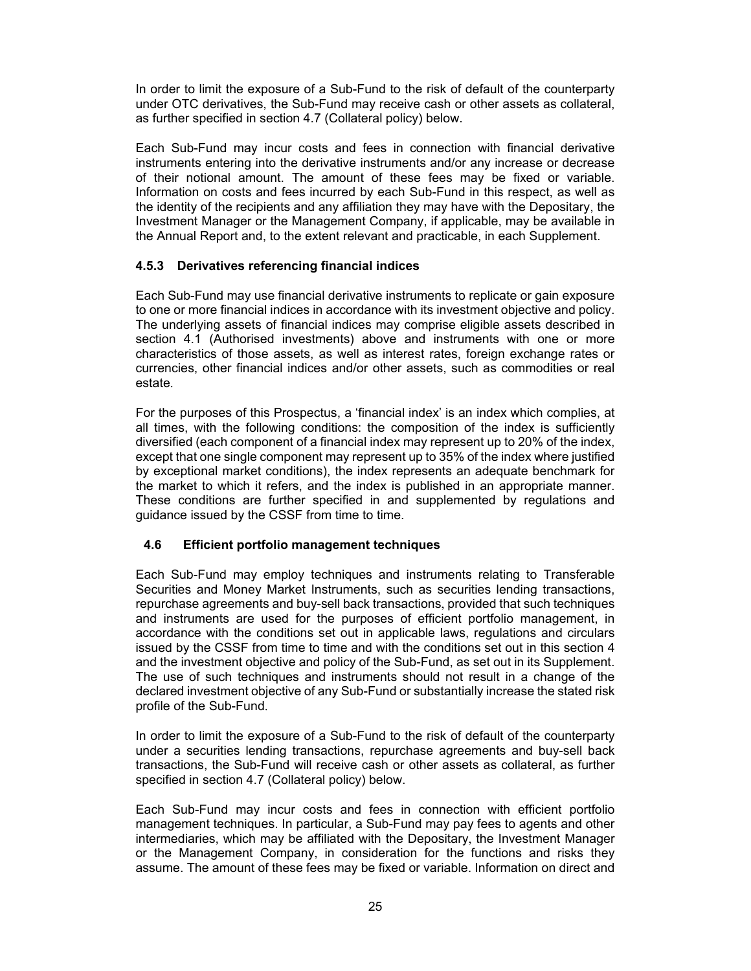In order to limit the exposure of a Sub-Fund to the risk of default of the counterparty under OTC derivatives, the Sub-Fund may receive cash or other assets as collateral, as further specified in section 4.7 (Collateral policy) below.

Each Sub-Fund may incur costs and fees in connection with financial derivative instruments entering into the derivative instruments and/or any increase or decrease of their notional amount. The amount of these fees may be fixed or variable. Information on costs and fees incurred by each Sub-Fund in this respect, as well as the identity of the recipients and any affiliation they may have with the Depositary, the Investment Manager or the Management Company, if applicable, may be available in the Annual Report and, to the extent relevant and practicable, in each Supplement.

# **4.5.3 Derivatives referencing financial indices**

Each Sub-Fund may use financial derivative instruments to replicate or gain exposure to one or more financial indices in accordance with its investment objective and policy. The underlying assets of financial indices may comprise eligible assets described in section 4.1 (Authorised investments) above and instruments with one or more characteristics of those assets, as well as interest rates, foreign exchange rates or currencies, other financial indices and/or other assets, such as commodities or real estate.

For the purposes of this Prospectus, a 'financial index' is an index which complies, at all times, with the following conditions: the composition of the index is sufficiently diversified (each component of a financial index may represent up to 20% of the index, except that one single component may represent up to 35% of the index where justified by exceptional market conditions), the index represents an adequate benchmark for the market to which it refers, and the index is published in an appropriate manner. These conditions are further specified in and supplemented by regulations and guidance issued by the CSSF from time to time.

# **4.6 Efficient portfolio management techniques**

Each Sub-Fund may employ techniques and instruments relating to Transferable Securities and Money Market Instruments, such as securities lending transactions, repurchase agreements and buy-sell back transactions, provided that such techniques and instruments are used for the purposes of efficient portfolio management, in accordance with the conditions set out in applicable laws, regulations and circulars issued by the CSSF from time to time and with the conditions set out in this section 4 and the investment objective and policy of the Sub-Fund, as set out in its Supplement. The use of such techniques and instruments should not result in a change of the declared investment objective of any Sub-Fund or substantially increase the stated risk profile of the Sub-Fund.

In order to limit the exposure of a Sub-Fund to the risk of default of the counterparty under a securities lending transactions, repurchase agreements and buy-sell back transactions, the Sub-Fund will receive cash or other assets as collateral, as further specified in section 4.7 (Collateral policy) below.

Each Sub-Fund may incur costs and fees in connection with efficient portfolio management techniques. In particular, a Sub-Fund may pay fees to agents and other intermediaries, which may be affiliated with the Depositary, the Investment Manager or the Management Company, in consideration for the functions and risks they assume. The amount of these fees may be fixed or variable. Information on direct and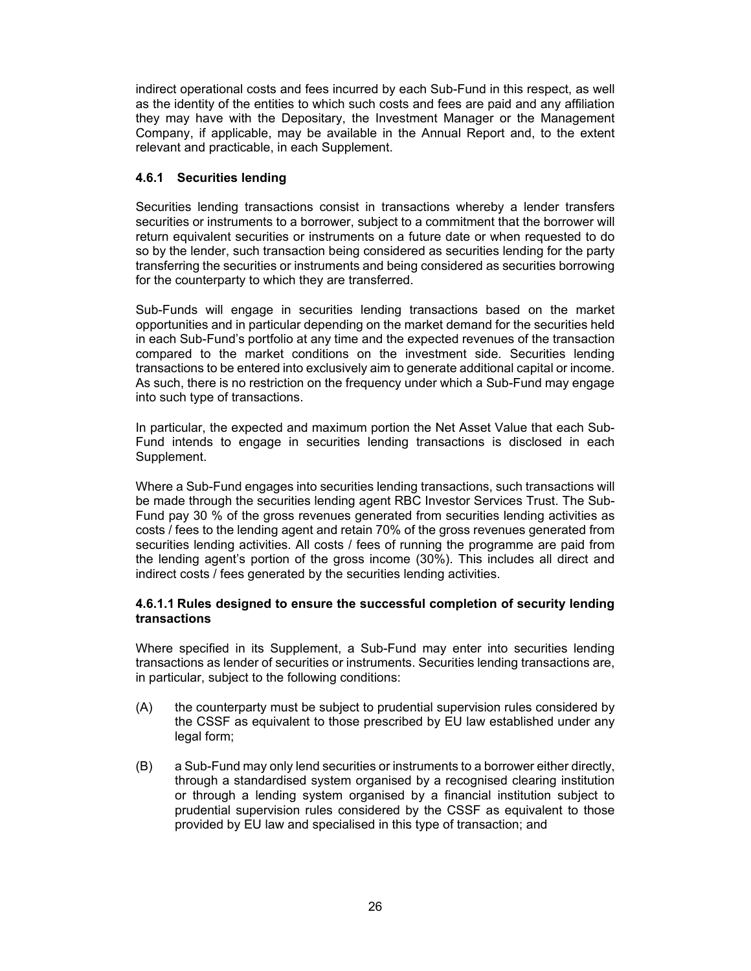indirect operational costs and fees incurred by each Sub-Fund in this respect, as well as the identity of the entities to which such costs and fees are paid and any affiliation they may have with the Depositary, the Investment Manager or the Management Company, if applicable, may be available in the Annual Report and, to the extent relevant and practicable, in each Supplement.

# **4.6.1 Securities lending**

Securities lending transactions consist in transactions whereby a lender transfers securities or instruments to a borrower, subject to a commitment that the borrower will return equivalent securities or instruments on a future date or when requested to do so by the lender, such transaction being considered as securities lending for the party transferring the securities or instruments and being considered as securities borrowing for the counterparty to which they are transferred.

Sub-Funds will engage in securities lending transactions based on the market opportunities and in particular depending on the market demand for the securities held in each Sub-Fund's portfolio at any time and the expected revenues of the transaction compared to the market conditions on the investment side. Securities lending transactions to be entered into exclusively aim to generate additional capital or income. As such, there is no restriction on the frequency under which a Sub-Fund may engage into such type of transactions.

In particular, the expected and maximum portion the Net Asset Value that each Sub-Fund intends to engage in securities lending transactions is disclosed in each Supplement.

Where a Sub-Fund engages into securities lending transactions, such transactions will be made through the securities lending agent RBC Investor Services Trust. The Sub-Fund pay 30 % of the gross revenues generated from securities lending activities as costs / fees to the lending agent and retain 70% of the gross revenues generated from securities lending activities. All costs / fees of running the programme are paid from the lending agent's portion of the gross income (30%). This includes all direct and indirect costs / fees generated by the securities lending activities.

# **4.6.1.1 Rules designed to ensure the successful completion of security lending transactions**

Where specified in its Supplement, a Sub-Fund may enter into securities lending transactions as lender of securities or instruments. Securities lending transactions are, in particular, subject to the following conditions:

- (A) the counterparty must be subject to prudential supervision rules considered by the CSSF as equivalent to those prescribed by EU law established under any legal form;
- (B) a Sub-Fund may only lend securities or instruments to a borrower either directly, through a standardised system organised by a recognised clearing institution or through a lending system organised by a financial institution subject to prudential supervision rules considered by the CSSF as equivalent to those provided by EU law and specialised in this type of transaction; and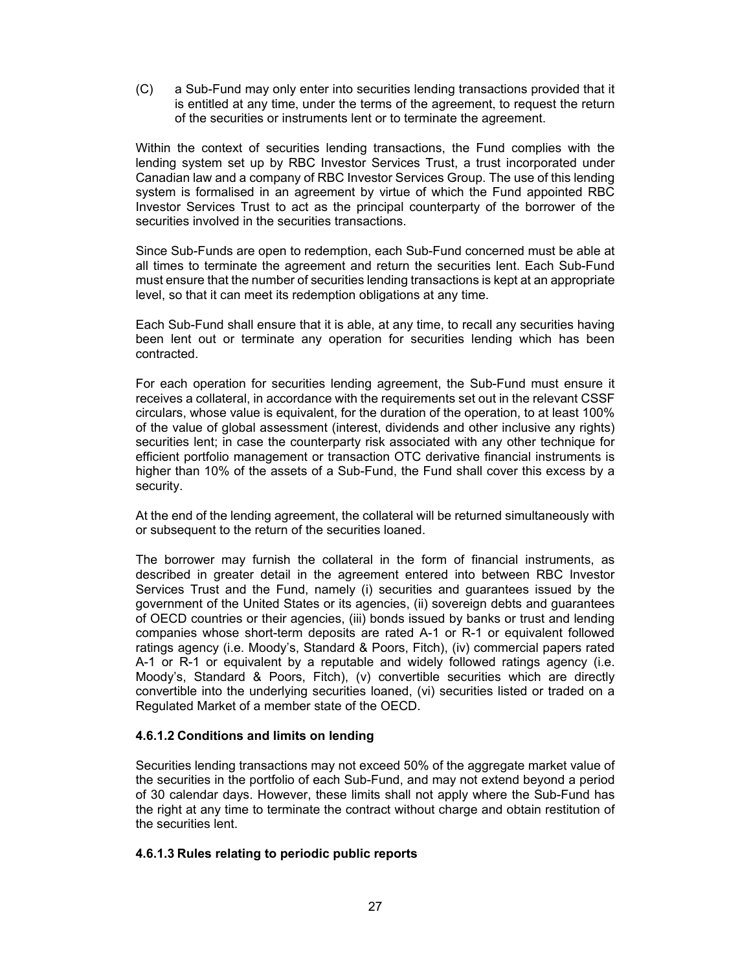(C) a Sub-Fund may only enter into securities lending transactions provided that it is entitled at any time, under the terms of the agreement, to request the return of the securities or instruments lent or to terminate the agreement.

Within the context of securities lending transactions, the Fund complies with the lending system set up by RBC Investor Services Trust, a trust incorporated under Canadian law and a company of RBC Investor Services Group. The use of this lending system is formalised in an agreement by virtue of which the Fund appointed RBC Investor Services Trust to act as the principal counterparty of the borrower of the securities involved in the securities transactions.

Since Sub-Funds are open to redemption, each Sub-Fund concerned must be able at all times to terminate the agreement and return the securities lent. Each Sub-Fund must ensure that the number of securities lending transactions is kept at an appropriate level, so that it can meet its redemption obligations at any time.

Each Sub-Fund shall ensure that it is able, at any time, to recall any securities having been lent out or terminate any operation for securities lending which has been contracted.

For each operation for securities lending agreement, the Sub-Fund must ensure it receives a collateral, in accordance with the requirements set out in the relevant CSSF circulars, whose value is equivalent, for the duration of the operation, to at least 100% of the value of global assessment (interest, dividends and other inclusive any rights) securities lent; in case the counterparty risk associated with any other technique for efficient portfolio management or transaction OTC derivative financial instruments is higher than 10% of the assets of a Sub-Fund, the Fund shall cover this excess by a security.

At the end of the lending agreement, the collateral will be returned simultaneously with or subsequent to the return of the securities loaned.

The borrower may furnish the collateral in the form of financial instruments, as described in greater detail in the agreement entered into between RBC Investor Services Trust and the Fund, namely (i) securities and guarantees issued by the government of the United States or its agencies, (ii) sovereign debts and guarantees of OECD countries or their agencies, (iii) bonds issued by banks or trust and lending companies whose short-term deposits are rated A-1 or R-1 or equivalent followed ratings agency (i.e. Moody's, Standard & Poors, Fitch), (iv) commercial papers rated A-1 or R-1 or equivalent by a reputable and widely followed ratings agency (i.e. Moody's, Standard & Poors, Fitch), (v) convertible securities which are directly convertible into the underlying securities loaned, (vi) securities listed or traded on a Regulated Market of a member state of the OECD.

# **4.6.1.2 Conditions and limits on lending**

Securities lending transactions may not exceed 50% of the aggregate market value of the securities in the portfolio of each Sub-Fund, and may not extend beyond a period of 30 calendar days. However, these limits shall not apply where the Sub-Fund has the right at any time to terminate the contract without charge and obtain restitution of the securities lent.

# **4.6.1.3 Rules relating to periodic public reports**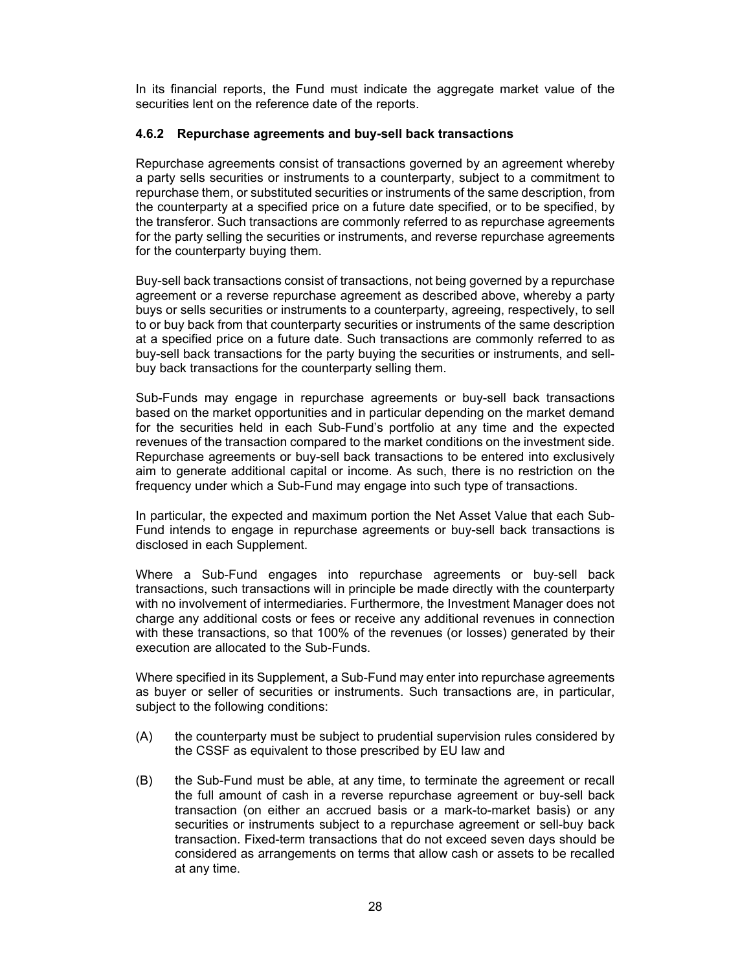In its financial reports, the Fund must indicate the aggregate market value of the securities lent on the reference date of the reports.

### **4.6.2 Repurchase agreements and buy-sell back transactions**

Repurchase agreements consist of transactions governed by an agreement whereby a party sells securities or instruments to a counterparty, subject to a commitment to repurchase them, or substituted securities or instruments of the same description, from the counterparty at a specified price on a future date specified, or to be specified, by the transferor. Such transactions are commonly referred to as repurchase agreements for the party selling the securities or instruments, and reverse repurchase agreements for the counterparty buying them.

Buy-sell back transactions consist of transactions, not being governed by a repurchase agreement or a reverse repurchase agreement as described above, whereby a party buys or sells securities or instruments to a counterparty, agreeing, respectively, to sell to or buy back from that counterparty securities or instruments of the same description at a specified price on a future date. Such transactions are commonly referred to as buy-sell back transactions for the party buying the securities or instruments, and sellbuy back transactions for the counterparty selling them.

Sub-Funds may engage in repurchase agreements or buy-sell back transactions based on the market opportunities and in particular depending on the market demand for the securities held in each Sub-Fund's portfolio at any time and the expected revenues of the transaction compared to the market conditions on the investment side. Repurchase agreements or buy-sell back transactions to be entered into exclusively aim to generate additional capital or income. As such, there is no restriction on the frequency under which a Sub-Fund may engage into such type of transactions.

In particular, the expected and maximum portion the Net Asset Value that each Sub-Fund intends to engage in repurchase agreements or buy-sell back transactions is disclosed in each Supplement.

Where a Sub-Fund engages into repurchase agreements or buy-sell back transactions, such transactions will in principle be made directly with the counterparty with no involvement of intermediaries. Furthermore, the Investment Manager does not charge any additional costs or fees or receive any additional revenues in connection with these transactions, so that 100% of the revenues (or losses) generated by their execution are allocated to the Sub-Funds.

Where specified in its Supplement, a Sub-Fund may enter into repurchase agreements as buyer or seller of securities or instruments. Such transactions are, in particular, subject to the following conditions:

- (A) the counterparty must be subject to prudential supervision rules considered by the CSSF as equivalent to those prescribed by EU law and
- (B) the Sub-Fund must be able, at any time, to terminate the agreement or recall the full amount of cash in a reverse repurchase agreement or buy-sell back transaction (on either an accrued basis or a mark-to-market basis) or any securities or instruments subject to a repurchase agreement or sell-buy back transaction. Fixed-term transactions that do not exceed seven days should be considered as arrangements on terms that allow cash or assets to be recalled at any time.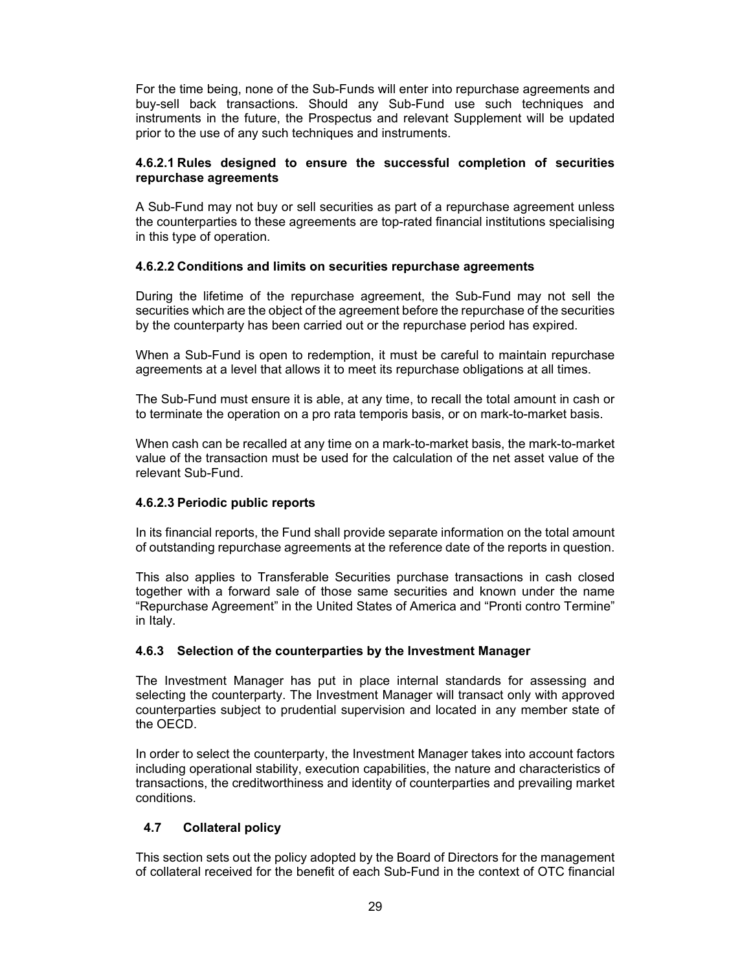For the time being, none of the Sub-Funds will enter into repurchase agreements and buy-sell back transactions. Should any Sub-Fund use such techniques and instruments in the future, the Prospectus and relevant Supplement will be updated prior to the use of any such techniques and instruments.

# **4.6.2.1 Rules designed to ensure the successful completion of securities repurchase agreements**

A Sub-Fund may not buy or sell securities as part of a repurchase agreement unless the counterparties to these agreements are top-rated financial institutions specialising in this type of operation.

# **4.6.2.2 Conditions and limits on securities repurchase agreements**

During the lifetime of the repurchase agreement, the Sub-Fund may not sell the securities which are the object of the agreement before the repurchase of the securities by the counterparty has been carried out or the repurchase period has expired.

When a Sub-Fund is open to redemption, it must be careful to maintain repurchase agreements at a level that allows it to meet its repurchase obligations at all times.

The Sub-Fund must ensure it is able, at any time, to recall the total amount in cash or to terminate the operation on a pro rata temporis basis, or on mark-to-market basis.

When cash can be recalled at any time on a mark-to-market basis, the mark-to-market value of the transaction must be used for the calculation of the net asset value of the relevant Sub-Fund.

# **4.6.2.3 Periodic public reports**

In its financial reports, the Fund shall provide separate information on the total amount of outstanding repurchase agreements at the reference date of the reports in question.

This also applies to Transferable Securities purchase transactions in cash closed together with a forward sale of those same securities and known under the name "Repurchase Agreement" in the United States of America and "Pronti contro Termine" in Italy.

# **4.6.3 Selection of the counterparties by the Investment Manager**

The Investment Manager has put in place internal standards for assessing and selecting the counterparty. The Investment Manager will transact only with approved counterparties subject to prudential supervision and located in any member state of the OECD.

In order to select the counterparty, the Investment Manager takes into account factors including operational stability, execution capabilities, the nature and characteristics of transactions, the creditworthiness and identity of counterparties and prevailing market conditions.

# **4.7 Collateral policy**

This section sets out the policy adopted by the Board of Directors for the management of collateral received for the benefit of each Sub-Fund in the context of OTC financial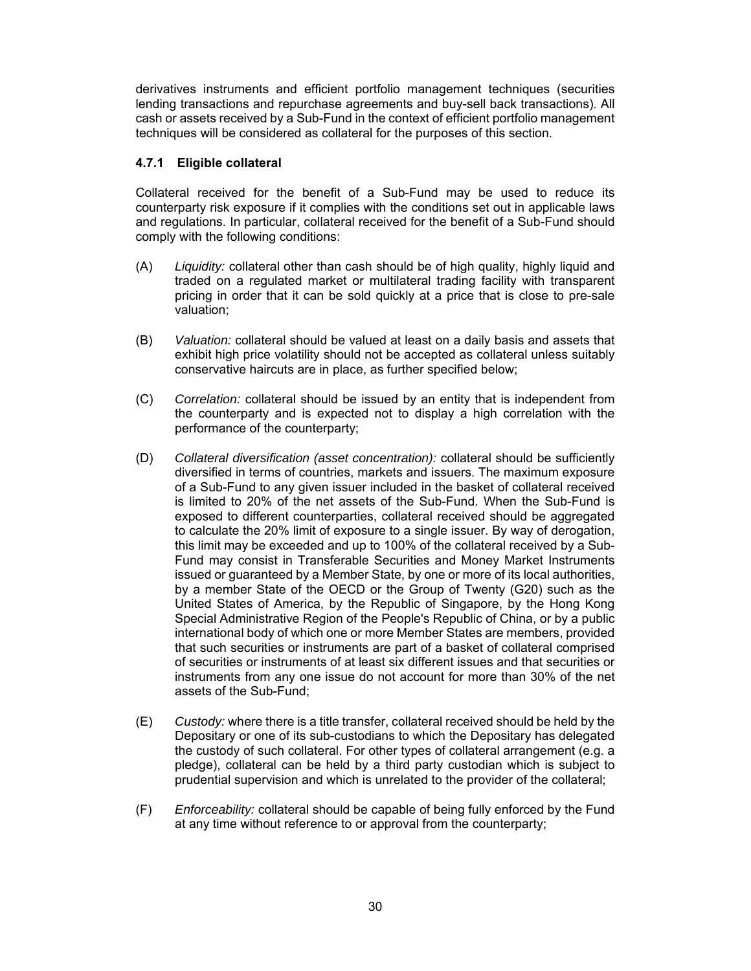derivatives instruments and efficient portfolio management techniques (securities lending transactions and repurchase agreements and buy-sell back transactions). All cash or assets received by a Sub-Fund in the context of efficient portfolio management techniques will be considered as collateral for the purposes of this section.

# **4.7.1 Eligible collateral**

Collateral received for the benefit of a Sub-Fund may be used to reduce its counterparty risk exposure if it complies with the conditions set out in applicable laws and regulations. In particular, collateral received for the benefit of a Sub-Fund should comply with the following conditions:

- (A) *Liquidity:* collateral other than cash should be of high quality, highly liquid and traded on a regulated market or multilateral trading facility with transparent pricing in order that it can be sold quickly at a price that is close to pre-sale valuation;
- (B) *Valuation:* collateral should be valued at least on a daily basis and assets that exhibit high price volatility should not be accepted as collateral unless suitably conservative haircuts are in place, as further specified below;
- (C) *Correlation:* collateral should be issued by an entity that is independent from the counterparty and is expected not to display a high correlation with the performance of the counterparty;
- (D) *Collateral diversification (asset concentration):* collateral should be sufficiently diversified in terms of countries, markets and issuers. The maximum exposure of a Sub-Fund to any given issuer included in the basket of collateral received is limited to 20% of the net assets of the Sub-Fund. When the Sub-Fund is exposed to different counterparties, collateral received should be aggregated to calculate the 20% limit of exposure to a single issuer. By way of derogation, this limit may be exceeded and up to 100% of the collateral received by a Sub-Fund may consist in Transferable Securities and Money Market Instruments issued or guaranteed by a Member State, by one or more of its local authorities, by a member State of the OECD or the Group of Twenty (G20) such as the United States of America, by the Republic of Singapore, by the Hong Kong Special Administrative Region of the People's Republic of China, or by a public international body of which one or more Member States are members, provided that such securities or instruments are part of a basket of collateral comprised of securities or instruments of at least six different issues and that securities or instruments from any one issue do not account for more than 30% of the net assets of the Sub-Fund;
- (E) *Custody:* where there is a title transfer, collateral received should be held by the Depositary or one of its sub-custodians to which the Depositary has delegated the custody of such collateral. For other types of collateral arrangement (e.g. a pledge), collateral can be held by a third party custodian which is subject to prudential supervision and which is unrelated to the provider of the collateral;
- (F) *Enforceability:* collateral should be capable of being fully enforced by the Fund at any time without reference to or approval from the counterparty;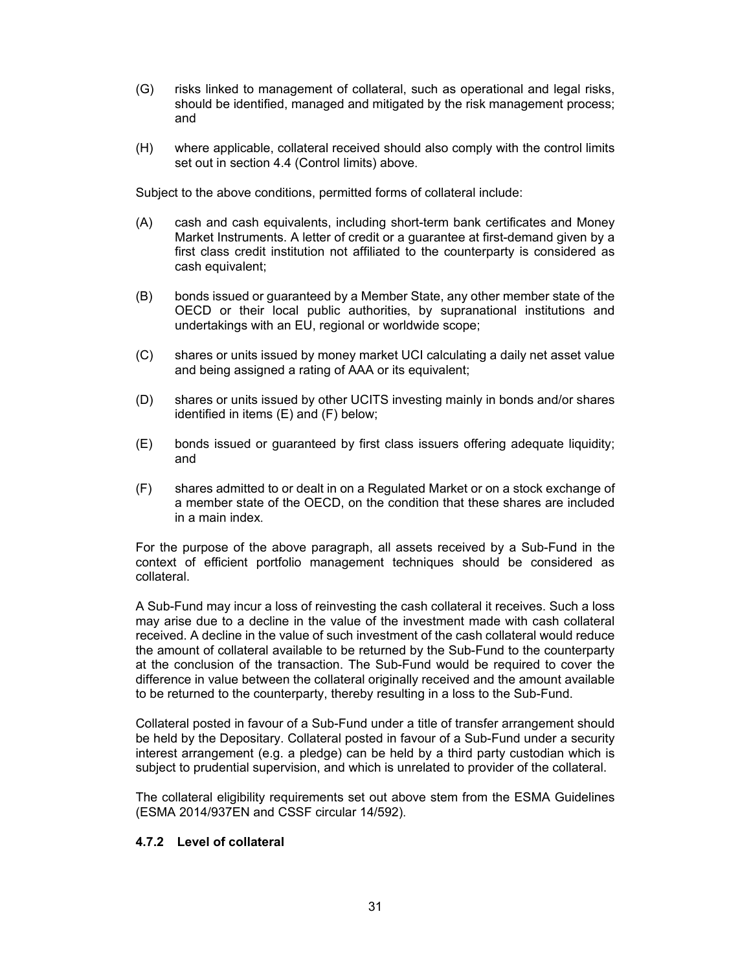- (G) risks linked to management of collateral, such as operational and legal risks, should be identified, managed and mitigated by the risk management process; and
- (H) where applicable, collateral received should also comply with the control limits set out in section 4.4 (Control limits) above.

Subject to the above conditions, permitted forms of collateral include:

- (A) cash and cash equivalents, including short-term bank certificates and Money Market Instruments. A letter of credit or a guarantee at first-demand given by a first class credit institution not affiliated to the counterparty is considered as cash equivalent;
- (B) bonds issued or guaranteed by a Member State, any other member state of the OECD or their local public authorities, by supranational institutions and undertakings with an EU, regional or worldwide scope;
- (C) shares or units issued by money market UCI calculating a daily net asset value and being assigned a rating of AAA or its equivalent;
- (D) shares or units issued by other UCITS investing mainly in bonds and/or shares identified in items (E) and (F) below;
- (E) bonds issued or guaranteed by first class issuers offering adequate liquidity; and
- (F) shares admitted to or dealt in on a Regulated Market or on a stock exchange of a member state of the OECD, on the condition that these shares are included in a main index.

For the purpose of the above paragraph, all assets received by a Sub-Fund in the context of efficient portfolio management techniques should be considered as collateral.

A Sub-Fund may incur a loss of reinvesting the cash collateral it receives. Such a loss may arise due to a decline in the value of the investment made with cash collateral received. A decline in the value of such investment of the cash collateral would reduce the amount of collateral available to be returned by the Sub-Fund to the counterparty at the conclusion of the transaction. The Sub-Fund would be required to cover the difference in value between the collateral originally received and the amount available to be returned to the counterparty, thereby resulting in a loss to the Sub-Fund.

Collateral posted in favour of a Sub-Fund under a title of transfer arrangement should be held by the Depositary. Collateral posted in favour of a Sub-Fund under a security interest arrangement (e.g. a pledge) can be held by a third party custodian which is subject to prudential supervision, and which is unrelated to provider of the collateral.

The collateral eligibility requirements set out above stem from the ESMA Guidelines (ESMA 2014/937EN and CSSF circular 14/592).

# **4.7.2 Level of collateral**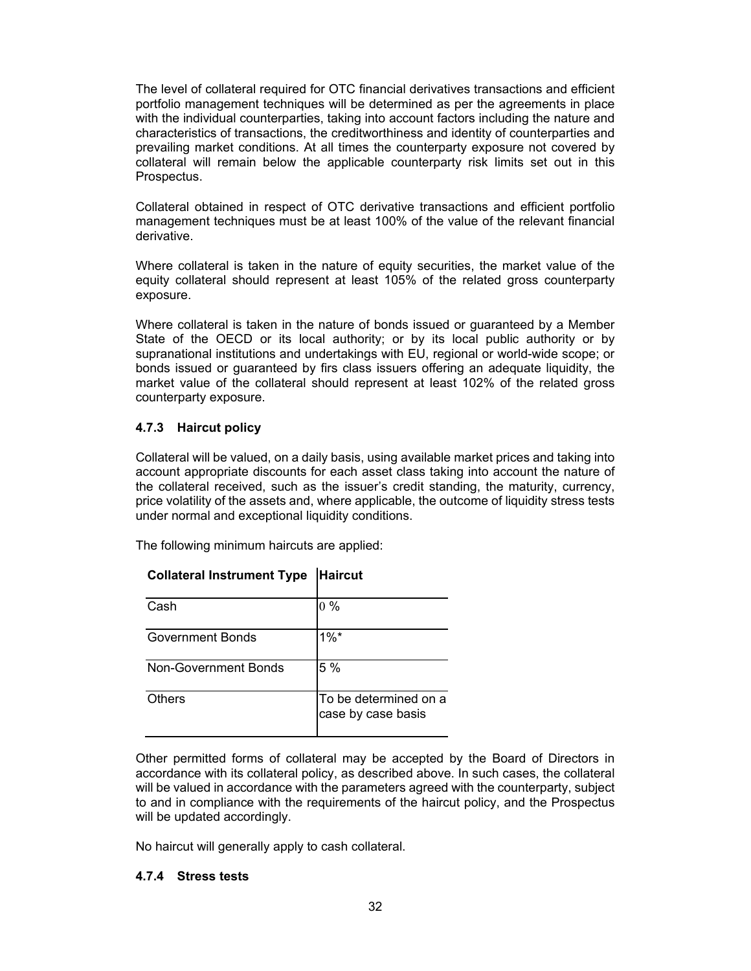The level of collateral required for OTC financial derivatives transactions and efficient portfolio management techniques will be determined as per the agreements in place with the individual counterparties, taking into account factors including the nature and characteristics of transactions, the creditworthiness and identity of counterparties and prevailing market conditions. At all times the counterparty exposure not covered by collateral will remain below the applicable counterparty risk limits set out in this Prospectus.

Collateral obtained in respect of OTC derivative transactions and efficient portfolio management techniques must be at least 100% of the value of the relevant financial derivative.

Where collateral is taken in the nature of equity securities, the market value of the equity collateral should represent at least 105% of the related gross counterparty exposure.

Where collateral is taken in the nature of bonds issued or guaranteed by a Member State of the OECD or its local authority; or by its local public authority or by supranational institutions and undertakings with EU, regional or world-wide scope; or bonds issued or guaranteed by firs class issuers offering an adequate liquidity, the market value of the collateral should represent at least 102% of the related gross counterparty exposure.

# **4.7.3 Haircut policy**

Collateral will be valued, on a daily basis, using available market prices and taking into account appropriate discounts for each asset class taking into account the nature of the collateral received, such as the issuer's credit standing, the maturity, currency, price volatility of the assets and, where applicable, the outcome of liquidity stress tests under normal and exceptional liquidity conditions.

The following minimum haircuts are applied:

| Cash                        | $0\%$                                       |
|-----------------------------|---------------------------------------------|
| <b>Government Bonds</b>     | $1\%$ *                                     |
| <b>Non-Government Bonds</b> | 5 %                                         |
| <b>Others</b>               | To be determined on a<br>case by case basis |

| <b>Collateral Instrument Type Haircut</b> |  |
|-------------------------------------------|--|

Other permitted forms of collateral may be accepted by the Board of Directors in accordance with its collateral policy, as described above. In such cases, the collateral will be valued in accordance with the parameters agreed with the counterparty, subject to and in compliance with the requirements of the haircut policy, and the Prospectus will be updated accordingly.

No haircut will generally apply to cash collateral.

# **4.7.4 Stress tests**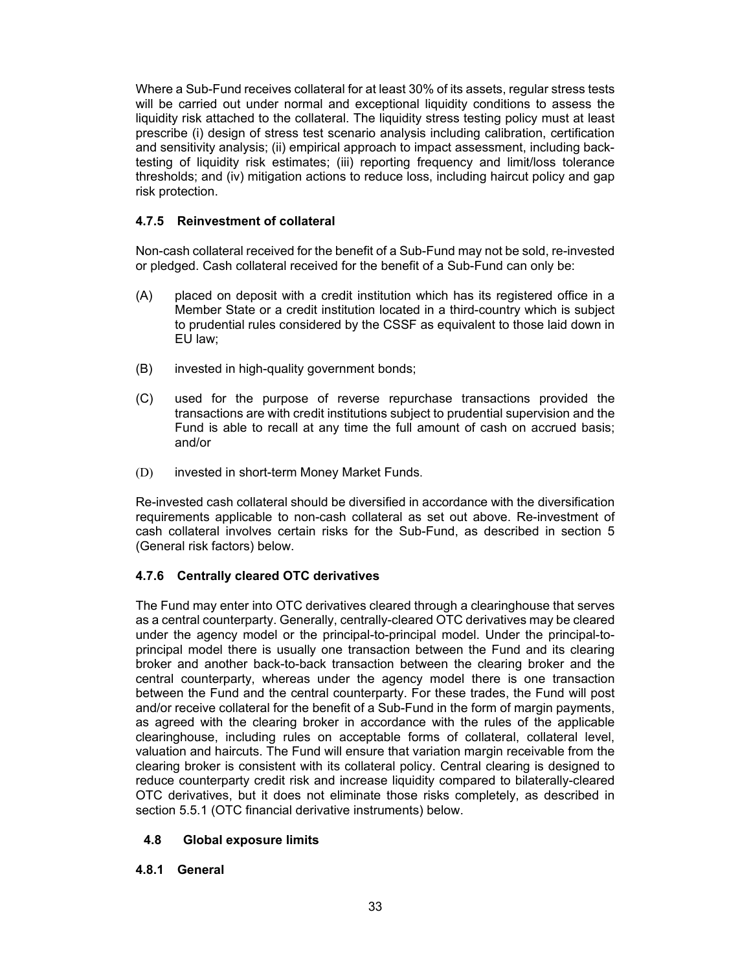Where a Sub-Fund receives collateral for at least 30% of its assets, regular stress tests will be carried out under normal and exceptional liquidity conditions to assess the liquidity risk attached to the collateral. The liquidity stress testing policy must at least prescribe (i) design of stress test scenario analysis including calibration, certification and sensitivity analysis; (ii) empirical approach to impact assessment, including backtesting of liquidity risk estimates; (iii) reporting frequency and limit/loss tolerance thresholds; and (iv) mitigation actions to reduce loss, including haircut policy and gap risk protection.

# **4.7.5 Reinvestment of collateral**

Non-cash collateral received for the benefit of a Sub-Fund may not be sold, re-invested or pledged. Cash collateral received for the benefit of a Sub-Fund can only be:

- (A) placed on deposit with a credit institution which has its registered office in a Member State or a credit institution located in a third-country which is subject to prudential rules considered by the CSSF as equivalent to those laid down in EU law;
- (B) invested in high-quality government bonds;
- (C) used for the purpose of reverse repurchase transactions provided the transactions are with credit institutions subject to prudential supervision and the Fund is able to recall at any time the full amount of cash on accrued basis; and/or
- (D) invested in short-term Money Market Funds.

Re-invested cash collateral should be diversified in accordance with the diversification requirements applicable to non-cash collateral as set out above. Re-investment of cash collateral involves certain risks for the Sub-Fund, as described in section 5 (General risk factors) below.

# **4.7.6 Centrally cleared OTC derivatives**

The Fund may enter into OTC derivatives cleared through a clearinghouse that serves as a central counterparty. Generally, centrally-cleared OTC derivatives may be cleared under the agency model or the principal-to-principal model. Under the principal-toprincipal model there is usually one transaction between the Fund and its clearing broker and another back-to-back transaction between the clearing broker and the central counterparty, whereas under the agency model there is one transaction between the Fund and the central counterparty. For these trades, the Fund will post and/or receive collateral for the benefit of a Sub-Fund in the form of margin payments, as agreed with the clearing broker in accordance with the rules of the applicable clearinghouse, including rules on acceptable forms of collateral, collateral level, valuation and haircuts. The Fund will ensure that variation margin receivable from the clearing broker is consistent with its collateral policy. Central clearing is designed to reduce counterparty credit risk and increase liquidity compared to bilaterally-cleared OTC derivatives, but it does not eliminate those risks completely, as described in section 5.5.1 (OTC financial derivative instruments) below.

# **4.8 Global exposure limits**

# **4.8.1 General**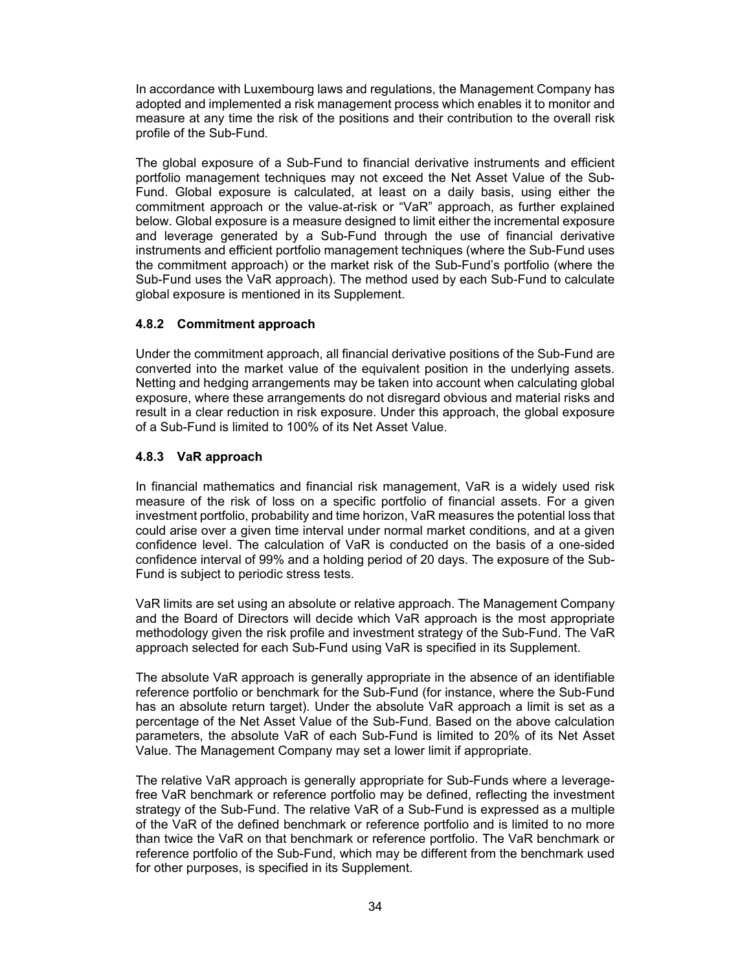In accordance with Luxembourg laws and regulations, the Management Company has adopted and implemented a risk management process which enables it to monitor and measure at any time the risk of the positions and their contribution to the overall risk profile of the Sub-Fund.

The global exposure of a Sub-Fund to financial derivative instruments and efficient portfolio management techniques may not exceed the Net Asset Value of the Sub-Fund. Global exposure is calculated, at least on a daily basis, using either the commitment approach or the value-at-risk or "VaR" approach, as further explained below. Global exposure is a measure designed to limit either the incremental exposure and leverage generated by a Sub-Fund through the use of financial derivative instruments and efficient portfolio management techniques (where the Sub-Fund uses the commitment approach) or the market risk of the Sub-Fund's portfolio (where the Sub-Fund uses the VaR approach). The method used by each Sub-Fund to calculate global exposure is mentioned in its Supplement.

# **4.8.2 Commitment approach**

Under the commitment approach, all financial derivative positions of the Sub-Fund are converted into the market value of the equivalent position in the underlying assets. Netting and hedging arrangements may be taken into account when calculating global exposure, where these arrangements do not disregard obvious and material risks and result in a clear reduction in risk exposure. Under this approach, the global exposure of a Sub-Fund is limited to 100% of its Net Asset Value.

# **4.8.3 VaR approach**

In financial mathematics and financial risk management, VaR is a widely used risk measure of the risk of loss on a specific portfolio of financial assets. For a given investment portfolio, probability and time horizon, VaR measures the potential loss that could arise over a given time interval under normal market conditions, and at a given confidence level. The calculation of VaR is conducted on the basis of a one-sided confidence interval of 99% and a holding period of 20 days. The exposure of the Sub-Fund is subject to periodic stress tests.

VaR limits are set using an absolute or relative approach. The Management Company and the Board of Directors will decide which VaR approach is the most appropriate methodology given the risk profile and investment strategy of the Sub-Fund. The VaR approach selected for each Sub-Fund using VaR is specified in its Supplement.

The absolute VaR approach is generally appropriate in the absence of an identifiable reference portfolio or benchmark for the Sub-Fund (for instance, where the Sub-Fund has an absolute return target). Under the absolute VaR approach a limit is set as a percentage of the Net Asset Value of the Sub-Fund. Based on the above calculation parameters, the absolute VaR of each Sub-Fund is limited to 20% of its Net Asset Value. The Management Company may set a lower limit if appropriate.

The relative VaR approach is generally appropriate for Sub-Funds where a leveragefree VaR benchmark or reference portfolio may be defined, reflecting the investment strategy of the Sub-Fund. The relative VaR of a Sub-Fund is expressed as a multiple of the VaR of the defined benchmark or reference portfolio and is limited to no more than twice the VaR on that benchmark or reference portfolio. The VaR benchmark or reference portfolio of the Sub-Fund, which may be different from the benchmark used for other purposes, is specified in its Supplement.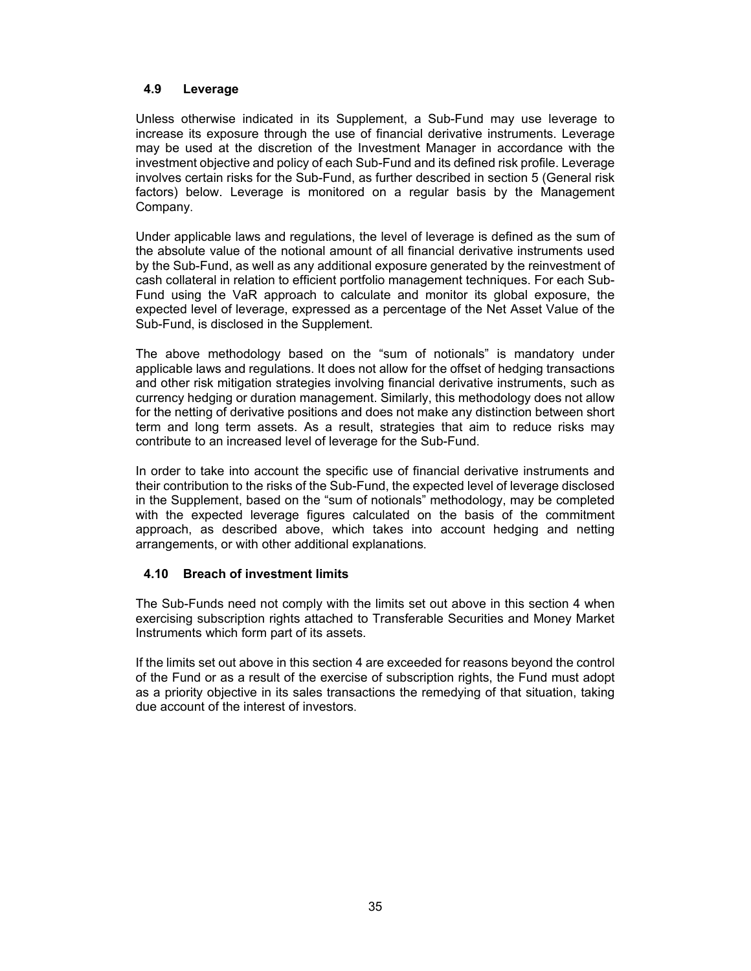# **4.9 Leverage**

Unless otherwise indicated in its Supplement, a Sub-Fund may use leverage to increase its exposure through the use of financial derivative instruments. Leverage may be used at the discretion of the Investment Manager in accordance with the investment objective and policy of each Sub-Fund and its defined risk profile. Leverage involves certain risks for the Sub-Fund, as further described in section 5 (General risk factors) below. Leverage is monitored on a regular basis by the Management Company.

Under applicable laws and regulations, the level of leverage is defined as the sum of the absolute value of the notional amount of all financial derivative instruments used by the Sub-Fund, as well as any additional exposure generated by the reinvestment of cash collateral in relation to efficient portfolio management techniques. For each Sub-Fund using the VaR approach to calculate and monitor its global exposure, the expected level of leverage, expressed as a percentage of the Net Asset Value of the Sub-Fund, is disclosed in the Supplement.

The above methodology based on the "sum of notionals" is mandatory under applicable laws and regulations. It does not allow for the offset of hedging transactions and other risk mitigation strategies involving financial derivative instruments, such as currency hedging or duration management. Similarly, this methodology does not allow for the netting of derivative positions and does not make any distinction between short term and long term assets. As a result, strategies that aim to reduce risks may contribute to an increased level of leverage for the Sub-Fund.

In order to take into account the specific use of financial derivative instruments and their contribution to the risks of the Sub-Fund, the expected level of leverage disclosed in the Supplement, based on the "sum of notionals" methodology, may be completed with the expected leverage figures calculated on the basis of the commitment approach, as described above, which takes into account hedging and netting arrangements, or with other additional explanations.

# **4.10 Breach of investment limits**

The Sub-Funds need not comply with the limits set out above in this section 4 when exercising subscription rights attached to Transferable Securities and Money Market Instruments which form part of its assets.

If the limits set out above in this section 4 are exceeded for reasons beyond the control of the Fund or as a result of the exercise of subscription rights, the Fund must adopt as a priority objective in its sales transactions the remedying of that situation, taking due account of the interest of investors.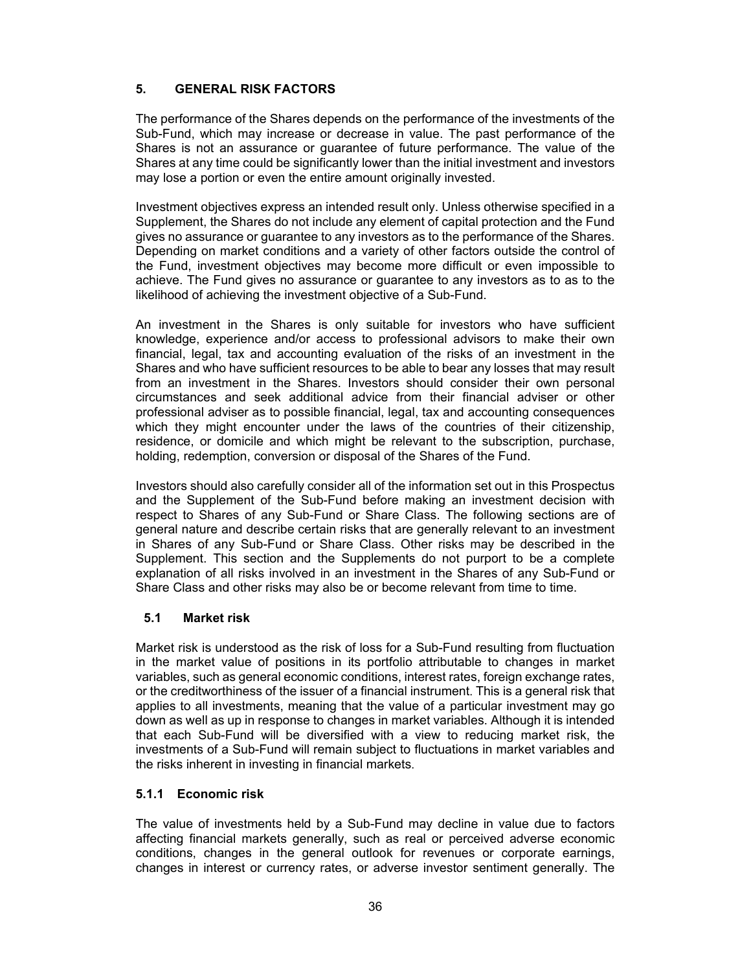# **5. GENERAL RISK FACTORS**

The performance of the Shares depends on the performance of the investments of the Sub-Fund, which may increase or decrease in value. The past performance of the Shares is not an assurance or guarantee of future performance. The value of the Shares at any time could be significantly lower than the initial investment and investors may lose a portion or even the entire amount originally invested.

Investment objectives express an intended result only. Unless otherwise specified in a Supplement, the Shares do not include any element of capital protection and the Fund gives no assurance or guarantee to any investors as to the performance of the Shares. Depending on market conditions and a variety of other factors outside the control of the Fund, investment objectives may become more difficult or even impossible to achieve. The Fund gives no assurance or guarantee to any investors as to as to the likelihood of achieving the investment objective of a Sub-Fund.

An investment in the Shares is only suitable for investors who have sufficient knowledge, experience and/or access to professional advisors to make their own financial, legal, tax and accounting evaluation of the risks of an investment in the Shares and who have sufficient resources to be able to bear any losses that may result from an investment in the Shares. Investors should consider their own personal circumstances and seek additional advice from their financial adviser or other professional adviser as to possible financial, legal, tax and accounting consequences which they might encounter under the laws of the countries of their citizenship, residence, or domicile and which might be relevant to the subscription, purchase, holding, redemption, conversion or disposal of the Shares of the Fund.

Investors should also carefully consider all of the information set out in this Prospectus and the Supplement of the Sub-Fund before making an investment decision with respect to Shares of any Sub-Fund or Share Class. The following sections are of general nature and describe certain risks that are generally relevant to an investment in Shares of any Sub-Fund or Share Class. Other risks may be described in the Supplement. This section and the Supplements do not purport to be a complete explanation of all risks involved in an investment in the Shares of any Sub-Fund or Share Class and other risks may also be or become relevant from time to time.

# **5.1 Market risk**

Market risk is understood as the risk of loss for a Sub-Fund resulting from fluctuation in the market value of positions in its portfolio attributable to changes in market variables, such as general economic conditions, interest rates, foreign exchange rates, or the creditworthiness of the issuer of a financial instrument. This is a general risk that applies to all investments, meaning that the value of a particular investment may go down as well as up in response to changes in market variables. Although it is intended that each Sub-Fund will be diversified with a view to reducing market risk, the investments of a Sub-Fund will remain subject to fluctuations in market variables and the risks inherent in investing in financial markets.

# **5.1.1 Economic risk**

The value of investments held by a Sub-Fund may decline in value due to factors affecting financial markets generally, such as real or perceived adverse economic conditions, changes in the general outlook for revenues or corporate earnings, changes in interest or currency rates, or adverse investor sentiment generally. The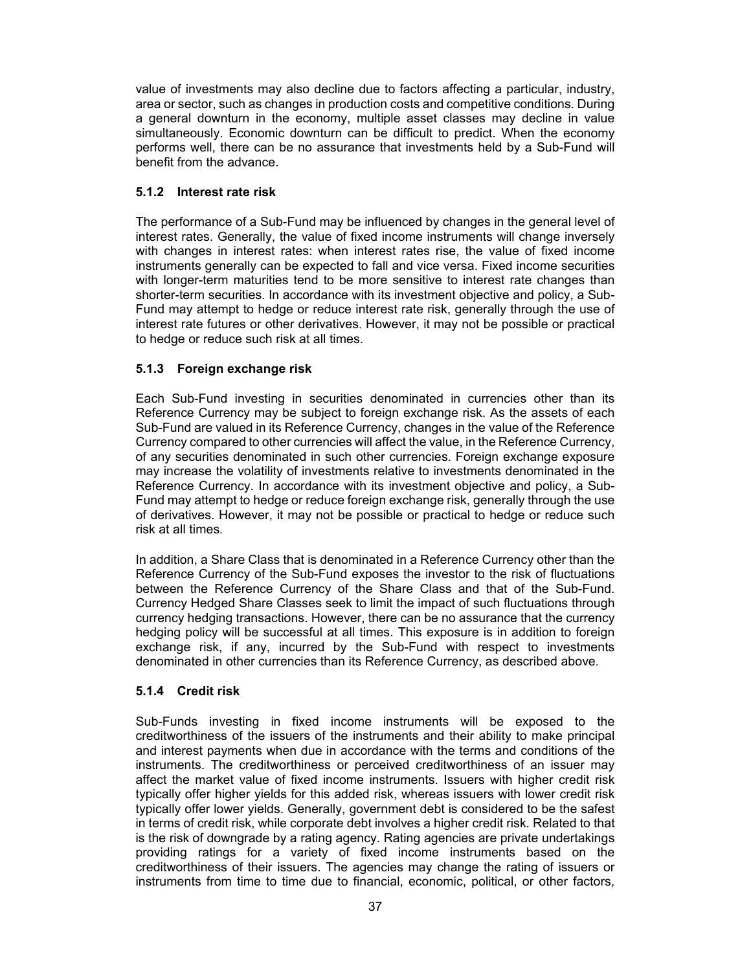value of investments may also decline due to factors affecting a particular, industry, area or sector, such as changes in production costs and competitive conditions. During a general downturn in the economy, multiple asset classes may decline in value simultaneously. Economic downturn can be difficult to predict. When the economy performs well, there can be no assurance that investments held by a Sub-Fund will benefit from the advance.

### **5.1.2 Interest rate risk**

The performance of a Sub-Fund may be influenced by changes in the general level of interest rates. Generally, the value of fixed income instruments will change inversely with changes in interest rates: when interest rates rise, the value of fixed income instruments generally can be expected to fall and vice versa. Fixed income securities with longer-term maturities tend to be more sensitive to interest rate changes than shorter-term securities. In accordance with its investment objective and policy, a Sub-Fund may attempt to hedge or reduce interest rate risk, generally through the use of interest rate futures or other derivatives. However, it may not be possible or practical to hedge or reduce such risk at all times.

### **5.1.3 Foreign exchange risk**

Each Sub-Fund investing in securities denominated in currencies other than its Reference Currency may be subject to foreign exchange risk. As the assets of each Sub-Fund are valued in its Reference Currency, changes in the value of the Reference Currency compared to other currencies will affect the value, in the Reference Currency, of any securities denominated in such other currencies. Foreign exchange exposure may increase the volatility of investments relative to investments denominated in the Reference Currency. In accordance with its investment objective and policy, a Sub-Fund may attempt to hedge or reduce foreign exchange risk, generally through the use of derivatives. However, it may not be possible or practical to hedge or reduce such risk at all times.

In addition, a Share Class that is denominated in a Reference Currency other than the Reference Currency of the Sub-Fund exposes the investor to the risk of fluctuations between the Reference Currency of the Share Class and that of the Sub-Fund. Currency Hedged Share Classes seek to limit the impact of such fluctuations through currency hedging transactions. However, there can be no assurance that the currency hedging policy will be successful at all times. This exposure is in addition to foreign exchange risk, if any, incurred by the Sub-Fund with respect to investments denominated in other currencies than its Reference Currency, as described above.

### **5.1.4 Credit risk**

Sub-Funds investing in fixed income instruments will be exposed to the creditworthiness of the issuers of the instruments and their ability to make principal and interest payments when due in accordance with the terms and conditions of the instruments. The creditworthiness or perceived creditworthiness of an issuer may affect the market value of fixed income instruments. Issuers with higher credit risk typically offer higher yields for this added risk, whereas issuers with lower credit risk typically offer lower yields. Generally, government debt is considered to be the safest in terms of credit risk, while corporate debt involves a higher credit risk. Related to that is the risk of downgrade by a rating agency. Rating agencies are private undertakings providing ratings for a variety of fixed income instruments based on the creditworthiness of their issuers. The agencies may change the rating of issuers or instruments from time to time due to financial, economic, political, or other factors,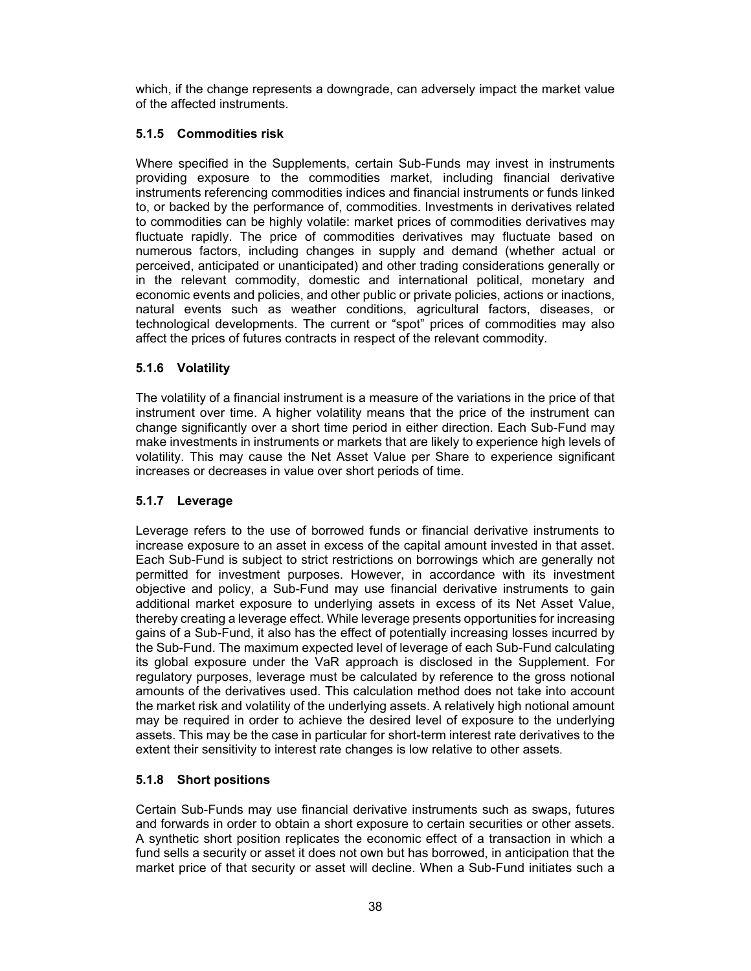which, if the change represents a downgrade, can adversely impact the market value of the affected instruments.

# **5.1.5 Commodities risk**

Where specified in the Supplements, certain Sub-Funds may invest in instruments providing exposure to the commodities market, including financial derivative instruments referencing commodities indices and financial instruments or funds linked to, or backed by the performance of, commodities. Investments in derivatives related to commodities can be highly volatile: market prices of commodities derivatives may fluctuate rapidly. The price of commodities derivatives may fluctuate based on numerous factors, including changes in supply and demand (whether actual or perceived, anticipated or unanticipated) and other trading considerations generally or in the relevant commodity, domestic and international political, monetary and economic events and policies, and other public or private policies, actions or inactions, natural events such as weather conditions, agricultural factors, diseases, or technological developments. The current or "spot" prices of commodities may also affect the prices of futures contracts in respect of the relevant commodity.

### **5.1.6 Volatility**

The volatility of a financial instrument is a measure of the variations in the price of that instrument over time. A higher volatility means that the price of the instrument can change significantly over a short time period in either direction. Each Sub-Fund may make investments in instruments or markets that are likely to experience high levels of volatility. This may cause the Net Asset Value per Share to experience significant increases or decreases in value over short periods of time.

### **5.1.7 Leverage**

Leverage refers to the use of borrowed funds or financial derivative instruments to increase exposure to an asset in excess of the capital amount invested in that asset. Each Sub-Fund is subject to strict restrictions on borrowings which are generally not permitted for investment purposes. However, in accordance with its investment objective and policy, a Sub-Fund may use financial derivative instruments to gain additional market exposure to underlying assets in excess of its Net Asset Value, thereby creating a leverage effect. While leverage presents opportunities for increasing gains of a Sub-Fund, it also has the effect of potentially increasing losses incurred by the Sub-Fund. The maximum expected level of leverage of each Sub-Fund calculating its global exposure under the VaR approach is disclosed in the Supplement. For regulatory purposes, leverage must be calculated by reference to the gross notional amounts of the derivatives used. This calculation method does not take into account the market risk and volatility of the underlying assets. A relatively high notional amount may be required in order to achieve the desired level of exposure to the underlying assets. This may be the case in particular for short-term interest rate derivatives to the extent their sensitivity to interest rate changes is low relative to other assets.

# **5.1.8 Short positions**

Certain Sub-Funds may use financial derivative instruments such as swaps, futures and forwards in order to obtain a short exposure to certain securities or other assets. A synthetic short position replicates the economic effect of a transaction in which a fund sells a security or asset it does not own but has borrowed, in anticipation that the market price of that security or asset will decline. When a Sub-Fund initiates such a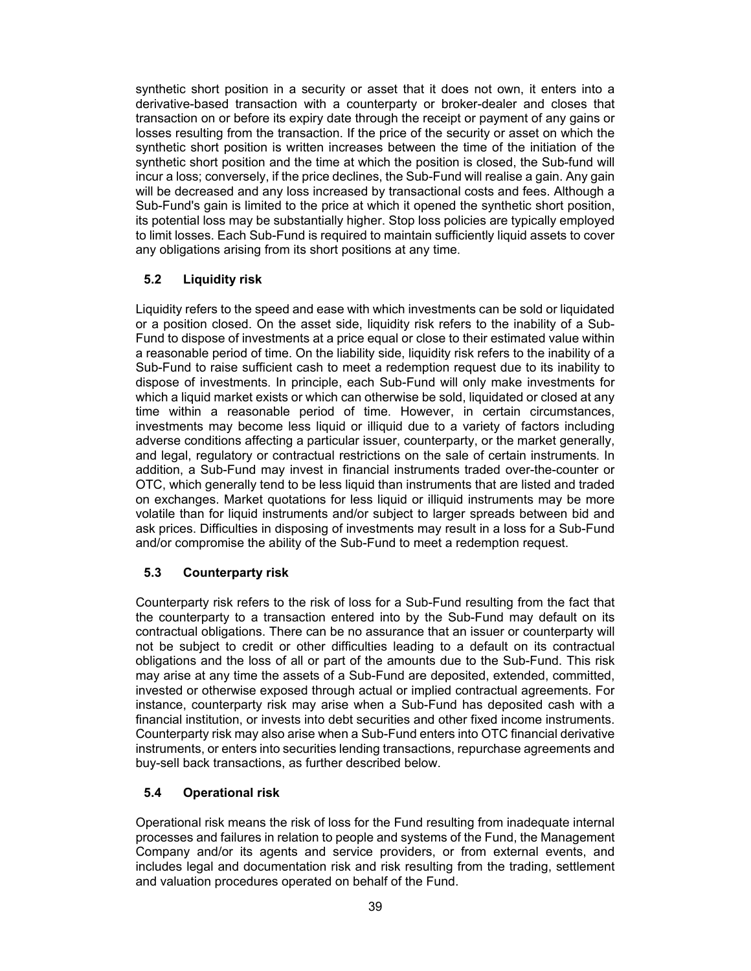synthetic short position in a security or asset that it does not own, it enters into a derivative-based transaction with a counterparty or broker-dealer and closes that transaction on or before its expiry date through the receipt or payment of any gains or losses resulting from the transaction. If the price of the security or asset on which the synthetic short position is written increases between the time of the initiation of the synthetic short position and the time at which the position is closed, the Sub-fund will incur a loss; conversely, if the price declines, the Sub-Fund will realise a gain. Any gain will be decreased and any loss increased by transactional costs and fees. Although a Sub-Fund's gain is limited to the price at which it opened the synthetic short position, its potential loss may be substantially higher. Stop loss policies are typically employed to limit losses. Each Sub-Fund is required to maintain sufficiently liquid assets to cover any obligations arising from its short positions at any time.

# **5.2 Liquidity risk**

Liquidity refers to the speed and ease with which investments can be sold or liquidated or a position closed. On the asset side, liquidity risk refers to the inability of a Sub-Fund to dispose of investments at a price equal or close to their estimated value within a reasonable period of time. On the liability side, liquidity risk refers to the inability of a Sub-Fund to raise sufficient cash to meet a redemption request due to its inability to dispose of investments. In principle, each Sub-Fund will only make investments for which a liquid market exists or which can otherwise be sold, liquidated or closed at any time within a reasonable period of time. However, in certain circumstances, investments may become less liquid or illiquid due to a variety of factors including adverse conditions affecting a particular issuer, counterparty, or the market generally, and legal, regulatory or contractual restrictions on the sale of certain instruments. In addition, a Sub-Fund may invest in financial instruments traded over-the-counter or OTC, which generally tend to be less liquid than instruments that are listed and traded on exchanges. Market quotations for less liquid or illiquid instruments may be more volatile than for liquid instruments and/or subject to larger spreads between bid and ask prices. Difficulties in disposing of investments may result in a loss for a Sub-Fund and/or compromise the ability of the Sub-Fund to meet a redemption request.

# **5.3 Counterparty risk**

Counterparty risk refers to the risk of loss for a Sub-Fund resulting from the fact that the counterparty to a transaction entered into by the Sub-Fund may default on its contractual obligations. There can be no assurance that an issuer or counterparty will not be subject to credit or other difficulties leading to a default on its contractual obligations and the loss of all or part of the amounts due to the Sub-Fund. This risk may arise at any time the assets of a Sub-Fund are deposited, extended, committed, invested or otherwise exposed through actual or implied contractual agreements. For instance, counterparty risk may arise when a Sub-Fund has deposited cash with a financial institution, or invests into debt securities and other fixed income instruments. Counterparty risk may also arise when a Sub-Fund enters into OTC financial derivative instruments, or enters into securities lending transactions, repurchase agreements and buy-sell back transactions, as further described below.

# **5.4 Operational risk**

Operational risk means the risk of loss for the Fund resulting from inadequate internal processes and failures in relation to people and systems of the Fund, the Management Company and/or its agents and service providers, or from external events, and includes legal and documentation risk and risk resulting from the trading, settlement and valuation procedures operated on behalf of the Fund.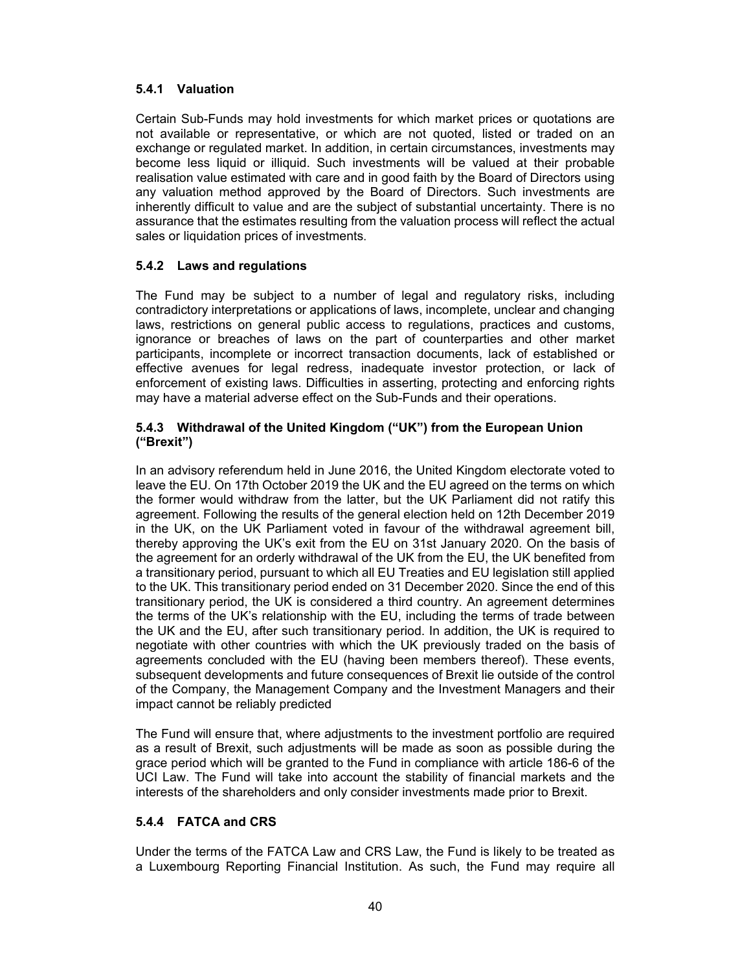### **5.4.1 Valuation**

Certain Sub-Funds may hold investments for which market prices or quotations are not available or representative, or which are not quoted, listed or traded on an exchange or regulated market. In addition, in certain circumstances, investments may become less liquid or illiquid. Such investments will be valued at their probable realisation value estimated with care and in good faith by the Board of Directors using any valuation method approved by the Board of Directors. Such investments are inherently difficult to value and are the subject of substantial uncertainty. There is no assurance that the estimates resulting from the valuation process will reflect the actual sales or liquidation prices of investments.

### **5.4.2 Laws and regulations**

The Fund may be subject to a number of legal and regulatory risks, including contradictory interpretations or applications of laws, incomplete, unclear and changing laws, restrictions on general public access to regulations, practices and customs, ignorance or breaches of laws on the part of counterparties and other market participants, incomplete or incorrect transaction documents, lack of established or effective avenues for legal redress, inadequate investor protection, or lack of enforcement of existing laws. Difficulties in asserting, protecting and enforcing rights may have a material adverse effect on the Sub-Funds and their operations.

### **5.4.3 Withdrawal of the United Kingdom ("UK") from the European Union ("Brexit")**

In an advisory referendum held in June 2016, the United Kingdom electorate voted to leave the EU. On 17th October 2019 the UK and the EU agreed on the terms on which the former would withdraw from the latter, but the UK Parliament did not ratify this agreement. Following the results of the general election held on 12th December 2019 in the UK, on the UK Parliament voted in favour of the withdrawal agreement bill, thereby approving the UK's exit from the EU on 31st January 2020. On the basis of the agreement for an orderly withdrawal of the UK from the EU, the UK benefited from a transitionary period, pursuant to which all EU Treaties and EU legislation still applied to the UK. This transitionary period ended on 31 December 2020. Since the end of this transitionary period, the UK is considered a third country. An agreement determines the terms of the UK's relationship with the EU, including the terms of trade between the UK and the EU, after such transitionary period. In addition, the UK is required to negotiate with other countries with which the UK previously traded on the basis of agreements concluded with the EU (having been members thereof). These events, subsequent developments and future consequences of Brexit lie outside of the control of the Company, the Management Company and the Investment Managers and their impact cannot be reliably predicted

The Fund will ensure that, where adjustments to the investment portfolio are required as a result of Brexit, such adjustments will be made as soon as possible during the grace period which will be granted to the Fund in compliance with article 186-6 of the UCI Law. The Fund will take into account the stability of financial markets and the interests of the shareholders and only consider investments made prior to Brexit.

# **5.4.4 FATCA and CRS**

Under the terms of the FATCA Law and CRS Law, the Fund is likely to be treated as a Luxembourg Reporting Financial Institution. As such, the Fund may require all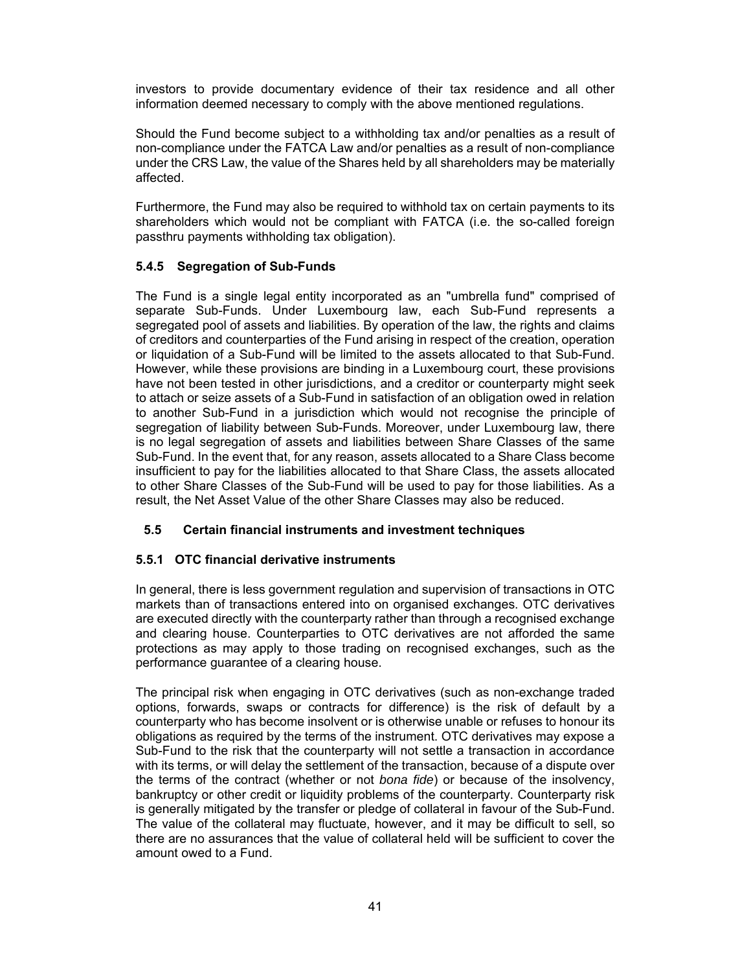investors to provide documentary evidence of their tax residence and all other information deemed necessary to comply with the above mentioned regulations.

Should the Fund become subject to a withholding tax and/or penalties as a result of non-compliance under the FATCA Law and/or penalties as a result of non-compliance under the CRS Law, the value of the Shares held by all shareholders may be materially affected.

Furthermore, the Fund may also be required to withhold tax on certain payments to its shareholders which would not be compliant with FATCA (i.e. the so-called foreign passthru payments withholding tax obligation).

### **5.4.5 Segregation of Sub-Funds**

The Fund is a single legal entity incorporated as an "umbrella fund" comprised of separate Sub-Funds. Under Luxembourg law, each Sub-Fund represents a segregated pool of assets and liabilities. By operation of the law, the rights and claims of creditors and counterparties of the Fund arising in respect of the creation, operation or liquidation of a Sub-Fund will be limited to the assets allocated to that Sub-Fund. However, while these provisions are binding in a Luxembourg court, these provisions have not been tested in other jurisdictions, and a creditor or counterparty might seek to attach or seize assets of a Sub-Fund in satisfaction of an obligation owed in relation to another Sub-Fund in a jurisdiction which would not recognise the principle of segregation of liability between Sub-Funds. Moreover, under Luxembourg law, there is no legal segregation of assets and liabilities between Share Classes of the same Sub-Fund. In the event that, for any reason, assets allocated to a Share Class become insufficient to pay for the liabilities allocated to that Share Class, the assets allocated to other Share Classes of the Sub-Fund will be used to pay for those liabilities. As a result, the Net Asset Value of the other Share Classes may also be reduced.

### **5.5 Certain financial instruments and investment techniques**

### **5.5.1 OTC financial derivative instruments**

In general, there is less government regulation and supervision of transactions in OTC markets than of transactions entered into on organised exchanges. OTC derivatives are executed directly with the counterparty rather than through a recognised exchange and clearing house. Counterparties to OTC derivatives are not afforded the same protections as may apply to those trading on recognised exchanges, such as the performance guarantee of a clearing house.

The principal risk when engaging in OTC derivatives (such as non-exchange traded options, forwards, swaps or contracts for difference) is the risk of default by a counterparty who has become insolvent or is otherwise unable or refuses to honour its obligations as required by the terms of the instrument. OTC derivatives may expose a Sub-Fund to the risk that the counterparty will not settle a transaction in accordance with its terms, or will delay the settlement of the transaction, because of a dispute over the terms of the contract (whether or not *bona fide*) or because of the insolvency, bankruptcy or other credit or liquidity problems of the counterparty. Counterparty risk is generally mitigated by the transfer or pledge of collateral in favour of the Sub-Fund. The value of the collateral may fluctuate, however, and it may be difficult to sell, so there are no assurances that the value of collateral held will be sufficient to cover the amount owed to a Fund.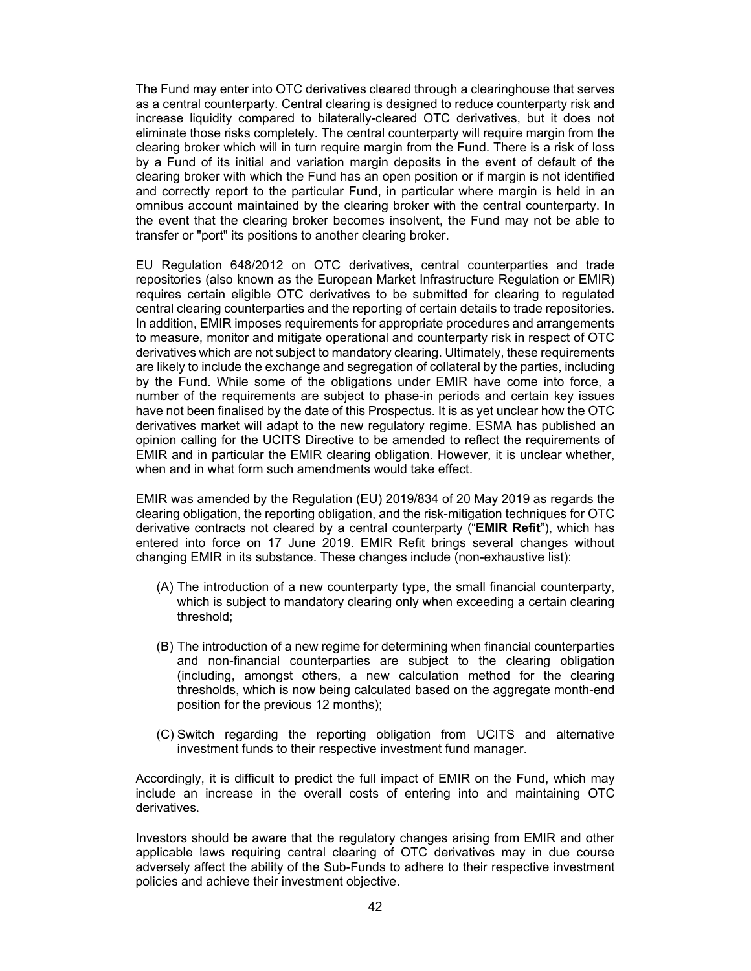The Fund may enter into OTC derivatives cleared through a clearinghouse that serves as a central counterparty. Central clearing is designed to reduce counterparty risk and increase liquidity compared to bilaterally-cleared OTC derivatives, but it does not eliminate those risks completely. The central counterparty will require margin from the clearing broker which will in turn require margin from the Fund. There is a risk of loss by a Fund of its initial and variation margin deposits in the event of default of the clearing broker with which the Fund has an open position or if margin is not identified and correctly report to the particular Fund, in particular where margin is held in an omnibus account maintained by the clearing broker with the central counterparty. In the event that the clearing broker becomes insolvent, the Fund may not be able to transfer or "port" its positions to another clearing broker.

EU Regulation 648/2012 on OTC derivatives, central counterparties and trade repositories (also known as the European Market Infrastructure Regulation or EMIR) requires certain eligible OTC derivatives to be submitted for clearing to regulated central clearing counterparties and the reporting of certain details to trade repositories. In addition, EMIR imposes requirements for appropriate procedures and arrangements to measure, monitor and mitigate operational and counterparty risk in respect of OTC derivatives which are not subject to mandatory clearing. Ultimately, these requirements are likely to include the exchange and segregation of collateral by the parties, including by the Fund. While some of the obligations under EMIR have come into force, a number of the requirements are subject to phase-in periods and certain key issues have not been finalised by the date of this Prospectus. It is as yet unclear how the OTC derivatives market will adapt to the new regulatory regime. ESMA has published an opinion calling for the UCITS Directive to be amended to reflect the requirements of EMIR and in particular the EMIR clearing obligation. However, it is unclear whether, when and in what form such amendments would take effect.

EMIR was amended by the Regulation (EU) 2019/834 of 20 May 2019 as regards the clearing obligation, the reporting obligation, and the risk-mitigation techniques for OTC derivative contracts not cleared by a central counterparty ("**EMIR Refit**"), which has entered into force on 17 June 2019. EMIR Refit brings several changes without changing EMIR in its substance. These changes include (non-exhaustive list):

- (A) The introduction of a new counterparty type, the small financial counterparty, which is subject to mandatory clearing only when exceeding a certain clearing threshold;
- (B) The introduction of a new regime for determining when financial counterparties and non-financial counterparties are subject to the clearing obligation (including, amongst others, a new calculation method for the clearing thresholds, which is now being calculated based on the aggregate month-end position for the previous 12 months);
- (C) Switch regarding the reporting obligation from UCITS and alternative investment funds to their respective investment fund manager.

Accordingly, it is difficult to predict the full impact of EMIR on the Fund, which may include an increase in the overall costs of entering into and maintaining OTC derivatives.

Investors should be aware that the regulatory changes arising from EMIR and other applicable laws requiring central clearing of OTC derivatives may in due course adversely affect the ability of the Sub-Funds to adhere to their respective investment policies and achieve their investment objective.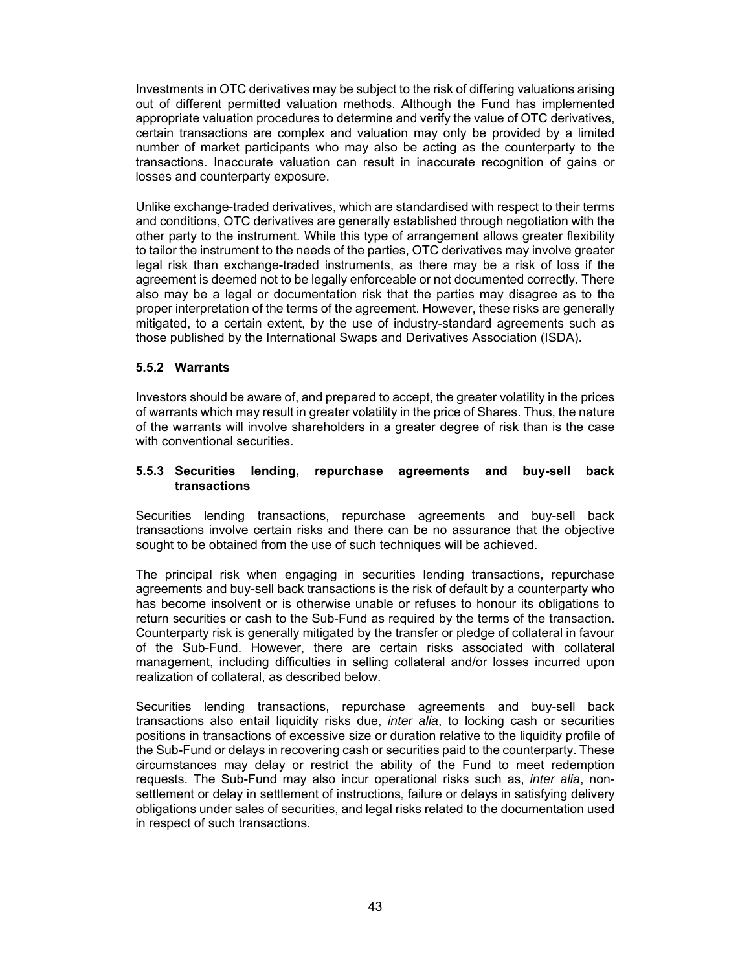Investments in OTC derivatives may be subject to the risk of differing valuations arising out of different permitted valuation methods. Although the Fund has implemented appropriate valuation procedures to determine and verify the value of OTC derivatives, certain transactions are complex and valuation may only be provided by a limited number of market participants who may also be acting as the counterparty to the transactions. Inaccurate valuation can result in inaccurate recognition of gains or losses and counterparty exposure.

Unlike exchange-traded derivatives, which are standardised with respect to their terms and conditions, OTC derivatives are generally established through negotiation with the other party to the instrument. While this type of arrangement allows greater flexibility to tailor the instrument to the needs of the parties, OTC derivatives may involve greater legal risk than exchange-traded instruments, as there may be a risk of loss if the agreement is deemed not to be legally enforceable or not documented correctly. There also may be a legal or documentation risk that the parties may disagree as to the proper interpretation of the terms of the agreement. However, these risks are generally mitigated, to a certain extent, by the use of industry-standard agreements such as those published by the International Swaps and Derivatives Association (ISDA).

### **5.5.2 Warrants**

Investors should be aware of, and prepared to accept, the greater volatility in the prices of warrants which may result in greater volatility in the price of Shares. Thus, the nature of the warrants will involve shareholders in a greater degree of risk than is the case with conventional securities.

#### **5.5.3 Securities lending, repurchase agreements and buy-sell back transactions**

Securities lending transactions, repurchase agreements and buy-sell back transactions involve certain risks and there can be no assurance that the objective sought to be obtained from the use of such techniques will be achieved.

The principal risk when engaging in securities lending transactions, repurchase agreements and buy-sell back transactions is the risk of default by a counterparty who has become insolvent or is otherwise unable or refuses to honour its obligations to return securities or cash to the Sub-Fund as required by the terms of the transaction. Counterparty risk is generally mitigated by the transfer or pledge of collateral in favour of the Sub-Fund. However, there are certain risks associated with collateral management, including difficulties in selling collateral and/or losses incurred upon realization of collateral, as described below.

Securities lending transactions, repurchase agreements and buy-sell back transactions also entail liquidity risks due, *inter alia*, to locking cash or securities positions in transactions of excessive size or duration relative to the liquidity profile of the Sub-Fund or delays in recovering cash or securities paid to the counterparty. These circumstances may delay or restrict the ability of the Fund to meet redemption requests. The Sub-Fund may also incur operational risks such as, *inter alia*, nonsettlement or delay in settlement of instructions, failure or delays in satisfying delivery obligations under sales of securities, and legal risks related to the documentation used in respect of such transactions.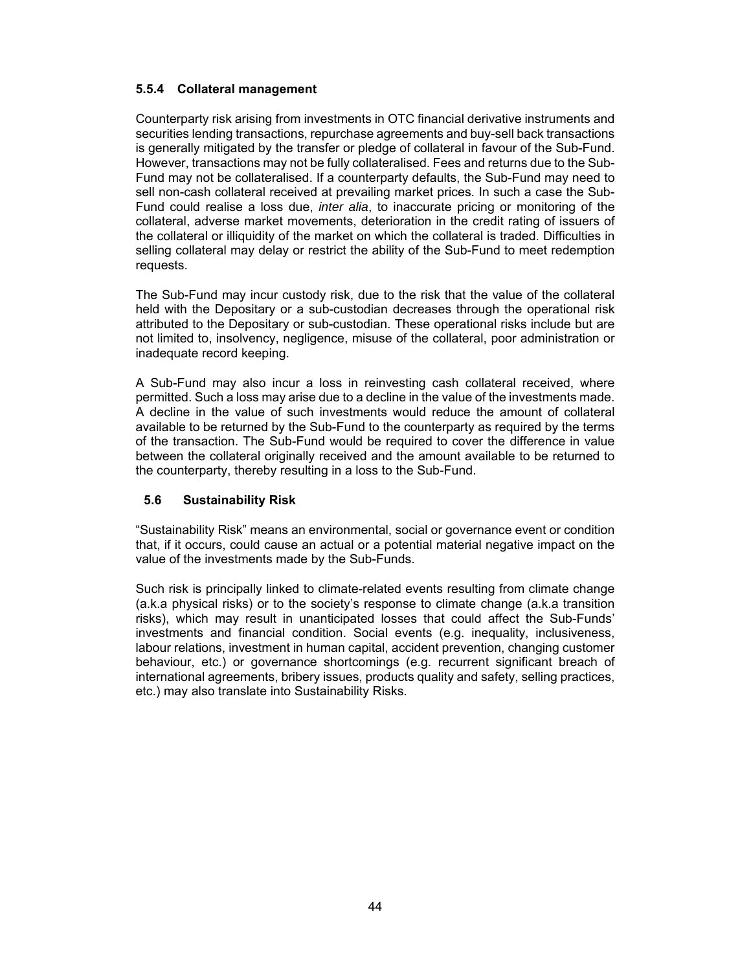### **5.5.4 Collateral management**

Counterparty risk arising from investments in OTC financial derivative instruments and securities lending transactions, repurchase agreements and buy-sell back transactions is generally mitigated by the transfer or pledge of collateral in favour of the Sub-Fund. However, transactions may not be fully collateralised. Fees and returns due to the Sub-Fund may not be collateralised. If a counterparty defaults, the Sub-Fund may need to sell non-cash collateral received at prevailing market prices. In such a case the Sub-Fund could realise a loss due, *inter alia*, to inaccurate pricing or monitoring of the collateral, adverse market movements, deterioration in the credit rating of issuers of the collateral or illiquidity of the market on which the collateral is traded. Difficulties in selling collateral may delay or restrict the ability of the Sub-Fund to meet redemption requests.

The Sub-Fund may incur custody risk, due to the risk that the value of the collateral held with the Depositary or a sub-custodian decreases through the operational risk attributed to the Depositary or sub-custodian. These operational risks include but are not limited to, insolvency, negligence, misuse of the collateral, poor administration or inadequate record keeping.

A Sub-Fund may also incur a loss in reinvesting cash collateral received, where permitted. Such a loss may arise due to a decline in the value of the investments made. A decline in the value of such investments would reduce the amount of collateral available to be returned by the Sub-Fund to the counterparty as required by the terms of the transaction. The Sub-Fund would be required to cover the difference in value between the collateral originally received and the amount available to be returned to the counterparty, thereby resulting in a loss to the Sub-Fund.

### **5.6 Sustainability Risk**

"Sustainability Risk" means an environmental, social or governance event or condition that, if it occurs, could cause an actual or a potential material negative impact on the value of the investments made by the Sub-Funds.

Such risk is principally linked to climate-related events resulting from climate change (a.k.a physical risks) or to the society's response to climate change (a.k.a transition risks), which may result in unanticipated losses that could affect the Sub-Funds' investments and financial condition. Social events (e.g. inequality, inclusiveness, labour relations, investment in human capital, accident prevention, changing customer behaviour, etc.) or governance shortcomings (e.g. recurrent significant breach of international agreements, bribery issues, products quality and safety, selling practices, etc.) may also translate into Sustainability Risks.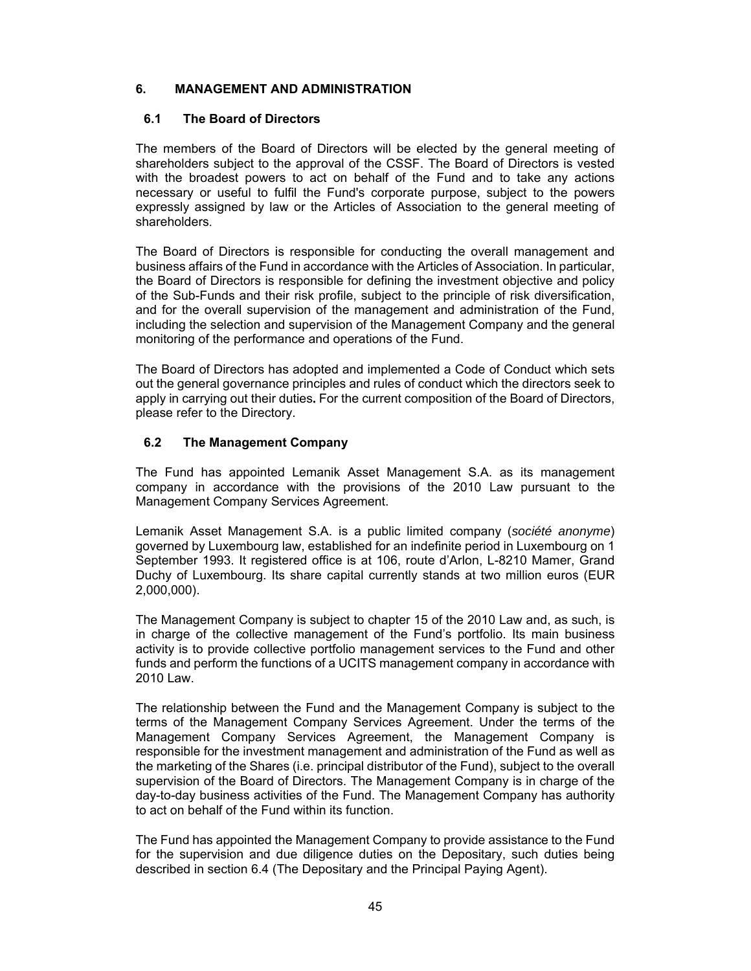### **6. MANAGEMENT AND ADMINISTRATION**

### **6.1 The Board of Directors**

The members of the Board of Directors will be elected by the general meeting of shareholders subject to the approval of the CSSF. The Board of Directors is vested with the broadest powers to act on behalf of the Fund and to take any actions necessary or useful to fulfil the Fund's corporate purpose, subject to the powers expressly assigned by law or the Articles of Association to the general meeting of shareholders.

The Board of Directors is responsible for conducting the overall management and business affairs of the Fund in accordance with the Articles of Association. In particular, the Board of Directors is responsible for defining the investment objective and policy of the Sub-Funds and their risk profile, subject to the principle of risk diversification, and for the overall supervision of the management and administration of the Fund, including the selection and supervision of the Management Company and the general monitoring of the performance and operations of the Fund.

The Board of Directors has adopted and implemented a Code of Conduct which sets out the general governance principles and rules of conduct which the directors seek to apply in carrying out their duties**.** For the current composition of the Board of Directors, please refer to the Directory.

# **6.2 The Management Company**

The Fund has appointed Lemanik Asset Management S.A. as its management company in accordance with the provisions of the 2010 Law pursuant to the Management Company Services Agreement.

Lemanik Asset Management S.A. is a public limited company (*société anonyme*) governed by Luxembourg law, established for an indefinite period in Luxembourg on 1 September 1993. It registered office is at 106, route d'Arlon, L-8210 Mamer, Grand Duchy of Luxembourg. Its share capital currently stands at two million euros (EUR 2,000,000).

The Management Company is subject to chapter 15 of the 2010 Law and, as such, is in charge of the collective management of the Fund's portfolio. Its main business activity is to provide collective portfolio management services to the Fund and other funds and perform the functions of a UCITS management company in accordance with 2010 Law.

The relationship between the Fund and the Management Company is subject to the terms of the Management Company Services Agreement. Under the terms of the Management Company Services Agreement, the Management Company is responsible for the investment management and administration of the Fund as well as the marketing of the Shares (i.e. principal distributor of the Fund), subject to the overall supervision of the Board of Directors. The Management Company is in charge of the day-to-day business activities of the Fund. The Management Company has authority to act on behalf of the Fund within its function.

The Fund has appointed the Management Company to provide assistance to the Fund for the supervision and due diligence duties on the Depositary, such duties being described in section 6.4 (The Depositary and the Principal Paying Agent).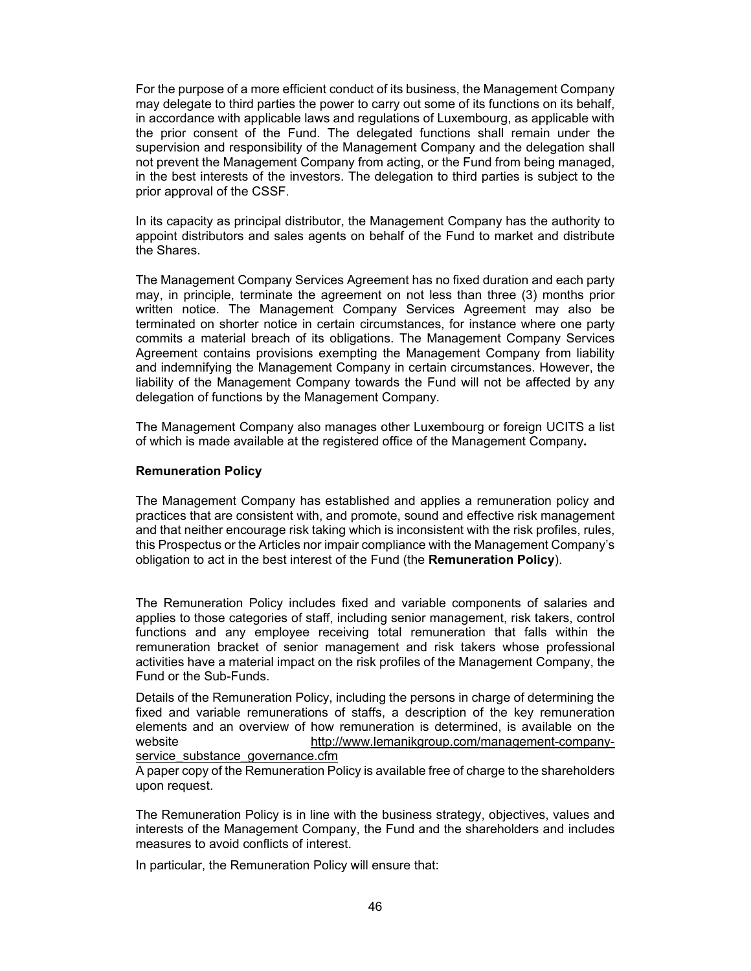For the purpose of a more efficient conduct of its business, the Management Company may delegate to third parties the power to carry out some of its functions on its behalf, in accordance with applicable laws and regulations of Luxembourg, as applicable with the prior consent of the Fund. The delegated functions shall remain under the supervision and responsibility of the Management Company and the delegation shall not prevent the Management Company from acting, or the Fund from being managed, in the best interests of the investors. The delegation to third parties is subject to the prior approval of the CSSF.

In its capacity as principal distributor, the Management Company has the authority to appoint distributors and sales agents on behalf of the Fund to market and distribute the Shares.

The Management Company Services Agreement has no fixed duration and each party may, in principle, terminate the agreement on not less than three (3) months prior written notice. The Management Company Services Agreement may also be terminated on shorter notice in certain circumstances, for instance where one party commits a material breach of its obligations. The Management Company Services Agreement contains provisions exempting the Management Company from liability and indemnifying the Management Company in certain circumstances. However, the liability of the Management Company towards the Fund will not be affected by any delegation of functions by the Management Company.

The Management Company also manages other Luxembourg or foreign UCITS a list of which is made available at the registered office of the Management Company**.** 

#### **Remuneration Policy**

The Management Company has established and applies a remuneration policy and practices that are consistent with, and promote, sound and effective risk management and that neither encourage risk taking which is inconsistent with the risk profiles, rules, this Prospectus or the Articles nor impair compliance with the Management Company's obligation to act in the best interest of the Fund (the **Remuneration Policy**).

The Remuneration Policy includes fixed and variable components of salaries and applies to those categories of staff, including senior management, risk takers, control functions and any employee receiving total remuneration that falls within the remuneration bracket of senior management and risk takers whose professional activities have a material impact on the risk profiles of the Management Company, the Fund or the Sub-Funds.

Details of the Remuneration Policy, including the persons in charge of determining the fixed and variable remunerations of staffs, a description of the key remuneration elements and an overview of how remuneration is determined, is available on the website http://www.lemanikgroup.com/management-companyservice substance governance.cfm

A paper copy of the Remuneration Policy is available free of charge to the shareholders upon request.

The Remuneration Policy is in line with the business strategy, objectives, values and interests of the Management Company, the Fund and the shareholders and includes measures to avoid conflicts of interest.

In particular, the Remuneration Policy will ensure that: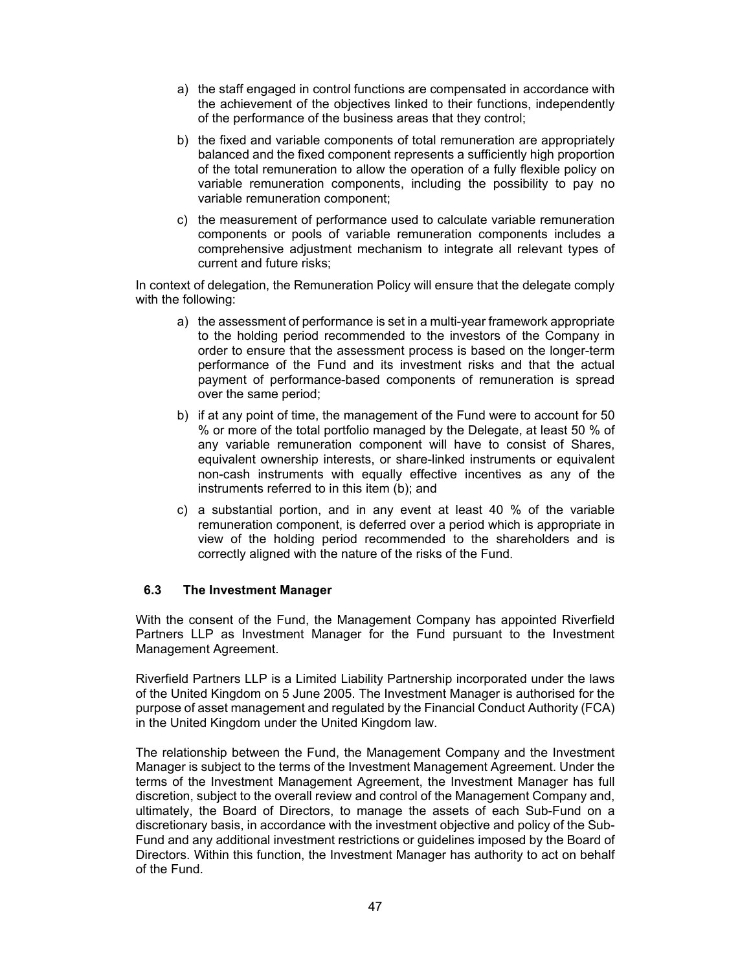- a) the staff engaged in control functions are compensated in accordance with the achievement of the objectives linked to their functions, independently of the performance of the business areas that they control;
- b) the fixed and variable components of total remuneration are appropriately balanced and the fixed component represents a sufficiently high proportion of the total remuneration to allow the operation of a fully flexible policy on variable remuneration components, including the possibility to pay no variable remuneration component;
- c) the measurement of performance used to calculate variable remuneration components or pools of variable remuneration components includes a comprehensive adjustment mechanism to integrate all relevant types of current and future risks;

In context of delegation, the Remuneration Policy will ensure that the delegate comply with the following:

- a) the assessment of performance is set in a multi-year framework appropriate to the holding period recommended to the investors of the Company in order to ensure that the assessment process is based on the longer-term performance of the Fund and its investment risks and that the actual payment of performance-based components of remuneration is spread over the same period;
- b) if at any point of time, the management of the Fund were to account for 50 % or more of the total portfolio managed by the Delegate, at least 50 % of any variable remuneration component will have to consist of Shares, equivalent ownership interests, or share-linked instruments or equivalent non-cash instruments with equally effective incentives as any of the instruments referred to in this item (b); and
- c) a substantial portion, and in any event at least 40 % of the variable remuneration component, is deferred over a period which is appropriate in view of the holding period recommended to the shareholders and is correctly aligned with the nature of the risks of the Fund.

### **6.3 The Investment Manager**

With the consent of the Fund, the Management Company has appointed Riverfield Partners LLP as Investment Manager for the Fund pursuant to the Investment Management Agreement.

Riverfield Partners LLP is a Limited Liability Partnership incorporated under the laws of the United Kingdom on 5 June 2005. The Investment Manager is authorised for the purpose of asset management and regulated by the Financial Conduct Authority (FCA) in the United Kingdom under the United Kingdom law.

The relationship between the Fund, the Management Company and the Investment Manager is subject to the terms of the Investment Management Agreement. Under the terms of the Investment Management Agreement, the Investment Manager has full discretion, subject to the overall review and control of the Management Company and, ultimately, the Board of Directors, to manage the assets of each Sub-Fund on a discretionary basis, in accordance with the investment objective and policy of the Sub-Fund and any additional investment restrictions or guidelines imposed by the Board of Directors. Within this function, the Investment Manager has authority to act on behalf of the Fund.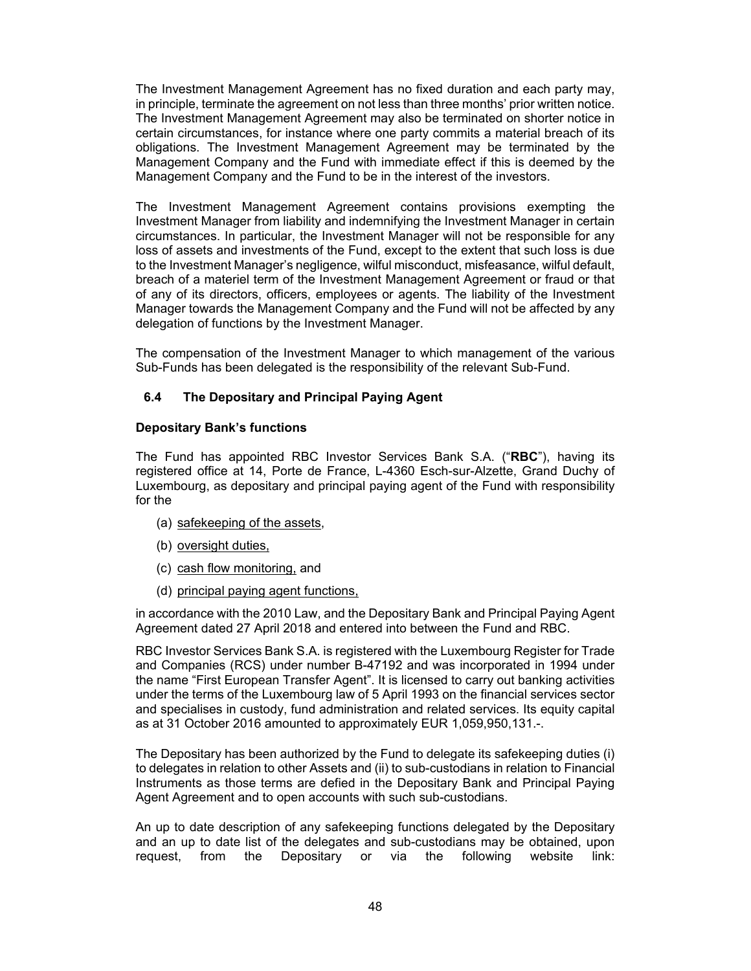The Investment Management Agreement has no fixed duration and each party may, in principle, terminate the agreement on not less than three months' prior written notice. The Investment Management Agreement may also be terminated on shorter notice in certain circumstances, for instance where one party commits a material breach of its obligations. The Investment Management Agreement may be terminated by the Management Company and the Fund with immediate effect if this is deemed by the Management Company and the Fund to be in the interest of the investors.

The Investment Management Agreement contains provisions exempting the Investment Manager from liability and indemnifying the Investment Manager in certain circumstances. In particular, the Investment Manager will not be responsible for any loss of assets and investments of the Fund, except to the extent that such loss is due to the Investment Manager's negligence, wilful misconduct, misfeasance, wilful default, breach of a materiel term of the Investment Management Agreement or fraud or that of any of its directors, officers, employees or agents. The liability of the Investment Manager towards the Management Company and the Fund will not be affected by any delegation of functions by the Investment Manager.

The compensation of the Investment Manager to which management of the various Sub-Funds has been delegated is the responsibility of the relevant Sub-Fund.

### **6.4 The Depositary and Principal Paying Agent**

### **Depositary Bank's functions**

The Fund has appointed RBC Investor Services Bank S.A. ("**RBC**"), having its registered office at 14, Porte de France, L-4360 Esch-sur-Alzette, Grand Duchy of Luxembourg, as depositary and principal paying agent of the Fund with responsibility for the

- (a) safekeeping of the assets,
- (b) oversight duties,
- (c) cash flow monitoring, and
- (d) principal paying agent functions,

in accordance with the 2010 Law, and the Depositary Bank and Principal Paying Agent Agreement dated 27 April 2018 and entered into between the Fund and RBC.

RBC Investor Services Bank S.A. is registered with the Luxembourg Register for Trade and Companies (RCS) under number B-47192 and was incorporated in 1994 under the name "First European Transfer Agent". It is licensed to carry out banking activities under the terms of the Luxembourg law of 5 April 1993 on the financial services sector and specialises in custody, fund administration and related services. Its equity capital as at 31 October 2016 amounted to approximately EUR 1,059,950,131.-.

The Depositary has been authorized by the Fund to delegate its safekeeping duties (i) to delegates in relation to other Assets and (ii) to sub-custodians in relation to Financial Instruments as those terms are defied in the Depositary Bank and Principal Paying Agent Agreement and to open accounts with such sub-custodians.

An up to date description of any safekeeping functions delegated by the Depositary and an up to date list of the delegates and sub-custodians may be obtained, upon request, from the Depositary or via the following website link: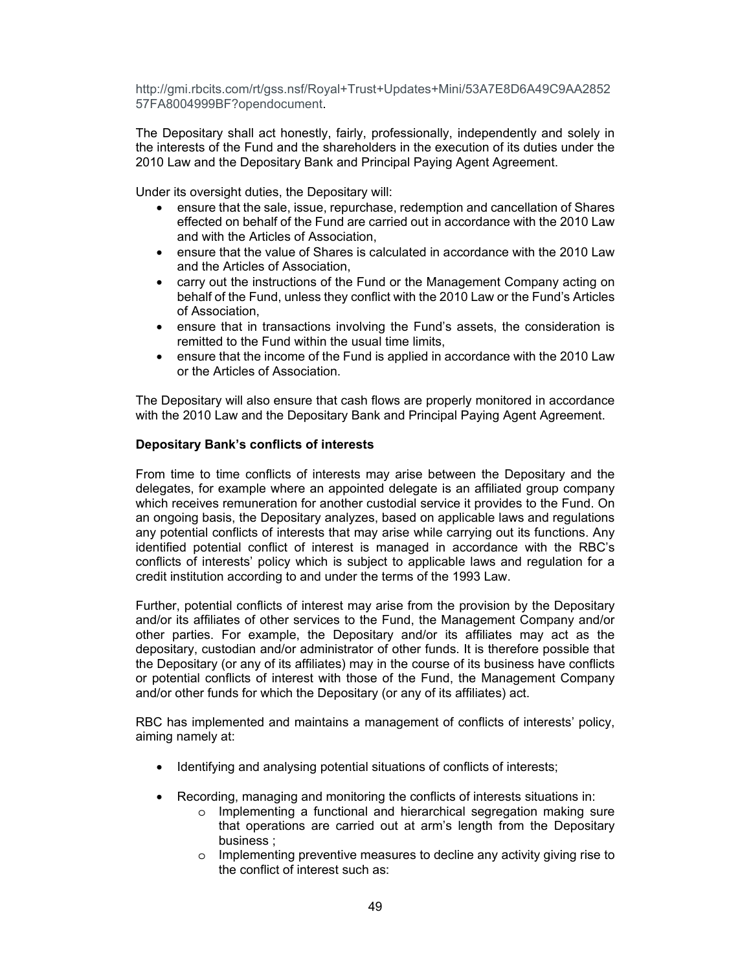http://gmi.rbcits.com/rt/gss.nsf/Royal+Trust+Updates+Mini/53A7E8D6A49C9AA2852 57FA8004999BF?opendocument.

The Depositary shall act honestly, fairly, professionally, independently and solely in the interests of the Fund and the shareholders in the execution of its duties under the 2010 Law and the Depositary Bank and Principal Paying Agent Agreement.

Under its oversight duties, the Depositary will:

- ensure that the sale, issue, repurchase, redemption and cancellation of Shares effected on behalf of the Fund are carried out in accordance with the 2010 Law and with the Articles of Association,
- ensure that the value of Shares is calculated in accordance with the 2010 Law and the Articles of Association,
- carry out the instructions of the Fund or the Management Company acting on behalf of the Fund, unless they conflict with the 2010 Law or the Fund's Articles of Association,
- ensure that in transactions involving the Fund's assets, the consideration is remitted to the Fund within the usual time limits,
- ensure that the income of the Fund is applied in accordance with the 2010 Law or the Articles of Association.

The Depositary will also ensure that cash flows are properly monitored in accordance with the 2010 Law and the Depositary Bank and Principal Paying Agent Agreement.

### **Depositary Bank's conflicts of interests**

From time to time conflicts of interests may arise between the Depositary and the delegates, for example where an appointed delegate is an affiliated group company which receives remuneration for another custodial service it provides to the Fund. On an ongoing basis, the Depositary analyzes, based on applicable laws and regulations any potential conflicts of interests that may arise while carrying out its functions. Any identified potential conflict of interest is managed in accordance with the RBC's conflicts of interests' policy which is subject to applicable laws and regulation for a credit institution according to and under the terms of the 1993 Law.

Further, potential conflicts of interest may arise from the provision by the Depositary and/or its affiliates of other services to the Fund, the Management Company and/or other parties. For example, the Depositary and/or its affiliates may act as the depositary, custodian and/or administrator of other funds. It is therefore possible that the Depositary (or any of its affiliates) may in the course of its business have conflicts or potential conflicts of interest with those of the Fund, the Management Company and/or other funds for which the Depositary (or any of its affiliates) act.

RBC has implemented and maintains a management of conflicts of interests' policy, aiming namely at:

- Identifying and analysing potential situations of conflicts of interests;
- Recording, managing and monitoring the conflicts of interests situations in:
	- o Implementing a functional and hierarchical segregation making sure that operations are carried out at arm's length from the Depositary business ;
	- o Implementing preventive measures to decline any activity giving rise to the conflict of interest such as: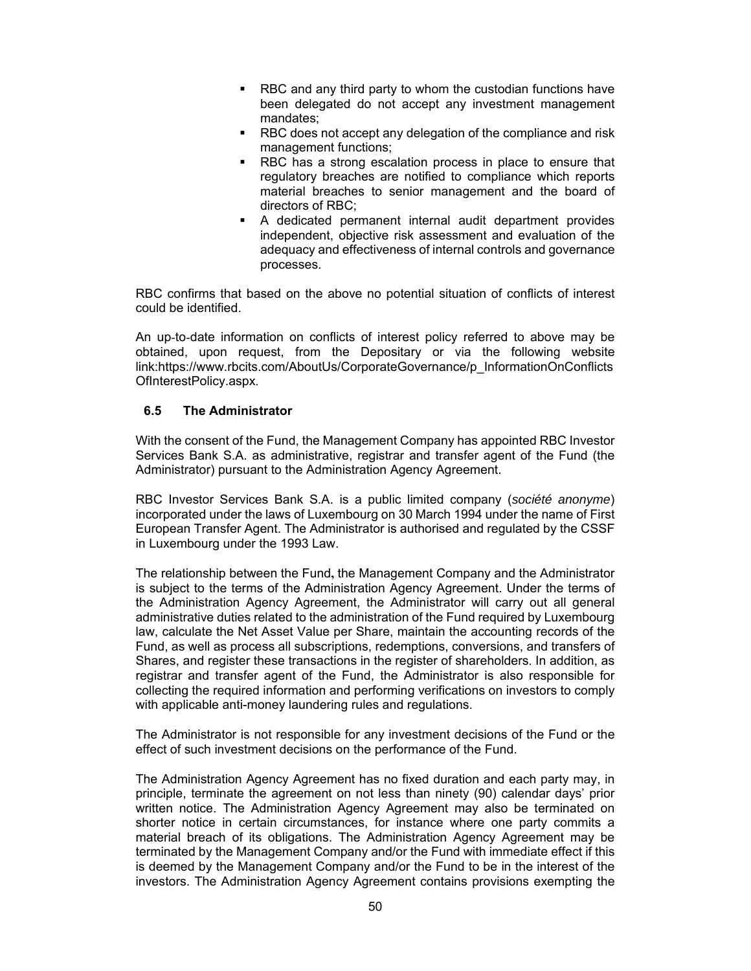- RBC and any third party to whom the custodian functions have been delegated do not accept any investment management mandates;
- **RBC** does not accept any delegation of the compliance and risk management functions;
- RBC has a strong escalation process in place to ensure that regulatory breaches are notified to compliance which reports material breaches to senior management and the board of directors of RBC;
- A dedicated permanent internal audit department provides independent, objective risk assessment and evaluation of the adequacy and effectiveness of internal controls and governance processes.

RBC confirms that based on the above no potential situation of conflicts of interest could be identified.

An up-to-date information on conflicts of interest policy referred to above may be obtained, upon request, from the Depositary or via the following website link:https://www.rbcits.com/AboutUs/CorporateGovernance/p\_InformationOnConflicts OfInterestPolicy.aspx.

### **6.5 The Administrator**

With the consent of the Fund, the Management Company has appointed RBC Investor Services Bank S.A. as administrative, registrar and transfer agent of the Fund (the Administrator) pursuant to the Administration Agency Agreement.

RBC Investor Services Bank S.A. is a public limited company (*société anonyme*) incorporated under the laws of Luxembourg on 30 March 1994 under the name of First European Transfer Agent. The Administrator is authorised and regulated by the CSSF in Luxembourg under the 1993 Law.

The relationship between the Fund**,** the Management Company and the Administrator is subject to the terms of the Administration Agency Agreement. Under the terms of the Administration Agency Agreement, the Administrator will carry out all general administrative duties related to the administration of the Fund required by Luxembourg law, calculate the Net Asset Value per Share, maintain the accounting records of the Fund, as well as process all subscriptions, redemptions, conversions, and transfers of Shares, and register these transactions in the register of shareholders. In addition, as registrar and transfer agent of the Fund, the Administrator is also responsible for collecting the required information and performing verifications on investors to comply with applicable anti-money laundering rules and regulations.

The Administrator is not responsible for any investment decisions of the Fund or the effect of such investment decisions on the performance of the Fund.

The Administration Agency Agreement has no fixed duration and each party may, in principle, terminate the agreement on not less than ninety (90) calendar days' prior written notice. The Administration Agency Agreement may also be terminated on shorter notice in certain circumstances, for instance where one party commits a material breach of its obligations. The Administration Agency Agreement may be terminated by the Management Company and/or the Fund with immediate effect if this is deemed by the Management Company and/or the Fund to be in the interest of the investors. The Administration Agency Agreement contains provisions exempting the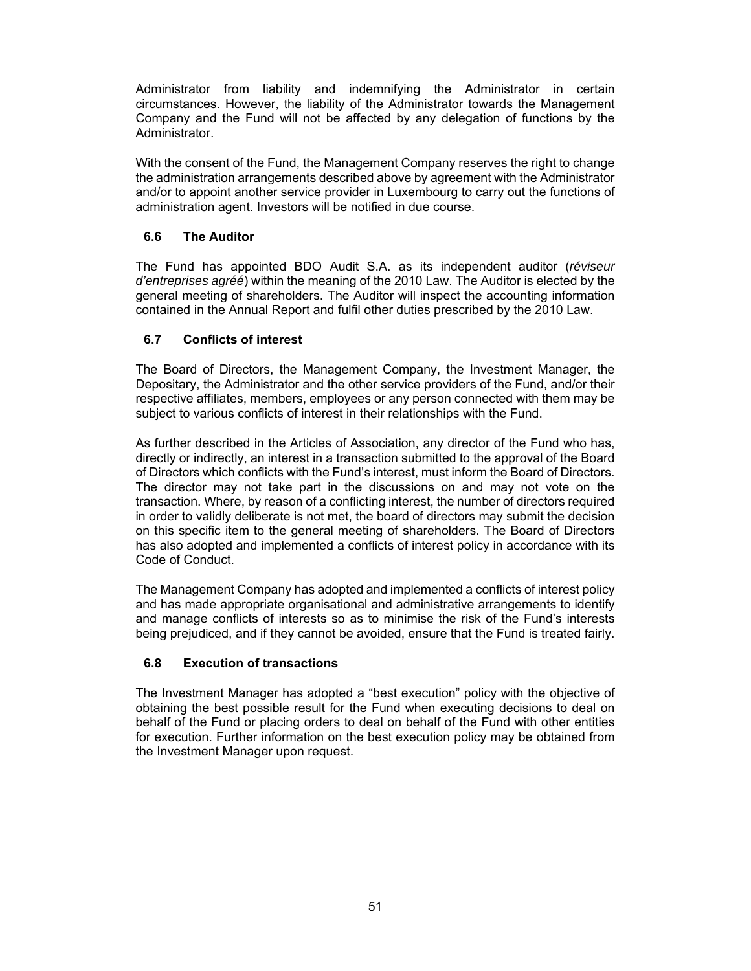Administrator from liability and indemnifying the Administrator in certain circumstances. However, the liability of the Administrator towards the Management Company and the Fund will not be affected by any delegation of functions by the Administrator.

With the consent of the Fund, the Management Company reserves the right to change the administration arrangements described above by agreement with the Administrator and/or to appoint another service provider in Luxembourg to carry out the functions of administration agent. Investors will be notified in due course.

# **6.6 The Auditor**

The Fund has appointed BDO Audit S.A. as its independent auditor (*réviseur d'entreprises agréé*) within the meaning of the 2010 Law. The Auditor is elected by the general meeting of shareholders. The Auditor will inspect the accounting information contained in the Annual Report and fulfil other duties prescribed by the 2010 Law.

### **6.7 Conflicts of interest**

The Board of Directors, the Management Company, the Investment Manager, the Depositary, the Administrator and the other service providers of the Fund, and/or their respective affiliates, members, employees or any person connected with them may be subject to various conflicts of interest in their relationships with the Fund.

As further described in the Articles of Association, any director of the Fund who has, directly or indirectly, an interest in a transaction submitted to the approval of the Board of Directors which conflicts with the Fund's interest, must inform the Board of Directors. The director may not take part in the discussions on and may not vote on the transaction. Where, by reason of a conflicting interest, the number of directors required in order to validly deliberate is not met, the board of directors may submit the decision on this specific item to the general meeting of shareholders. The Board of Directors has also adopted and implemented a conflicts of interest policy in accordance with its Code of Conduct.

The Management Company has adopted and implemented a conflicts of interest policy and has made appropriate organisational and administrative arrangements to identify and manage conflicts of interests so as to minimise the risk of the Fund's interests being prejudiced, and if they cannot be avoided, ensure that the Fund is treated fairly.

# **6.8 Execution of transactions**

The Investment Manager has adopted a "best execution" policy with the objective of obtaining the best possible result for the Fund when executing decisions to deal on behalf of the Fund or placing orders to deal on behalf of the Fund with other entities for execution. Further information on the best execution policy may be obtained from the Investment Manager upon request.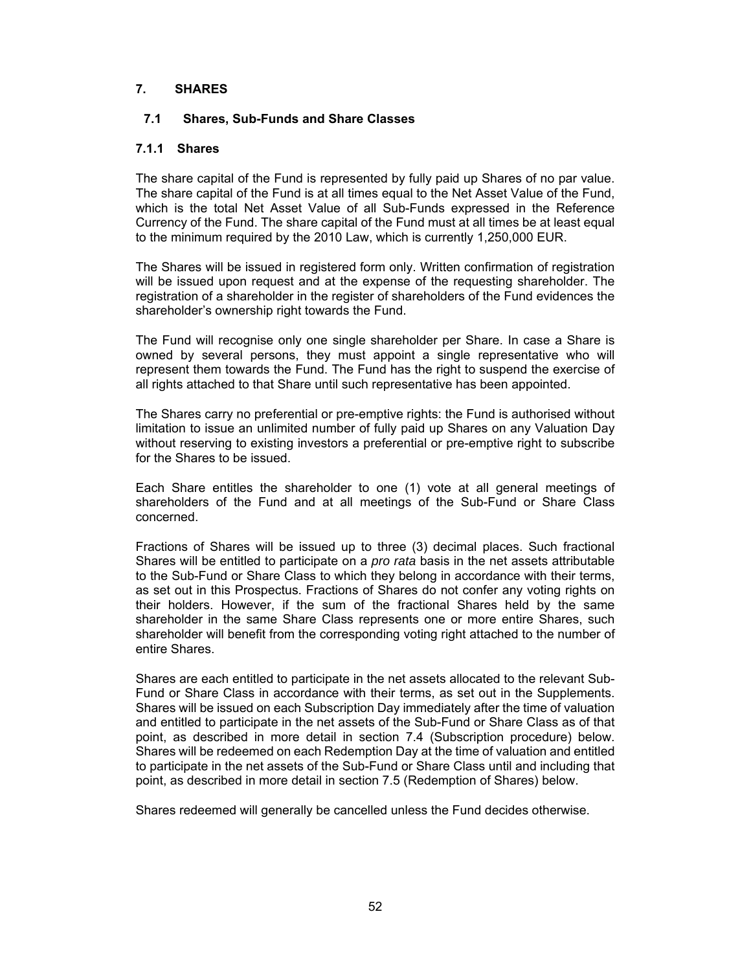### **7. SHARES**

#### **7.1 Shares, Sub-Funds and Share Classes**

#### **7.1.1 Shares**

The share capital of the Fund is represented by fully paid up Shares of no par value. The share capital of the Fund is at all times equal to the Net Asset Value of the Fund, which is the total Net Asset Value of all Sub-Funds expressed in the Reference Currency of the Fund. The share capital of the Fund must at all times be at least equal to the minimum required by the 2010 Law, which is currently 1,250,000 EUR.

The Shares will be issued in registered form only. Written confirmation of registration will be issued upon request and at the expense of the requesting shareholder. The registration of a shareholder in the register of shareholders of the Fund evidences the shareholder's ownership right towards the Fund.

The Fund will recognise only one single shareholder per Share. In case a Share is owned by several persons, they must appoint a single representative who will represent them towards the Fund. The Fund has the right to suspend the exercise of all rights attached to that Share until such representative has been appointed.

The Shares carry no preferential or pre-emptive rights: the Fund is authorised without limitation to issue an unlimited number of fully paid up Shares on any Valuation Day without reserving to existing investors a preferential or pre-emptive right to subscribe for the Shares to be issued.

Each Share entitles the shareholder to one (1) vote at all general meetings of shareholders of the Fund and at all meetings of the Sub-Fund or Share Class concerned.

Fractions of Shares will be issued up to three (3) decimal places. Such fractional Shares will be entitled to participate on a *pro rata* basis in the net assets attributable to the Sub-Fund or Share Class to which they belong in accordance with their terms, as set out in this Prospectus. Fractions of Shares do not confer any voting rights on their holders. However, if the sum of the fractional Shares held by the same shareholder in the same Share Class represents one or more entire Shares, such shareholder will benefit from the corresponding voting right attached to the number of entire Shares.

Shares are each entitled to participate in the net assets allocated to the relevant Sub-Fund or Share Class in accordance with their terms, as set out in the Supplements. Shares will be issued on each Subscription Day immediately after the time of valuation and entitled to participate in the net assets of the Sub-Fund or Share Class as of that point, as described in more detail in section 7.4 (Subscription procedure) below. Shares will be redeemed on each Redemption Day at the time of valuation and entitled to participate in the net assets of the Sub-Fund or Share Class until and including that point, as described in more detail in section 7.5 (Redemption of Shares) below.

Shares redeemed will generally be cancelled unless the Fund decides otherwise.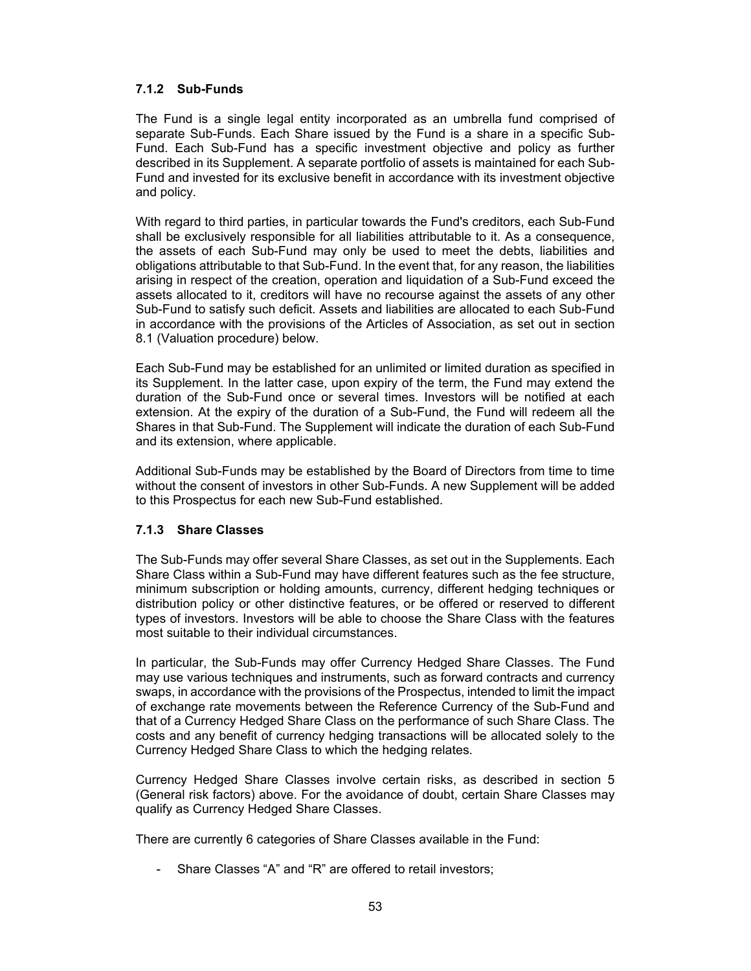### **7.1.2 Sub-Funds**

The Fund is a single legal entity incorporated as an umbrella fund comprised of separate Sub-Funds. Each Share issued by the Fund is a share in a specific Sub-Fund. Each Sub-Fund has a specific investment objective and policy as further described in its Supplement. A separate portfolio of assets is maintained for each Sub-Fund and invested for its exclusive benefit in accordance with its investment objective and policy.

With regard to third parties, in particular towards the Fund's creditors, each Sub-Fund shall be exclusively responsible for all liabilities attributable to it. As a consequence, the assets of each Sub-Fund may only be used to meet the debts, liabilities and obligations attributable to that Sub-Fund. In the event that, for any reason, the liabilities arising in respect of the creation, operation and liquidation of a Sub-Fund exceed the assets allocated to it, creditors will have no recourse against the assets of any other Sub-Fund to satisfy such deficit. Assets and liabilities are allocated to each Sub-Fund in accordance with the provisions of the Articles of Association, as set out in section 8.1 (Valuation procedure) below.

Each Sub-Fund may be established for an unlimited or limited duration as specified in its Supplement. In the latter case, upon expiry of the term, the Fund may extend the duration of the Sub-Fund once or several times. Investors will be notified at each extension. At the expiry of the duration of a Sub-Fund, the Fund will redeem all the Shares in that Sub-Fund. The Supplement will indicate the duration of each Sub-Fund and its extension, where applicable.

Additional Sub-Funds may be established by the Board of Directors from time to time without the consent of investors in other Sub-Funds. A new Supplement will be added to this Prospectus for each new Sub-Fund established.

### **7.1.3 Share Classes**

The Sub-Funds may offer several Share Classes, as set out in the Supplements. Each Share Class within a Sub-Fund may have different features such as the fee structure, minimum subscription or holding amounts, currency, different hedging techniques or distribution policy or other distinctive features, or be offered or reserved to different types of investors. Investors will be able to choose the Share Class with the features most suitable to their individual circumstances.

In particular, the Sub-Funds may offer Currency Hedged Share Classes. The Fund may use various techniques and instruments, such as forward contracts and currency swaps, in accordance with the provisions of the Prospectus, intended to limit the impact of exchange rate movements between the Reference Currency of the Sub-Fund and that of a Currency Hedged Share Class on the performance of such Share Class. The costs and any benefit of currency hedging transactions will be allocated solely to the Currency Hedged Share Class to which the hedging relates.

Currency Hedged Share Classes involve certain risks, as described in section 5 (General risk factors) above. For the avoidance of doubt, certain Share Classes may qualify as Currency Hedged Share Classes.

There are currently 6 categories of Share Classes available in the Fund:

- Share Classes "A" and "R" are offered to retail investors;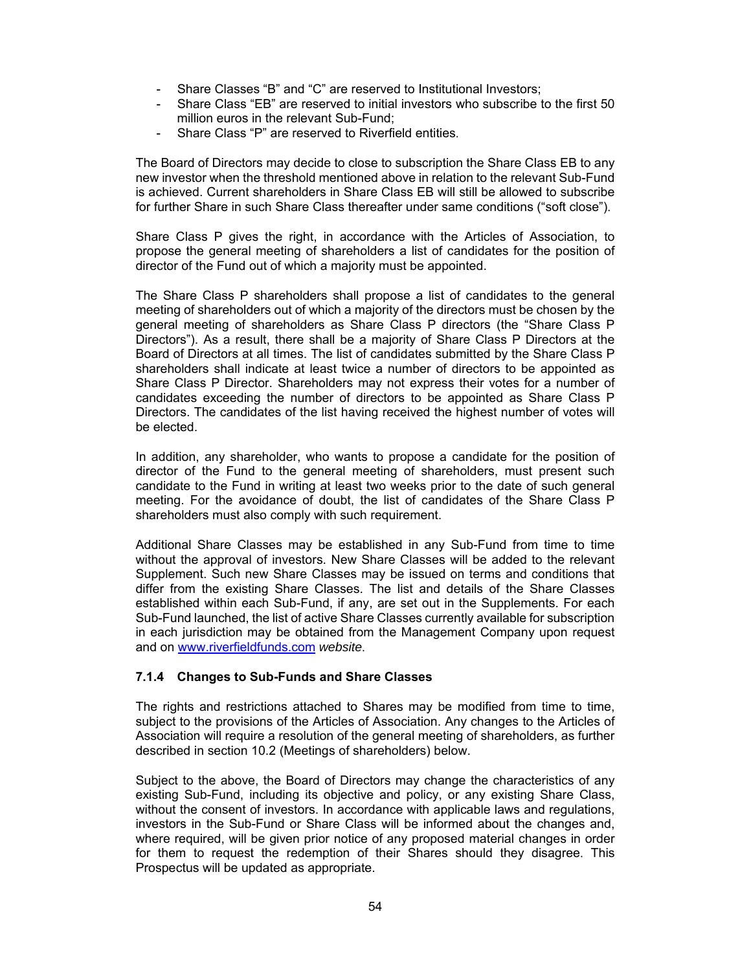- Share Classes "B" and "C" are reserved to Institutional Investors:
- Share Class "EB" are reserved to initial investors who subscribe to the first 50 million euros in the relevant Sub-Fund;
- Share Class "P" are reserved to Riverfield entities.

The Board of Directors may decide to close to subscription the Share Class EB to any new investor when the threshold mentioned above in relation to the relevant Sub-Fund is achieved. Current shareholders in Share Class EB will still be allowed to subscribe for further Share in such Share Class thereafter under same conditions ("soft close").

Share Class P gives the right, in accordance with the Articles of Association, to propose the general meeting of shareholders a list of candidates for the position of director of the Fund out of which a majority must be appointed.

The Share Class P shareholders shall propose a list of candidates to the general meeting of shareholders out of which a majority of the directors must be chosen by the general meeting of shareholders as Share Class P directors (the "Share Class P Directors"). As a result, there shall be a majority of Share Class P Directors at the Board of Directors at all times. The list of candidates submitted by the Share Class P shareholders shall indicate at least twice a number of directors to be appointed as Share Class P Director. Shareholders may not express their votes for a number of candidates exceeding the number of directors to be appointed as Share Class P Directors. The candidates of the list having received the highest number of votes will be elected.

In addition, any shareholder, who wants to propose a candidate for the position of director of the Fund to the general meeting of shareholders, must present such candidate to the Fund in writing at least two weeks prior to the date of such general meeting. For the avoidance of doubt, the list of candidates of the Share Class P shareholders must also comply with such requirement.

Additional Share Classes may be established in any Sub-Fund from time to time without the approval of investors. New Share Classes will be added to the relevant Supplement. Such new Share Classes may be issued on terms and conditions that differ from the existing Share Classes. The list and details of the Share Classes established within each Sub-Fund, if any, are set out in the Supplements. For each Sub-Fund launched, the list of active Share Classes currently available for subscription in each jurisdiction may be obtained from the Management Company upon request and on www.riverfieldfunds.com *website*.

### **7.1.4 Changes to Sub-Funds and Share Classes**

The rights and restrictions attached to Shares may be modified from time to time, subject to the provisions of the Articles of Association. Any changes to the Articles of Association will require a resolution of the general meeting of shareholders, as further described in section 10.2 (Meetings of shareholders) below.

Subject to the above, the Board of Directors may change the characteristics of any existing Sub-Fund, including its objective and policy, or any existing Share Class, without the consent of investors. In accordance with applicable laws and regulations, investors in the Sub-Fund or Share Class will be informed about the changes and, where required, will be given prior notice of any proposed material changes in order for them to request the redemption of their Shares should they disagree. This Prospectus will be updated as appropriate.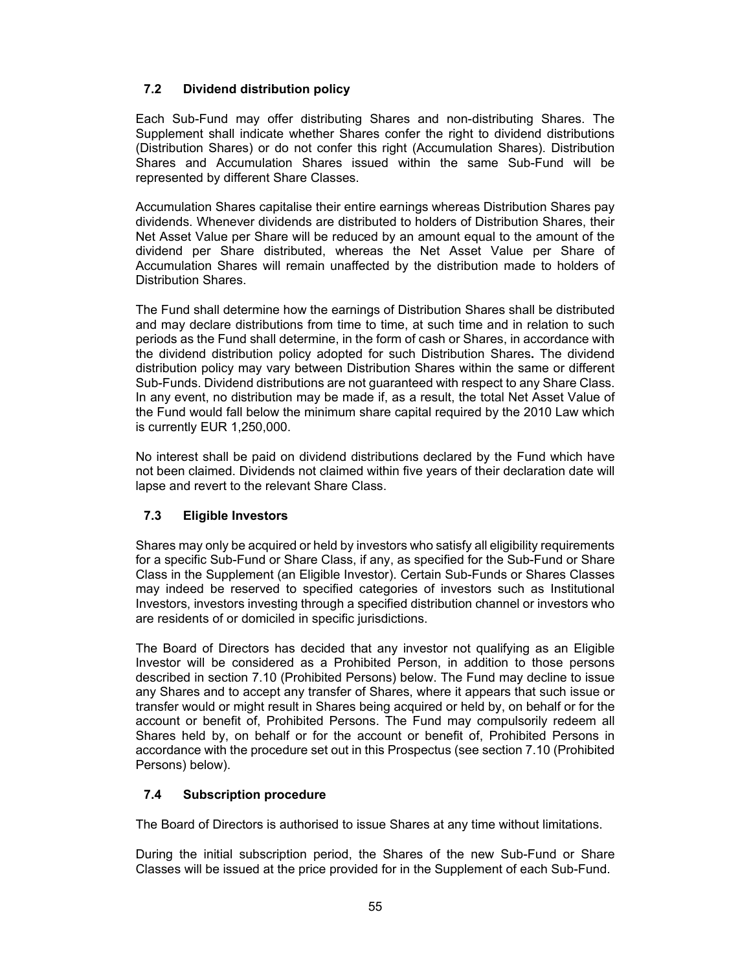### **7.2 Dividend distribution policy**

Each Sub-Fund may offer distributing Shares and non-distributing Shares. The Supplement shall indicate whether Shares confer the right to dividend distributions (Distribution Shares) or do not confer this right (Accumulation Shares). Distribution Shares and Accumulation Shares issued within the same Sub-Fund will be represented by different Share Classes.

Accumulation Shares capitalise their entire earnings whereas Distribution Shares pay dividends. Whenever dividends are distributed to holders of Distribution Shares, their Net Asset Value per Share will be reduced by an amount equal to the amount of the dividend per Share distributed, whereas the Net Asset Value per Share of Accumulation Shares will remain unaffected by the distribution made to holders of Distribution Shares.

The Fund shall determine how the earnings of Distribution Shares shall be distributed and may declare distributions from time to time, at such time and in relation to such periods as the Fund shall determine, in the form of cash or Shares, in accordance with the dividend distribution policy adopted for such Distribution Shares**.** The dividend distribution policy may vary between Distribution Shares within the same or different Sub-Funds. Dividend distributions are not guaranteed with respect to any Share Class. In any event, no distribution may be made if, as a result, the total Net Asset Value of the Fund would fall below the minimum share capital required by the 2010 Law which is currently EUR 1,250,000.

No interest shall be paid on dividend distributions declared by the Fund which have not been claimed. Dividends not claimed within five years of their declaration date will lapse and revert to the relevant Share Class.

### **7.3 Eligible Investors**

Shares may only be acquired or held by investors who satisfy all eligibility requirements for a specific Sub-Fund or Share Class, if any, as specified for the Sub-Fund or Share Class in the Supplement (an Eligible Investor). Certain Sub-Funds or Shares Classes may indeed be reserved to specified categories of investors such as Institutional Investors, investors investing through a specified distribution channel or investors who are residents of or domiciled in specific jurisdictions.

The Board of Directors has decided that any investor not qualifying as an Eligible Investor will be considered as a Prohibited Person, in addition to those persons described in section 7.10 (Prohibited Persons) below. The Fund may decline to issue any Shares and to accept any transfer of Shares, where it appears that such issue or transfer would or might result in Shares being acquired or held by, on behalf or for the account or benefit of, Prohibited Persons. The Fund may compulsorily redeem all Shares held by, on behalf or for the account or benefit of, Prohibited Persons in accordance with the procedure set out in this Prospectus (see section 7.10 (Prohibited Persons) below).

### **7.4 Subscription procedure**

The Board of Directors is authorised to issue Shares at any time without limitations.

During the initial subscription period, the Shares of the new Sub-Fund or Share Classes will be issued at the price provided for in the Supplement of each Sub-Fund.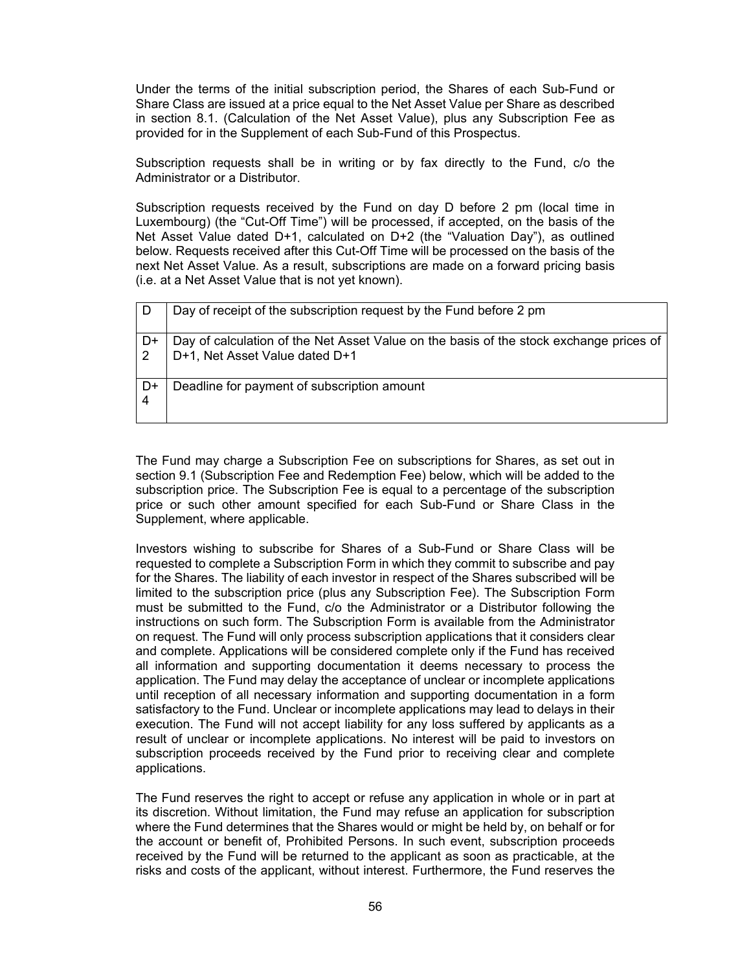Under the terms of the initial subscription period, the Shares of each Sub-Fund or Share Class are issued at a price equal to the Net Asset Value per Share as described in section 8.1. (Calculation of the Net Asset Value), plus any Subscription Fee as provided for in the Supplement of each Sub-Fund of this Prospectus.

Subscription requests shall be in writing or by fax directly to the Fund, c/o the Administrator or a Distributor.

Subscription requests received by the Fund on day D before 2 pm (local time in Luxembourg) (the "Cut-Off Time") will be processed, if accepted, on the basis of the Net Asset Value dated D+1, calculated on D+2 (the "Valuation Day"), as outlined below. Requests received after this Cut-Off Time will be processed on the basis of the next Net Asset Value. As a result, subscriptions are made on a forward pricing basis (i.e. at a Net Asset Value that is not yet known).

|    | Day of receipt of the subscription request by the Fund before 2 pm                                                       |
|----|--------------------------------------------------------------------------------------------------------------------------|
| D+ | Day of calculation of the Net Asset Value on the basis of the stock exchange prices of<br>D+1, Net Asset Value dated D+1 |
| D+ | Deadline for payment of subscription amount                                                                              |

The Fund may charge a Subscription Fee on subscriptions for Shares, as set out in section 9.1 (Subscription Fee and Redemption Fee) below, which will be added to the subscription price. The Subscription Fee is equal to a percentage of the subscription price or such other amount specified for each Sub-Fund or Share Class in the Supplement, where applicable.

Investors wishing to subscribe for Shares of a Sub-Fund or Share Class will be requested to complete a Subscription Form in which they commit to subscribe and pay for the Shares. The liability of each investor in respect of the Shares subscribed will be limited to the subscription price (plus any Subscription Fee). The Subscription Form must be submitted to the Fund, c/o the Administrator or a Distributor following the instructions on such form. The Subscription Form is available from the Administrator on request. The Fund will only process subscription applications that it considers clear and complete. Applications will be considered complete only if the Fund has received all information and supporting documentation it deems necessary to process the application. The Fund may delay the acceptance of unclear or incomplete applications until reception of all necessary information and supporting documentation in a form satisfactory to the Fund. Unclear or incomplete applications may lead to delays in their execution. The Fund will not accept liability for any loss suffered by applicants as a result of unclear or incomplete applications. No interest will be paid to investors on subscription proceeds received by the Fund prior to receiving clear and complete applications.

The Fund reserves the right to accept or refuse any application in whole or in part at its discretion. Without limitation, the Fund may refuse an application for subscription where the Fund determines that the Shares would or might be held by, on behalf or for the account or benefit of, Prohibited Persons. In such event, subscription proceeds received by the Fund will be returned to the applicant as soon as practicable, at the risks and costs of the applicant, without interest. Furthermore, the Fund reserves the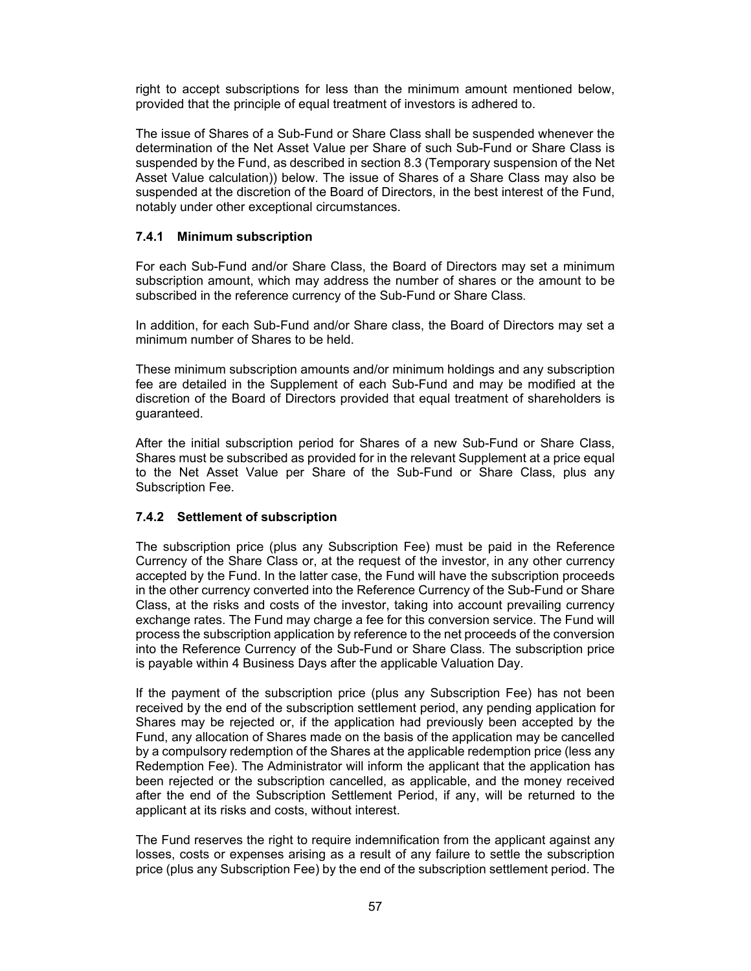right to accept subscriptions for less than the minimum amount mentioned below, provided that the principle of equal treatment of investors is adhered to.

The issue of Shares of a Sub-Fund or Share Class shall be suspended whenever the determination of the Net Asset Value per Share of such Sub-Fund or Share Class is suspended by the Fund, as described in section 8.3 (Temporary suspension of the Net Asset Value calculation)) below. The issue of Shares of a Share Class may also be suspended at the discretion of the Board of Directors, in the best interest of the Fund, notably under other exceptional circumstances.

### **7.4.1 Minimum subscription**

For each Sub-Fund and/or Share Class, the Board of Directors may set a minimum subscription amount, which may address the number of shares or the amount to be subscribed in the reference currency of the Sub-Fund or Share Class.

In addition, for each Sub-Fund and/or Share class, the Board of Directors may set a minimum number of Shares to be held.

These minimum subscription amounts and/or minimum holdings and any subscription fee are detailed in the Supplement of each Sub-Fund and may be modified at the discretion of the Board of Directors provided that equal treatment of shareholders is guaranteed.

After the initial subscription period for Shares of a new Sub-Fund or Share Class, Shares must be subscribed as provided for in the relevant Supplement at a price equal to the Net Asset Value per Share of the Sub-Fund or Share Class, plus any Subscription Fee.

### **7.4.2 Settlement of subscription**

The subscription price (plus any Subscription Fee) must be paid in the Reference Currency of the Share Class or, at the request of the investor, in any other currency accepted by the Fund. In the latter case, the Fund will have the subscription proceeds in the other currency converted into the Reference Currency of the Sub-Fund or Share Class, at the risks and costs of the investor, taking into account prevailing currency exchange rates. The Fund may charge a fee for this conversion service. The Fund will process the subscription application by reference to the net proceeds of the conversion into the Reference Currency of the Sub-Fund or Share Class. The subscription price is payable within 4 Business Days after the applicable Valuation Day.

If the payment of the subscription price (plus any Subscription Fee) has not been received by the end of the subscription settlement period, any pending application for Shares may be rejected or, if the application had previously been accepted by the Fund, any allocation of Shares made on the basis of the application may be cancelled by a compulsory redemption of the Shares at the applicable redemption price (less any Redemption Fee). The Administrator will inform the applicant that the application has been rejected or the subscription cancelled, as applicable, and the money received after the end of the Subscription Settlement Period, if any, will be returned to the applicant at its risks and costs, without interest.

The Fund reserves the right to require indemnification from the applicant against any losses, costs or expenses arising as a result of any failure to settle the subscription price (plus any Subscription Fee) by the end of the subscription settlement period. The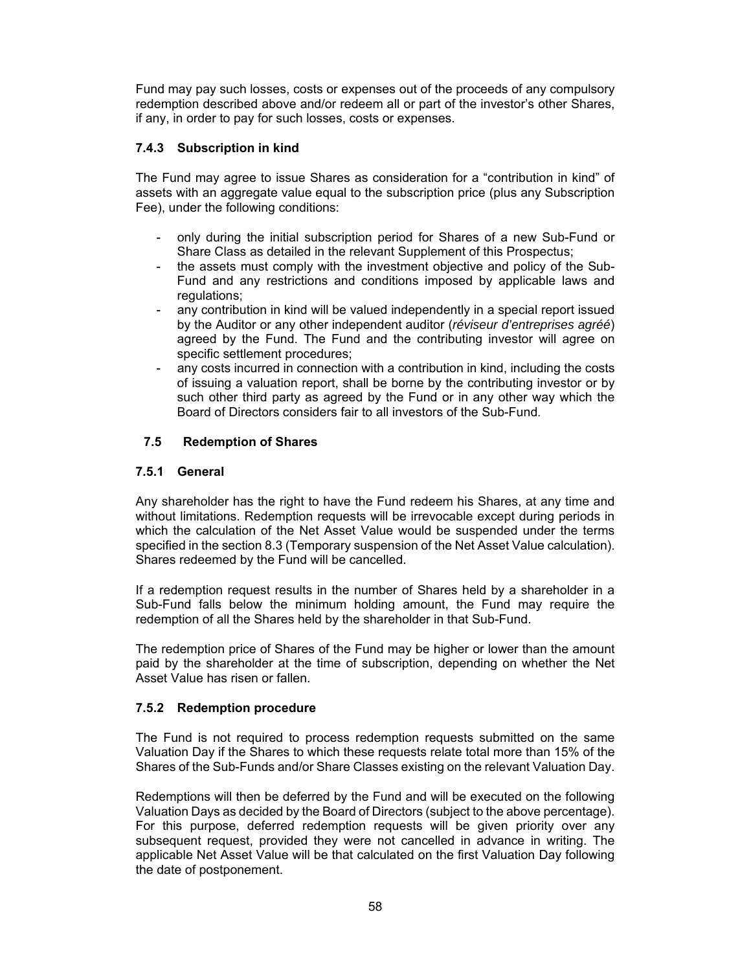Fund may pay such losses, costs or expenses out of the proceeds of any compulsory redemption described above and/or redeem all or part of the investor's other Shares, if any, in order to pay for such losses, costs or expenses.

# **7.4.3 Subscription in kind**

The Fund may agree to issue Shares as consideration for a "contribution in kind" of assets with an aggregate value equal to the subscription price (plus any Subscription Fee), under the following conditions:

- only during the initial subscription period for Shares of a new Sub-Fund or Share Class as detailed in the relevant Supplement of this Prospectus;
- the assets must comply with the investment objective and policy of the Sub-Fund and any restrictions and conditions imposed by applicable laws and regulations;
- any contribution in kind will be valued independently in a special report issued by the Auditor or any other independent auditor (*réviseur d'entreprises agréé*) agreed by the Fund. The Fund and the contributing investor will agree on specific settlement procedures;
- any costs incurred in connection with a contribution in kind, including the costs of issuing a valuation report, shall be borne by the contributing investor or by such other third party as agreed by the Fund or in any other way which the Board of Directors considers fair to all investors of the Sub-Fund.

### **7.5 Redemption of Shares**

### **7.5.1 General**

Any shareholder has the right to have the Fund redeem his Shares, at any time and without limitations. Redemption requests will be irrevocable except during periods in which the calculation of the Net Asset Value would be suspended under the terms specified in the section 8.3 (Temporary suspension of the Net Asset Value calculation). Shares redeemed by the Fund will be cancelled.

If a redemption request results in the number of Shares held by a shareholder in a Sub-Fund falls below the minimum holding amount, the Fund may require the redemption of all the Shares held by the shareholder in that Sub-Fund.

The redemption price of Shares of the Fund may be higher or lower than the amount paid by the shareholder at the time of subscription, depending on whether the Net Asset Value has risen or fallen.

### **7.5.2 Redemption procedure**

The Fund is not required to process redemption requests submitted on the same Valuation Day if the Shares to which these requests relate total more than 15% of the Shares of the Sub-Funds and/or Share Classes existing on the relevant Valuation Day.

Redemptions will then be deferred by the Fund and will be executed on the following Valuation Days as decided by the Board of Directors (subject to the above percentage). For this purpose, deferred redemption requests will be given priority over any subsequent request, provided they were not cancelled in advance in writing. The applicable Net Asset Value will be that calculated on the first Valuation Day following the date of postponement.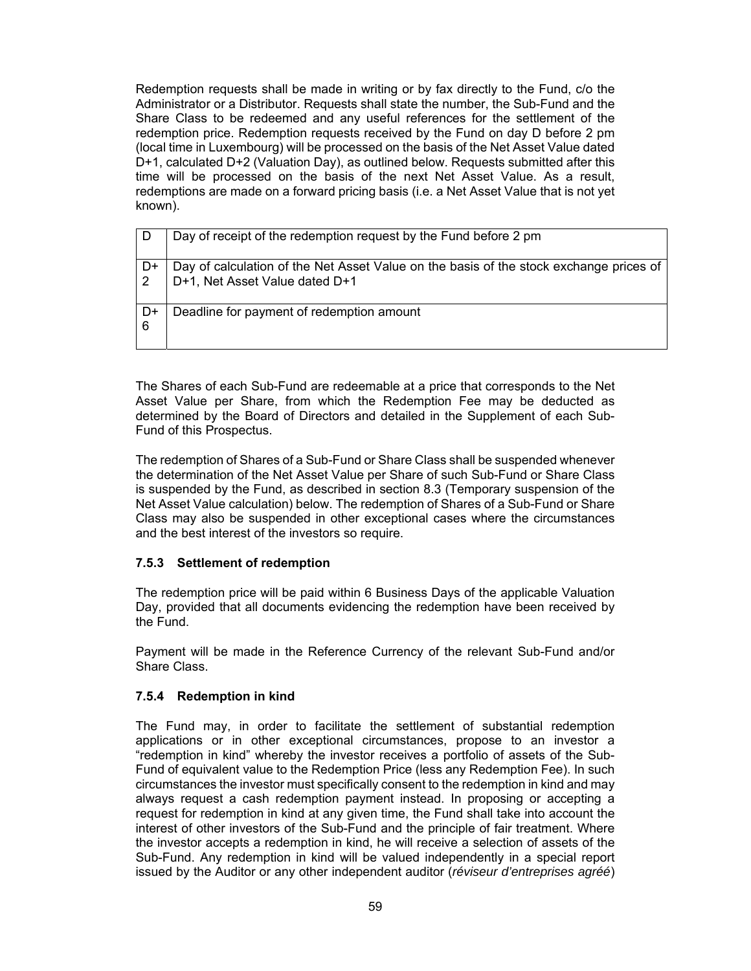Redemption requests shall be made in writing or by fax directly to the Fund, c/o the Administrator or a Distributor. Requests shall state the number, the Sub-Fund and the Share Class to be redeemed and any useful references for the settlement of the redemption price. Redemption requests received by the Fund on day D before 2 pm (local time in Luxembourg) will be processed on the basis of the Net Asset Value dated D+1, calculated D+2 (Valuation Day), as outlined below. Requests submitted after this time will be processed on the basis of the next Net Asset Value. As a result, redemptions are made on a forward pricing basis (i.e. a Net Asset Value that is not yet known).

|           | Day of receipt of the redemption request by the Fund before 2 pm                                                         |
|-----------|--------------------------------------------------------------------------------------------------------------------------|
| D+        | Day of calculation of the Net Asset Value on the basis of the stock exchange prices of<br>D+1, Net Asset Value dated D+1 |
| . D+<br>6 | Deadline for payment of redemption amount                                                                                |

The Shares of each Sub-Fund are redeemable at a price that corresponds to the Net Asset Value per Share, from which the Redemption Fee may be deducted as determined by the Board of Directors and detailed in the Supplement of each Sub-Fund of this Prospectus.

The redemption of Shares of a Sub-Fund or Share Class shall be suspended whenever the determination of the Net Asset Value per Share of such Sub-Fund or Share Class is suspended by the Fund, as described in section 8.3 (Temporary suspension of the Net Asset Value calculation) below. The redemption of Shares of a Sub-Fund or Share Class may also be suspended in other exceptional cases where the circumstances and the best interest of the investors so require.

### **7.5.3 Settlement of redemption**

The redemption price will be paid within 6 Business Days of the applicable Valuation Day, provided that all documents evidencing the redemption have been received by the Fund.

Payment will be made in the Reference Currency of the relevant Sub-Fund and/or Share Class.

### **7.5.4 Redemption in kind**

The Fund may, in order to facilitate the settlement of substantial redemption applications or in other exceptional circumstances, propose to an investor a "redemption in kind" whereby the investor receives a portfolio of assets of the Sub-Fund of equivalent value to the Redemption Price (less any Redemption Fee). In such circumstances the investor must specifically consent to the redemption in kind and may always request a cash redemption payment instead. In proposing or accepting a request for redemption in kind at any given time, the Fund shall take into account the interest of other investors of the Sub-Fund and the principle of fair treatment. Where the investor accepts a redemption in kind, he will receive a selection of assets of the Sub-Fund. Any redemption in kind will be valued independently in a special report issued by the Auditor or any other independent auditor (*réviseur d'entreprises agréé*)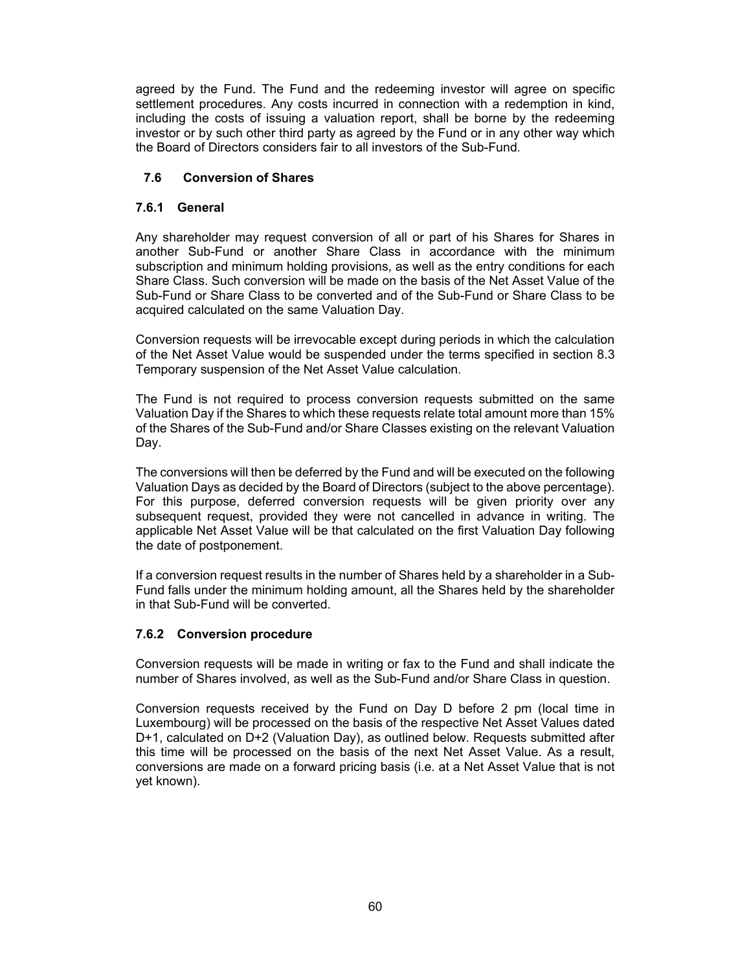agreed by the Fund. The Fund and the redeeming investor will agree on specific settlement procedures. Any costs incurred in connection with a redemption in kind, including the costs of issuing a valuation report, shall be borne by the redeeming investor or by such other third party as agreed by the Fund or in any other way which the Board of Directors considers fair to all investors of the Sub-Fund.

### **7.6 Conversion of Shares**

### **7.6.1 General**

Any shareholder may request conversion of all or part of his Shares for Shares in another Sub-Fund or another Share Class in accordance with the minimum subscription and minimum holding provisions, as well as the entry conditions for each Share Class. Such conversion will be made on the basis of the Net Asset Value of the Sub-Fund or Share Class to be converted and of the Sub-Fund or Share Class to be acquired calculated on the same Valuation Day.

Conversion requests will be irrevocable except during periods in which the calculation of the Net Asset Value would be suspended under the terms specified in section 8.3 Temporary suspension of the Net Asset Value calculation.

The Fund is not required to process conversion requests submitted on the same Valuation Day if the Shares to which these requests relate total amount more than 15% of the Shares of the Sub-Fund and/or Share Classes existing on the relevant Valuation Day.

The conversions will then be deferred by the Fund and will be executed on the following Valuation Days as decided by the Board of Directors (subject to the above percentage). For this purpose, deferred conversion requests will be given priority over any subsequent request, provided they were not cancelled in advance in writing. The applicable Net Asset Value will be that calculated on the first Valuation Day following the date of postponement.

If a conversion request results in the number of Shares held by a shareholder in a Sub-Fund falls under the minimum holding amount, all the Shares held by the shareholder in that Sub-Fund will be converted.

# **7.6.2 Conversion procedure**

Conversion requests will be made in writing or fax to the Fund and shall indicate the number of Shares involved, as well as the Sub-Fund and/or Share Class in question.

Conversion requests received by the Fund on Day D before 2 pm (local time in Luxembourg) will be processed on the basis of the respective Net Asset Values dated D+1, calculated on D+2 (Valuation Day), as outlined below. Requests submitted after this time will be processed on the basis of the next Net Asset Value. As a result, conversions are made on a forward pricing basis (i.e. at a Net Asset Value that is not yet known).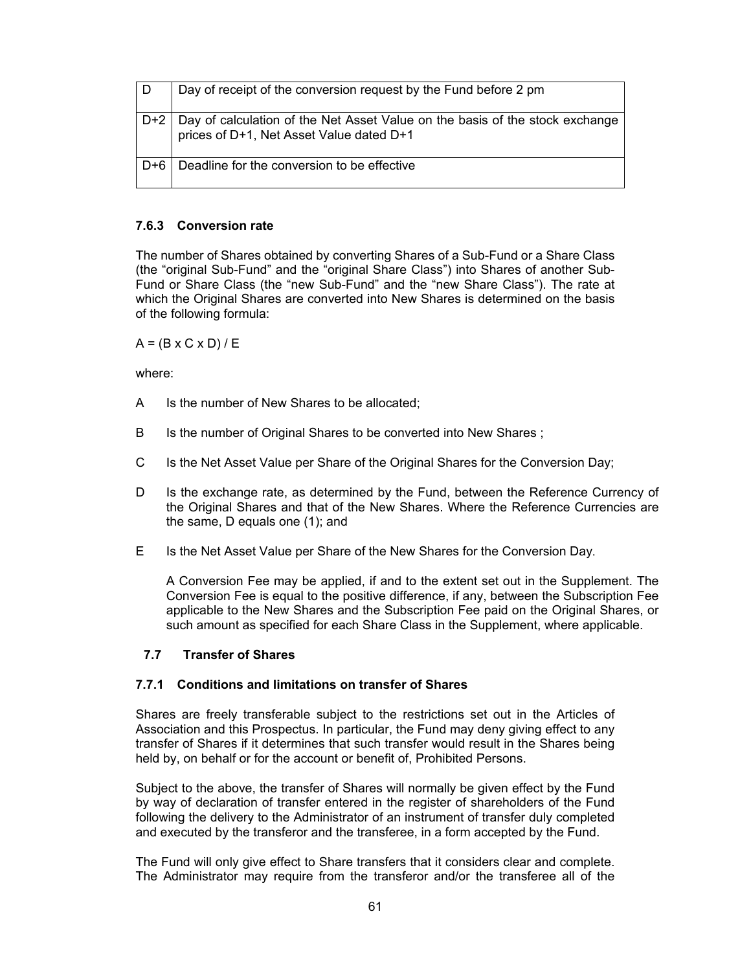| l D   | Day of receipt of the conversion request by the Fund before 2 pm                                                               |
|-------|--------------------------------------------------------------------------------------------------------------------------------|
|       | D+2   Day of calculation of the Net Asset Value on the basis of the stock exchange<br>prices of D+1, Net Asset Value dated D+1 |
| D+6 I | Deadline for the conversion to be effective                                                                                    |

### **7.6.3 Conversion rate**

The number of Shares obtained by converting Shares of a Sub-Fund or a Share Class (the "original Sub-Fund" and the "original Share Class") into Shares of another Sub-Fund or Share Class (the "new Sub-Fund" and the "new Share Class"). The rate at which the Original Shares are converted into New Shares is determined on the basis of the following formula:

 $A = (B \times C \times D) / E$ 

where:

- A Is the number of New Shares to be allocated;
- B Is the number of Original Shares to be converted into New Shares;
- C Is the Net Asset Value per Share of the Original Shares for the Conversion Day;
- D Is the exchange rate, as determined by the Fund, between the Reference Currency of the Original Shares and that of the New Shares. Where the Reference Currencies are the same, D equals one (1); and
- E Is the Net Asset Value per Share of the New Shares for the Conversion Day.

A Conversion Fee may be applied, if and to the extent set out in the Supplement. The Conversion Fee is equal to the positive difference, if any, between the Subscription Fee applicable to the New Shares and the Subscription Fee paid on the Original Shares, or such amount as specified for each Share Class in the Supplement, where applicable.

### **7.7 Transfer of Shares**

#### **7.7.1 Conditions and limitations on transfer of Shares**

Shares are freely transferable subject to the restrictions set out in the Articles of Association and this Prospectus. In particular, the Fund may deny giving effect to any transfer of Shares if it determines that such transfer would result in the Shares being held by, on behalf or for the account or benefit of, Prohibited Persons.

Subject to the above, the transfer of Shares will normally be given effect by the Fund by way of declaration of transfer entered in the register of shareholders of the Fund following the delivery to the Administrator of an instrument of transfer duly completed and executed by the transferor and the transferee, in a form accepted by the Fund.

The Fund will only give effect to Share transfers that it considers clear and complete. The Administrator may require from the transferor and/or the transferee all of the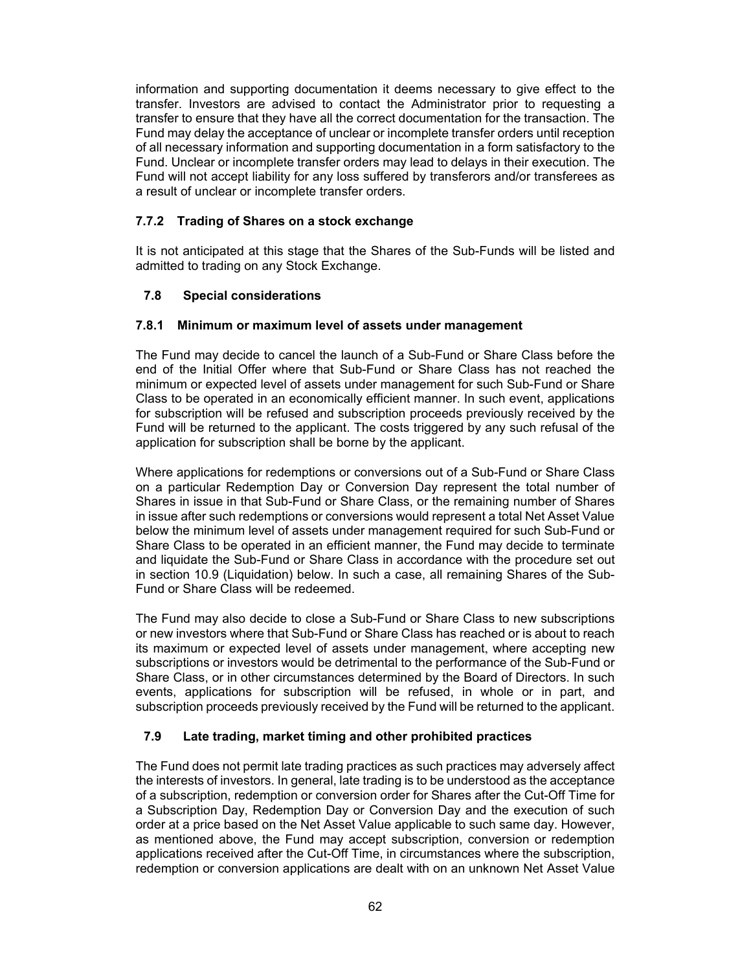information and supporting documentation it deems necessary to give effect to the transfer. Investors are advised to contact the Administrator prior to requesting a transfer to ensure that they have all the correct documentation for the transaction. The Fund may delay the acceptance of unclear or incomplete transfer orders until reception of all necessary information and supporting documentation in a form satisfactory to the Fund. Unclear or incomplete transfer orders may lead to delays in their execution. The Fund will not accept liability for any loss suffered by transferors and/or transferees as a result of unclear or incomplete transfer orders.

### **7.7.2 Trading of Shares on a stock exchange**

It is not anticipated at this stage that the Shares of the Sub-Funds will be listed and admitted to trading on any Stock Exchange.

### **7.8 Special considerations**

### **7.8.1 Minimum or maximum level of assets under management**

The Fund may decide to cancel the launch of a Sub-Fund or Share Class before the end of the Initial Offer where that Sub-Fund or Share Class has not reached the minimum or expected level of assets under management for such Sub-Fund or Share Class to be operated in an economically efficient manner. In such event, applications for subscription will be refused and subscription proceeds previously received by the Fund will be returned to the applicant. The costs triggered by any such refusal of the application for subscription shall be borne by the applicant.

Where applications for redemptions or conversions out of a Sub-Fund or Share Class on a particular Redemption Day or Conversion Day represent the total number of Shares in issue in that Sub-Fund or Share Class, or the remaining number of Shares in issue after such redemptions or conversions would represent a total Net Asset Value below the minimum level of assets under management required for such Sub-Fund or Share Class to be operated in an efficient manner, the Fund may decide to terminate and liquidate the Sub-Fund or Share Class in accordance with the procedure set out in section 10.9 (Liquidation) below. In such a case, all remaining Shares of the Sub-Fund or Share Class will be redeemed.

The Fund may also decide to close a Sub-Fund or Share Class to new subscriptions or new investors where that Sub-Fund or Share Class has reached or is about to reach its maximum or expected level of assets under management, where accepting new subscriptions or investors would be detrimental to the performance of the Sub-Fund or Share Class, or in other circumstances determined by the Board of Directors. In such events, applications for subscription will be refused, in whole or in part, and subscription proceeds previously received by the Fund will be returned to the applicant.

### **7.9 Late trading, market timing and other prohibited practices**

The Fund does not permit late trading practices as such practices may adversely affect the interests of investors. In general, late trading is to be understood as the acceptance of a subscription, redemption or conversion order for Shares after the Cut-Off Time for a Subscription Day, Redemption Day or Conversion Day and the execution of such order at a price based on the Net Asset Value applicable to such same day. However, as mentioned above, the Fund may accept subscription, conversion or redemption applications received after the Cut-Off Time, in circumstances where the subscription, redemption or conversion applications are dealt with on an unknown Net Asset Value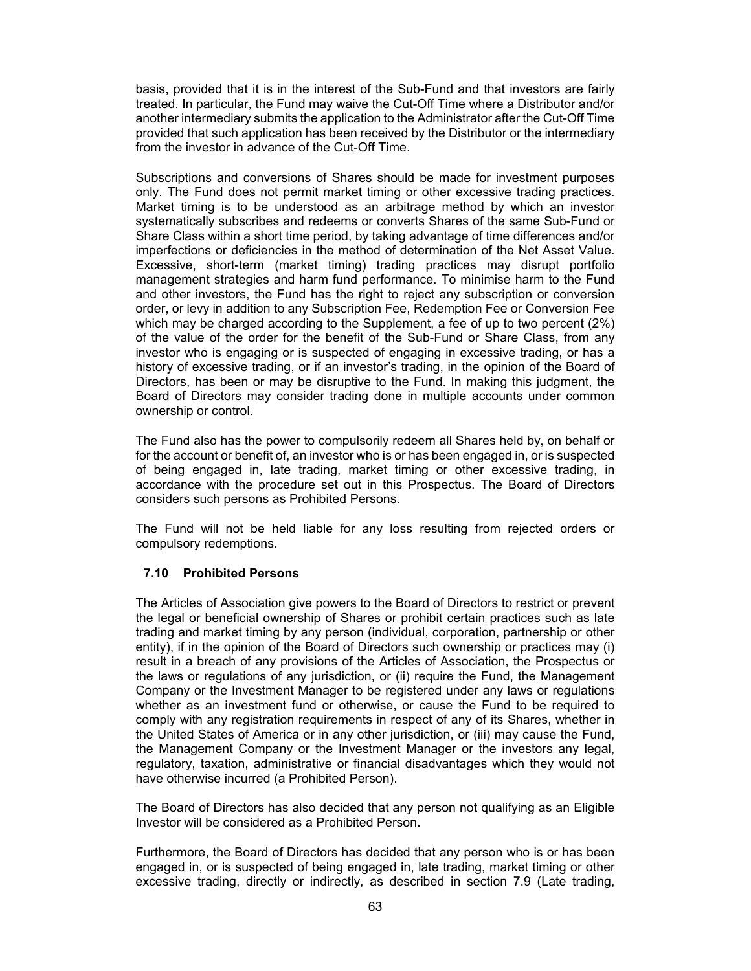basis, provided that it is in the interest of the Sub-Fund and that investors are fairly treated. In particular, the Fund may waive the Cut-Off Time where a Distributor and/or another intermediary submits the application to the Administrator after the Cut-Off Time provided that such application has been received by the Distributor or the intermediary from the investor in advance of the Cut-Off Time.

Subscriptions and conversions of Shares should be made for investment purposes only. The Fund does not permit market timing or other excessive trading practices. Market timing is to be understood as an arbitrage method by which an investor systematically subscribes and redeems or converts Shares of the same Sub-Fund or Share Class within a short time period, by taking advantage of time differences and/or imperfections or deficiencies in the method of determination of the Net Asset Value. Excessive, short-term (market timing) trading practices may disrupt portfolio management strategies and harm fund performance. To minimise harm to the Fund and other investors, the Fund has the right to reject any subscription or conversion order, or levy in addition to any Subscription Fee, Redemption Fee or Conversion Fee which may be charged according to the Supplement, a fee of up to two percent (2%) of the value of the order for the benefit of the Sub-Fund or Share Class, from any investor who is engaging or is suspected of engaging in excessive trading, or has a history of excessive trading, or if an investor's trading, in the opinion of the Board of Directors, has been or may be disruptive to the Fund. In making this judgment, the Board of Directors may consider trading done in multiple accounts under common ownership or control.

The Fund also has the power to compulsorily redeem all Shares held by, on behalf or for the account or benefit of, an investor who is or has been engaged in, or is suspected of being engaged in, late trading, market timing or other excessive trading, in accordance with the procedure set out in this Prospectus. The Board of Directors considers such persons as Prohibited Persons.

The Fund will not be held liable for any loss resulting from rejected orders or compulsory redemptions.

### **7.10 Prohibited Persons**

The Articles of Association give powers to the Board of Directors to restrict or prevent the legal or beneficial ownership of Shares or prohibit certain practices such as late trading and market timing by any person (individual, corporation, partnership or other entity), if in the opinion of the Board of Directors such ownership or practices may (i) result in a breach of any provisions of the Articles of Association, the Prospectus or the laws or regulations of any jurisdiction, or (ii) require the Fund, the Management Company or the Investment Manager to be registered under any laws or regulations whether as an investment fund or otherwise, or cause the Fund to be required to comply with any registration requirements in respect of any of its Shares, whether in the United States of America or in any other jurisdiction, or (iii) may cause the Fund, the Management Company or the Investment Manager or the investors any legal, regulatory, taxation, administrative or financial disadvantages which they would not have otherwise incurred (a Prohibited Person).

The Board of Directors has also decided that any person not qualifying as an Eligible Investor will be considered as a Prohibited Person.

Furthermore, the Board of Directors has decided that any person who is or has been engaged in, or is suspected of being engaged in, late trading, market timing or other excessive trading, directly or indirectly, as described in section 7.9 (Late trading,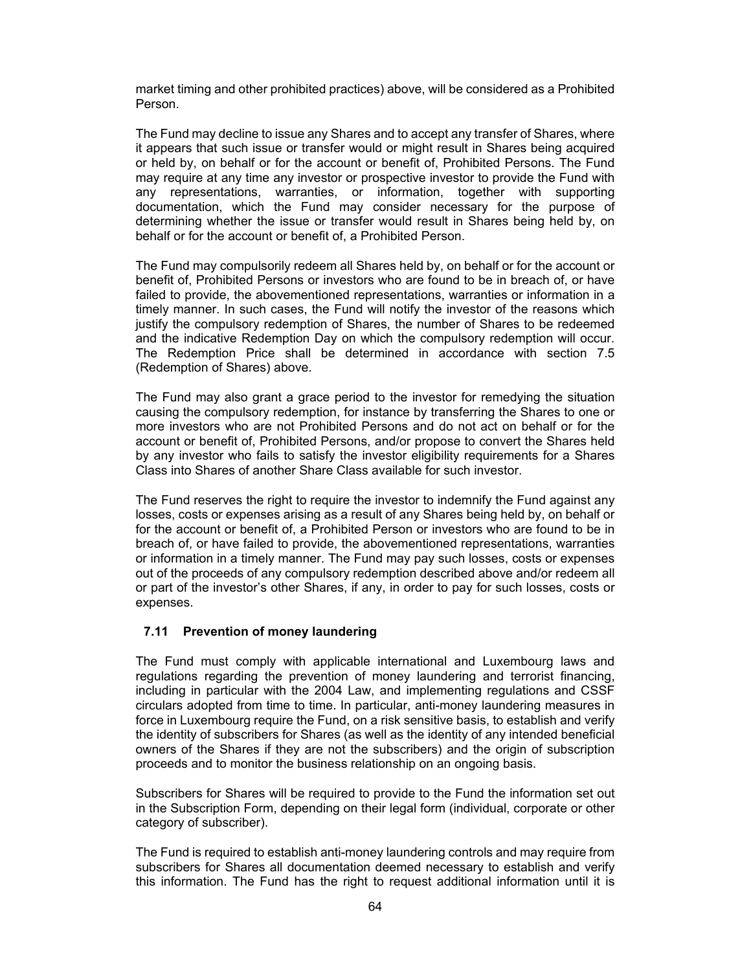market timing and other prohibited practices) above, will be considered as a Prohibited Person.

The Fund may decline to issue any Shares and to accept any transfer of Shares, where it appears that such issue or transfer would or might result in Shares being acquired or held by, on behalf or for the account or benefit of, Prohibited Persons. The Fund may require at any time any investor or prospective investor to provide the Fund with any representations, warranties, or information, together with supporting documentation, which the Fund may consider necessary for the purpose of determining whether the issue or transfer would result in Shares being held by, on behalf or for the account or benefit of, a Prohibited Person.

The Fund may compulsorily redeem all Shares held by, on behalf or for the account or benefit of, Prohibited Persons or investors who are found to be in breach of, or have failed to provide, the abovementioned representations, warranties or information in a timely manner. In such cases, the Fund will notify the investor of the reasons which justify the compulsory redemption of Shares, the number of Shares to be redeemed and the indicative Redemption Day on which the compulsory redemption will occur. The Redemption Price shall be determined in accordance with section 7.5 (Redemption of Shares) above.

The Fund may also grant a grace period to the investor for remedying the situation causing the compulsory redemption, for instance by transferring the Shares to one or more investors who are not Prohibited Persons and do not act on behalf or for the account or benefit of, Prohibited Persons, and/or propose to convert the Shares held by any investor who fails to satisfy the investor eligibility requirements for a Shares Class into Shares of another Share Class available for such investor.

The Fund reserves the right to require the investor to indemnify the Fund against any losses, costs or expenses arising as a result of any Shares being held by, on behalf or for the account or benefit of, a Prohibited Person or investors who are found to be in breach of, or have failed to provide, the abovementioned representations, warranties or information in a timely manner. The Fund may pay such losses, costs or expenses out of the proceeds of any compulsory redemption described above and/or redeem all or part of the investor's other Shares, if any, in order to pay for such losses, costs or expenses.

### **7.11 Prevention of money laundering**

The Fund must comply with applicable international and Luxembourg laws and regulations regarding the prevention of money laundering and terrorist financing, including in particular with the 2004 Law, and implementing regulations and CSSF circulars adopted from time to time. In particular, anti-money laundering measures in force in Luxembourg require the Fund, on a risk sensitive basis, to establish and verify the identity of subscribers for Shares (as well as the identity of any intended beneficial owners of the Shares if they are not the subscribers) and the origin of subscription proceeds and to monitor the business relationship on an ongoing basis.

Subscribers for Shares will be required to provide to the Fund the information set out in the Subscription Form, depending on their legal form (individual, corporate or other category of subscriber).

The Fund is required to establish anti-money laundering controls and may require from subscribers for Shares all documentation deemed necessary to establish and verify this information. The Fund has the right to request additional information until it is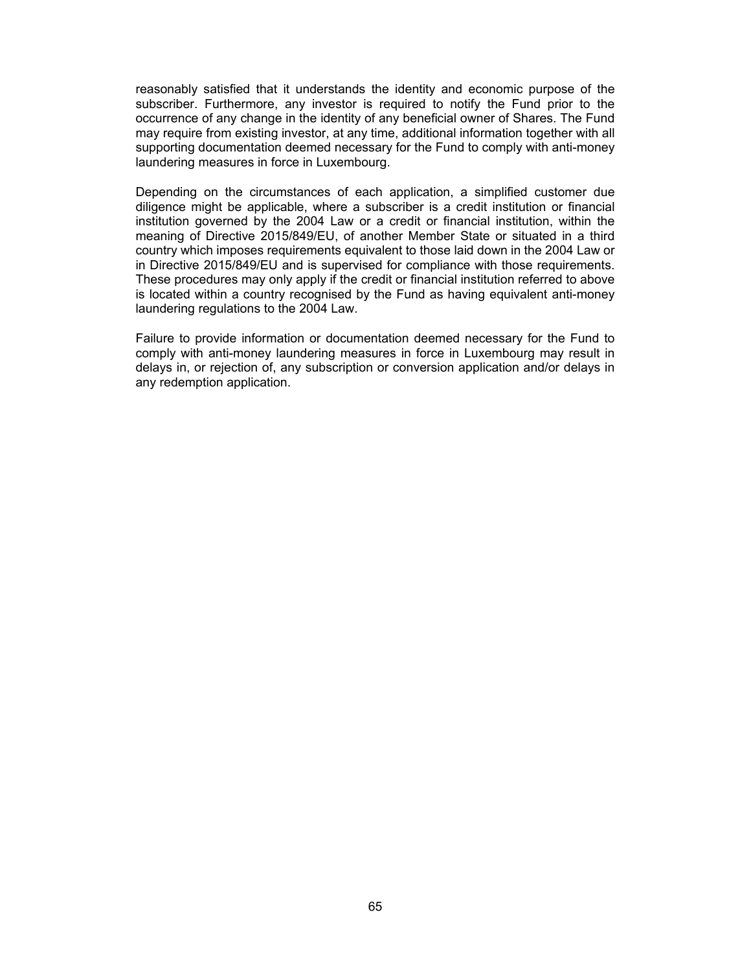reasonably satisfied that it understands the identity and economic purpose of the subscriber. Furthermore, any investor is required to notify the Fund prior to the occurrence of any change in the identity of any beneficial owner of Shares. The Fund may require from existing investor, at any time, additional information together with all supporting documentation deemed necessary for the Fund to comply with anti-money laundering measures in force in Luxembourg.

Depending on the circumstances of each application, a simplified customer due diligence might be applicable, where a subscriber is a credit institution or financial institution governed by the 2004 Law or a credit or financial institution, within the meaning of Directive 2015/849/EU, of another Member State or situated in a third country which imposes requirements equivalent to those laid down in the 2004 Law or in Directive 2015/849/EU and is supervised for compliance with those requirements. These procedures may only apply if the credit or financial institution referred to above is located within a country recognised by the Fund as having equivalent anti-money laundering regulations to the 2004 Law.

Failure to provide information or documentation deemed necessary for the Fund to comply with anti-money laundering measures in force in Luxembourg may result in delays in, or rejection of, any subscription or conversion application and/or delays in any redemption application.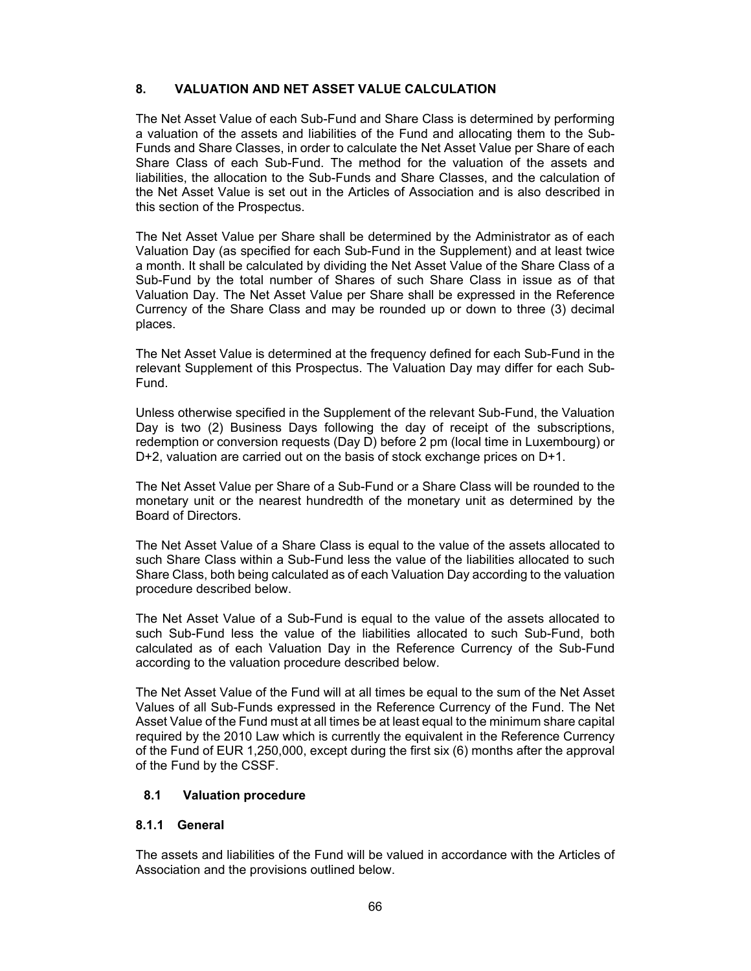### **8. VALUATION AND NET ASSET VALUE CALCULATION**

The Net Asset Value of each Sub-Fund and Share Class is determined by performing a valuation of the assets and liabilities of the Fund and allocating them to the Sub-Funds and Share Classes, in order to calculate the Net Asset Value per Share of each Share Class of each Sub-Fund. The method for the valuation of the assets and liabilities, the allocation to the Sub-Funds and Share Classes, and the calculation of the Net Asset Value is set out in the Articles of Association and is also described in this section of the Prospectus.

The Net Asset Value per Share shall be determined by the Administrator as of each Valuation Day (as specified for each Sub-Fund in the Supplement) and at least twice a month. It shall be calculated by dividing the Net Asset Value of the Share Class of a Sub-Fund by the total number of Shares of such Share Class in issue as of that Valuation Day. The Net Asset Value per Share shall be expressed in the Reference Currency of the Share Class and may be rounded up or down to three (3) decimal places.

The Net Asset Value is determined at the frequency defined for each Sub-Fund in the relevant Supplement of this Prospectus. The Valuation Day may differ for each Sub-Fund.

Unless otherwise specified in the Supplement of the relevant Sub-Fund, the Valuation Day is two (2) Business Days following the day of receipt of the subscriptions, redemption or conversion requests (Day D) before 2 pm (local time in Luxembourg) or D+2, valuation are carried out on the basis of stock exchange prices on D+1.

The Net Asset Value per Share of a Sub-Fund or a Share Class will be rounded to the monetary unit or the nearest hundredth of the monetary unit as determined by the Board of Directors.

The Net Asset Value of a Share Class is equal to the value of the assets allocated to such Share Class within a Sub-Fund less the value of the liabilities allocated to such Share Class, both being calculated as of each Valuation Day according to the valuation procedure described below.

The Net Asset Value of a Sub-Fund is equal to the value of the assets allocated to such Sub-Fund less the value of the liabilities allocated to such Sub-Fund, both calculated as of each Valuation Day in the Reference Currency of the Sub-Fund according to the valuation procedure described below.

The Net Asset Value of the Fund will at all times be equal to the sum of the Net Asset Values of all Sub-Funds expressed in the Reference Currency of the Fund. The Net Asset Value of the Fund must at all times be at least equal to the minimum share capital required by the 2010 Law which is currently the equivalent in the Reference Currency of the Fund of EUR 1,250,000, except during the first six (6) months after the approval of the Fund by the CSSF.

# **8.1 Valuation procedure**

### **8.1.1 General**

The assets and liabilities of the Fund will be valued in accordance with the Articles of Association and the provisions outlined below.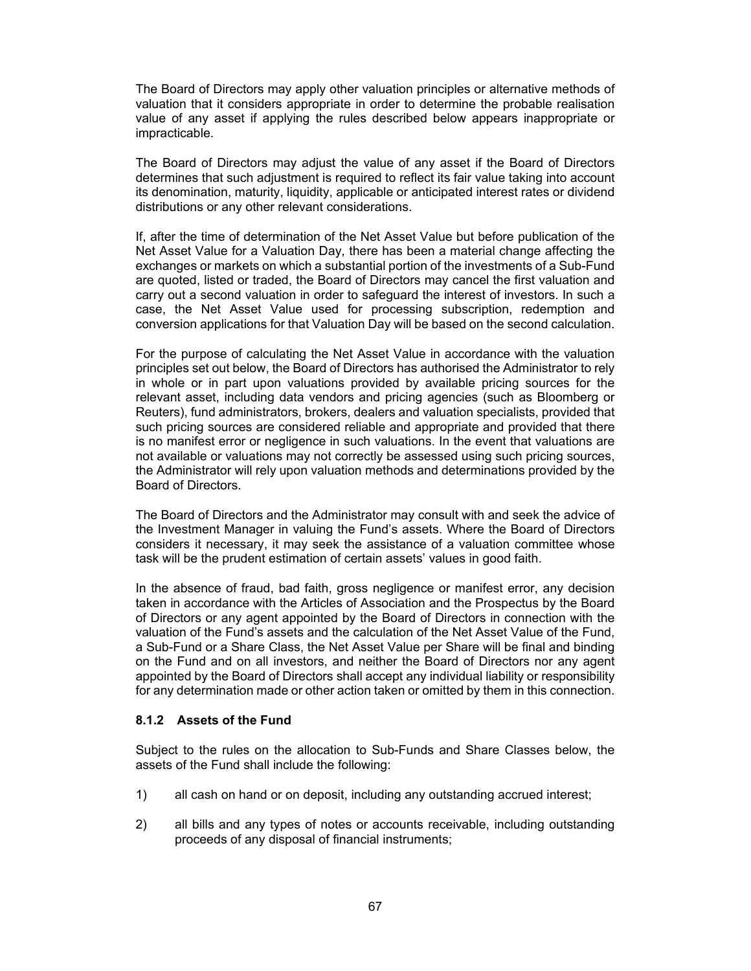The Board of Directors may apply other valuation principles or alternative methods of valuation that it considers appropriate in order to determine the probable realisation value of any asset if applying the rules described below appears inappropriate or impracticable.

The Board of Directors may adjust the value of any asset if the Board of Directors determines that such adjustment is required to reflect its fair value taking into account its denomination, maturity, liquidity, applicable or anticipated interest rates or dividend distributions or any other relevant considerations.

If, after the time of determination of the Net Asset Value but before publication of the Net Asset Value for a Valuation Day, there has been a material change affecting the exchanges or markets on which a substantial portion of the investments of a Sub-Fund are quoted, listed or traded, the Board of Directors may cancel the first valuation and carry out a second valuation in order to safeguard the interest of investors. In such a case, the Net Asset Value used for processing subscription, redemption and conversion applications for that Valuation Day will be based on the second calculation.

For the purpose of calculating the Net Asset Value in accordance with the valuation principles set out below, the Board of Directors has authorised the Administrator to rely in whole or in part upon valuations provided by available pricing sources for the relevant asset, including data vendors and pricing agencies (such as Bloomberg or Reuters), fund administrators, brokers, dealers and valuation specialists, provided that such pricing sources are considered reliable and appropriate and provided that there is no manifest error or negligence in such valuations. In the event that valuations are not available or valuations may not correctly be assessed using such pricing sources, the Administrator will rely upon valuation methods and determinations provided by the Board of Directors.

The Board of Directors and the Administrator may consult with and seek the advice of the Investment Manager in valuing the Fund's assets. Where the Board of Directors considers it necessary, it may seek the assistance of a valuation committee whose task will be the prudent estimation of certain assets' values in good faith.

In the absence of fraud, bad faith, gross negligence or manifest error, any decision taken in accordance with the Articles of Association and the Prospectus by the Board of Directors or any agent appointed by the Board of Directors in connection with the valuation of the Fund's assets and the calculation of the Net Asset Value of the Fund, a Sub-Fund or a Share Class, the Net Asset Value per Share will be final and binding on the Fund and on all investors, and neither the Board of Directors nor any agent appointed by the Board of Directors shall accept any individual liability or responsibility for any determination made or other action taken or omitted by them in this connection.

### **8.1.2 Assets of the Fund**

Subject to the rules on the allocation to Sub-Funds and Share Classes below, the assets of the Fund shall include the following:

- 1) all cash on hand or on deposit, including any outstanding accrued interest;
- 2) all bills and any types of notes or accounts receivable, including outstanding proceeds of any disposal of financial instruments;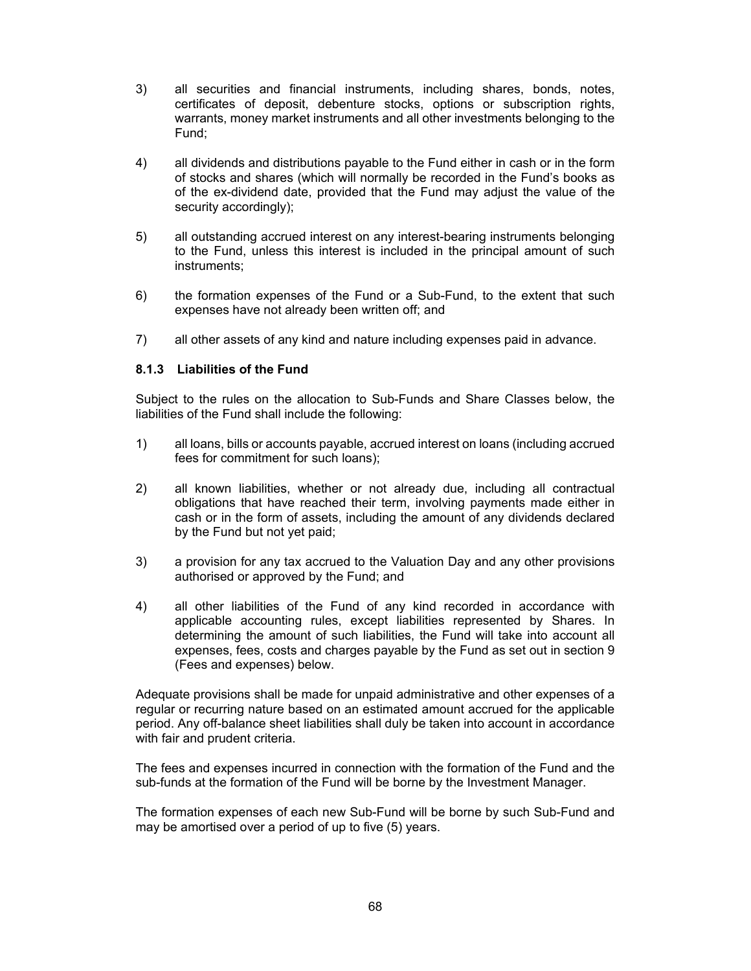- 3) all securities and financial instruments, including shares, bonds, notes, certificates of deposit, debenture stocks, options or subscription rights, warrants, money market instruments and all other investments belonging to the Fund;
- 4) all dividends and distributions payable to the Fund either in cash or in the form of stocks and shares (which will normally be recorded in the Fund's books as of the ex-dividend date, provided that the Fund may adjust the value of the security accordingly);
- 5) all outstanding accrued interest on any interest-bearing instruments belonging to the Fund, unless this interest is included in the principal amount of such instruments;
- 6) the formation expenses of the Fund or a Sub-Fund, to the extent that such expenses have not already been written off; and
- 7) all other assets of any kind and nature including expenses paid in advance.

#### **8.1.3 Liabilities of the Fund**

Subject to the rules on the allocation to Sub-Funds and Share Classes below, the liabilities of the Fund shall include the following:

- 1) all loans, bills or accounts payable, accrued interest on loans (including accrued fees for commitment for such loans);
- 2) all known liabilities, whether or not already due, including all contractual obligations that have reached their term, involving payments made either in cash or in the form of assets, including the amount of any dividends declared by the Fund but not yet paid;
- 3) a provision for any tax accrued to the Valuation Day and any other provisions authorised or approved by the Fund; and
- 4) all other liabilities of the Fund of any kind recorded in accordance with applicable accounting rules, except liabilities represented by Shares. In determining the amount of such liabilities, the Fund will take into account all expenses, fees, costs and charges payable by the Fund as set out in section 9 (Fees and expenses) below.

Adequate provisions shall be made for unpaid administrative and other expenses of a regular or recurring nature based on an estimated amount accrued for the applicable period. Any off-balance sheet liabilities shall duly be taken into account in accordance with fair and prudent criteria.

The fees and expenses incurred in connection with the formation of the Fund and the sub-funds at the formation of the Fund will be borne by the Investment Manager.

The formation expenses of each new Sub-Fund will be borne by such Sub-Fund and may be amortised over a period of up to five (5) years.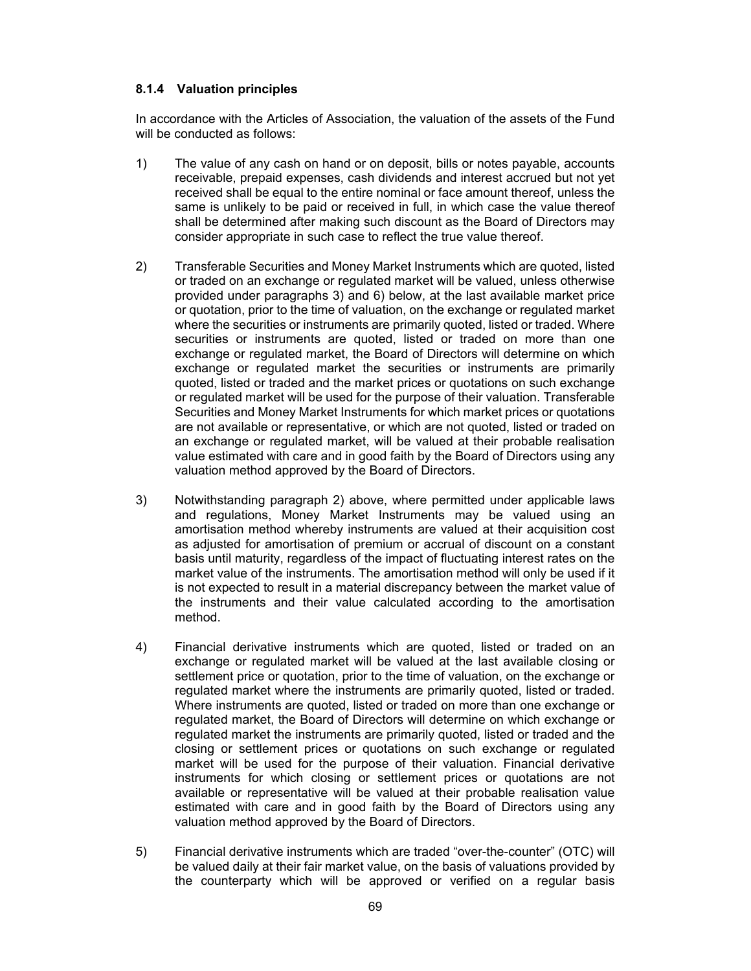#### **8.1.4 Valuation principles**

In accordance with the Articles of Association, the valuation of the assets of the Fund will be conducted as follows:

- 1) The value of any cash on hand or on deposit, bills or notes payable, accounts receivable, prepaid expenses, cash dividends and interest accrued but not yet received shall be equal to the entire nominal or face amount thereof, unless the same is unlikely to be paid or received in full, in which case the value thereof shall be determined after making such discount as the Board of Directors may consider appropriate in such case to reflect the true value thereof.
- 2) Transferable Securities and Money Market Instruments which are quoted, listed or traded on an exchange or regulated market will be valued, unless otherwise provided under paragraphs 3) and 6) below, at the last available market price or quotation, prior to the time of valuation, on the exchange or regulated market where the securities or instruments are primarily quoted, listed or traded. Where securities or instruments are quoted, listed or traded on more than one exchange or regulated market, the Board of Directors will determine on which exchange or regulated market the securities or instruments are primarily quoted, listed or traded and the market prices or quotations on such exchange or regulated market will be used for the purpose of their valuation. Transferable Securities and Money Market Instruments for which market prices or quotations are not available or representative, or which are not quoted, listed or traded on an exchange or regulated market, will be valued at their probable realisation value estimated with care and in good faith by the Board of Directors using any valuation method approved by the Board of Directors.
- 3) Notwithstanding paragraph 2) above, where permitted under applicable laws and regulations, Money Market Instruments may be valued using an amortisation method whereby instruments are valued at their acquisition cost as adjusted for amortisation of premium or accrual of discount on a constant basis until maturity, regardless of the impact of fluctuating interest rates on the market value of the instruments. The amortisation method will only be used if it is not expected to result in a material discrepancy between the market value of the instruments and their value calculated according to the amortisation method.
- 4) Financial derivative instruments which are quoted, listed or traded on an exchange or regulated market will be valued at the last available closing or settlement price or quotation, prior to the time of valuation, on the exchange or regulated market where the instruments are primarily quoted, listed or traded. Where instruments are quoted, listed or traded on more than one exchange or regulated market, the Board of Directors will determine on which exchange or regulated market the instruments are primarily quoted, listed or traded and the closing or settlement prices or quotations on such exchange or regulated market will be used for the purpose of their valuation. Financial derivative instruments for which closing or settlement prices or quotations are not available or representative will be valued at their probable realisation value estimated with care and in good faith by the Board of Directors using any valuation method approved by the Board of Directors.
- 5) Financial derivative instruments which are traded "over-the-counter" (OTC) will be valued daily at their fair market value, on the basis of valuations provided by the counterparty which will be approved or verified on a regular basis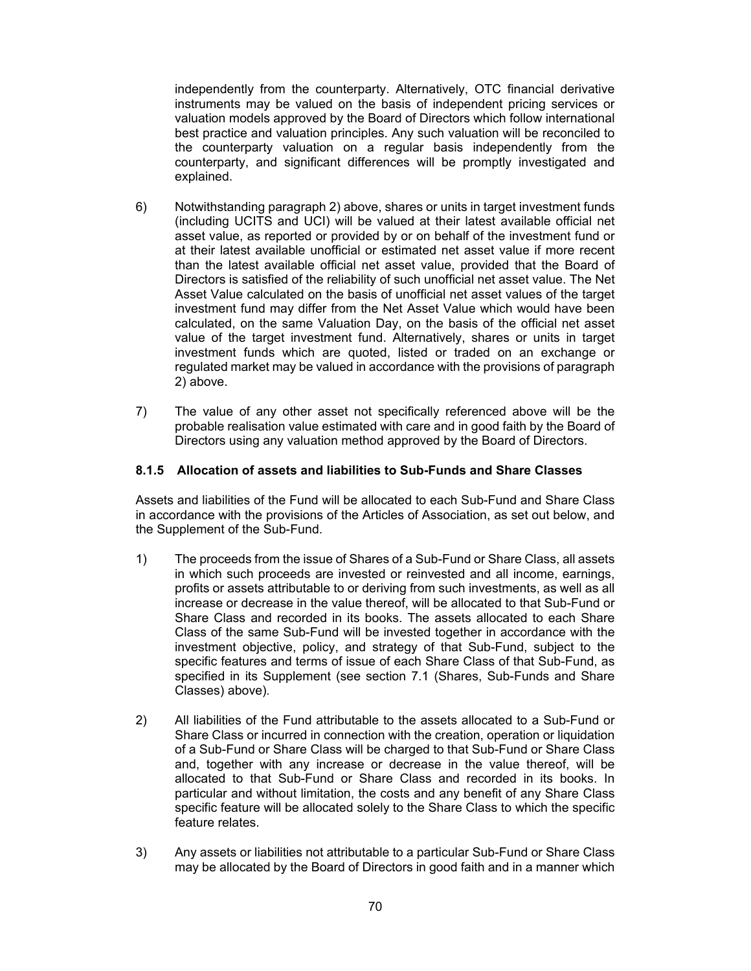independently from the counterparty. Alternatively, OTC financial derivative instruments may be valued on the basis of independent pricing services or valuation models approved by the Board of Directors which follow international best practice and valuation principles. Any such valuation will be reconciled to the counterparty valuation on a regular basis independently from the counterparty, and significant differences will be promptly investigated and explained.

- 6) Notwithstanding paragraph 2) above, shares or units in target investment funds (including UCITS and UCI) will be valued at their latest available official net asset value, as reported or provided by or on behalf of the investment fund or at their latest available unofficial or estimated net asset value if more recent than the latest available official net asset value, provided that the Board of Directors is satisfied of the reliability of such unofficial net asset value. The Net Asset Value calculated on the basis of unofficial net asset values of the target investment fund may differ from the Net Asset Value which would have been calculated, on the same Valuation Day, on the basis of the official net asset value of the target investment fund. Alternatively, shares or units in target investment funds which are quoted, listed or traded on an exchange or regulated market may be valued in accordance with the provisions of paragraph 2) above.
- 7) The value of any other asset not specifically referenced above will be the probable realisation value estimated with care and in good faith by the Board of Directors using any valuation method approved by the Board of Directors.

#### **8.1.5 Allocation of assets and liabilities to Sub-Funds and Share Classes**

Assets and liabilities of the Fund will be allocated to each Sub-Fund and Share Class in accordance with the provisions of the Articles of Association, as set out below, and the Supplement of the Sub-Fund.

- 1) The proceeds from the issue of Shares of a Sub-Fund or Share Class, all assets in which such proceeds are invested or reinvested and all income, earnings, profits or assets attributable to or deriving from such investments, as well as all increase or decrease in the value thereof, will be allocated to that Sub-Fund or Share Class and recorded in its books. The assets allocated to each Share Class of the same Sub-Fund will be invested together in accordance with the investment objective, policy, and strategy of that Sub-Fund, subject to the specific features and terms of issue of each Share Class of that Sub-Fund, as specified in its Supplement (see section 7.1 (Shares, Sub-Funds and Share Classes) above).
- 2) All liabilities of the Fund attributable to the assets allocated to a Sub-Fund or Share Class or incurred in connection with the creation, operation or liquidation of a Sub-Fund or Share Class will be charged to that Sub-Fund or Share Class and, together with any increase or decrease in the value thereof, will be allocated to that Sub-Fund or Share Class and recorded in its books. In particular and without limitation, the costs and any benefit of any Share Class specific feature will be allocated solely to the Share Class to which the specific feature relates.
- 3) Any assets or liabilities not attributable to a particular Sub-Fund or Share Class may be allocated by the Board of Directors in good faith and in a manner which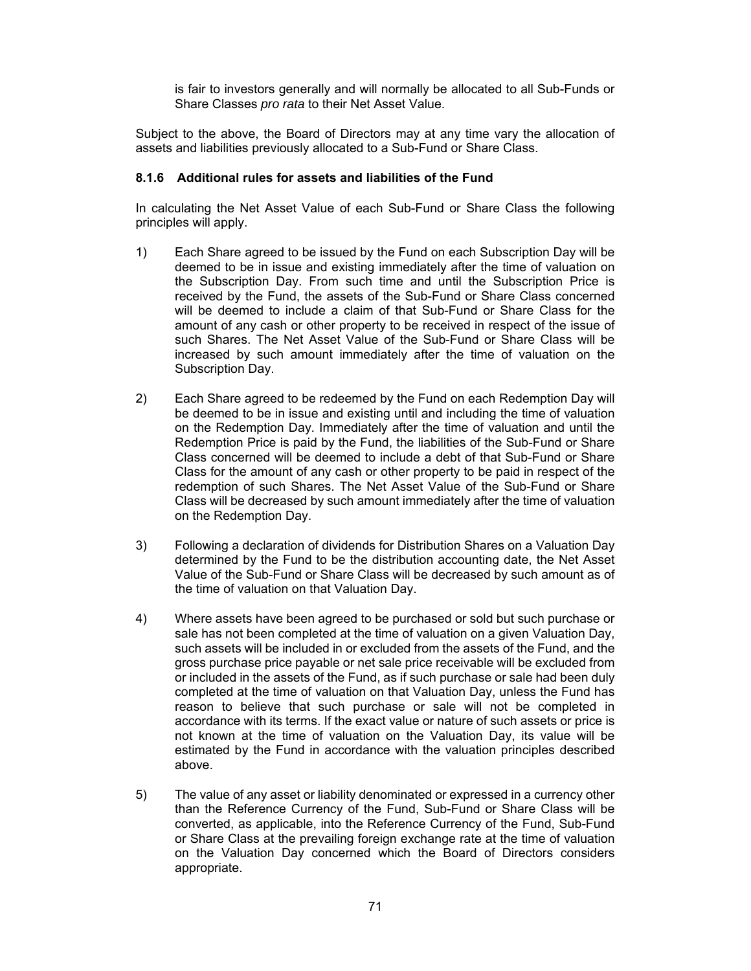is fair to investors generally and will normally be allocated to all Sub-Funds or Share Classes *pro rata* to their Net Asset Value.

Subject to the above, the Board of Directors may at any time vary the allocation of assets and liabilities previously allocated to a Sub-Fund or Share Class.

#### **8.1.6 Additional rules for assets and liabilities of the Fund**

In calculating the Net Asset Value of each Sub-Fund or Share Class the following principles will apply.

- 1) Each Share agreed to be issued by the Fund on each Subscription Day will be deemed to be in issue and existing immediately after the time of valuation on the Subscription Day. From such time and until the Subscription Price is received by the Fund, the assets of the Sub-Fund or Share Class concerned will be deemed to include a claim of that Sub-Fund or Share Class for the amount of any cash or other property to be received in respect of the issue of such Shares. The Net Asset Value of the Sub-Fund or Share Class will be increased by such amount immediately after the time of valuation on the Subscription Day.
- 2) Each Share agreed to be redeemed by the Fund on each Redemption Day will be deemed to be in issue and existing until and including the time of valuation on the Redemption Day. Immediately after the time of valuation and until the Redemption Price is paid by the Fund, the liabilities of the Sub-Fund or Share Class concerned will be deemed to include a debt of that Sub-Fund or Share Class for the amount of any cash or other property to be paid in respect of the redemption of such Shares. The Net Asset Value of the Sub-Fund or Share Class will be decreased by such amount immediately after the time of valuation on the Redemption Day.
- 3) Following a declaration of dividends for Distribution Shares on a Valuation Day determined by the Fund to be the distribution accounting date, the Net Asset Value of the Sub-Fund or Share Class will be decreased by such amount as of the time of valuation on that Valuation Day.
- 4) Where assets have been agreed to be purchased or sold but such purchase or sale has not been completed at the time of valuation on a given Valuation Day, such assets will be included in or excluded from the assets of the Fund, and the gross purchase price payable or net sale price receivable will be excluded from or included in the assets of the Fund, as if such purchase or sale had been duly completed at the time of valuation on that Valuation Day, unless the Fund has reason to believe that such purchase or sale will not be completed in accordance with its terms. If the exact value or nature of such assets or price is not known at the time of valuation on the Valuation Day, its value will be estimated by the Fund in accordance with the valuation principles described above.
- 5) The value of any asset or liability denominated or expressed in a currency other than the Reference Currency of the Fund, Sub-Fund or Share Class will be converted, as applicable, into the Reference Currency of the Fund, Sub-Fund or Share Class at the prevailing foreign exchange rate at the time of valuation on the Valuation Day concerned which the Board of Directors considers appropriate.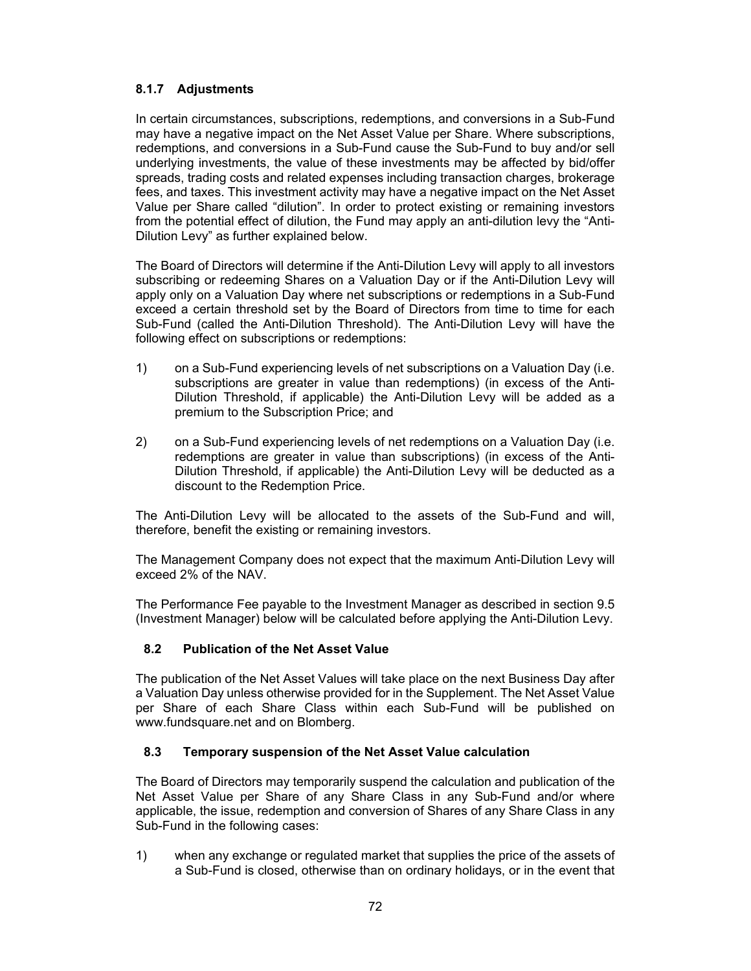### **8.1.7 Adjustments**

In certain circumstances, subscriptions, redemptions, and conversions in a Sub-Fund may have a negative impact on the Net Asset Value per Share. Where subscriptions, redemptions, and conversions in a Sub-Fund cause the Sub-Fund to buy and/or sell underlying investments, the value of these investments may be affected by bid/offer spreads, trading costs and related expenses including transaction charges, brokerage fees, and taxes. This investment activity may have a negative impact on the Net Asset Value per Share called "dilution". In order to protect existing or remaining investors from the potential effect of dilution, the Fund may apply an anti-dilution levy the "Anti-Dilution Levy" as further explained below.

The Board of Directors will determine if the Anti-Dilution Levy will apply to all investors subscribing or redeeming Shares on a Valuation Day or if the Anti-Dilution Levy will apply only on a Valuation Day where net subscriptions or redemptions in a Sub-Fund exceed a certain threshold set by the Board of Directors from time to time for each Sub-Fund (called the Anti-Dilution Threshold). The Anti-Dilution Levy will have the following effect on subscriptions or redemptions:

- 1) on a Sub-Fund experiencing levels of net subscriptions on a Valuation Day (i.e. subscriptions are greater in value than redemptions) (in excess of the Anti-Dilution Threshold, if applicable) the Anti-Dilution Levy will be added as a premium to the Subscription Price; and
- 2) on a Sub-Fund experiencing levels of net redemptions on a Valuation Day (i.e. redemptions are greater in value than subscriptions) (in excess of the Anti-Dilution Threshold, if applicable) the Anti-Dilution Levy will be deducted as a discount to the Redemption Price.

The Anti-Dilution Levy will be allocated to the assets of the Sub-Fund and will, therefore, benefit the existing or remaining investors.

The Management Company does not expect that the maximum Anti-Dilution Levy will exceed 2% of the NAV.

The Performance Fee payable to the Investment Manager as described in section 9.5 (Investment Manager) below will be calculated before applying the Anti-Dilution Levy.

# **8.2 Publication of the Net Asset Value**

The publication of the Net Asset Values will take place on the next Business Day after a Valuation Day unless otherwise provided for in the Supplement. The Net Asset Value per Share of each Share Class within each Sub-Fund will be published on www.fundsquare.net and on Blomberg.

# **8.3 Temporary suspension of the Net Asset Value calculation**

The Board of Directors may temporarily suspend the calculation and publication of the Net Asset Value per Share of any Share Class in any Sub-Fund and/or where applicable, the issue, redemption and conversion of Shares of any Share Class in any Sub-Fund in the following cases:

1) when any exchange or regulated market that supplies the price of the assets of a Sub-Fund is closed, otherwise than on ordinary holidays, or in the event that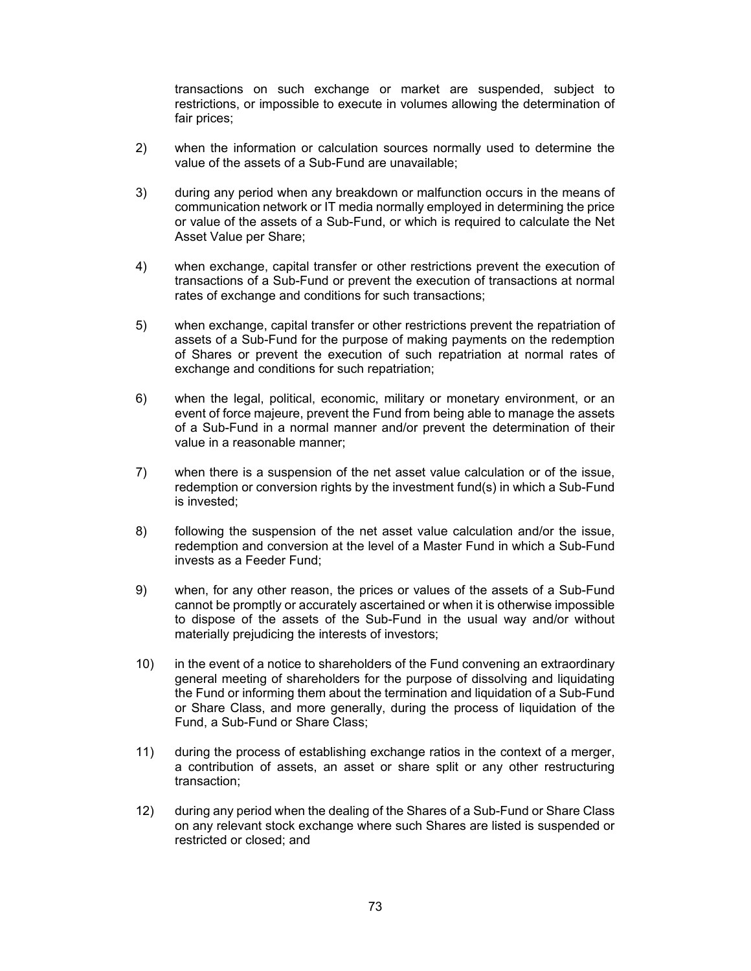transactions on such exchange or market are suspended, subject to restrictions, or impossible to execute in volumes allowing the determination of fair prices;

- 2) when the information or calculation sources normally used to determine the value of the assets of a Sub-Fund are unavailable;
- 3) during any period when any breakdown or malfunction occurs in the means of communication network or IT media normally employed in determining the price or value of the assets of a Sub-Fund, or which is required to calculate the Net Asset Value per Share;
- 4) when exchange, capital transfer or other restrictions prevent the execution of transactions of a Sub-Fund or prevent the execution of transactions at normal rates of exchange and conditions for such transactions;
- 5) when exchange, capital transfer or other restrictions prevent the repatriation of assets of a Sub-Fund for the purpose of making payments on the redemption of Shares or prevent the execution of such repatriation at normal rates of exchange and conditions for such repatriation;
- 6) when the legal, political, economic, military or monetary environment, or an event of force majeure, prevent the Fund from being able to manage the assets of a Sub-Fund in a normal manner and/or prevent the determination of their value in a reasonable manner;
- 7) when there is a suspension of the net asset value calculation or of the issue, redemption or conversion rights by the investment fund(s) in which a Sub-Fund is invested;
- 8) following the suspension of the net asset value calculation and/or the issue, redemption and conversion at the level of a Master Fund in which a Sub-Fund invests as a Feeder Fund;
- 9) when, for any other reason, the prices or values of the assets of a Sub-Fund cannot be promptly or accurately ascertained or when it is otherwise impossible to dispose of the assets of the Sub-Fund in the usual way and/or without materially prejudicing the interests of investors;
- 10) in the event of a notice to shareholders of the Fund convening an extraordinary general meeting of shareholders for the purpose of dissolving and liquidating the Fund or informing them about the termination and liquidation of a Sub-Fund or Share Class, and more generally, during the process of liquidation of the Fund, a Sub-Fund or Share Class;
- 11) during the process of establishing exchange ratios in the context of a merger, a contribution of assets, an asset or share split or any other restructuring transaction;
- 12) during any period when the dealing of the Shares of a Sub-Fund or Share Class on any relevant stock exchange where such Shares are listed is suspended or restricted or closed; and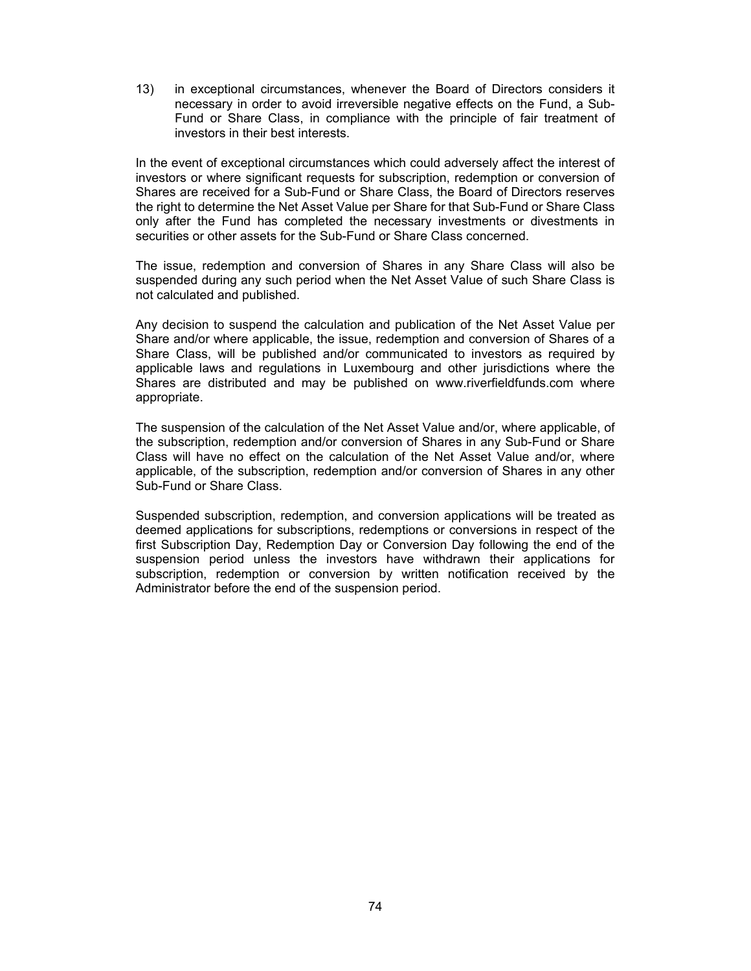13) in exceptional circumstances, whenever the Board of Directors considers it necessary in order to avoid irreversible negative effects on the Fund, a Sub-Fund or Share Class, in compliance with the principle of fair treatment of investors in their best interests.

In the event of exceptional circumstances which could adversely affect the interest of investors or where significant requests for subscription, redemption or conversion of Shares are received for a Sub-Fund or Share Class, the Board of Directors reserves the right to determine the Net Asset Value per Share for that Sub-Fund or Share Class only after the Fund has completed the necessary investments or divestments in securities or other assets for the Sub-Fund or Share Class concerned.

The issue, redemption and conversion of Shares in any Share Class will also be suspended during any such period when the Net Asset Value of such Share Class is not calculated and published.

Any decision to suspend the calculation and publication of the Net Asset Value per Share and/or where applicable, the issue, redemption and conversion of Shares of a Share Class, will be published and/or communicated to investors as required by applicable laws and regulations in Luxembourg and other jurisdictions where the Shares are distributed and may be published on www.riverfieldfunds.com where appropriate.

The suspension of the calculation of the Net Asset Value and/or, where applicable, of the subscription, redemption and/or conversion of Shares in any Sub-Fund or Share Class will have no effect on the calculation of the Net Asset Value and/or, where applicable, of the subscription, redemption and/or conversion of Shares in any other Sub-Fund or Share Class.

Suspended subscription, redemption, and conversion applications will be treated as deemed applications for subscriptions, redemptions or conversions in respect of the first Subscription Day, Redemption Day or Conversion Day following the end of the suspension period unless the investors have withdrawn their applications for subscription, redemption or conversion by written notification received by the Administrator before the end of the suspension period.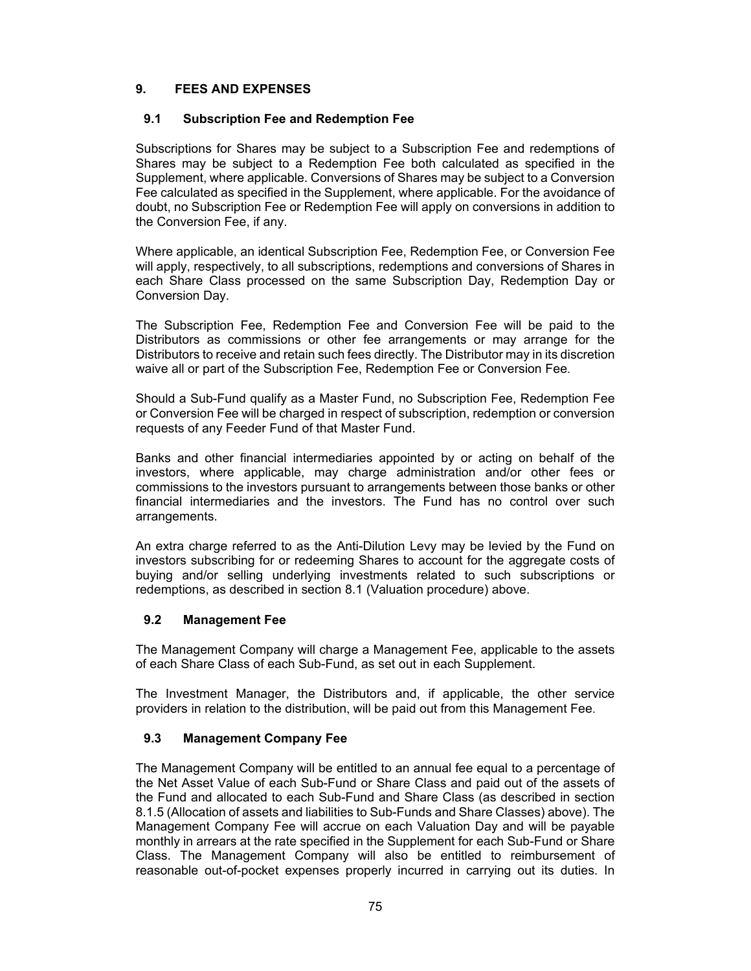# **9. FEES AND EXPENSES**

## **9.1 Subscription Fee and Redemption Fee**

Subscriptions for Shares may be subject to a Subscription Fee and redemptions of Shares may be subject to a Redemption Fee both calculated as specified in the Supplement, where applicable. Conversions of Shares may be subject to a Conversion Fee calculated as specified in the Supplement, where applicable. For the avoidance of doubt, no Subscription Fee or Redemption Fee will apply on conversions in addition to the Conversion Fee, if any.

Where applicable, an identical Subscription Fee, Redemption Fee, or Conversion Fee will apply, respectively, to all subscriptions, redemptions and conversions of Shares in each Share Class processed on the same Subscription Day, Redemption Day or Conversion Day.

The Subscription Fee, Redemption Fee and Conversion Fee will be paid to the Distributors as commissions or other fee arrangements or may arrange for the Distributors to receive and retain such fees directly. The Distributor may in its discretion waive all or part of the Subscription Fee, Redemption Fee or Conversion Fee.

Should a Sub-Fund qualify as a Master Fund, no Subscription Fee, Redemption Fee or Conversion Fee will be charged in respect of subscription, redemption or conversion requests of any Feeder Fund of that Master Fund.

Banks and other financial intermediaries appointed by or acting on behalf of the investors, where applicable, may charge administration and/or other fees or commissions to the investors pursuant to arrangements between those banks or other financial intermediaries and the investors. The Fund has no control over such arrangements.

An extra charge referred to as the Anti-Dilution Levy may be levied by the Fund on investors subscribing for or redeeming Shares to account for the aggregate costs of buying and/or selling underlying investments related to such subscriptions or redemptions, as described in section 8.1 (Valuation procedure) above.

### **9.2 Management Fee**

The Management Company will charge a Management Fee, applicable to the assets of each Share Class of each Sub-Fund, as set out in each Supplement.

The Investment Manager, the Distributors and, if applicable, the other service providers in relation to the distribution, will be paid out from this Management Fee.

# **9.3 Management Company Fee**

The Management Company will be entitled to an annual fee equal to a percentage of the Net Asset Value of each Sub-Fund or Share Class and paid out of the assets of the Fund and allocated to each Sub-Fund and Share Class (as described in section 8.1.5 (Allocation of assets and liabilities to Sub-Funds and Share Classes) above). The Management Company Fee will accrue on each Valuation Day and will be payable monthly in arrears at the rate specified in the Supplement for each Sub-Fund or Share Class. The Management Company will also be entitled to reimbursement of reasonable out-of-pocket expenses properly incurred in carrying out its duties. In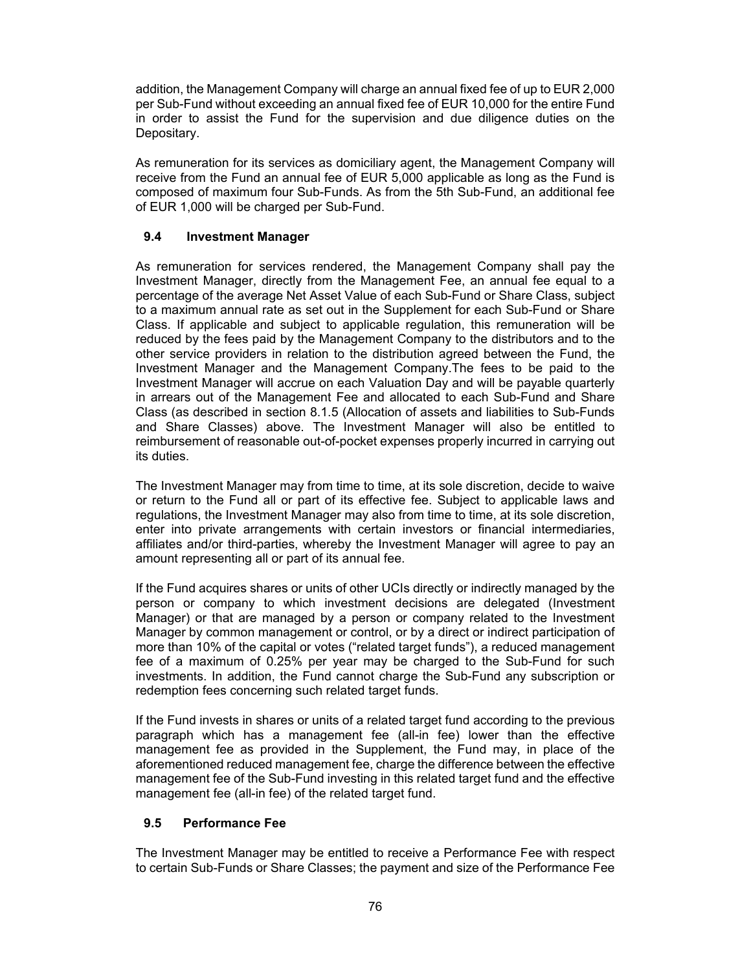addition, the Management Company will charge an annual fixed fee of up to EUR 2,000 per Sub-Fund without exceeding an annual fixed fee of EUR 10,000 for the entire Fund in order to assist the Fund for the supervision and due diligence duties on the Depositary.

As remuneration for its services as domiciliary agent, the Management Company will receive from the Fund an annual fee of EUR 5,000 applicable as long as the Fund is composed of maximum four Sub-Funds. As from the 5th Sub-Fund, an additional fee of EUR 1,000 will be charged per Sub-Fund.

# **9.4 Investment Manager**

As remuneration for services rendered, the Management Company shall pay the Investment Manager, directly from the Management Fee, an annual fee equal to a percentage of the average Net Asset Value of each Sub-Fund or Share Class, subject to a maximum annual rate as set out in the Supplement for each Sub-Fund or Share Class. If applicable and subject to applicable regulation, this remuneration will be reduced by the fees paid by the Management Company to the distributors and to the other service providers in relation to the distribution agreed between the Fund, the Investment Manager and the Management Company.The fees to be paid to the Investment Manager will accrue on each Valuation Day and will be payable quarterly in arrears out of the Management Fee and allocated to each Sub-Fund and Share Class (as described in section 8.1.5 (Allocation of assets and liabilities to Sub-Funds and Share Classes) above. The Investment Manager will also be entitled to reimbursement of reasonable out-of-pocket expenses properly incurred in carrying out its duties.

The Investment Manager may from time to time, at its sole discretion, decide to waive or return to the Fund all or part of its effective fee. Subject to applicable laws and regulations, the Investment Manager may also from time to time, at its sole discretion, enter into private arrangements with certain investors or financial intermediaries, affiliates and/or third-parties, whereby the Investment Manager will agree to pay an amount representing all or part of its annual fee.

If the Fund acquires shares or units of other UCIs directly or indirectly managed by the person or company to which investment decisions are delegated (Investment Manager) or that are managed by a person or company related to the Investment Manager by common management or control, or by a direct or indirect participation of more than 10% of the capital or votes ("related target funds"), a reduced management fee of a maximum of 0.25% per year may be charged to the Sub-Fund for such investments. In addition, the Fund cannot charge the Sub-Fund any subscription or redemption fees concerning such related target funds.

If the Fund invests in shares or units of a related target fund according to the previous paragraph which has a management fee (all-in fee) lower than the effective management fee as provided in the Supplement, the Fund may, in place of the aforementioned reduced management fee, charge the difference between the effective management fee of the Sub-Fund investing in this related target fund and the effective management fee (all-in fee) of the related target fund.

# **9.5 Performance Fee**

The Investment Manager may be entitled to receive a Performance Fee with respect to certain Sub-Funds or Share Classes; the payment and size of the Performance Fee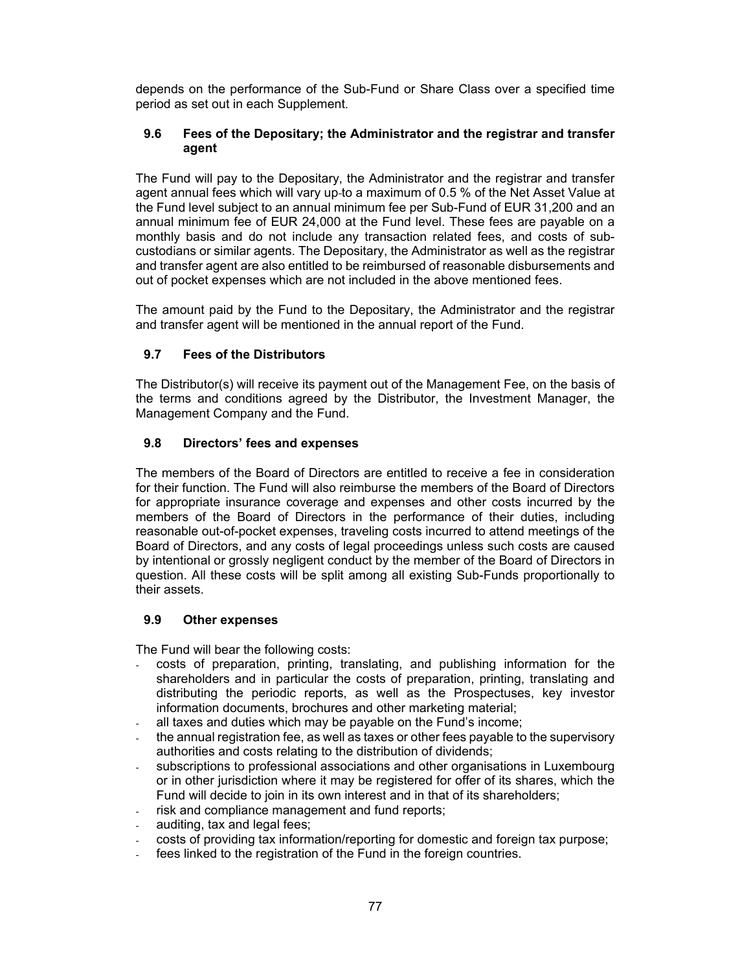depends on the performance of the Sub-Fund or Share Class over a specified time period as set out in each Supplement.

### **9.6 Fees of the Depositary; the Administrator and the registrar and transfer agent**

The Fund will pay to the Depositary, the Administrator and the registrar and transfer agent annual fees which will vary up to a maximum of 0.5 % of the Net Asset Value at the Fund level subject to an annual minimum fee per Sub-Fund of EUR 31,200 and an annual minimum fee of EUR 24,000 at the Fund level. These fees are payable on a monthly basis and do not include any transaction related fees, and costs of subcustodians or similar agents. The Depositary, the Administrator as well as the registrar and transfer agent are also entitled to be reimbursed of reasonable disbursements and out of pocket expenses which are not included in the above mentioned fees.

The amount paid by the Fund to the Depositary, the Administrator and the registrar and transfer agent will be mentioned in the annual report of the Fund.

# **9.7 Fees of the Distributors**

The Distributor(s) will receive its payment out of the Management Fee, on the basis of the terms and conditions agreed by the Distributor, the Investment Manager, the Management Company and the Fund.

### **9.8 Directors' fees and expenses**

The members of the Board of Directors are entitled to receive a fee in consideration for their function. The Fund will also reimburse the members of the Board of Directors for appropriate insurance coverage and expenses and other costs incurred by the members of the Board of Directors in the performance of their duties, including reasonable out-of-pocket expenses, traveling costs incurred to attend meetings of the Board of Directors, and any costs of legal proceedings unless such costs are caused by intentional or grossly negligent conduct by the member of the Board of Directors in question. All these costs will be split among all existing Sub-Funds proportionally to their assets.

## **9.9 Other expenses**

The Fund will bear the following costs:

- costs of preparation, printing, translating, and publishing information for the shareholders and in particular the costs of preparation, printing, translating and distributing the periodic reports, as well as the Prospectuses, key investor information documents, brochures and other marketing material;
- all taxes and duties which may be payable on the Fund's income;
- the annual registration fee, as well as taxes or other fees payable to the supervisory authorities and costs relating to the distribution of dividends;
- subscriptions to professional associations and other organisations in Luxembourg or in other jurisdiction where it may be registered for offer of its shares, which the Fund will decide to join in its own interest and in that of its shareholders;
- risk and compliance management and fund reports;
- auditing, tax and legal fees;
- costs of providing tax information/reporting for domestic and foreign tax purpose;
- fees linked to the registration of the Fund in the foreign countries.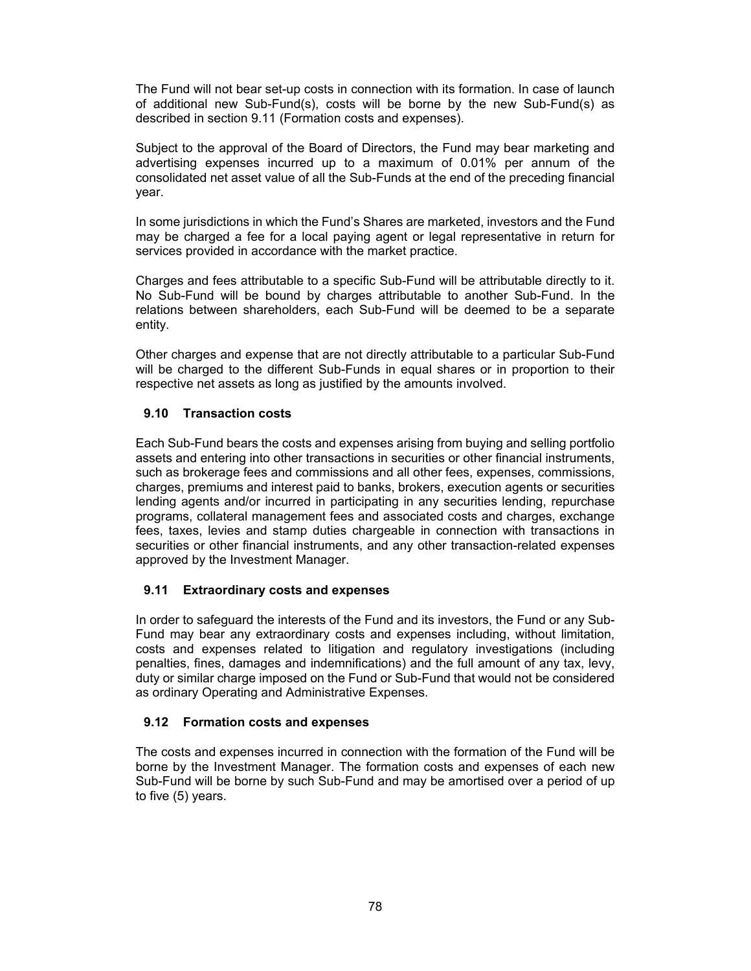The Fund will not bear set-up costs in connection with its formation. In case of launch of additional new Sub-Fund(s), costs will be borne by the new Sub-Fund(s) as described in section 9.11 (Formation costs and expenses).

Subject to the approval of the Board of Directors, the Fund may bear marketing and advertising expenses incurred up to a maximum of 0.01% per annum of the consolidated net asset value of all the Sub-Funds at the end of the preceding financial year.

In some jurisdictions in which the Fund's Shares are marketed, investors and the Fund may be charged a fee for a local paying agent or legal representative in return for services provided in accordance with the market practice.

Charges and fees attributable to a specific Sub-Fund will be attributable directly to it. No Sub-Fund will be bound by charges attributable to another Sub-Fund. In the relations between shareholders, each Sub-Fund will be deemed to be a separate entity.

Other charges and expense that are not directly attributable to a particular Sub-Fund will be charged to the different Sub-Funds in equal shares or in proportion to their respective net assets as long as justified by the amounts involved.

# **9.10 Transaction costs**

Each Sub-Fund bears the costs and expenses arising from buying and selling portfolio assets and entering into other transactions in securities or other financial instruments, such as brokerage fees and commissions and all other fees, expenses, commissions, charges, premiums and interest paid to banks, brokers, execution agents or securities lending agents and/or incurred in participating in any securities lending, repurchase programs, collateral management fees and associated costs and charges, exchange fees, taxes, levies and stamp duties chargeable in connection with transactions in securities or other financial instruments, and any other transaction-related expenses approved by the Investment Manager.

### **9.11 Extraordinary costs and expenses**

In order to safeguard the interests of the Fund and its investors, the Fund or any Sub-Fund may bear any extraordinary costs and expenses including, without limitation, costs and expenses related to litigation and regulatory investigations (including penalties, fines, damages and indemnifications) and the full amount of any tax, levy, duty or similar charge imposed on the Fund or Sub-Fund that would not be considered as ordinary Operating and Administrative Expenses.

# **9.12 Formation costs and expenses**

The costs and expenses incurred in connection with the formation of the Fund will be borne by the Investment Manager. The formation costs and expenses of each new Sub-Fund will be borne by such Sub-Fund and may be amortised over a period of up to five (5) years.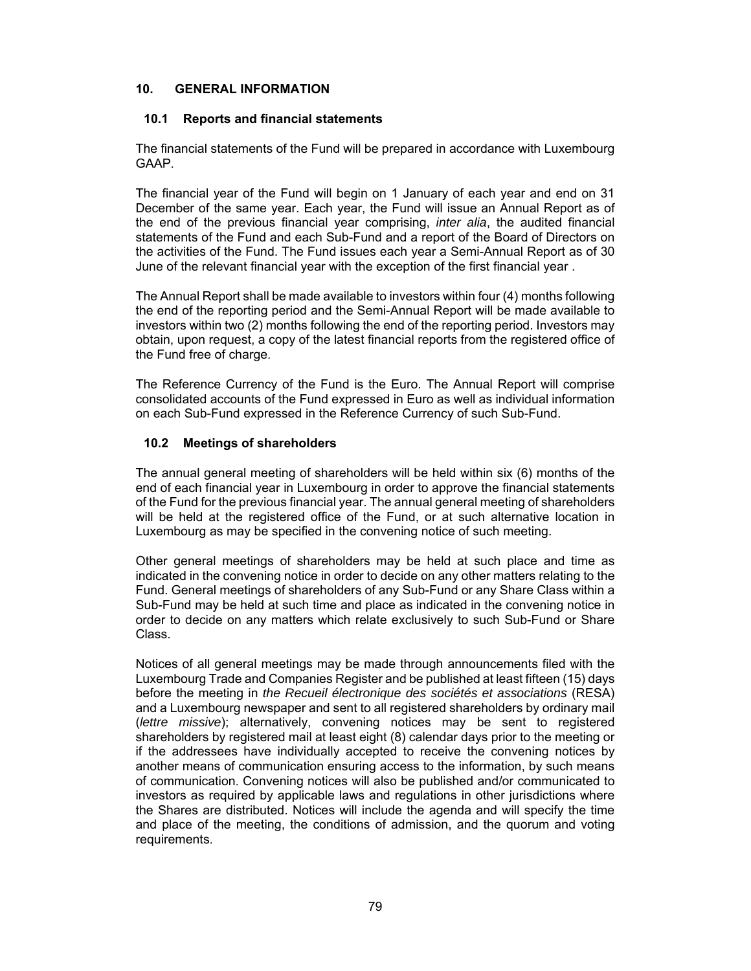### **10. GENERAL INFORMATION**

### **10.1 Reports and financial statements**

The financial statements of the Fund will be prepared in accordance with Luxembourg GAAP.

The financial year of the Fund will begin on 1 January of each year and end on 31 December of the same year. Each year, the Fund will issue an Annual Report as of the end of the previous financial year comprising, *inter alia*, the audited financial statements of the Fund and each Sub-Fund and a report of the Board of Directors on the activities of the Fund. The Fund issues each year a Semi-Annual Report as of 30 June of the relevant financial year with the exception of the first financial year .

The Annual Report shall be made available to investors within four (4) months following the end of the reporting period and the Semi-Annual Report will be made available to investors within two (2) months following the end of the reporting period. Investors may obtain, upon request, a copy of the latest financial reports from the registered office of the Fund free of charge.

The Reference Currency of the Fund is the Euro. The Annual Report will comprise consolidated accounts of the Fund expressed in Euro as well as individual information on each Sub-Fund expressed in the Reference Currency of such Sub-Fund.

# **10.2 Meetings of shareholders**

The annual general meeting of shareholders will be held within six (6) months of the end of each financial year in Luxembourg in order to approve the financial statements of the Fund for the previous financial year. The annual general meeting of shareholders will be held at the registered office of the Fund, or at such alternative location in Luxembourg as may be specified in the convening notice of such meeting.

Other general meetings of shareholders may be held at such place and time as indicated in the convening notice in order to decide on any other matters relating to the Fund. General meetings of shareholders of any Sub-Fund or any Share Class within a Sub-Fund may be held at such time and place as indicated in the convening notice in order to decide on any matters which relate exclusively to such Sub-Fund or Share Class.

Notices of all general meetings may be made through announcements filed with the Luxembourg Trade and Companies Register and be published at least fifteen (15) days before the meeting in *the Recueil électronique des sociétés et associations* (RESA) and a Luxembourg newspaper and sent to all registered shareholders by ordinary mail (*lettre missive*); alternatively, convening notices may be sent to registered shareholders by registered mail at least eight (8) calendar days prior to the meeting or if the addressees have individually accepted to receive the convening notices by another means of communication ensuring access to the information, by such means of communication. Convening notices will also be published and/or communicated to investors as required by applicable laws and regulations in other jurisdictions where the Shares are distributed. Notices will include the agenda and will specify the time and place of the meeting, the conditions of admission, and the quorum and voting requirements.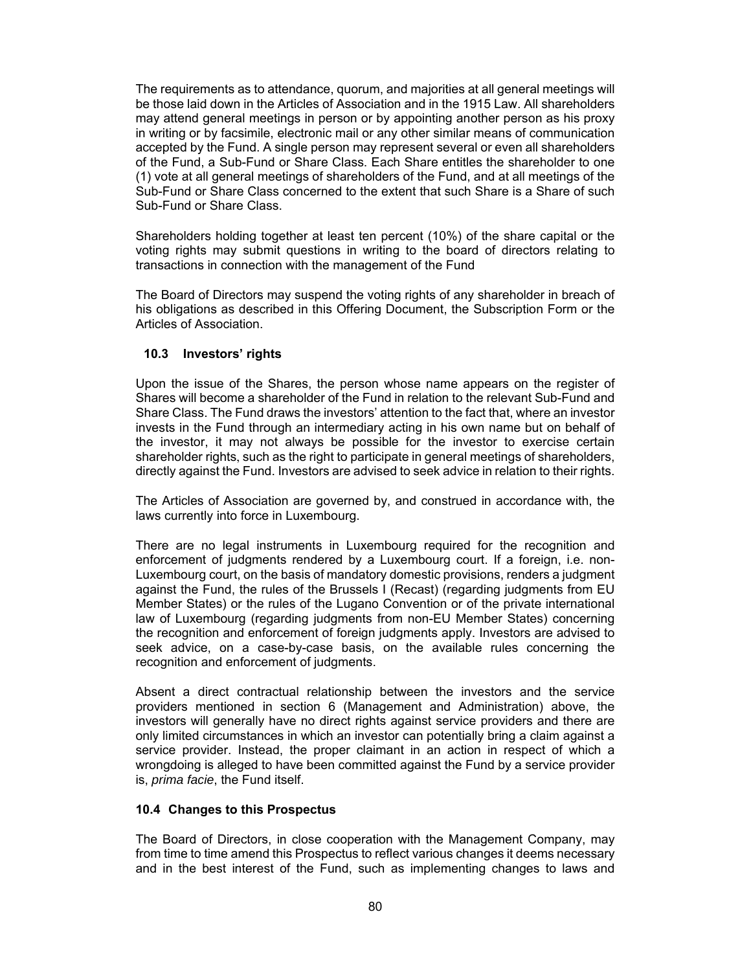The requirements as to attendance, quorum, and majorities at all general meetings will be those laid down in the Articles of Association and in the 1915 Law. All shareholders may attend general meetings in person or by appointing another person as his proxy in writing or by facsimile, electronic mail or any other similar means of communication accepted by the Fund. A single person may represent several or even all shareholders of the Fund, a Sub-Fund or Share Class. Each Share entitles the shareholder to one (1) vote at all general meetings of shareholders of the Fund, and at all meetings of the Sub-Fund or Share Class concerned to the extent that such Share is a Share of such Sub-Fund or Share Class.

Shareholders holding together at least ten percent (10%) of the share capital or the voting rights may submit questions in writing to the board of directors relating to transactions in connection with the management of the Fund

The Board of Directors may suspend the voting rights of any shareholder in breach of his obligations as described in this Offering Document, the Subscription Form or the Articles of Association.

### **10.3 Investors' rights**

Upon the issue of the Shares, the person whose name appears on the register of Shares will become a shareholder of the Fund in relation to the relevant Sub-Fund and Share Class. The Fund draws the investors' attention to the fact that, where an investor invests in the Fund through an intermediary acting in his own name but on behalf of the investor, it may not always be possible for the investor to exercise certain shareholder rights, such as the right to participate in general meetings of shareholders, directly against the Fund. Investors are advised to seek advice in relation to their rights.

The Articles of Association are governed by, and construed in accordance with, the laws currently into force in Luxembourg.

There are no legal instruments in Luxembourg required for the recognition and enforcement of judgments rendered by a Luxembourg court. If a foreign, i.e. non-Luxembourg court, on the basis of mandatory domestic provisions, renders a judgment against the Fund, the rules of the Brussels I (Recast) (regarding judgments from EU Member States) or the rules of the Lugano Convention or of the private international law of Luxembourg (regarding judgments from non-EU Member States) concerning the recognition and enforcement of foreign judgments apply. Investors are advised to seek advice, on a case-by-case basis, on the available rules concerning the recognition and enforcement of judgments.

Absent a direct contractual relationship between the investors and the service providers mentioned in section 6 (Management and Administration) above, the investors will generally have no direct rights against service providers and there are only limited circumstances in which an investor can potentially bring a claim against a service provider. Instead, the proper claimant in an action in respect of which a wrongdoing is alleged to have been committed against the Fund by a service provider is, *prima facie*, the Fund itself.

### **10.4 Changes to this Prospectus**

The Board of Directors, in close cooperation with the Management Company, may from time to time amend this Prospectus to reflect various changes it deems necessary and in the best interest of the Fund, such as implementing changes to laws and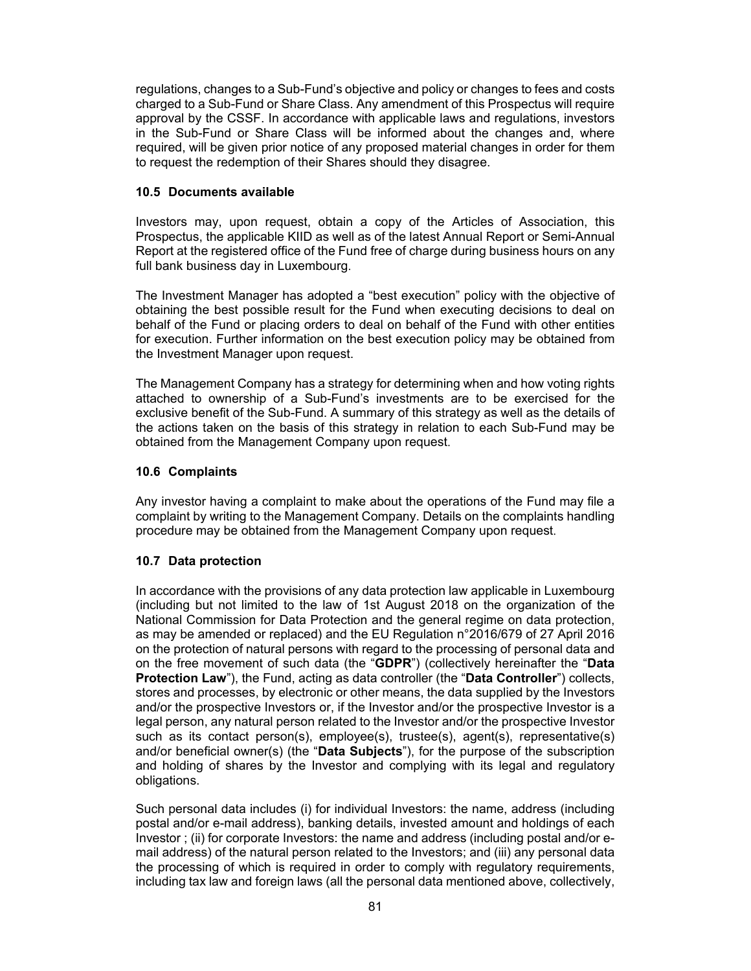regulations, changes to a Sub-Fund's objective and policy or changes to fees and costs charged to a Sub-Fund or Share Class. Any amendment of this Prospectus will require approval by the CSSF. In accordance with applicable laws and regulations, investors in the Sub-Fund or Share Class will be informed about the changes and, where required, will be given prior notice of any proposed material changes in order for them to request the redemption of their Shares should they disagree.

## **10.5 Documents available**

Investors may, upon request, obtain a copy of the Articles of Association, this Prospectus, the applicable KIID as well as of the latest Annual Report or Semi-Annual Report at the registered office of the Fund free of charge during business hours on any full bank business day in Luxembourg.

The Investment Manager has adopted a "best execution" policy with the objective of obtaining the best possible result for the Fund when executing decisions to deal on behalf of the Fund or placing orders to deal on behalf of the Fund with other entities for execution. Further information on the best execution policy may be obtained from the Investment Manager upon request.

The Management Company has a strategy for determining when and how voting rights attached to ownership of a Sub-Fund's investments are to be exercised for the exclusive benefit of the Sub-Fund. A summary of this strategy as well as the details of the actions taken on the basis of this strategy in relation to each Sub-Fund may be obtained from the Management Company upon request.

# **10.6 Complaints**

Any investor having a complaint to make about the operations of the Fund may file a complaint by writing to the Management Company. Details on the complaints handling procedure may be obtained from the Management Company upon request.

# **10.7 Data protection**

In accordance with the provisions of any data protection law applicable in Luxembourg (including but not limited to the law of 1st August 2018 on the organization of the National Commission for Data Protection and the general regime on data protection, as may be amended or replaced) and the EU Regulation n°2016/679 of 27 April 2016 on the protection of natural persons with regard to the processing of personal data and on the free movement of such data (the "**GDPR**") (collectively hereinafter the "**Data Protection Law**"), the Fund, acting as data controller (the "**Data Controller**") collects, stores and processes, by electronic or other means, the data supplied by the Investors and/or the prospective Investors or, if the Investor and/or the prospective Investor is a legal person, any natural person related to the Investor and/or the prospective Investor such as its contact person(s), employee(s), trustee(s), agent(s), representative(s) and/or beneficial owner(s) (the "**Data Subjects**"), for the purpose of the subscription and holding of shares by the Investor and complying with its legal and regulatory obligations.

Such personal data includes (i) for individual Investors: the name, address (including postal and/or e-mail address), banking details, invested amount and holdings of each Investor ; (ii) for corporate Investors: the name and address (including postal and/or email address) of the natural person related to the Investors; and (iii) any personal data the processing of which is required in order to comply with regulatory requirements, including tax law and foreign laws (all the personal data mentioned above, collectively,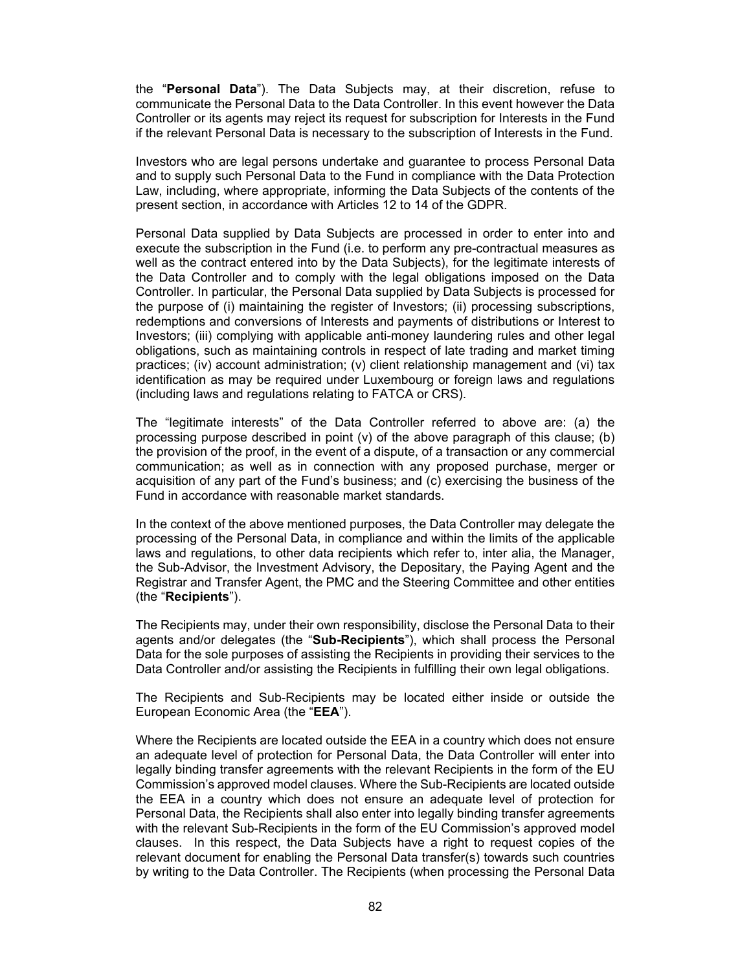the "**Personal Data**"). The Data Subjects may, at their discretion, refuse to communicate the Personal Data to the Data Controller. In this event however the Data Controller or its agents may reject its request for subscription for Interests in the Fund if the relevant Personal Data is necessary to the subscription of Interests in the Fund.

Investors who are legal persons undertake and guarantee to process Personal Data and to supply such Personal Data to the Fund in compliance with the Data Protection Law, including, where appropriate, informing the Data Subjects of the contents of the present section, in accordance with Articles 12 to 14 of the GDPR.

Personal Data supplied by Data Subjects are processed in order to enter into and execute the subscription in the Fund (i.e. to perform any pre-contractual measures as well as the contract entered into by the Data Subjects), for the legitimate interests of the Data Controller and to comply with the legal obligations imposed on the Data Controller. In particular, the Personal Data supplied by Data Subjects is processed for the purpose of (i) maintaining the register of Investors; (ii) processing subscriptions, redemptions and conversions of Interests and payments of distributions or Interest to Investors; (iii) complying with applicable anti-money laundering rules and other legal obligations, such as maintaining controls in respect of late trading and market timing practices; (iv) account administration; (v) client relationship management and (vi) tax identification as may be required under Luxembourg or foreign laws and regulations (including laws and regulations relating to FATCA or CRS).

The "legitimate interests" of the Data Controller referred to above are: (a) the processing purpose described in point (v) of the above paragraph of this clause; (b) the provision of the proof, in the event of a dispute, of a transaction or any commercial communication; as well as in connection with any proposed purchase, merger or acquisition of any part of the Fund's business; and (c) exercising the business of the Fund in accordance with reasonable market standards.

In the context of the above mentioned purposes, the Data Controller may delegate the processing of the Personal Data, in compliance and within the limits of the applicable laws and regulations, to other data recipients which refer to, inter alia, the Manager, the Sub-Advisor, the Investment Advisory, the Depositary, the Paying Agent and the Registrar and Transfer Agent, the PMC and the Steering Committee and other entities (the "**Recipients**").

The Recipients may, under their own responsibility, disclose the Personal Data to their agents and/or delegates (the "**Sub-Recipients**"), which shall process the Personal Data for the sole purposes of assisting the Recipients in providing their services to the Data Controller and/or assisting the Recipients in fulfilling their own legal obligations.

The Recipients and Sub-Recipients may be located either inside or outside the European Economic Area (the "**EEA**").

Where the Recipients are located outside the EEA in a country which does not ensure an adequate level of protection for Personal Data, the Data Controller will enter into legally binding transfer agreements with the relevant Recipients in the form of the EU Commission's approved model clauses. Where the Sub-Recipients are located outside the EEA in a country which does not ensure an adequate level of protection for Personal Data, the Recipients shall also enter into legally binding transfer agreements with the relevant Sub-Recipients in the form of the EU Commission's approved model clauses. In this respect, the Data Subjects have a right to request copies of the relevant document for enabling the Personal Data transfer(s) towards such countries by writing to the Data Controller. The Recipients (when processing the Personal Data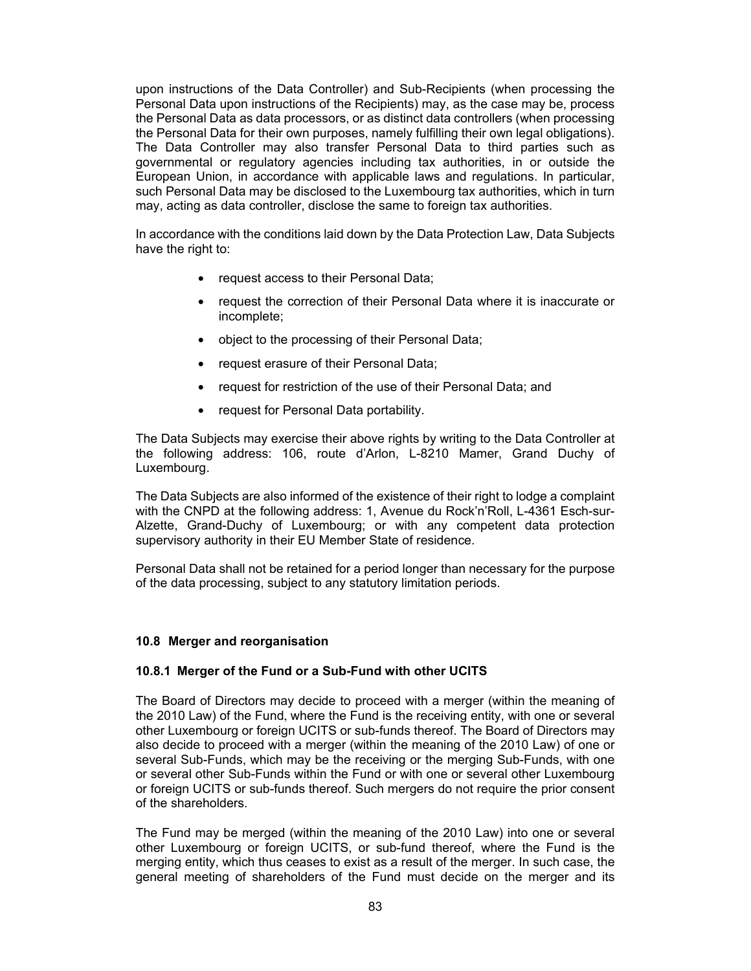upon instructions of the Data Controller) and Sub-Recipients (when processing the Personal Data upon instructions of the Recipients) may, as the case may be, process the Personal Data as data processors, or as distinct data controllers (when processing the Personal Data for their own purposes, namely fulfilling their own legal obligations). The Data Controller may also transfer Personal Data to third parties such as governmental or regulatory agencies including tax authorities, in or outside the European Union, in accordance with applicable laws and regulations. In particular, such Personal Data may be disclosed to the Luxembourg tax authorities, which in turn may, acting as data controller, disclose the same to foreign tax authorities.

In accordance with the conditions laid down by the Data Protection Law, Data Subjects have the right to:

- request access to their Personal Data;
- request the correction of their Personal Data where it is inaccurate or incomplete;
- object to the processing of their Personal Data;
- request erasure of their Personal Data;
- request for restriction of the use of their Personal Data; and
- request for Personal Data portability.

The Data Subjects may exercise their above rights by writing to the Data Controller at the following address: 106, route d'Arlon, L-8210 Mamer, Grand Duchy of Luxembourg.

The Data Subjects are also informed of the existence of their right to lodge a complaint with the CNPD at the following address: 1, Avenue du Rock'n'Roll, L-4361 Esch-sur-Alzette, Grand-Duchy of Luxembourg; or with any competent data protection supervisory authority in their EU Member State of residence.

Personal Data shall not be retained for a period longer than necessary for the purpose of the data processing, subject to any statutory limitation periods.

#### **10.8 Merger and reorganisation**

#### **10.8.1 Merger of the Fund or a Sub-Fund with other UCITS**

The Board of Directors may decide to proceed with a merger (within the meaning of the 2010 Law) of the Fund, where the Fund is the receiving entity, with one or several other Luxembourg or foreign UCITS or sub-funds thereof. The Board of Directors may also decide to proceed with a merger (within the meaning of the 2010 Law) of one or several Sub-Funds, which may be the receiving or the merging Sub-Funds, with one or several other Sub-Funds within the Fund or with one or several other Luxembourg or foreign UCITS or sub-funds thereof. Such mergers do not require the prior consent of the shareholders.

The Fund may be merged (within the meaning of the 2010 Law) into one or several other Luxembourg or foreign UCITS, or sub-fund thereof, where the Fund is the merging entity, which thus ceases to exist as a result of the merger. In such case, the general meeting of shareholders of the Fund must decide on the merger and its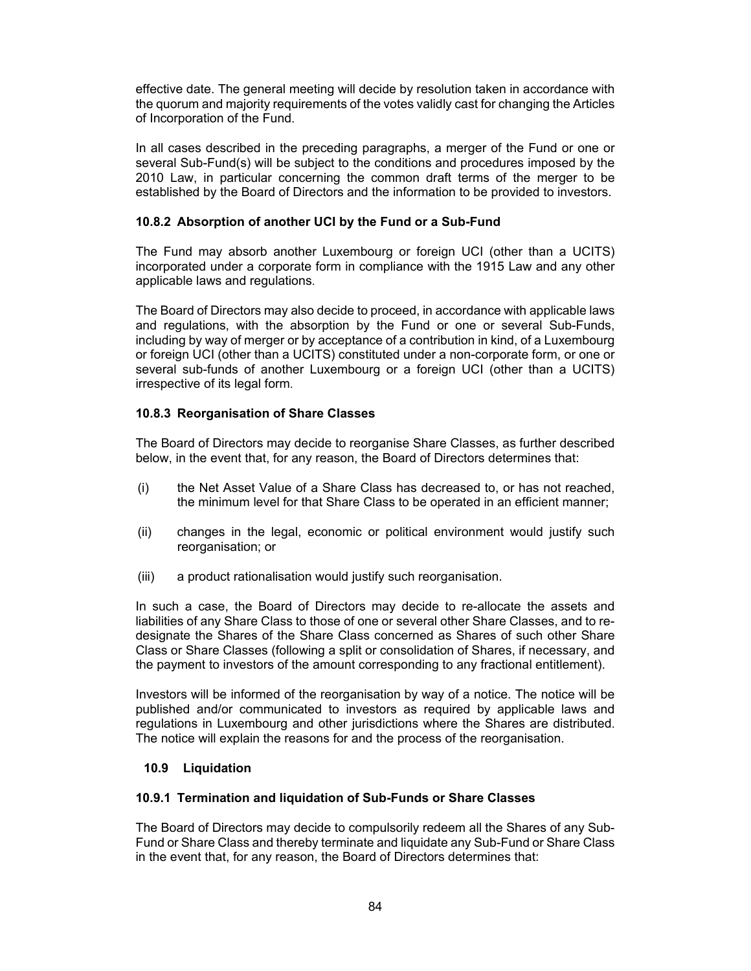effective date. The general meeting will decide by resolution taken in accordance with the quorum and majority requirements of the votes validly cast for changing the Articles of Incorporation of the Fund.

In all cases described in the preceding paragraphs, a merger of the Fund or one or several Sub-Fund(s) will be subject to the conditions and procedures imposed by the 2010 Law, in particular concerning the common draft terms of the merger to be established by the Board of Directors and the information to be provided to investors.

# **10.8.2 Absorption of another UCI by the Fund or a Sub-Fund**

The Fund may absorb another Luxembourg or foreign UCI (other than a UCITS) incorporated under a corporate form in compliance with the 1915 Law and any other applicable laws and regulations.

The Board of Directors may also decide to proceed, in accordance with applicable laws and regulations, with the absorption by the Fund or one or several Sub-Funds, including by way of merger or by acceptance of a contribution in kind, of a Luxembourg or foreign UCI (other than a UCITS) constituted under a non-corporate form, or one or several sub-funds of another Luxembourg or a foreign UCI (other than a UCITS) irrespective of its legal form.

# **10.8.3 Reorganisation of Share Classes**

The Board of Directors may decide to reorganise Share Classes, as further described below, in the event that, for any reason, the Board of Directors determines that:

- (i) the Net Asset Value of a Share Class has decreased to, or has not reached, the minimum level for that Share Class to be operated in an efficient manner;
- (ii) changes in the legal, economic or political environment would justify such reorganisation; or
- (iii) a product rationalisation would justify such reorganisation.

In such a case, the Board of Directors may decide to re-allocate the assets and liabilities of any Share Class to those of one or several other Share Classes, and to redesignate the Shares of the Share Class concerned as Shares of such other Share Class or Share Classes (following a split or consolidation of Shares, if necessary, and the payment to investors of the amount corresponding to any fractional entitlement).

Investors will be informed of the reorganisation by way of a notice. The notice will be published and/or communicated to investors as required by applicable laws and regulations in Luxembourg and other jurisdictions where the Shares are distributed. The notice will explain the reasons for and the process of the reorganisation.

### **10.9 Liquidation**

### **10.9.1 Termination and liquidation of Sub-Funds or Share Classes**

The Board of Directors may decide to compulsorily redeem all the Shares of any Sub-Fund or Share Class and thereby terminate and liquidate any Sub-Fund or Share Class in the event that, for any reason, the Board of Directors determines that: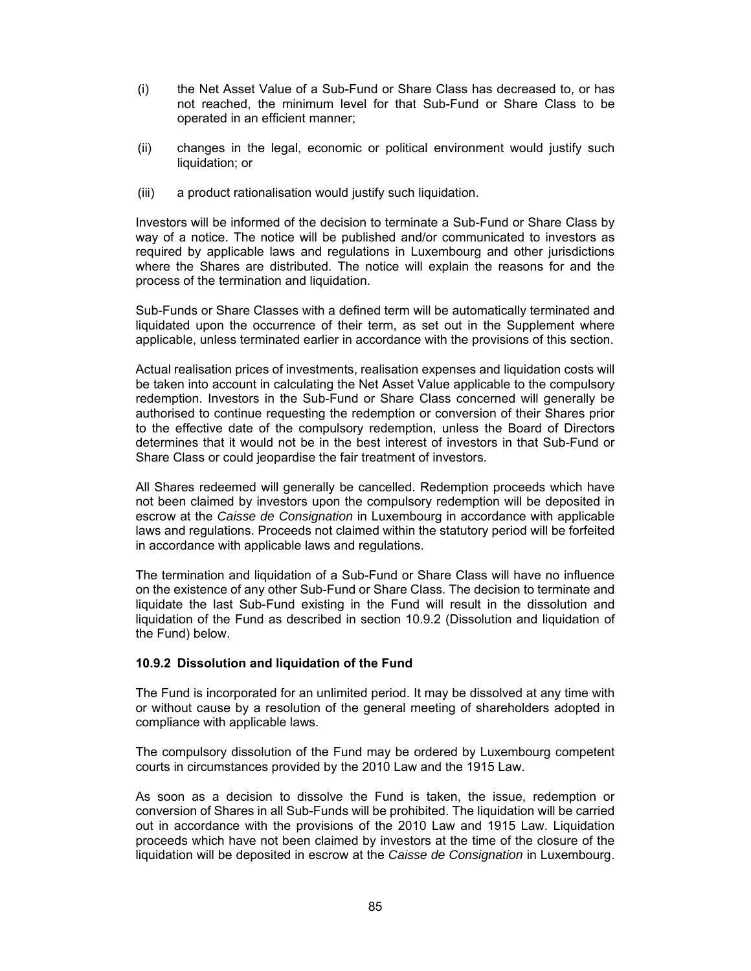- (i) the Net Asset Value of a Sub-Fund or Share Class has decreased to, or has not reached, the minimum level for that Sub-Fund or Share Class to be operated in an efficient manner;
- (ii) changes in the legal, economic or political environment would justify such liquidation; or
- (iii) a product rationalisation would justify such liquidation.

Investors will be informed of the decision to terminate a Sub-Fund or Share Class by way of a notice. The notice will be published and/or communicated to investors as required by applicable laws and regulations in Luxembourg and other jurisdictions where the Shares are distributed. The notice will explain the reasons for and the process of the termination and liquidation.

Sub-Funds or Share Classes with a defined term will be automatically terminated and liquidated upon the occurrence of their term, as set out in the Supplement where applicable, unless terminated earlier in accordance with the provisions of this section.

Actual realisation prices of investments, realisation expenses and liquidation costs will be taken into account in calculating the Net Asset Value applicable to the compulsory redemption. Investors in the Sub-Fund or Share Class concerned will generally be authorised to continue requesting the redemption or conversion of their Shares prior to the effective date of the compulsory redemption, unless the Board of Directors determines that it would not be in the best interest of investors in that Sub-Fund or Share Class or could jeopardise the fair treatment of investors.

All Shares redeemed will generally be cancelled. Redemption proceeds which have not been claimed by investors upon the compulsory redemption will be deposited in escrow at the *Caisse de Consignation* in Luxembourg in accordance with applicable laws and regulations. Proceeds not claimed within the statutory period will be forfeited in accordance with applicable laws and regulations.

The termination and liquidation of a Sub-Fund or Share Class will have no influence on the existence of any other Sub-Fund or Share Class. The decision to terminate and liquidate the last Sub-Fund existing in the Fund will result in the dissolution and liquidation of the Fund as described in section 10.9.2 (Dissolution and liquidation of the Fund) below.

### **10.9.2 Dissolution and liquidation of the Fund**

The Fund is incorporated for an unlimited period. It may be dissolved at any time with or without cause by a resolution of the general meeting of shareholders adopted in compliance with applicable laws.

The compulsory dissolution of the Fund may be ordered by Luxembourg competent courts in circumstances provided by the 2010 Law and the 1915 Law.

As soon as a decision to dissolve the Fund is taken, the issue, redemption or conversion of Shares in all Sub-Funds will be prohibited. The liquidation will be carried out in accordance with the provisions of the 2010 Law and 1915 Law. Liquidation proceeds which have not been claimed by investors at the time of the closure of the liquidation will be deposited in escrow at the *Caisse de Consignation* in Luxembourg.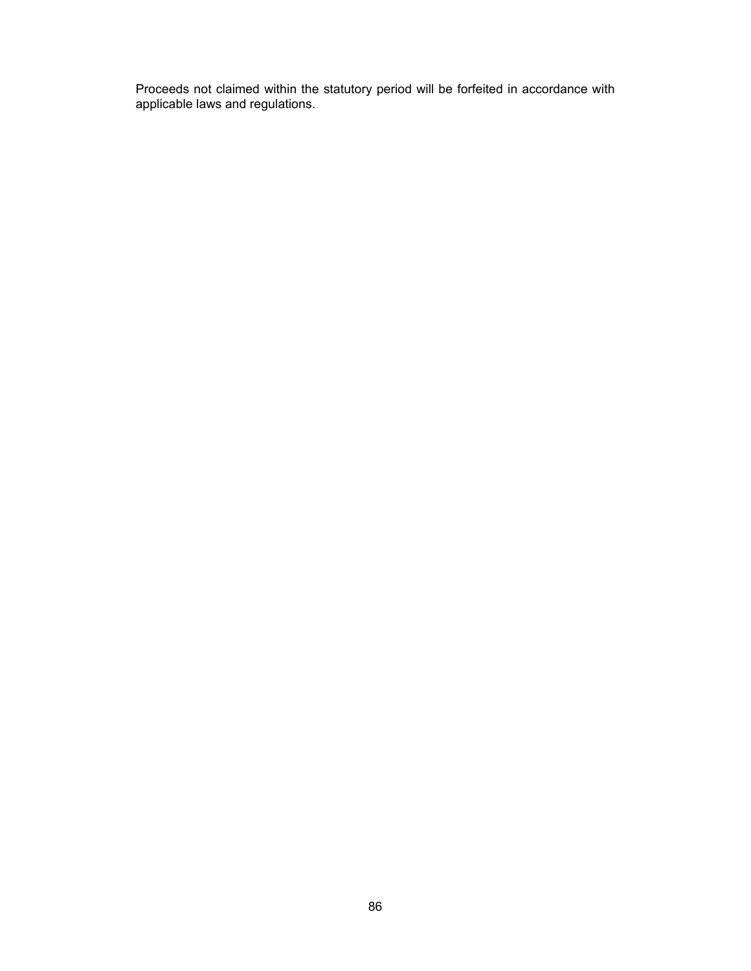Proceeds not claimed within the statutory period will be forfeited in accordance with applicable laws and regulations.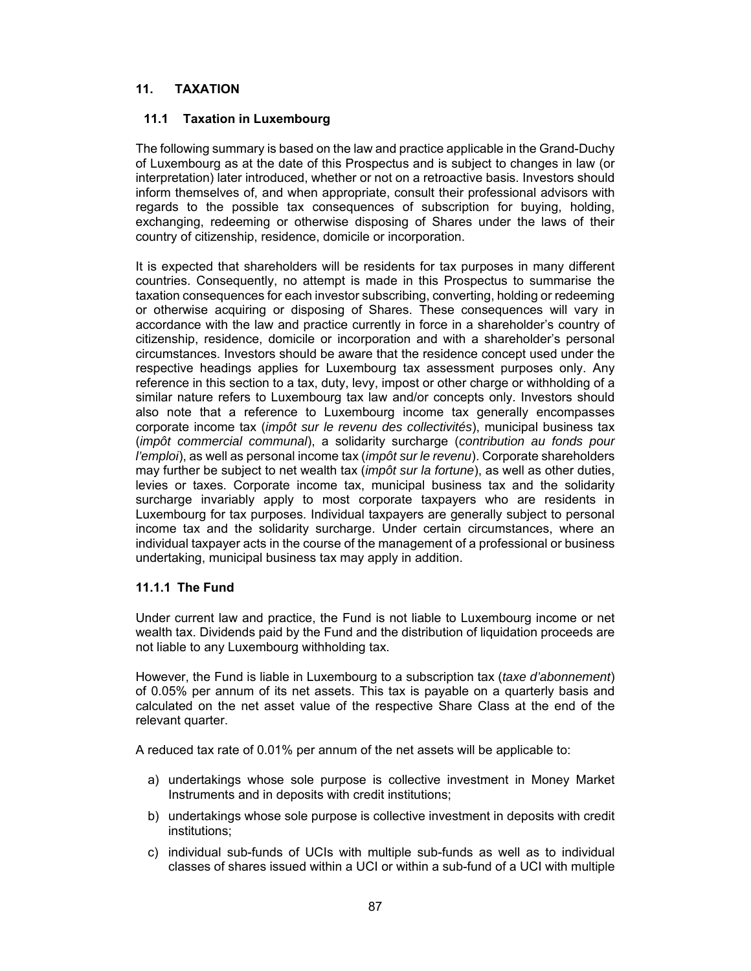# **11. TAXATION**

## **11.1 Taxation in Luxembourg**

The following summary is based on the law and practice applicable in the Grand-Duchy of Luxembourg as at the date of this Prospectus and is subject to changes in law (or interpretation) later introduced, whether or not on a retroactive basis. Investors should inform themselves of, and when appropriate, consult their professional advisors with regards to the possible tax consequences of subscription for buying, holding, exchanging, redeeming or otherwise disposing of Shares under the laws of their country of citizenship, residence, domicile or incorporation.

It is expected that shareholders will be residents for tax purposes in many different countries. Consequently, no attempt is made in this Prospectus to summarise the taxation consequences for each investor subscribing, converting, holding or redeeming or otherwise acquiring or disposing of Shares. These consequences will vary in accordance with the law and practice currently in force in a shareholder's country of citizenship, residence, domicile or incorporation and with a shareholder's personal circumstances. Investors should be aware that the residence concept used under the respective headings applies for Luxembourg tax assessment purposes only. Any reference in this section to a tax, duty, levy, impost or other charge or withholding of a similar nature refers to Luxembourg tax law and/or concepts only. Investors should also note that a reference to Luxembourg income tax generally encompasses corporate income tax (*impôt sur le revenu des collectivités*), municipal business tax (*impôt commercial communal*), a solidarity surcharge (*contribution au fonds pour l'emploi*), as well as personal income tax (*impôt sur le revenu*). Corporate shareholders may further be subject to net wealth tax (*impôt sur la fortune*), as well as other duties, levies or taxes. Corporate income tax, municipal business tax and the solidarity surcharge invariably apply to most corporate taxpayers who are residents in Luxembourg for tax purposes. Individual taxpayers are generally subject to personal income tax and the solidarity surcharge. Under certain circumstances, where an individual taxpayer acts in the course of the management of a professional or business undertaking, municipal business tax may apply in addition.

### **11.1.1 The Fund**

Under current law and practice, the Fund is not liable to Luxembourg income or net wealth tax. Dividends paid by the Fund and the distribution of liquidation proceeds are not liable to any Luxembourg withholding tax.

However, the Fund is liable in Luxembourg to a subscription tax (*taxe d'abonnement*) of 0.05% per annum of its net assets. This tax is payable on a quarterly basis and calculated on the net asset value of the respective Share Class at the end of the relevant quarter.

A reduced tax rate of 0.01% per annum of the net assets will be applicable to:

- a) undertakings whose sole purpose is collective investment in Money Market Instruments and in deposits with credit institutions;
- b) undertakings whose sole purpose is collective investment in deposits with credit institutions;
- c) individual sub-funds of UCIs with multiple sub-funds as well as to individual classes of shares issued within a UCI or within a sub-fund of a UCI with multiple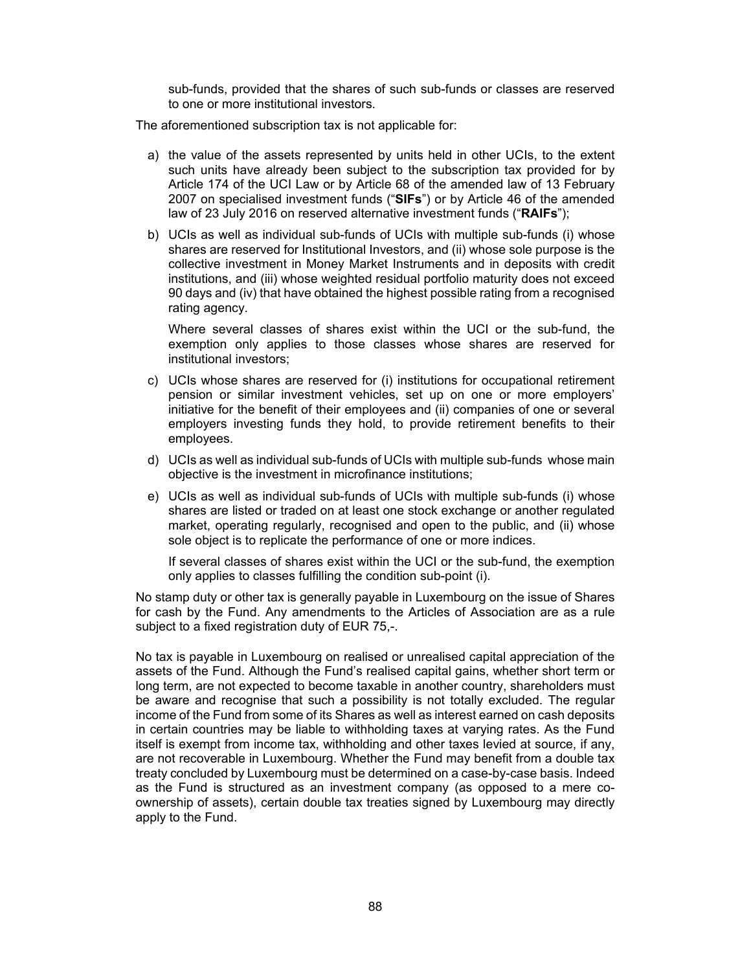sub-funds, provided that the shares of such sub-funds or classes are reserved to one or more institutional investors.

The aforementioned subscription tax is not applicable for:

- a) the value of the assets represented by units held in other UCIs, to the extent such units have already been subject to the subscription tax provided for by Article 174 of the UCI Law or by Article 68 of the amended law of 13 February 2007 on specialised investment funds ("**SIFs**") or by Article 46 of the amended law of 23 July 2016 on reserved alternative investment funds ("**RAIFs**");
- b) UCIs as well as individual sub-funds of UCIs with multiple sub-funds (i) whose shares are reserved for Institutional Investors, and (ii) whose sole purpose is the collective investment in Money Market Instruments and in deposits with credit institutions, and (iii) whose weighted residual portfolio maturity does not exceed 90 days and (iv) that have obtained the highest possible rating from a recognised rating agency.

Where several classes of shares exist within the UCI or the sub-fund, the exemption only applies to those classes whose shares are reserved for institutional investors;

- c) UCIs whose shares are reserved for (i) institutions for occupational retirement pension or similar investment vehicles, set up on one or more employers' initiative for the benefit of their employees and (ii) companies of one or several employers investing funds they hold, to provide retirement benefits to their employees.
- d) UCIs as well as individual sub-funds of UCIs with multiple sub-funds whose main objective is the investment in microfinance institutions;
- e) UCIs as well as individual sub-funds of UCIs with multiple sub-funds (i) whose shares are listed or traded on at least one stock exchange or another regulated market, operating regularly, recognised and open to the public, and (ii) whose sole object is to replicate the performance of one or more indices.

If several classes of shares exist within the UCI or the sub-fund, the exemption only applies to classes fulfilling the condition sub-point (i).

No stamp duty or other tax is generally payable in Luxembourg on the issue of Shares for cash by the Fund. Any amendments to the Articles of Association are as a rule subject to a fixed registration duty of EUR 75,-.

No tax is payable in Luxembourg on realised or unrealised capital appreciation of the assets of the Fund. Although the Fund's realised capital gains, whether short term or long term, are not expected to become taxable in another country, shareholders must be aware and recognise that such a possibility is not totally excluded. The regular income of the Fund from some of its Shares as well as interest earned on cash deposits in certain countries may be liable to withholding taxes at varying rates. As the Fund itself is exempt from income tax, withholding and other taxes levied at source, if any, are not recoverable in Luxembourg. Whether the Fund may benefit from a double tax treaty concluded by Luxembourg must be determined on a case-by-case basis. Indeed as the Fund is structured as an investment company (as opposed to a mere coownership of assets), certain double tax treaties signed by Luxembourg may directly apply to the Fund.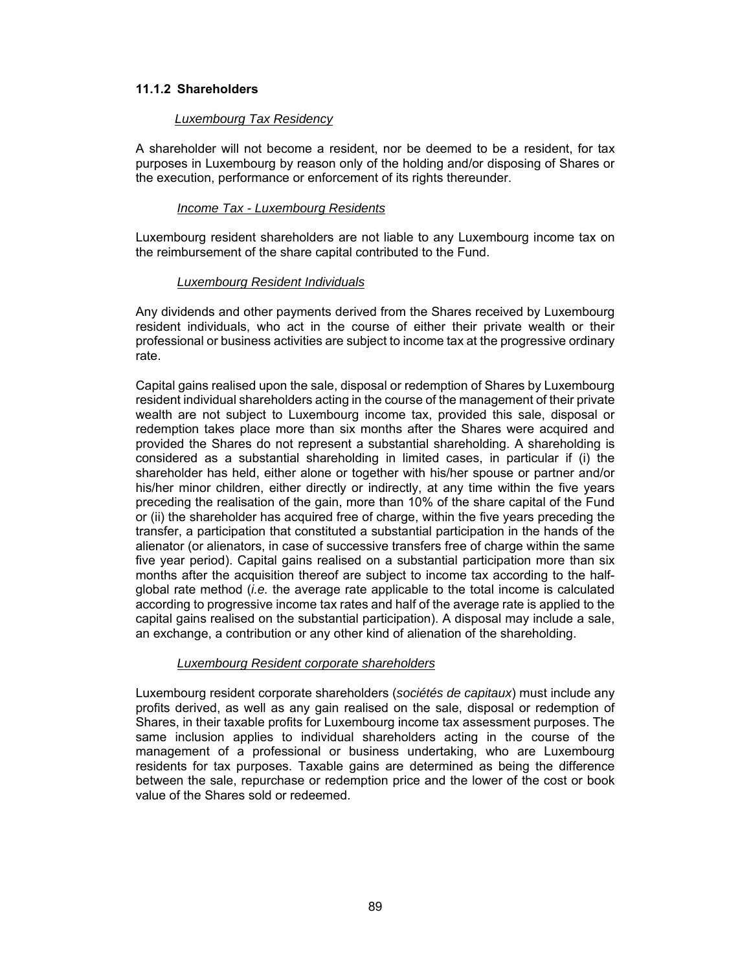### **11.1.2 Shareholders**

#### *Luxembourg Tax Residency*

A shareholder will not become a resident, nor be deemed to be a resident, for tax purposes in Luxembourg by reason only of the holding and/or disposing of Shares or the execution, performance or enforcement of its rights thereunder.

### *Income Tax - Luxembourg Residents*

Luxembourg resident shareholders are not liable to any Luxembourg income tax on the reimbursement of the share capital contributed to the Fund.

### *Luxembourg Resident Individuals*

Any dividends and other payments derived from the Shares received by Luxembourg resident individuals, who act in the course of either their private wealth or their professional or business activities are subject to income tax at the progressive ordinary rate.

Capital gains realised upon the sale, disposal or redemption of Shares by Luxembourg resident individual shareholders acting in the course of the management of their private wealth are not subject to Luxembourg income tax, provided this sale, disposal or redemption takes place more than six months after the Shares were acquired and provided the Shares do not represent a substantial shareholding. A shareholding is considered as a substantial shareholding in limited cases, in particular if (i) the shareholder has held, either alone or together with his/her spouse or partner and/or his/her minor children, either directly or indirectly, at any time within the five years preceding the realisation of the gain, more than 10% of the share capital of the Fund or (ii) the shareholder has acquired free of charge, within the five years preceding the transfer, a participation that constituted a substantial participation in the hands of the alienator (or alienators, in case of successive transfers free of charge within the same five year period). Capital gains realised on a substantial participation more than six months after the acquisition thereof are subject to income tax according to the halfglobal rate method (*i.e.* the average rate applicable to the total income is calculated according to progressive income tax rates and half of the average rate is applied to the capital gains realised on the substantial participation). A disposal may include a sale, an exchange, a contribution or any other kind of alienation of the shareholding.

### *Luxembourg Resident corporate shareholders*

Luxembourg resident corporate shareholders (*sociétés de capitaux*) must include any profits derived, as well as any gain realised on the sale, disposal or redemption of Shares, in their taxable profits for Luxembourg income tax assessment purposes. The same inclusion applies to individual shareholders acting in the course of the management of a professional or business undertaking, who are Luxembourg residents for tax purposes. Taxable gains are determined as being the difference between the sale, repurchase or redemption price and the lower of the cost or book value of the Shares sold or redeemed.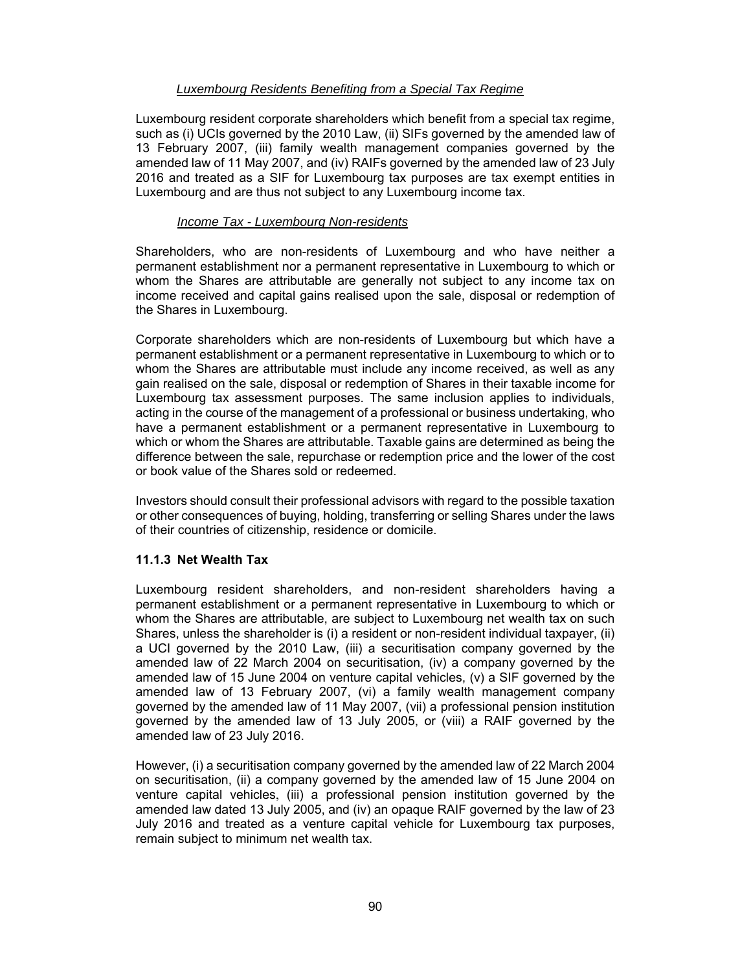### *Luxembourg Residents Benefiting from a Special Tax Regime*

Luxembourg resident corporate shareholders which benefit from a special tax regime, such as (i) UCIs governed by the 2010 Law, (ii) SIFs governed by the amended law of 13 February 2007, (iii) family wealth management companies governed by the amended law of 11 May 2007, and (iv) RAIFs governed by the amended law of 23 July 2016 and treated as a SIF for Luxembourg tax purposes are tax exempt entities in Luxembourg and are thus not subject to any Luxembourg income tax.

### *Income Tax - Luxembourg Non-residents*

Shareholders, who are non-residents of Luxembourg and who have neither a permanent establishment nor a permanent representative in Luxembourg to which or whom the Shares are attributable are generally not subject to any income tax on income received and capital gains realised upon the sale, disposal or redemption of the Shares in Luxembourg.

Corporate shareholders which are non-residents of Luxembourg but which have a permanent establishment or a permanent representative in Luxembourg to which or to whom the Shares are attributable must include any income received, as well as any gain realised on the sale, disposal or redemption of Shares in their taxable income for Luxembourg tax assessment purposes. The same inclusion applies to individuals, acting in the course of the management of a professional or business undertaking, who have a permanent establishment or a permanent representative in Luxembourg to which or whom the Shares are attributable. Taxable gains are determined as being the difference between the sale, repurchase or redemption price and the lower of the cost or book value of the Shares sold or redeemed.

Investors should consult their professional advisors with regard to the possible taxation or other consequences of buying, holding, transferring or selling Shares under the laws of their countries of citizenship, residence or domicile.

### **11.1.3 Net Wealth Tax**

Luxembourg resident shareholders, and non-resident shareholders having a permanent establishment or a permanent representative in Luxembourg to which or whom the Shares are attributable, are subject to Luxembourg net wealth tax on such Shares, unless the shareholder is (i) a resident or non-resident individual taxpayer, (ii) a UCI governed by the 2010 Law, (iii) a securitisation company governed by the amended law of 22 March 2004 on securitisation, (iv) a company governed by the amended law of 15 June 2004 on venture capital vehicles,  $(v)$  a SIF governed by the amended law of 13 February 2007, (vi) a family wealth management company governed by the amended law of 11 May 2007, (vii) a professional pension institution governed by the amended law of 13 July 2005, or (viii) a RAIF governed by the amended law of 23 July 2016.

However, (i) a securitisation company governed by the amended law of 22 March 2004 on securitisation, (ii) a company governed by the amended law of 15 June 2004 on venture capital vehicles, (iii) a professional pension institution governed by the amended law dated 13 July 2005, and (iv) an opaque RAIF governed by the law of 23 July 2016 and treated as a venture capital vehicle for Luxembourg tax purposes, remain subject to minimum net wealth tax.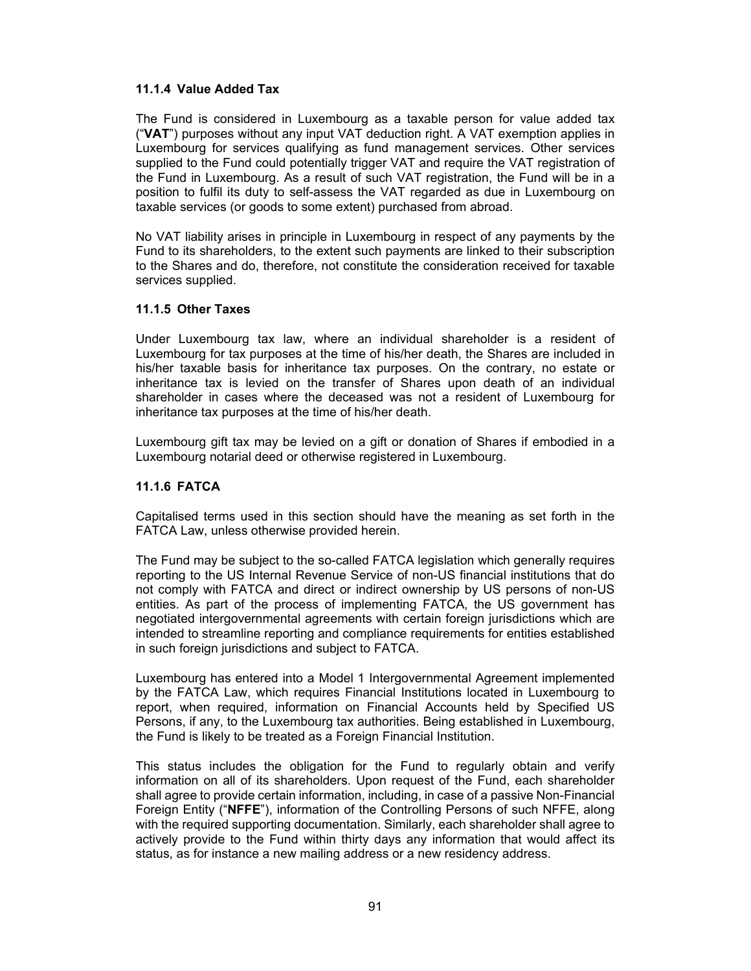### **11.1.4 Value Added Tax**

The Fund is considered in Luxembourg as a taxable person for value added tax ("**VAT**") purposes without any input VAT deduction right. A VAT exemption applies in Luxembourg for services qualifying as fund management services. Other services supplied to the Fund could potentially trigger VAT and require the VAT registration of the Fund in Luxembourg. As a result of such VAT registration, the Fund will be in a position to fulfil its duty to self-assess the VAT regarded as due in Luxembourg on taxable services (or goods to some extent) purchased from abroad.

No VAT liability arises in principle in Luxembourg in respect of any payments by the Fund to its shareholders, to the extent such payments are linked to their subscription to the Shares and do, therefore, not constitute the consideration received for taxable services supplied.

### **11.1.5 Other Taxes**

Under Luxembourg tax law, where an individual shareholder is a resident of Luxembourg for tax purposes at the time of his/her death, the Shares are included in his/her taxable basis for inheritance tax purposes. On the contrary, no estate or inheritance tax is levied on the transfer of Shares upon death of an individual shareholder in cases where the deceased was not a resident of Luxembourg for inheritance tax purposes at the time of his/her death.

Luxembourg gift tax may be levied on a gift or donation of Shares if embodied in a Luxembourg notarial deed or otherwise registered in Luxembourg.

### **11.1.6 FATCA**

Capitalised terms used in this section should have the meaning as set forth in the FATCA Law, unless otherwise provided herein.

The Fund may be subject to the so-called FATCA legislation which generally requires reporting to the US Internal Revenue Service of non-US financial institutions that do not comply with FATCA and direct or indirect ownership by US persons of non-US entities. As part of the process of implementing FATCA, the US government has negotiated intergovernmental agreements with certain foreign jurisdictions which are intended to streamline reporting and compliance requirements for entities established in such foreign jurisdictions and subject to FATCA.

Luxembourg has entered into a Model 1 Intergovernmental Agreement implemented by the FATCA Law, which requires Financial Institutions located in Luxembourg to report, when required, information on Financial Accounts held by Specified US Persons, if any, to the Luxembourg tax authorities. Being established in Luxembourg, the Fund is likely to be treated as a Foreign Financial Institution.

This status includes the obligation for the Fund to regularly obtain and verify information on all of its shareholders. Upon request of the Fund, each shareholder shall agree to provide certain information, including, in case of a passive Non-Financial Foreign Entity ("**NFFE**"), information of the Controlling Persons of such NFFE, along with the required supporting documentation. Similarly, each shareholder shall agree to actively provide to the Fund within thirty days any information that would affect its status, as for instance a new mailing address or a new residency address.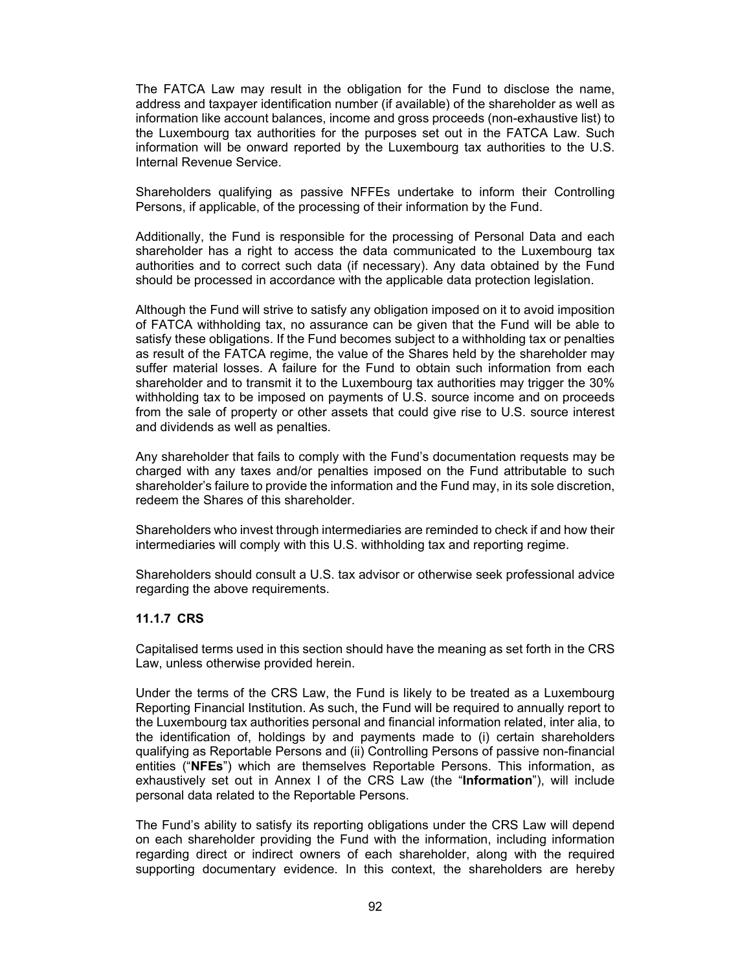The FATCA Law may result in the obligation for the Fund to disclose the name, address and taxpayer identification number (if available) of the shareholder as well as information like account balances, income and gross proceeds (non-exhaustive list) to the Luxembourg tax authorities for the purposes set out in the FATCA Law. Such information will be onward reported by the Luxembourg tax authorities to the U.S. Internal Revenue Service.

Shareholders qualifying as passive NFFEs undertake to inform their Controlling Persons, if applicable, of the processing of their information by the Fund.

Additionally, the Fund is responsible for the processing of Personal Data and each shareholder has a right to access the data communicated to the Luxembourg tax authorities and to correct such data (if necessary). Any data obtained by the Fund should be processed in accordance with the applicable data protection legislation.

Although the Fund will strive to satisfy any obligation imposed on it to avoid imposition of FATCA withholding tax, no assurance can be given that the Fund will be able to satisfy these obligations. If the Fund becomes subject to a withholding tax or penalties as result of the FATCA regime, the value of the Shares held by the shareholder may suffer material losses. A failure for the Fund to obtain such information from each shareholder and to transmit it to the Luxembourg tax authorities may trigger the 30% withholding tax to be imposed on payments of U.S. source income and on proceeds from the sale of property or other assets that could give rise to U.S. source interest and dividends as well as penalties.

Any shareholder that fails to comply with the Fund's documentation requests may be charged with any taxes and/or penalties imposed on the Fund attributable to such shareholder's failure to provide the information and the Fund may, in its sole discretion, redeem the Shares of this shareholder.

Shareholders who invest through intermediaries are reminded to check if and how their intermediaries will comply with this U.S. withholding tax and reporting regime.

Shareholders should consult a U.S. tax advisor or otherwise seek professional advice regarding the above requirements.

### **11.1.7 CRS**

Capitalised terms used in this section should have the meaning as set forth in the CRS Law, unless otherwise provided herein.

Under the terms of the CRS Law, the Fund is likely to be treated as a Luxembourg Reporting Financial Institution. As such, the Fund will be required to annually report to the Luxembourg tax authorities personal and financial information related, inter alia, to the identification of, holdings by and payments made to (i) certain shareholders qualifying as Reportable Persons and (ii) Controlling Persons of passive non-financial entities ("**NFEs**") which are themselves Reportable Persons. This information, as exhaustively set out in Annex I of the CRS Law (the "**Information**"), will include personal data related to the Reportable Persons.

The Fund's ability to satisfy its reporting obligations under the CRS Law will depend on each shareholder providing the Fund with the information, including information regarding direct or indirect owners of each shareholder, along with the required supporting documentary evidence. In this context, the shareholders are hereby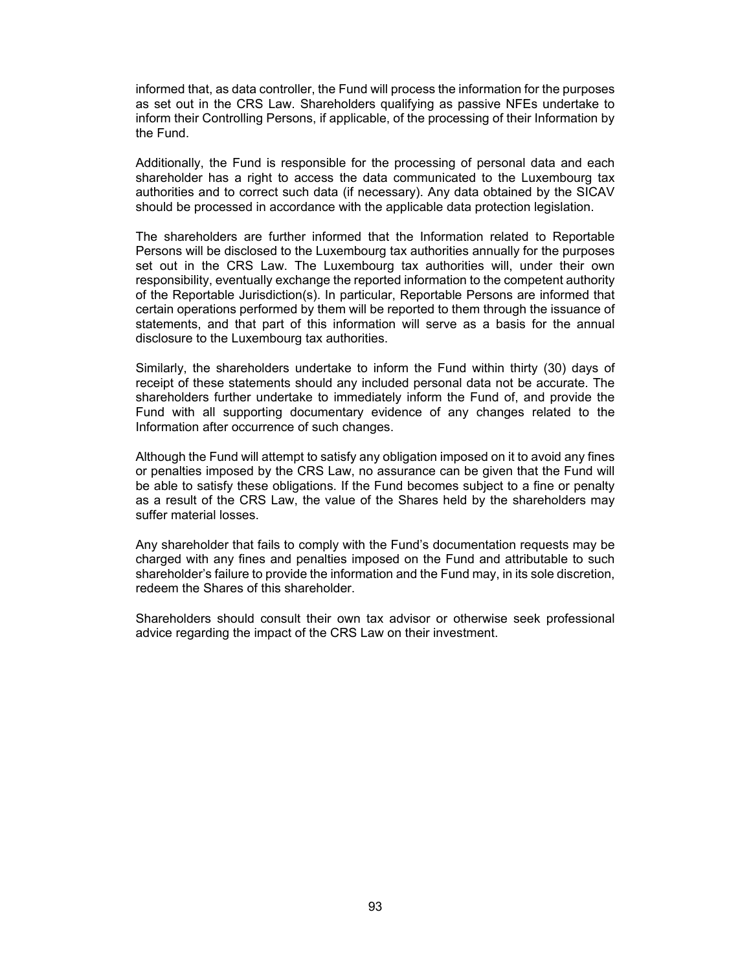informed that, as data controller, the Fund will process the information for the purposes as set out in the CRS Law. Shareholders qualifying as passive NFEs undertake to inform their Controlling Persons, if applicable, of the processing of their Information by the Fund.

Additionally, the Fund is responsible for the processing of personal data and each shareholder has a right to access the data communicated to the Luxembourg tax authorities and to correct such data (if necessary). Any data obtained by the SICAV should be processed in accordance with the applicable data protection legislation.

The shareholders are further informed that the Information related to Reportable Persons will be disclosed to the Luxembourg tax authorities annually for the purposes set out in the CRS Law. The Luxembourg tax authorities will, under their own responsibility, eventually exchange the reported information to the competent authority of the Reportable Jurisdiction(s). In particular, Reportable Persons are informed that certain operations performed by them will be reported to them through the issuance of statements, and that part of this information will serve as a basis for the annual disclosure to the Luxembourg tax authorities.

Similarly, the shareholders undertake to inform the Fund within thirty (30) days of receipt of these statements should any included personal data not be accurate. The shareholders further undertake to immediately inform the Fund of, and provide the Fund with all supporting documentary evidence of any changes related to the Information after occurrence of such changes.

Although the Fund will attempt to satisfy any obligation imposed on it to avoid any fines or penalties imposed by the CRS Law, no assurance can be given that the Fund will be able to satisfy these obligations. If the Fund becomes subject to a fine or penalty as a result of the CRS Law, the value of the Shares held by the shareholders may suffer material losses.

Any shareholder that fails to comply with the Fund's documentation requests may be charged with any fines and penalties imposed on the Fund and attributable to such shareholder's failure to provide the information and the Fund may, in its sole discretion, redeem the Shares of this shareholder.

Shareholders should consult their own tax advisor or otherwise seek professional advice regarding the impact of the CRS Law on their investment.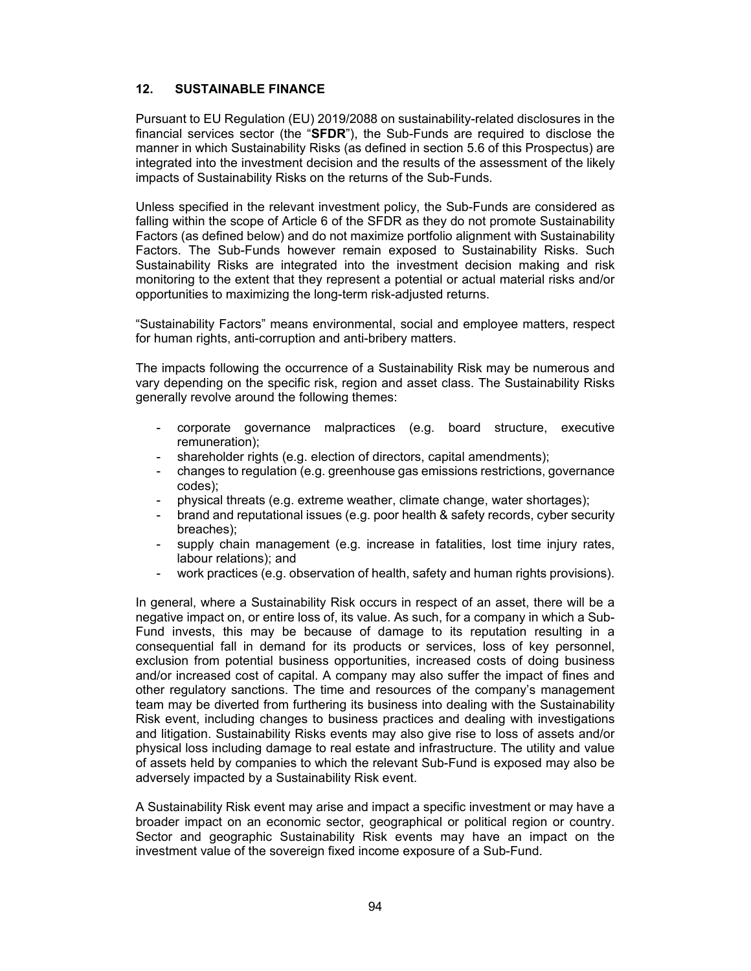### **12. SUSTAINABLE FINANCE**

Pursuant to EU Regulation (EU) 2019/2088 on sustainability-related disclosures in the financial services sector (the "**SFDR**"), the Sub-Funds are required to disclose the manner in which Sustainability Risks (as defined in section 5.6 of this Prospectus) are integrated into the investment decision and the results of the assessment of the likely impacts of Sustainability Risks on the returns of the Sub-Funds.

Unless specified in the relevant investment policy, the Sub-Funds are considered as falling within the scope of Article 6 of the SFDR as they do not promote Sustainability Factors (as defined below) and do not maximize portfolio alignment with Sustainability Factors. The Sub-Funds however remain exposed to Sustainability Risks. Such Sustainability Risks are integrated into the investment decision making and risk monitoring to the extent that they represent a potential or actual material risks and/or opportunities to maximizing the long-term risk-adjusted returns.

"Sustainability Factors" means environmental, social and employee matters, respect for human rights, anti-corruption and anti-bribery matters.

The impacts following the occurrence of a Sustainability Risk may be numerous and vary depending on the specific risk, region and asset class. The Sustainability Risks generally revolve around the following themes:

- corporate governance malpractices (e.g. board structure, executive remuneration);
- shareholder rights (e.g. election of directors, capital amendments);
- changes to regulation (e.g. greenhouse gas emissions restrictions, governance codes);
- physical threats (e.g. extreme weather, climate change, water shortages);
- brand and reputational issues (e.g. poor health & safety records, cyber security breaches);
- supply chain management (e.g. increase in fatalities, lost time injury rates, labour relations); and
- work practices (e.g. observation of health, safety and human rights provisions).

In general, where a Sustainability Risk occurs in respect of an asset, there will be a negative impact on, or entire loss of, its value. As such, for a company in which a Sub-Fund invests, this may be because of damage to its reputation resulting in a consequential fall in demand for its products or services, loss of key personnel, exclusion from potential business opportunities, increased costs of doing business and/or increased cost of capital. A company may also suffer the impact of fines and other regulatory sanctions. The time and resources of the company's management team may be diverted from furthering its business into dealing with the Sustainability Risk event, including changes to business practices and dealing with investigations and litigation. Sustainability Risks events may also give rise to loss of assets and/or physical loss including damage to real estate and infrastructure. The utility and value of assets held by companies to which the relevant Sub-Fund is exposed may also be adversely impacted by a Sustainability Risk event.

A Sustainability Risk event may arise and impact a specific investment or may have a broader impact on an economic sector, geographical or political region or country. Sector and geographic Sustainability Risk events may have an impact on the investment value of the sovereign fixed income exposure of a Sub-Fund.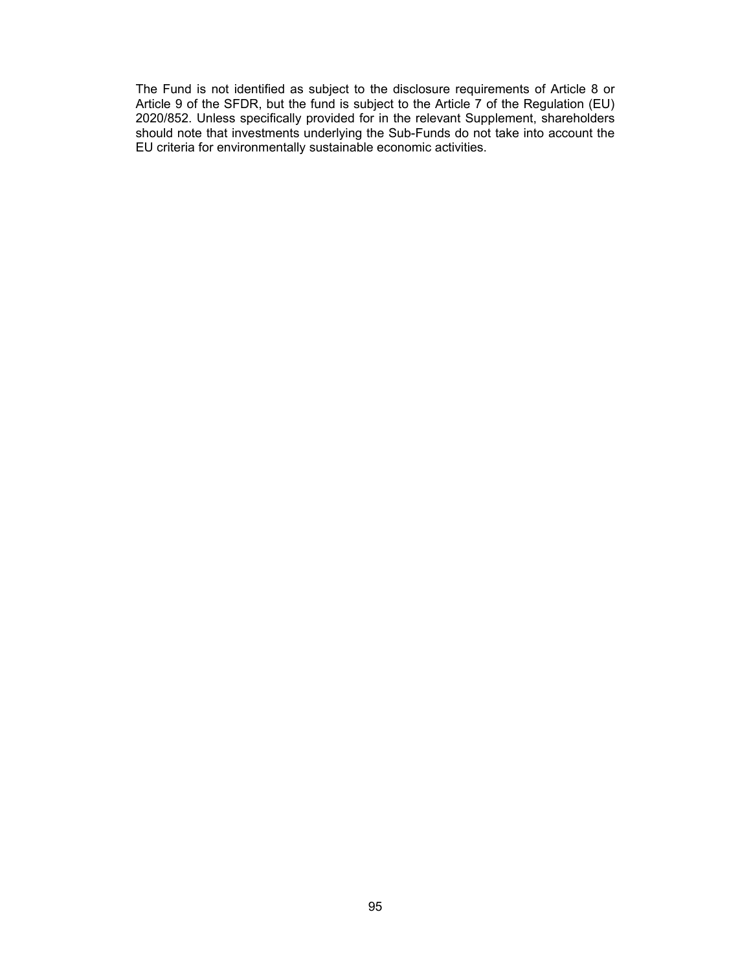The Fund is not identified as subject to the disclosure requirements of Article 8 or Article 9 of the SFDR, but the fund is subject to the Article 7 of the Regulation (EU) 2020/852. Unless specifically provided for in the relevant Supplement, shareholders should note that investments underlying the Sub-Funds do not take into account the EU criteria for environmentally sustainable economic activities.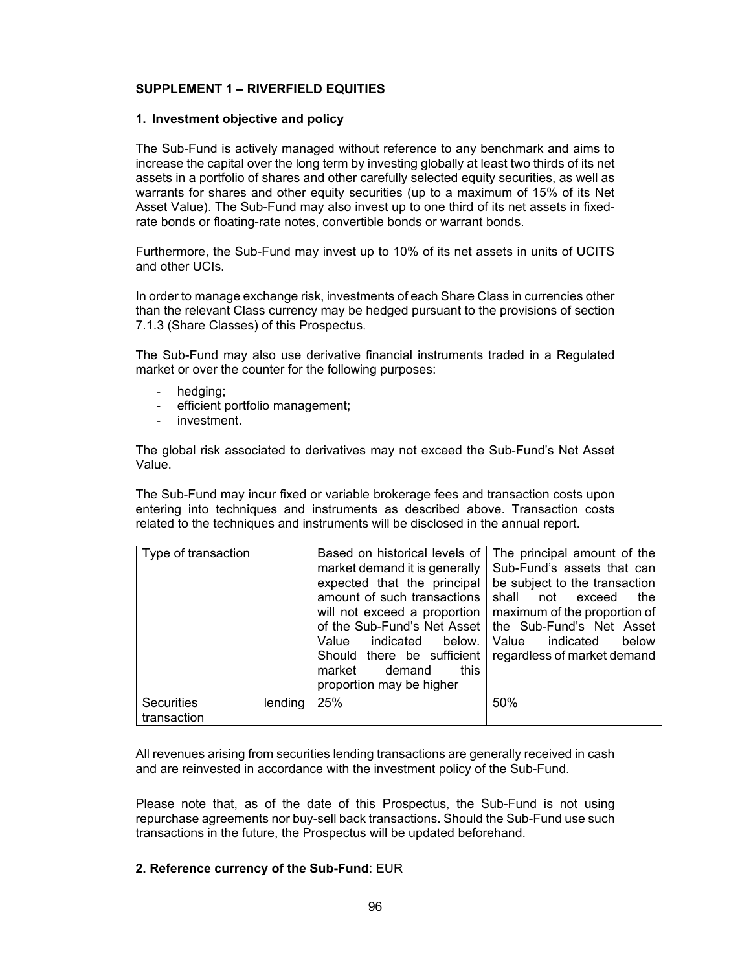## **SUPPLEMENT 1 – RIVERFIELD EQUITIES**

### **1. Investment objective and policy**

The Sub-Fund is actively managed without reference to any benchmark and aims to increase the capital over the long term by investing globally at least two thirds of its net assets in a portfolio of shares and other carefully selected equity securities, as well as warrants for shares and other equity securities (up to a maximum of 15% of its Net Asset Value). The Sub-Fund may also invest up to one third of its net assets in fixedrate bonds or floating-rate notes, convertible bonds or warrant bonds.

Furthermore, the Sub-Fund may invest up to 10% of its net assets in units of UCITS and other UCIs.

In order to manage exchange risk, investments of each Share Class in currencies other than the relevant Class currency may be hedged pursuant to the provisions of section 7.1.3 (Share Classes) of this Prospectus.

The Sub-Fund may also use derivative financial instruments traded in a Regulated market or over the counter for the following purposes:

- hedging;
- efficient portfolio management;
- investment.

The global risk associated to derivatives may not exceed the Sub-Fund's Net Asset Value.

The Sub-Fund may incur fixed or variable brokerage fees and transaction costs upon entering into techniques and instruments as described above. Transaction costs related to the techniques and instruments will be disclosed in the annual report.

| Type of transaction                         | Based on historical levels of<br>market demand it is generally<br>expected that the principal<br>amount of such transactions<br>will not exceed a proportion<br>Value indicated<br>below.<br>Should there be sufficient<br>market<br>demand<br>this<br>proportion may be higher | The principal amount of the<br>Sub-Fund's assets that can<br>be subject to the transaction<br>shall<br>not exceed<br>the<br>maximum of the proportion of<br>of the Sub-Fund's Net Asset   the Sub-Fund's Net Asset<br>Value<br>indicated<br>below<br>regardless of market demand |
|---------------------------------------------|---------------------------------------------------------------------------------------------------------------------------------------------------------------------------------------------------------------------------------------------------------------------------------|----------------------------------------------------------------------------------------------------------------------------------------------------------------------------------------------------------------------------------------------------------------------------------|
| <b>Securities</b><br>lending<br>transaction | 25%                                                                                                                                                                                                                                                                             | 50%                                                                                                                                                                                                                                                                              |

All revenues arising from securities lending transactions are generally received in cash and are reinvested in accordance with the investment policy of the Sub-Fund.

Please note that, as of the date of this Prospectus, the Sub-Fund is not using repurchase agreements nor buy-sell back transactions. Should the Sub-Fund use such transactions in the future, the Prospectus will be updated beforehand.

### **2. Reference currency of the Sub-Fund**: EUR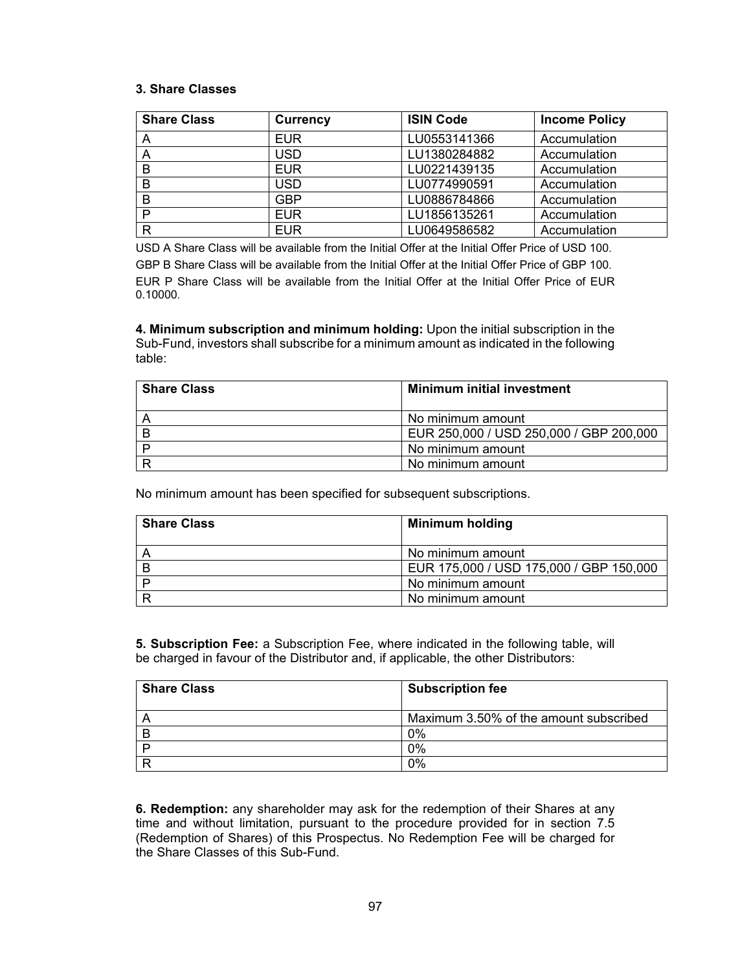### **3. Share Classes**

| <b>Share Class</b> | <b>Currency</b> | <b>ISIN Code</b> | <b>Income Policy</b> |
|--------------------|-----------------|------------------|----------------------|
|                    | <b>EUR</b>      | LU0553141366     | Accumulation         |
| A                  | USD.            | LU1380284882     | Accumulation         |
| в                  | <b>EUR</b>      | LU0221439135     | Accumulation         |
| в                  | <b>USD</b>      | LU0774990591     | Accumulation         |
| в                  | <b>GBP</b>      | LU0886784866     | Accumulation         |
| D                  | <b>EUR</b>      | LU1856135261     | Accumulation         |
| R                  | <b>EUR</b>      | LU0649586582     | Accumulation         |

USD A Share Class will be available from the Initial Offer at the Initial Offer Price of USD 100.

GBP B Share Class will be available from the Initial Offer at the Initial Offer Price of GBP 100. EUR P Share Class will be available from the Initial Offer at the Initial Offer Price of EUR 0.10000.

**4. Minimum subscription and minimum holding:** Upon the initial subscription in the Sub-Fund, investors shall subscribe for a minimum amount as indicated in the following table:

| <b>Share Class</b> | <b>Minimum initial investment</b>       |
|--------------------|-----------------------------------------|
|                    | No minimum amount                       |
|                    | EUR 250,000 / USD 250,000 / GBP 200,000 |
|                    | No minimum amount                       |
|                    | No minimum amount                       |

No minimum amount has been specified for subsequent subscriptions.

| <b>Share Class</b> | <b>Minimum holding</b>                  |
|--------------------|-----------------------------------------|
|                    | No minimum amount                       |
|                    | EUR 175,000 / USD 175,000 / GBP 150,000 |
|                    | No minimum amount                       |
|                    | No minimum amount                       |

**5. Subscription Fee:** a Subscription Fee, where indicated in the following table, will be charged in favour of the Distributor and, if applicable, the other Distributors:

| <b>Share Class</b> | <b>Subscription fee</b>                |
|--------------------|----------------------------------------|
|                    | Maximum 3.50% of the amount subscribed |
|                    | 0%                                     |
|                    | $0\%$                                  |
|                    | 0%                                     |

**6. Redemption:** any shareholder may ask for the redemption of their Shares at any time and without limitation, pursuant to the procedure provided for in section 7.5 (Redemption of Shares) of this Prospectus. No Redemption Fee will be charged for the Share Classes of this Sub-Fund.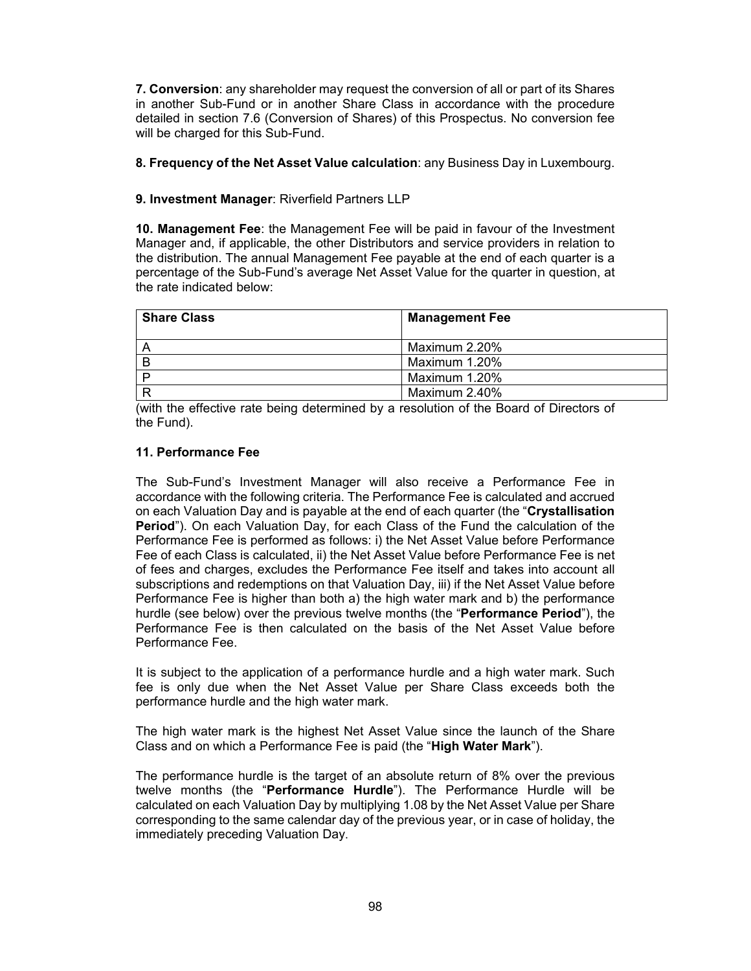**7. Conversion**: any shareholder may request the conversion of all or part of its Shares in another Sub-Fund or in another Share Class in accordance with the procedure detailed in section 7.6 (Conversion of Shares) of this Prospectus. No conversion fee will be charged for this Sub-Fund.

## **8. Frequency of the Net Asset Value calculation**: any Business Day in Luxembourg.

# **9. Investment Manager**: Riverfield Partners LLP

**10. Management Fee**: the Management Fee will be paid in favour of the Investment Manager and, if applicable, the other Distributors and service providers in relation to the distribution. The annual Management Fee payable at the end of each quarter is a percentage of the Sub-Fund's average Net Asset Value for the quarter in question, at the rate indicated below:

| <b>Share Class</b> | <b>Management Fee</b> |
|--------------------|-----------------------|
|                    | Maximum 2.20%         |
|                    | Maximum 1.20%         |
|                    | Maximum 1.20%         |
|                    | Maximum 2.40%         |

(with the effective rate being determined by a resolution of the Board of Directors of the Fund).

# **11. Performance Fee**

The Sub-Fund's Investment Manager will also receive a Performance Fee in accordance with the following criteria. The Performance Fee is calculated and accrued on each Valuation Day and is payable at the end of each quarter (the "**Crystallisation Period**"). On each Valuation Day, for each Class of the Fund the calculation of the Performance Fee is performed as follows: i) the Net Asset Value before Performance Fee of each Class is calculated, ii) the Net Asset Value before Performance Fee is net of fees and charges, excludes the Performance Fee itself and takes into account all subscriptions and redemptions on that Valuation Day, iii) if the Net Asset Value before Performance Fee is higher than both a) the high water mark and b) the performance hurdle (see below) over the previous twelve months (the "**Performance Period**"), the Performance Fee is then calculated on the basis of the Net Asset Value before Performance Fee.

It is subject to the application of a performance hurdle and a high water mark. Such fee is only due when the Net Asset Value per Share Class exceeds both the performance hurdle and the high water mark.

The high water mark is the highest Net Asset Value since the launch of the Share Class and on which a Performance Fee is paid (the "**High Water Mark**").

The performance hurdle is the target of an absolute return of 8% over the previous twelve months (the "**Performance Hurdle**"). The Performance Hurdle will be calculated on each Valuation Day by multiplying 1.08 by the Net Asset Value per Share corresponding to the same calendar day of the previous year, or in case of holiday, the immediately preceding Valuation Day.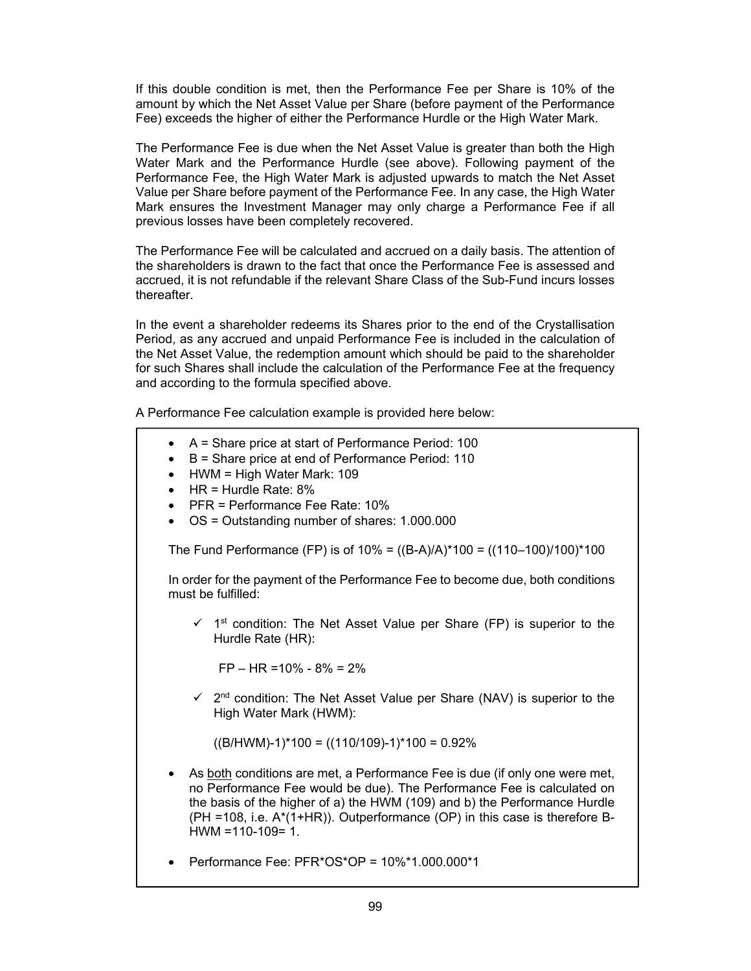If this double condition is met, then the Performance Fee per Share is 10% of the amount by which the Net Asset Value per Share (before payment of the Performance Fee) exceeds the higher of either the Performance Hurdle or the High Water Mark.

The Performance Fee is due when the Net Asset Value is greater than both the High Water Mark and the Performance Hurdle (see above). Following payment of the Performance Fee, the High Water Mark is adjusted upwards to match the Net Asset Value per Share before payment of the Performance Fee. In any case, the High Water Mark ensures the Investment Manager may only charge a Performance Fee if all previous losses have been completely recovered.

The Performance Fee will be calculated and accrued on a daily basis. The attention of the shareholders is drawn to the fact that once the Performance Fee is assessed and accrued, it is not refundable if the relevant Share Class of the Sub-Fund incurs losses thereafter.

In the event a shareholder redeems its Shares prior to the end of the Crystallisation Period, as any accrued and unpaid Performance Fee is included in the calculation of the Net Asset Value, the redemption amount which should be paid to the shareholder for such Shares shall include the calculation of the Performance Fee at the frequency and according to the formula specified above.

A Performance Fee calculation example is provided here below:

- A = Share price at start of Performance Period: 100
- B = Share price at end of Performance Period: 110
- HWM = High Water Mark: 109
- $\bullet$  HR = Hurdle Rate: 8%
- PFR = Performance Fee Rate: 10%
- OS = Outstanding number of shares: 1.000.000

The Fund Performance (FP) is of  $10\% = ((B-A)/A)^*100 = ((110-100)/100)^*100$ 

In order for the payment of the Performance Fee to become due, both conditions must be fulfilled:

 $\checkmark$  1<sup>st</sup> condition: The Net Asset Value per Share (FP) is superior to the Hurdle Rate (HR):

FP – HR =10% - 8% = 2%

 $\checkmark$  2<sup>nd</sup> condition: The Net Asset Value per Share (NAV) is superior to the High Water Mark (HWM):

 $((B/HWM)-1)*100 = ((110/109)-1)*100 = 0.92%$ 

• As both conditions are met, a Performance Fee is due (if only one were met, no Performance Fee would be due). The Performance Fee is calculated on the basis of the higher of a) the HWM (109) and b) the Performance Hurdle (PH =108, i.e. A\*(1+HR)). Outperformance (OP) in this case is therefore B- $HWM = 110-109= 1.$ 

• Performance Fee: PFR\*OS\*OP = 10%\*1.000.000\*1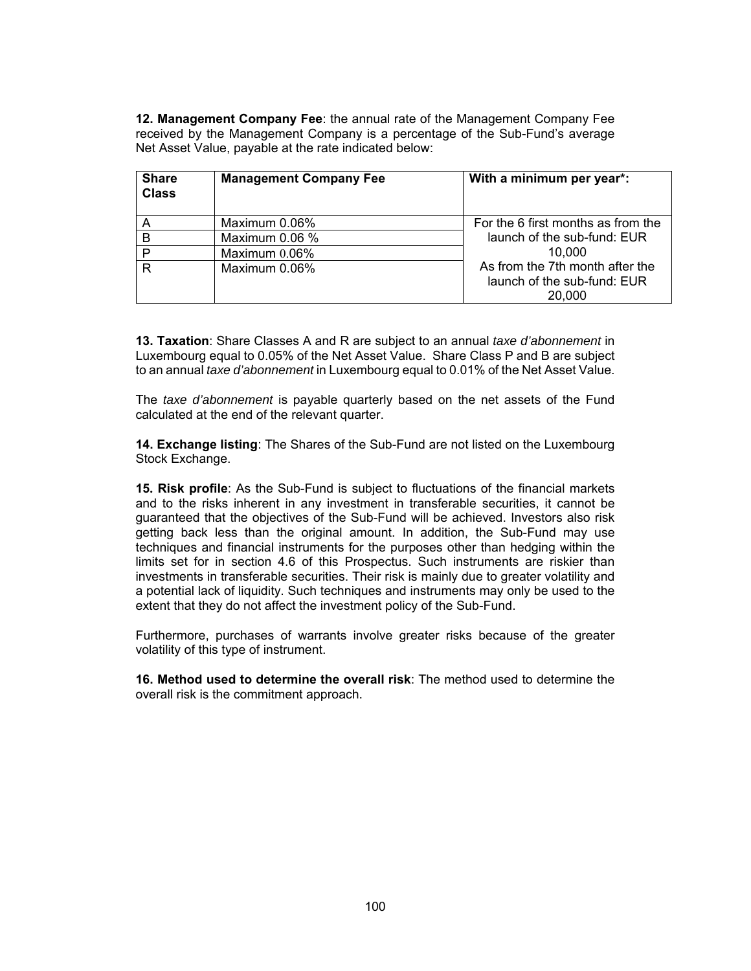**12. Management Company Fee**: the annual rate of the Management Company Fee received by the Management Company is a percentage of the Sub-Fund's average Net Asset Value, payable at the rate indicated below:

| <b>Share</b><br><b>Class</b> | <b>Management Company Fee</b> | With a minimum per year*:                                                |
|------------------------------|-------------------------------|--------------------------------------------------------------------------|
|                              | Maximum 0.06%                 | For the 6 first months as from the                                       |
| В                            | Maximum 0.06 %                | launch of the sub-fund: EUR                                              |
| P                            | Maximum $0.06\%$              | 10.000                                                                   |
| R                            | Maximum 0.06%                 | As from the 7th month after the<br>launch of the sub-fund: EUR<br>20,000 |

**13. Taxation**: Share Classes A and R are subject to an annual *taxe d'abonnement* in Luxembourg equal to 0.05% of the Net Asset Value. Share Class P and B are subject to an annual *taxe d'abonnement* in Luxembourg equal to 0.01% of the Net Asset Value.

The *taxe d'abonnement* is payable quarterly based on the net assets of the Fund calculated at the end of the relevant quarter.

**14. Exchange listing**: The Shares of the Sub-Fund are not listed on the Luxembourg Stock Exchange.

**15. Risk profile**: As the Sub-Fund is subject to fluctuations of the financial markets and to the risks inherent in any investment in transferable securities, it cannot be guaranteed that the objectives of the Sub-Fund will be achieved. Investors also risk getting back less than the original amount. In addition, the Sub-Fund may use techniques and financial instruments for the purposes other than hedging within the limits set for in section 4.6 of this Prospectus. Such instruments are riskier than investments in transferable securities. Their risk is mainly due to greater volatility and a potential lack of liquidity. Such techniques and instruments may only be used to the extent that they do not affect the investment policy of the Sub-Fund.

Furthermore, purchases of warrants involve greater risks because of the greater volatility of this type of instrument.

**16. Method used to determine the overall risk**: The method used to determine the overall risk is the commitment approach.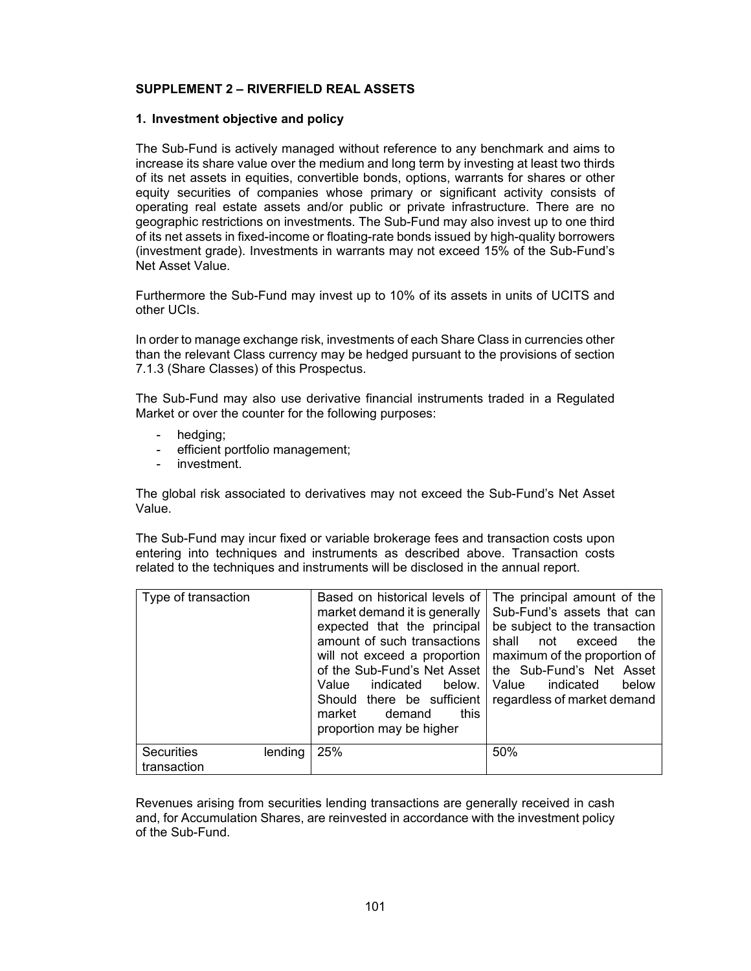### **SUPPLEMENT 2 – RIVERFIELD REAL ASSETS**

#### **1. Investment objective and policy**

The Sub-Fund is actively managed without reference to any benchmark and aims to increase its share value over the medium and long term by investing at least two thirds of its net assets in equities, convertible bonds, options, warrants for shares or other equity securities of companies whose primary or significant activity consists of operating real estate assets and/or public or private infrastructure. There are no geographic restrictions on investments. The Sub-Fund may also invest up to one third of its net assets in fixed-income or floating-rate bonds issued by high-quality borrowers (investment grade). Investments in warrants may not exceed 15% of the Sub-Fund's Net Asset Value.

Furthermore the Sub-Fund may invest up to 10% of its assets in units of UCITS and other UCIs.

In order to manage exchange risk, investments of each Share Class in currencies other than the relevant Class currency may be hedged pursuant to the provisions of section 7.1.3 (Share Classes) of this Prospectus.

The Sub-Fund may also use derivative financial instruments traded in a Regulated Market or over the counter for the following purposes:

- hedging;
- efficient portfolio management;
- investment.

The global risk associated to derivatives may not exceed the Sub-Fund's Net Asset Value.

The Sub-Fund may incur fixed or variable brokerage fees and transaction costs upon entering into techniques and instruments as described above. Transaction costs related to the techniques and instruments will be disclosed in the annual report.

| Type of transaction                         | Based on historical levels of<br>market demand it is generally<br>expected that the principal<br>amount of such transactions<br>will not exceed a proportion<br>of the Sub-Fund's Net Asset<br>Value<br>indicated<br>below.<br>Should there be sufficient<br>this<br>demand<br>market<br>proportion may be higher | The principal amount of the<br>Sub-Fund's assets that can<br>be subject to the transaction<br>shall<br>not<br>exceed<br>the<br>maximum of the proportion of<br>the Sub-Fund's Net Asset<br>Value<br>indicated<br>below<br>regardless of market demand |
|---------------------------------------------|-------------------------------------------------------------------------------------------------------------------------------------------------------------------------------------------------------------------------------------------------------------------------------------------------------------------|-------------------------------------------------------------------------------------------------------------------------------------------------------------------------------------------------------------------------------------------------------|
| <b>Securities</b><br>lending<br>transaction | 25%                                                                                                                                                                                                                                                                                                               | 50%                                                                                                                                                                                                                                                   |

Revenues arising from securities lending transactions are generally received in cash and, for Accumulation Shares, are reinvested in accordance with the investment policy of the Sub-Fund.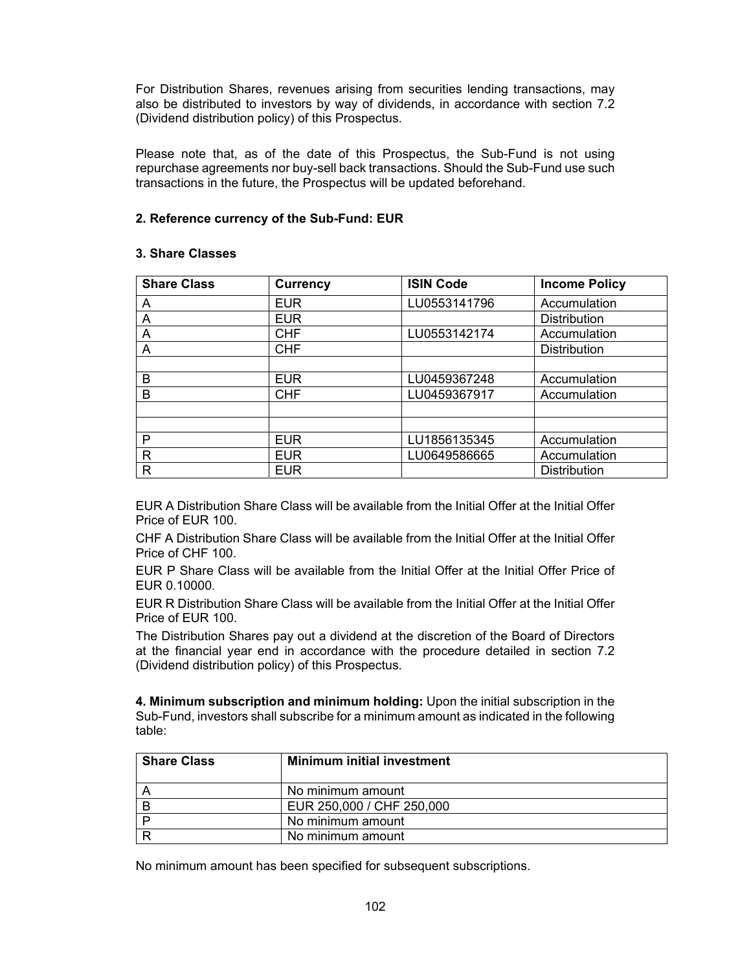For Distribution Shares, revenues arising from securities lending transactions, may also be distributed to investors by way of dividends, in accordance with section 7.2 (Dividend distribution policy) of this Prospectus.

Please note that, as of the date of this Prospectus, the Sub-Fund is not using repurchase agreements nor buy-sell back transactions. Should the Sub-Fund use such transactions in the future, the Prospectus will be updated beforehand.

# **2. Reference currency of the Sub-Fund: EUR**

### **3. Share Classes**

| <b>Share Class</b> | <b>Currency</b> | <b>ISIN Code</b> | <b>Income Policy</b> |
|--------------------|-----------------|------------------|----------------------|
| Α                  | <b>EUR</b>      | LU0553141796     | Accumulation         |
| Α                  | <b>EUR</b>      |                  | <b>Distribution</b>  |
| Α                  | <b>CHF</b>      | LU0553142174     | Accumulation         |
| A                  | <b>CHF</b>      |                  | <b>Distribution</b>  |
|                    |                 |                  |                      |
| B                  | <b>EUR</b>      | LU0459367248     | Accumulation         |
| B                  | <b>CHF</b>      | LU0459367917     | Accumulation         |
|                    |                 |                  |                      |
|                    |                 |                  |                      |
| P                  | <b>EUR</b>      | LU1856135345     | Accumulation         |
| R                  | <b>EUR</b>      | LU0649586665     | Accumulation         |
| R                  | <b>EUR</b>      |                  | <b>Distribution</b>  |

EUR A Distribution Share Class will be available from the Initial Offer at the Initial Offer Price of EUR 100.

CHF A Distribution Share Class will be available from the Initial Offer at the Initial Offer Price of CHF 100.

EUR P Share Class will be available from the Initial Offer at the Initial Offer Price of EUR 0.10000.

EUR R Distribution Share Class will be available from the Initial Offer at the Initial Offer Price of EUR 100.

The Distribution Shares pay out a dividend at the discretion of the Board of Directors at the financial year end in accordance with the procedure detailed in section 7.2 (Dividend distribution policy) of this Prospectus.

**4. Minimum subscription and minimum holding:** Upon the initial subscription in the Sub-Fund, investors shall subscribe for a minimum amount as indicated in the following table:

| <b>Share Class</b> | <b>Minimum initial investment</b> |
|--------------------|-----------------------------------|
|                    | No minimum amount                 |
|                    | EUR 250,000 / CHF 250,000         |
|                    | No minimum amount                 |
|                    | No minimum amount                 |

No minimum amount has been specified for subsequent subscriptions.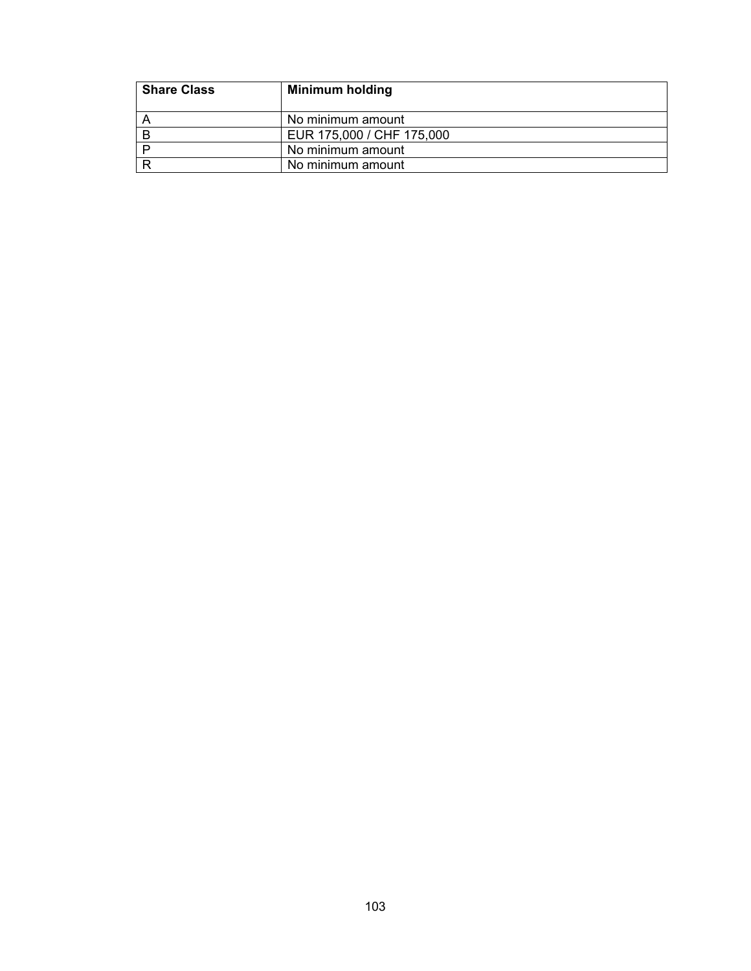| <b>Share Class</b> | <b>Minimum holding</b>    |
|--------------------|---------------------------|
|                    | No minimum amount         |
|                    | EUR 175,000 / CHF 175,000 |
|                    | No minimum amount         |
|                    | No minimum amount         |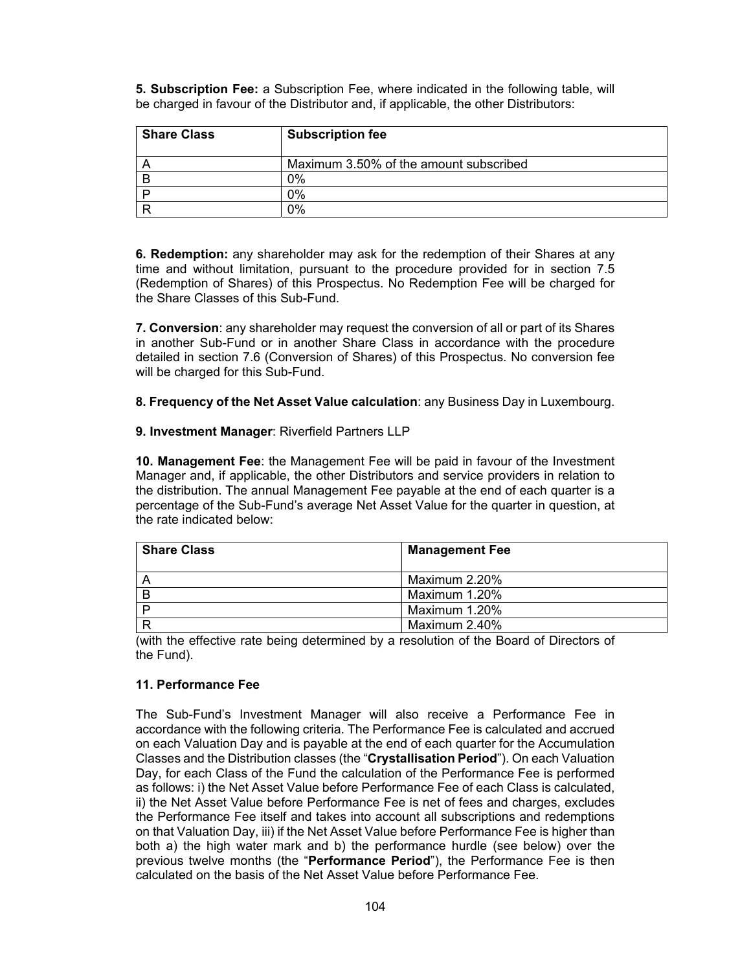**5. Subscription Fee:** a Subscription Fee, where indicated in the following table, will be charged in favour of the Distributor and, if applicable, the other Distributors:

| <b>Share Class</b> | <b>Subscription fee</b>                |
|--------------------|----------------------------------------|
|                    | Maximum 3.50% of the amount subscribed |
|                    | 2%                                     |
|                    | ን%                                     |
|                    | ጋ%                                     |

**6. Redemption:** any shareholder may ask for the redemption of their Shares at any time and without limitation, pursuant to the procedure provided for in section 7.5 (Redemption of Shares) of this Prospectus. No Redemption Fee will be charged for the Share Classes of this Sub-Fund.

**7. Conversion**: any shareholder may request the conversion of all or part of its Shares in another Sub-Fund or in another Share Class in accordance with the procedure detailed in section 7.6 (Conversion of Shares) of this Prospectus. No conversion fee will be charged for this Sub-Fund.

**8. Frequency of the Net Asset Value calculation**: any Business Day in Luxembourg.

### **9. Investment Manager**: Riverfield Partners LLP

**10. Management Fee**: the Management Fee will be paid in favour of the Investment Manager and, if applicable, the other Distributors and service providers in relation to the distribution. The annual Management Fee payable at the end of each quarter is a percentage of the Sub-Fund's average Net Asset Value for the quarter in question, at the rate indicated below:

| <b>Share Class</b> | <b>Management Fee</b> |
|--------------------|-----------------------|
|                    | Maximum 2.20%         |
| B                  | Maximum 1.20%         |
|                    | Maximum 1.20%         |
|                    | Maximum 2.40%         |

(with the effective rate being determined by a resolution of the Board of Directors of the Fund).

### **11. Performance Fee**

The Sub-Fund's Investment Manager will also receive a Performance Fee in accordance with the following criteria. The Performance Fee is calculated and accrued on each Valuation Day and is payable at the end of each quarter for the Accumulation Classes and the Distribution classes (the "**Crystallisation Period**"). On each Valuation Day, for each Class of the Fund the calculation of the Performance Fee is performed as follows: i) the Net Asset Value before Performance Fee of each Class is calculated, ii) the Net Asset Value before Performance Fee is net of fees and charges, excludes the Performance Fee itself and takes into account all subscriptions and redemptions on that Valuation Day, iii) if the Net Asset Value before Performance Fee is higher than both a) the high water mark and b) the performance hurdle (see below) over the previous twelve months (the "**Performance Period**"), the Performance Fee is then calculated on the basis of the Net Asset Value before Performance Fee.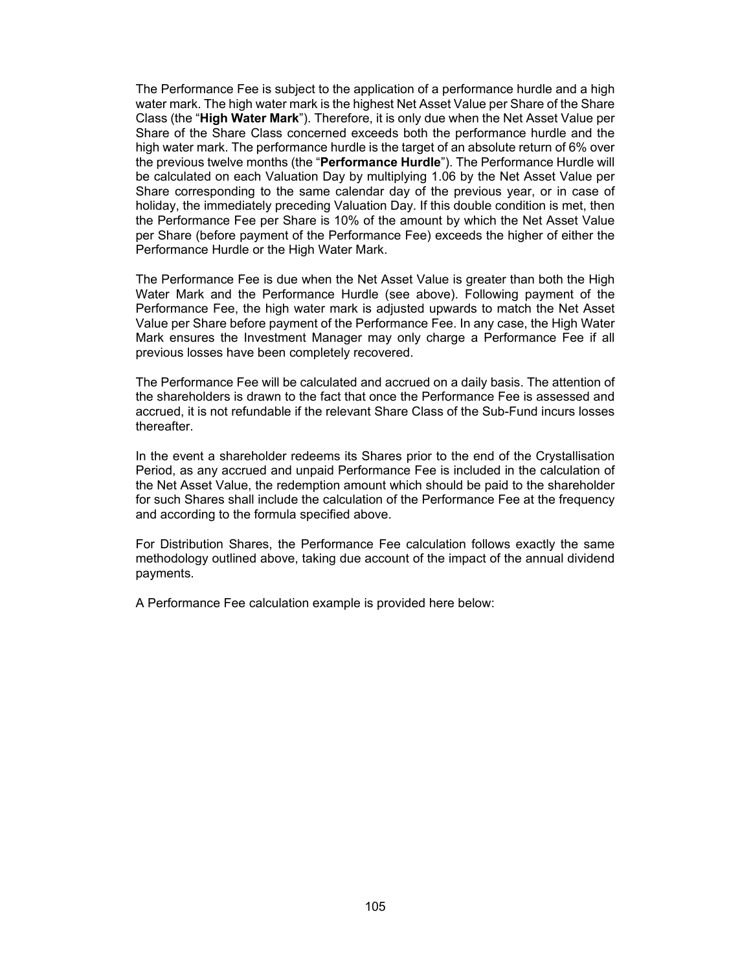The Performance Fee is subject to the application of a performance hurdle and a high water mark. The high water mark is the highest Net Asset Value per Share of the Share Class (the "**High Water Mark**"). Therefore, it is only due when the Net Asset Value per Share of the Share Class concerned exceeds both the performance hurdle and the high water mark. The performance hurdle is the target of an absolute return of 6% over the previous twelve months (the "**Performance Hurdle**"). The Performance Hurdle will be calculated on each Valuation Day by multiplying 1.06 by the Net Asset Value per Share corresponding to the same calendar day of the previous year, or in case of holiday, the immediately preceding Valuation Day. If this double condition is met, then the Performance Fee per Share is 10% of the amount by which the Net Asset Value per Share (before payment of the Performance Fee) exceeds the higher of either the Performance Hurdle or the High Water Mark.

The Performance Fee is due when the Net Asset Value is greater than both the High Water Mark and the Performance Hurdle (see above). Following payment of the Performance Fee, the high water mark is adjusted upwards to match the Net Asset Value per Share before payment of the Performance Fee. In any case, the High Water Mark ensures the Investment Manager may only charge a Performance Fee if all previous losses have been completely recovered.

The Performance Fee will be calculated and accrued on a daily basis. The attention of the shareholders is drawn to the fact that once the Performance Fee is assessed and accrued, it is not refundable if the relevant Share Class of the Sub-Fund incurs losses thereafter.

In the event a shareholder redeems its Shares prior to the end of the Crystallisation Period, as any accrued and unpaid Performance Fee is included in the calculation of the Net Asset Value, the redemption amount which should be paid to the shareholder for such Shares shall include the calculation of the Performance Fee at the frequency and according to the formula specified above.

For Distribution Shares, the Performance Fee calculation follows exactly the same methodology outlined above, taking due account of the impact of the annual dividend payments.

A Performance Fee calculation example is provided here below: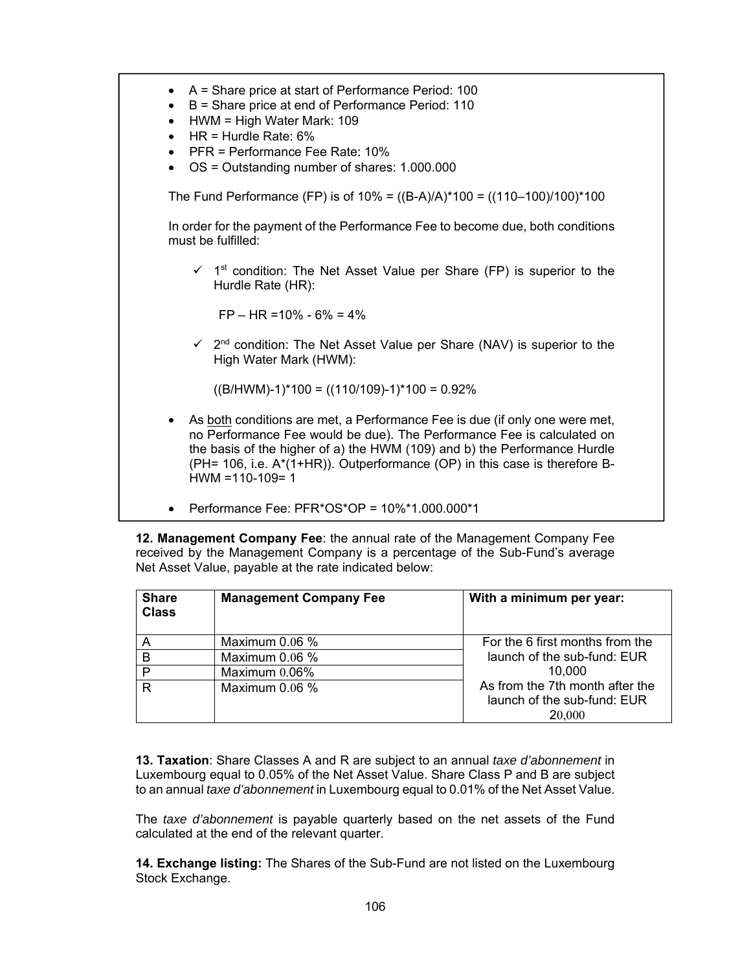• A = Share price at start of Performance Period: 100 • B = Share price at end of Performance Period: 110 • HWM = High Water Mark: 109  $\bullet$  HR = Hurdle Rate:  $6\%$ • PFR = Performance Fee Rate: 10% • OS = Outstanding number of shares: 1.000.000 The Fund Performance (FP) is of  $10\% = ((B-A)/A)^*100 = ((110-100)/100)^*100$ In order for the payment of the Performance Fee to become due, both conditions must be fulfilled:  $\checkmark$  1<sup>st</sup> condition: The Net Asset Value per Share (FP) is superior to the Hurdle Rate (HR): FP – HR =10% - 6% = 4%  $\checkmark$  2<sup>nd</sup> condition: The Net Asset Value per Share (NAV) is superior to the High Water Mark (HWM):  $((B/HWM)-1)*100 = ((110/109)-1)*100 = 0.92%$ • As both conditions are met, a Performance Fee is due (if only one were met, no Performance Fee would be due). The Performance Fee is calculated on the basis of the higher of a) the HWM (109) and b) the Performance Hurdle (PH= 106, i.e. A\*(1+HR)). Outperformance (OP) in this case is therefore B- $HWM = 110-109= 1$ • Performance Fee: PFR\*OS\*OP = 10%\*1.000.000\*1

**12. Management Company Fee**: the annual rate of the Management Company Fee received by the Management Company is a percentage of the Sub-Fund's average Net Asset Value, payable at the rate indicated below:

| <b>Share</b><br><b>Class</b> | <b>Management Company Fee</b> | With a minimum per year:                                                 |
|------------------------------|-------------------------------|--------------------------------------------------------------------------|
|                              | Maximum $0.06\%$              | For the 6 first months from the                                          |
| B                            | Maximum $0.06\%$              | launch of the sub-fund: EUR                                              |
| D                            | Maximum $0.06\%$              | 10.000                                                                   |
| R                            | Maximum $0.06\%$              | As from the 7th month after the<br>launch of the sub-fund: EUR<br>20,000 |

**13. Taxation**: Share Classes A and R are subject to an annual *taxe d'abonnement* in Luxembourg equal to 0.05% of the Net Asset Value. Share Class P and B are subject to an annual *taxe d'abonnement* in Luxembourg equal to 0.01% of the Net Asset Value.

The *taxe d'abonnement* is payable quarterly based on the net assets of the Fund calculated at the end of the relevant quarter.

**14. Exchange listing:** The Shares of the Sub-Fund are not listed on the Luxembourg Stock Exchange.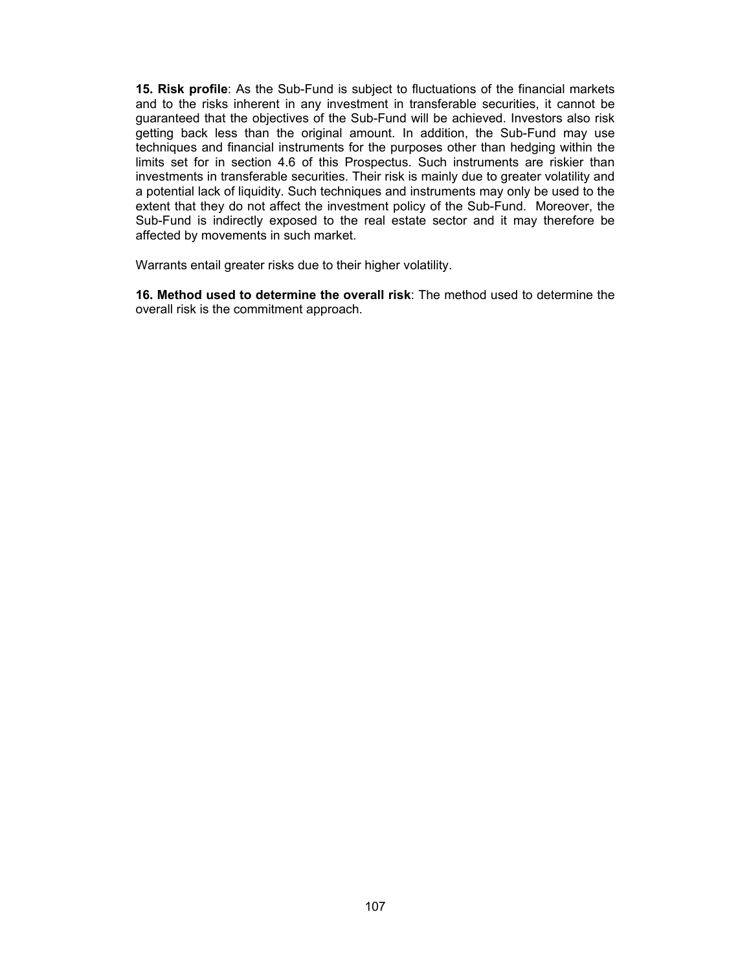**15. Risk profile**: As the Sub-Fund is subject to fluctuations of the financial markets and to the risks inherent in any investment in transferable securities, it cannot be guaranteed that the objectives of the Sub-Fund will be achieved. Investors also risk getting back less than the original amount. In addition, the Sub-Fund may use techniques and financial instruments for the purposes other than hedging within the limits set for in section 4.6 of this Prospectus. Such instruments are riskier than investments in transferable securities. Their risk is mainly due to greater volatility and a potential lack of liquidity. Such techniques and instruments may only be used to the extent that they do not affect the investment policy of the Sub-Fund. Moreover, the Sub-Fund is indirectly exposed to the real estate sector and it may therefore be affected by movements in such market.

Warrants entail greater risks due to their higher volatility.

**16. Method used to determine the overall risk**: The method used to determine the overall risk is the commitment approach.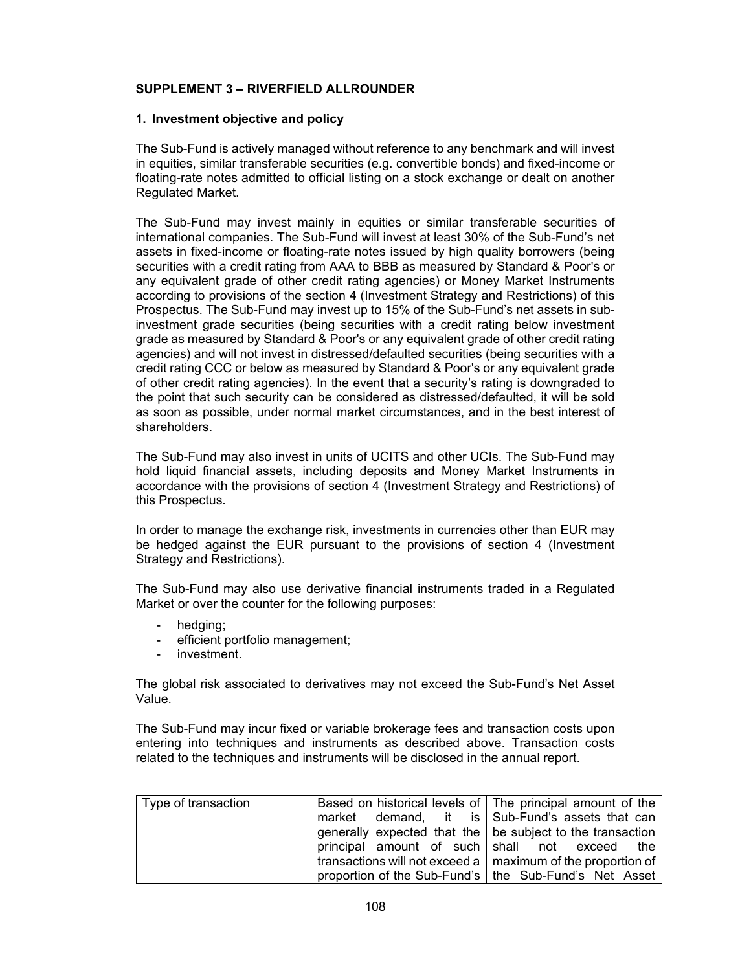### **SUPPLEMENT 3 – RIVERFIELD ALLROUNDER**

### **1. Investment objective and policy**

The Sub-Fund is actively managed without reference to any benchmark and will invest in equities, similar transferable securities (e.g. convertible bonds) and fixed-income or floating-rate notes admitted to official listing on a stock exchange or dealt on another Regulated Market.

The Sub-Fund may invest mainly in equities or similar transferable securities of international companies. The Sub-Fund will invest at least 30% of the Sub-Fund's net assets in fixed-income or floating-rate notes issued by high quality borrowers (being securities with a credit rating from AAA to BBB as measured by Standard & Poor's or any equivalent grade of other credit rating agencies) or Money Market Instruments according to provisions of the section 4 (Investment Strategy and Restrictions) of this Prospectus. The Sub-Fund may invest up to 15% of the Sub-Fund's net assets in subinvestment grade securities (being securities with a credit rating below investment grade as measured by Standard & Poor's or any equivalent grade of other credit rating agencies) and will not invest in distressed/defaulted securities (being securities with a credit rating CCC or below as measured by Standard & Poor's or any equivalent grade of other credit rating agencies). In the event that a security's rating is downgraded to the point that such security can be considered as distressed/defaulted, it will be sold as soon as possible, under normal market circumstances, and in the best interest of shareholders.

The Sub-Fund may also invest in units of UCITS and other UCIs. The Sub-Fund may hold liquid financial assets, including deposits and Money Market Instruments in accordance with the provisions of section 4 (Investment Strategy and Restrictions) of this Prospectus.

In order to manage the exchange risk, investments in currencies other than EUR may be hedged against the EUR pursuant to the provisions of section 4 (Investment Strategy and Restrictions).

The Sub-Fund may also use derivative financial instruments traded in a Regulated Market or over the counter for the following purposes:

- hedging;
- efficient portfolio management;
- investment.

The global risk associated to derivatives may not exceed the Sub-Fund's Net Asset Value.

The Sub-Fund may incur fixed or variable brokerage fees and transaction costs upon entering into techniques and instruments as described above. Transaction costs related to the techniques and instruments will be disclosed in the annual report.

| Type of transaction | Based on historical levels of The principal amount of the                   |
|---------------------|-----------------------------------------------------------------------------|
|                     | market demand, it is Sub-Fund's assets that can                             |
|                     | generally expected that the   be subject to the transaction                 |
|                     | principal amount of such shall not exceed the                               |
|                     | transactions will not exceed a $\vert$ maximum of the proportion of $\vert$ |
|                     | proportion of the Sub-Fund's   the Sub-Fund's Net Asset                     |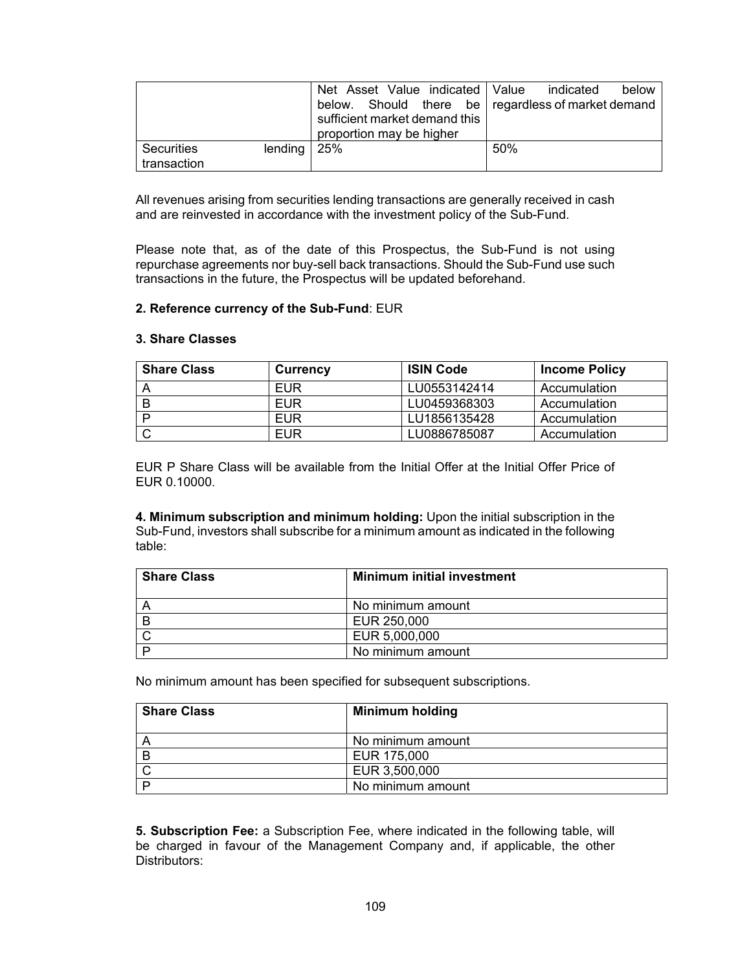|             |                     |                               |                          |  |  |     | Net Asset Value indicated Value indicated          | below |
|-------------|---------------------|-------------------------------|--------------------------|--|--|-----|----------------------------------------------------|-------|
|             |                     |                               |                          |  |  |     | below. Should there be regardless of market demand |       |
|             |                     | sufficient market demand this |                          |  |  |     |                                                    |       |
|             |                     |                               | proportion may be higher |  |  |     |                                                    |       |
| Securities  | lending $\vert$ 25% |                               |                          |  |  | 50% |                                                    |       |
| transaction |                     |                               |                          |  |  |     |                                                    |       |

All revenues arising from securities lending transactions are generally received in cash and are reinvested in accordance with the investment policy of the Sub-Fund.

Please note that, as of the date of this Prospectus, the Sub-Fund is not using repurchase agreements nor buy-sell back transactions. Should the Sub-Fund use such transactions in the future, the Prospectus will be updated beforehand.

## **2. Reference currency of the Sub-Fund**: EUR

## **3. Share Classes**

| <b>Share Class</b> | <b>Currency</b> | <b>ISIN Code</b> | <b>Income Policy</b> |
|--------------------|-----------------|------------------|----------------------|
|                    | EUR             | LU0553142414     | Accumulation         |
|                    | EUR             | LU0459368303     | Accumulation         |
|                    | EUR             | LU1856135428     | Accumulation         |
|                    | <b>EUR</b>      | LU0886785087     | Accumulation         |

EUR P Share Class will be available from the Initial Offer at the Initial Offer Price of EUR 0.10000.

**4. Minimum subscription and minimum holding:** Upon the initial subscription in the Sub-Fund, investors shall subscribe for a minimum amount as indicated in the following table:

| <b>Share Class</b> | <b>Minimum initial investment</b> |
|--------------------|-----------------------------------|
|                    | No minimum amount                 |
| B                  | EUR 250,000                       |
|                    | EUR 5,000,000                     |
|                    | No minimum amount                 |

No minimum amount has been specified for subsequent subscriptions.

| <b>Share Class</b> | <b>Minimum holding</b> |
|--------------------|------------------------|
|                    | No minimum amount      |
|                    | EUR 175,000            |
|                    | EUR 3,500,000          |
|                    | No minimum amount      |

**5. Subscription Fee:** a Subscription Fee, where indicated in the following table, will be charged in favour of the Management Company and, if applicable, the other Distributors: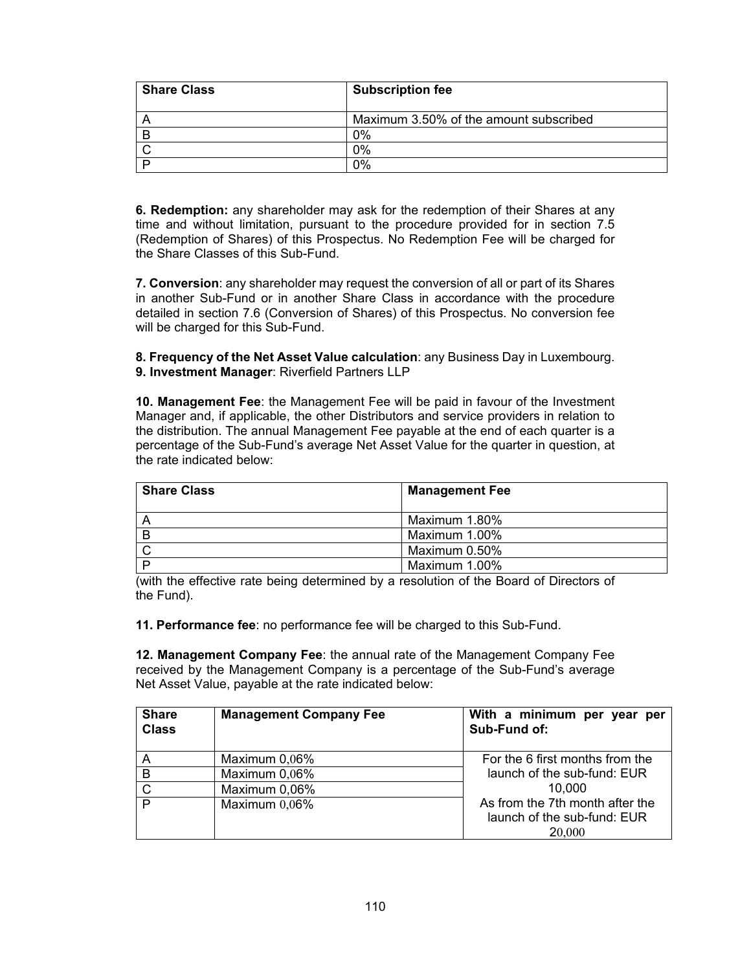| <b>Share Class</b> | <b>Subscription fee</b>                |
|--------------------|----------------------------------------|
|                    | Maximum 3.50% of the amount subscribed |
|                    | $0\%$                                  |
|                    | 0%                                     |
|                    | 0%                                     |

**6. Redemption:** any shareholder may ask for the redemption of their Shares at any time and without limitation, pursuant to the procedure provided for in section 7.5 (Redemption of Shares) of this Prospectus. No Redemption Fee will be charged for the Share Classes of this Sub-Fund.

**7. Conversion**: any shareholder may request the conversion of all or part of its Shares in another Sub-Fund or in another Share Class in accordance with the procedure detailed in section 7.6 (Conversion of Shares) of this Prospectus. No conversion fee will be charged for this Sub-Fund.

**8. Frequency of the Net Asset Value calculation**: any Business Day in Luxembourg. **9. Investment Manager**: Riverfield Partners LLP

**10. Management Fee**: the Management Fee will be paid in favour of the Investment Manager and, if applicable, the other Distributors and service providers in relation to the distribution. The annual Management Fee payable at the end of each quarter is a percentage of the Sub-Fund's average Net Asset Value for the quarter in question, at the rate indicated below:

| <b>Share Class</b> | <b>Management Fee</b> |
|--------------------|-----------------------|
|                    | Maximum 1.80%         |
|                    | Maximum 1.00%         |
|                    | Maximum 0.50%         |
|                    | Maximum 1.00%         |

(with the effective rate being determined by a resolution of the Board of Directors of the Fund).

**11. Performance fee**: no performance fee will be charged to this Sub-Fund.

**12. Management Company Fee**: the annual rate of the Management Company Fee received by the Management Company is a percentage of the Sub-Fund's average Net Asset Value, payable at the rate indicated below:

| <b>Share</b><br><b>Class</b> | <b>Management Company Fee</b> | With a minimum per year per<br>Sub-Fund of:                              |
|------------------------------|-------------------------------|--------------------------------------------------------------------------|
| Α                            | Maximum 0,06%                 | For the 6 first months from the                                          |
| B                            | Maximum 0,06%                 | launch of the sub-fund: EUR                                              |
| C                            | Maximum 0,06%                 | 10.000                                                                   |
| D                            | Maximum $0,06\%$              | As from the 7th month after the<br>launch of the sub-fund: EUR<br>20,000 |